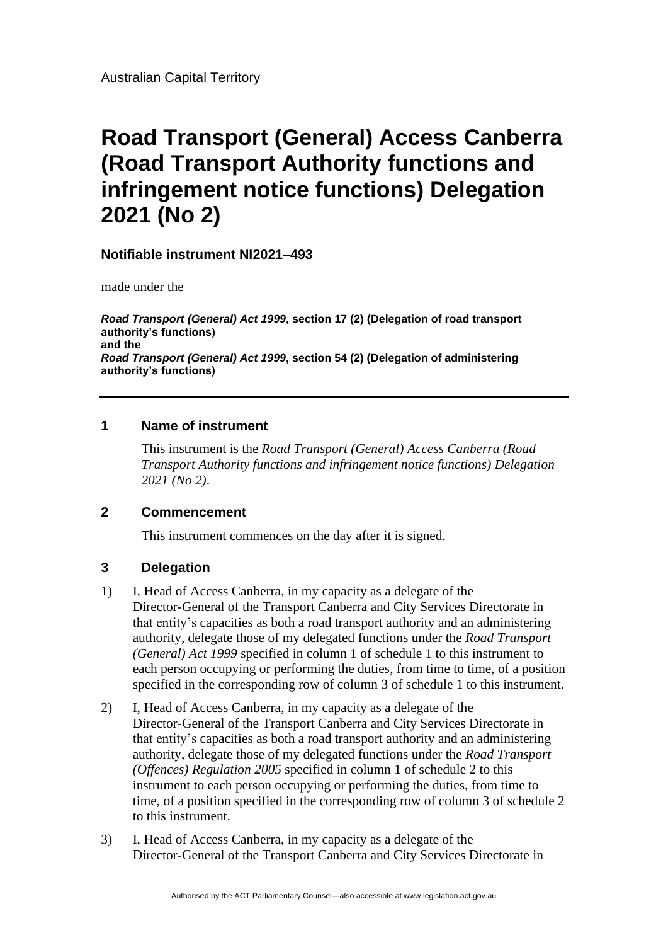Australian Capital Territory

# **Road Transport (General) Access Canberra (Road Transport Authority functions and infringement notice functions) Delegation 2021 (No 2)**

#### **Notifiable instrument NI2021–493**

made under the

*Road Transport (General) Act 1999***, section 17 (2) (Delegation of road transport authority's functions) and the** *Road Transport (General) Act 1999***, section 54 (2) (Delegation of administering authority's functions)**

#### **1 Name of instrument**

This instrument is the *Road Transport (General) Access Canberra (Road Transport Authority functions and infringement notice functions) Delegation 2021 (No 2)*.

#### **2 Commencement**

This instrument commences on the day after it is signed.

#### **3 Delegation**

- 1) I, Head of Access Canberra, in my capacity as a delegate of the Director-General of the Transport Canberra and City Services Directorate in that entity's capacities as both a road transport authority and an administering authority, delegate those of my delegated functions under the *Road Transport (General) Act 1999* specified in column 1 of schedule 1 to this instrument to each person occupying or performing the duties, from time to time, of a position specified in the corresponding row of column 3 of schedule 1 to this instrument.
- 2) I, Head of Access Canberra, in my capacity as a delegate of the Director-General of the Transport Canberra and City Services Directorate in that entity's capacities as both a road transport authority and an administering authority, delegate those of my delegated functions under the *Road Transport (Offences) Regulation 2005* specified in column 1 of schedule 2 to this instrument to each person occupying or performing the duties, from time to time, of a position specified in the corresponding row of column 3 of schedule 2 to this instrument.
- 3) I, Head of Access Canberra, in my capacity as a delegate of the Director-General of the Transport Canberra and City Services Directorate in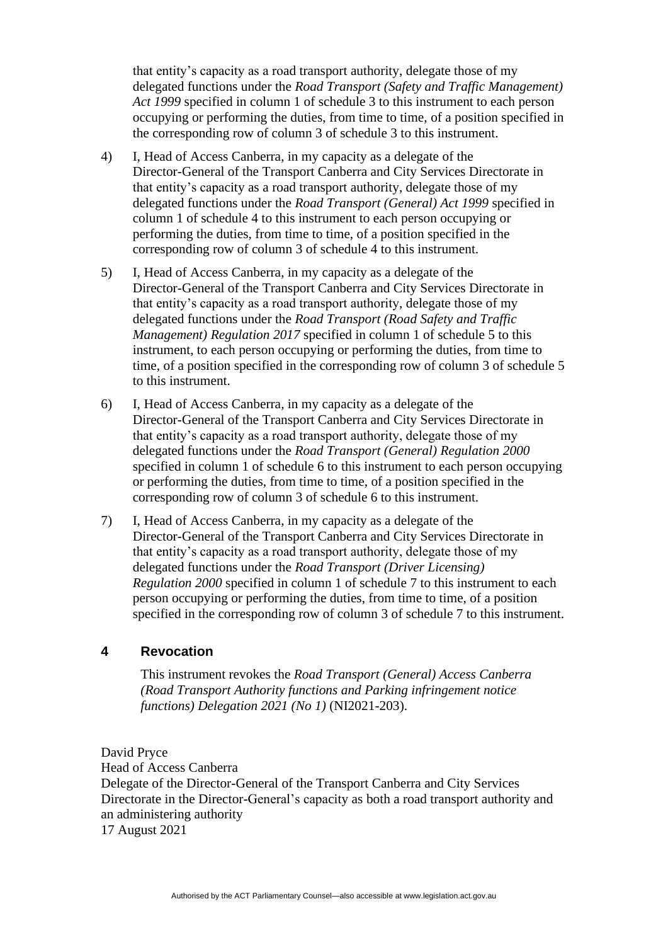that entity's capacity as a road transport authority, delegate those of my delegated functions under the *Road Transport (Safety and Traffic Management) Act 1999* specified in column 1 of schedule 3 to this instrument to each person occupying or performing the duties, from time to time, of a position specified in the corresponding row of column 3 of schedule 3 to this instrument.

- 4) I, Head of Access Canberra, in my capacity as a delegate of the Director-General of the Transport Canberra and City Services Directorate in that entity's capacity as a road transport authority, delegate those of my delegated functions under the *Road Transport (General) Act 1999* specified in column 1 of schedule 4 to this instrument to each person occupying or performing the duties, from time to time, of a position specified in the corresponding row of column 3 of schedule 4 to this instrument.
- 5) I, Head of Access Canberra, in my capacity as a delegate of the Director-General of the Transport Canberra and City Services Directorate in that entity's capacity as a road transport authority, delegate those of my delegated functions under the *Road Transport (Road Safety and Traffic Management) Regulation 2017* specified in column 1 of schedule 5 to this instrument, to each person occupying or performing the duties, from time to time, of a position specified in the corresponding row of column 3 of schedule 5 to this instrument.
- 6) I, Head of Access Canberra, in my capacity as a delegate of the Director-General of the Transport Canberra and City Services Directorate in that entity's capacity as a road transport authority, delegate those of my delegated functions under the *Road Transport (General) Regulation 2000* specified in column 1 of schedule 6 to this instrument to each person occupying or performing the duties, from time to time, of a position specified in the corresponding row of column 3 of schedule 6 to this instrument.
- 7) I, Head of Access Canberra, in my capacity as a delegate of the Director-General of the Transport Canberra and City Services Directorate in that entity's capacity as a road transport authority, delegate those of my delegated functions under the *Road Transport (Driver Licensing) Regulation 2000* specified in column 1 of schedule 7 to this instrument to each person occupying or performing the duties, from time to time, of a position specified in the corresponding row of column 3 of schedule 7 to this instrument.

#### **4 Revocation**

This instrument revokes the *Road Transport (General) Access Canberra (Road Transport Authority functions and Parking infringement notice functions) Delegation 2021 (No 1)* (NI2021-203).

David Pryce Head of Access Canberra Delegate of the Director-General of the Transport Canberra and City Services Directorate in the Director-General's capacity as both a road transport authority and an administering authority 17 August 2021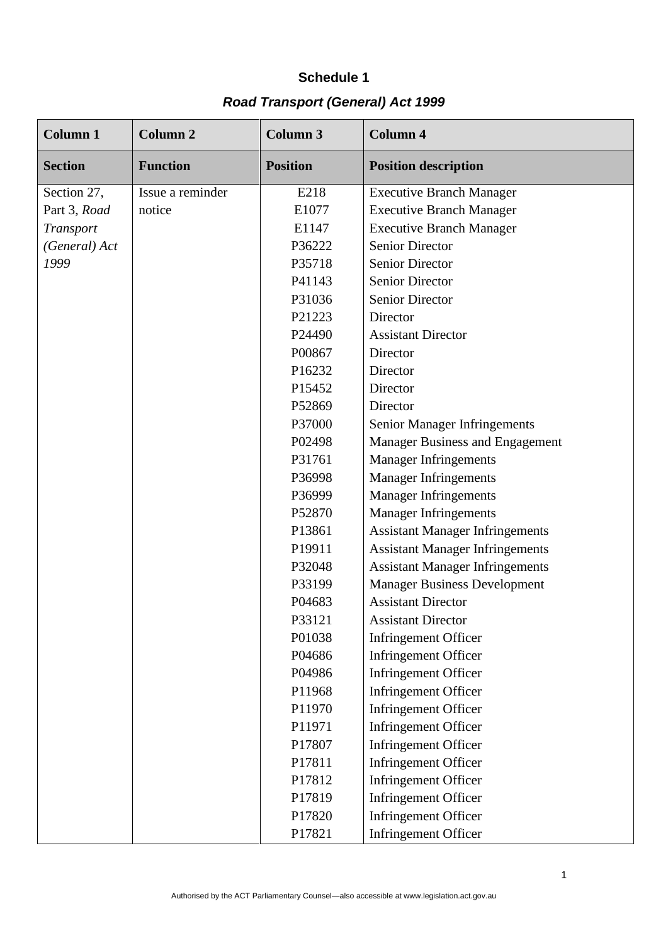### **Schedule 1**

## *Road Transport (General) Act 1999*

| <b>Column 1</b> | <b>Column 2</b>  | <b>Column 3</b> | <b>Column 4</b>                        |
|-----------------|------------------|-----------------|----------------------------------------|
| <b>Section</b>  | <b>Function</b>  | <b>Position</b> | <b>Position description</b>            |
| Section 27,     | Issue a reminder | E218            | <b>Executive Branch Manager</b>        |
| Part 3, Road    | notice           | E1077           | <b>Executive Branch Manager</b>        |
| Transport       |                  | E1147           | <b>Executive Branch Manager</b>        |
| (General) Act   |                  | P36222          | <b>Senior Director</b>                 |
| 1999            |                  | P35718          | <b>Senior Director</b>                 |
|                 |                  | P41143          | <b>Senior Director</b>                 |
|                 |                  | P31036          | <b>Senior Director</b>                 |
|                 |                  | P21223          | Director                               |
|                 |                  | P24490          | <b>Assistant Director</b>              |
|                 |                  | P00867          | Director                               |
|                 |                  | P16232          | Director                               |
|                 |                  | P15452          | Director                               |
|                 |                  | P52869          | Director                               |
|                 |                  | P37000          | <b>Senior Manager Infringements</b>    |
|                 |                  | P02498          | Manager Business and Engagement        |
|                 |                  | P31761          | <b>Manager Infringements</b>           |
|                 |                  | P36998          | <b>Manager Infringements</b>           |
|                 |                  | P36999          | <b>Manager Infringements</b>           |
|                 |                  | P52870          | <b>Manager Infringements</b>           |
|                 |                  | P13861          | <b>Assistant Manager Infringements</b> |
|                 |                  | P19911          | <b>Assistant Manager Infringements</b> |
|                 |                  | P32048          | <b>Assistant Manager Infringements</b> |
|                 |                  | P33199          | <b>Manager Business Development</b>    |
|                 |                  | P04683          | <b>Assistant Director</b>              |
|                 |                  | P33121          | <b>Assistant Director</b>              |
|                 |                  | P01038          | Infringement Officer                   |
|                 |                  | P04686          | <b>Infringement Officer</b>            |
|                 |                  | P04986          | <b>Infringement Officer</b>            |
|                 |                  | P11968          | Infringement Officer                   |
|                 |                  | P11970          | <b>Infringement Officer</b>            |
|                 |                  | P11971          | <b>Infringement Officer</b>            |
|                 |                  | P17807          | Infringement Officer                   |
|                 |                  | P17811          | <b>Infringement Officer</b>            |
|                 |                  | P17812          | <b>Infringement Officer</b>            |
|                 |                  | P17819          | Infringement Officer                   |
|                 |                  | P17820          | Infringement Officer                   |
|                 |                  | P17821          | <b>Infringement Officer</b>            |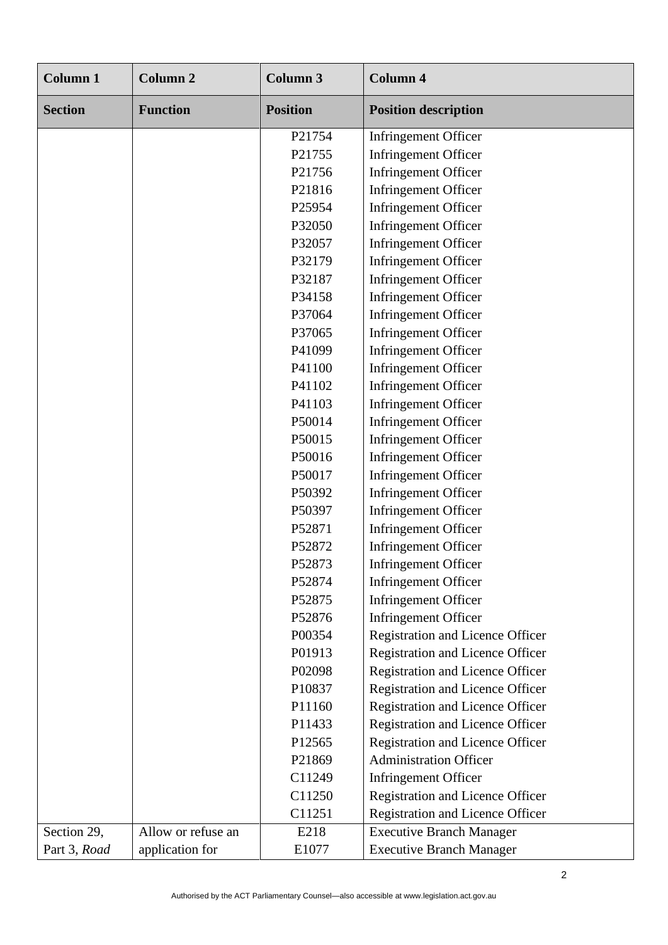| <b>Column 1</b> | <b>Column 2</b>    | <b>Column 3</b> | <b>Column 4</b>                  |
|-----------------|--------------------|-----------------|----------------------------------|
| <b>Section</b>  | <b>Function</b>    | <b>Position</b> | <b>Position description</b>      |
|                 |                    | P21754          | Infringement Officer             |
|                 |                    | P21755          | <b>Infringement Officer</b>      |
|                 |                    | P21756          | Infringement Officer             |
|                 |                    | P21816          | Infringement Officer             |
|                 |                    | P25954          | <b>Infringement Officer</b>      |
|                 |                    | P32050          | Infringement Officer             |
|                 |                    | P32057          | <b>Infringement Officer</b>      |
|                 |                    | P32179          | Infringement Officer             |
|                 |                    | P32187          | Infringement Officer             |
|                 |                    | P34158          | <b>Infringement Officer</b>      |
|                 |                    | P37064          | Infringement Officer             |
|                 |                    | P37065          | Infringement Officer             |
|                 |                    | P41099          | Infringement Officer             |
|                 |                    | P41100          | <b>Infringement Officer</b>      |
|                 |                    | P41102          | Infringement Officer             |
|                 |                    | P41103          | Infringement Officer             |
|                 |                    | P50014          | Infringement Officer             |
|                 |                    | P50015          | Infringement Officer             |
|                 |                    | P50016          | Infringement Officer             |
|                 |                    | P50017          | Infringement Officer             |
|                 |                    | P50392          | <b>Infringement Officer</b>      |
|                 |                    | P50397          | Infringement Officer             |
|                 |                    | P52871          | Infringement Officer             |
|                 |                    | P52872          | <b>Infringement Officer</b>      |
|                 |                    | P52873          | Infringement Officer             |
|                 |                    | P52874          | Infringement Officer             |
|                 |                    | P52875          | Infringement Officer             |
|                 |                    | P52876          | <b>Infringement Officer</b>      |
|                 |                    | P00354          | Registration and Licence Officer |
|                 |                    | P01913          | Registration and Licence Officer |
|                 |                    | P02098          | Registration and Licence Officer |
|                 |                    | P10837          | Registration and Licence Officer |
|                 |                    | P11160          | Registration and Licence Officer |
|                 |                    | P11433          | Registration and Licence Officer |
|                 |                    | P12565          | Registration and Licence Officer |
|                 |                    | P21869          | <b>Administration Officer</b>    |
|                 |                    | C11249          | <b>Infringement Officer</b>      |
|                 |                    | C11250          | Registration and Licence Officer |
|                 |                    | C11251          | Registration and Licence Officer |
| Section 29,     | Allow or refuse an | E218            | <b>Executive Branch Manager</b>  |
| Part 3, Road    | application for    | E1077           | <b>Executive Branch Manager</b>  |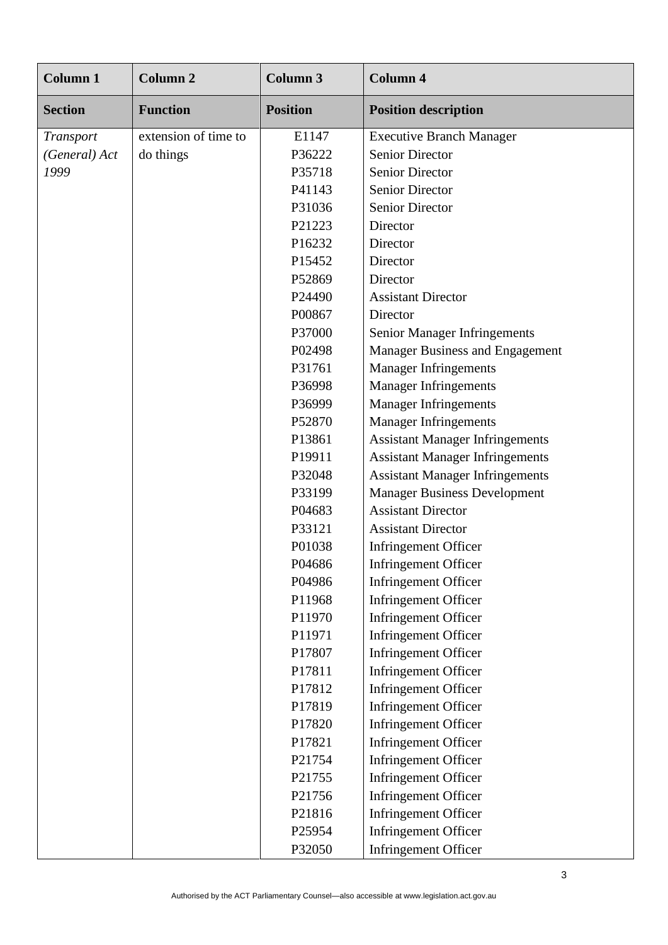| <b>Column 1</b>  | <b>Column 2</b>      | <b>Column 3</b>    | <b>Column 4</b>                        |
|------------------|----------------------|--------------------|----------------------------------------|
| <b>Section</b>   | <b>Function</b>      | <b>Position</b>    | <b>Position description</b>            |
| <b>Transport</b> | extension of time to | E1147              | <b>Executive Branch Manager</b>        |
| (General) Act    | do things            | P36222             | <b>Senior Director</b>                 |
| 1999             |                      | P35718             | <b>Senior Director</b>                 |
|                  |                      | P41143             | <b>Senior Director</b>                 |
|                  |                      | P31036             | <b>Senior Director</b>                 |
|                  |                      | P21223             | Director                               |
|                  |                      | P16232             | Director                               |
|                  |                      | P15452             | Director                               |
|                  |                      | P52869             | Director                               |
|                  |                      | P24490             | <b>Assistant Director</b>              |
|                  |                      | P00867             | Director                               |
|                  |                      | P37000             | <b>Senior Manager Infringements</b>    |
|                  |                      | P02498             | <b>Manager Business and Engagement</b> |
|                  |                      | P31761             | <b>Manager Infringements</b>           |
|                  |                      | P36998             | <b>Manager Infringements</b>           |
|                  |                      | P36999             | <b>Manager Infringements</b>           |
|                  |                      | P52870             | <b>Manager Infringements</b>           |
|                  |                      | P13861             | <b>Assistant Manager Infringements</b> |
|                  |                      | P19911             | <b>Assistant Manager Infringements</b> |
|                  |                      | P32048             | <b>Assistant Manager Infringements</b> |
|                  |                      | P33199             | <b>Manager Business Development</b>    |
|                  |                      | P04683             | <b>Assistant Director</b>              |
|                  |                      | P33121             | <b>Assistant Director</b>              |
|                  |                      | P01038             | Infringement Officer                   |
|                  |                      | P04686             | Infringement Officer                   |
|                  |                      | P04986             | <b>Infringement Officer</b>            |
|                  |                      | P11968             | Infringement Officer                   |
|                  |                      | P11970             | Infringement Officer                   |
|                  |                      | P11971             | Infringement Officer                   |
|                  |                      | P17807             | <b>Infringement Officer</b>            |
|                  |                      | P17811             | Infringement Officer                   |
|                  |                      | P17812             | Infringement Officer                   |
|                  |                      | P17819             | Infringement Officer                   |
|                  |                      | P17820             | <b>Infringement Officer</b>            |
|                  |                      | P17821             | <b>Infringement Officer</b>            |
|                  |                      | P21754             | <b>Infringement Officer</b>            |
|                  |                      | P21755             | Infringement Officer                   |
|                  |                      | P <sub>21756</sub> | <b>Infringement Officer</b>            |
|                  |                      | P21816             | <b>Infringement Officer</b>            |
|                  |                      | P25954             | <b>Infringement Officer</b>            |
|                  |                      | P32050             | Infringement Officer                   |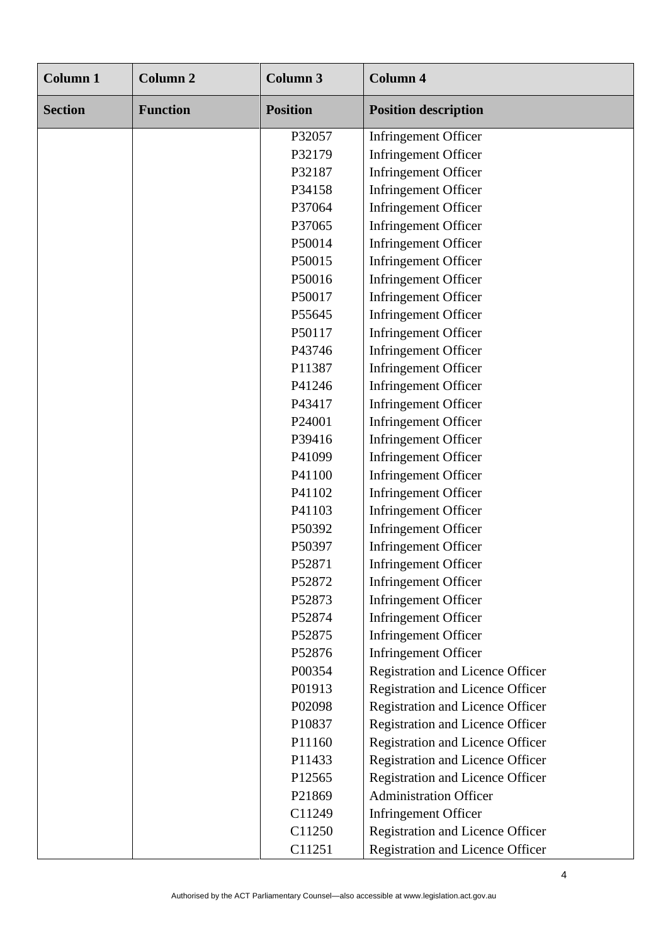| <b>Column 1</b> | <b>Column 2</b> | <b>Column 3</b>    | <b>Column 4</b>                  |
|-----------------|-----------------|--------------------|----------------------------------|
| <b>Section</b>  | <b>Function</b> | <b>Position</b>    | <b>Position description</b>      |
|                 |                 | P32057             | Infringement Officer             |
|                 |                 | P32179             | <b>Infringement Officer</b>      |
|                 |                 | P32187             | Infringement Officer             |
|                 |                 | P34158             | Infringement Officer             |
|                 |                 | P37064             | <b>Infringement Officer</b>      |
|                 |                 | P37065             | Infringement Officer             |
|                 |                 | P50014             | <b>Infringement Officer</b>      |
|                 |                 | P50015             | <b>Infringement Officer</b>      |
|                 |                 | P50016             | Infringement Officer             |
|                 |                 | P50017             | Infringement Officer             |
|                 |                 | P55645             | <b>Infringement Officer</b>      |
|                 |                 | P50117             | Infringement Officer             |
|                 |                 | P43746             | Infringement Officer             |
|                 |                 | P11387             | Infringement Officer             |
|                 |                 | P41246             | Infringement Officer             |
|                 |                 | P43417             | Infringement Officer             |
|                 |                 | P24001             | <b>Infringement Officer</b>      |
|                 |                 | P39416             | Infringement Officer             |
|                 |                 | P41099             | <b>Infringement Officer</b>      |
|                 |                 | P41100             | <b>Infringement Officer</b>      |
|                 |                 | P41102             | Infringement Officer             |
|                 |                 | P41103             | Infringement Officer             |
|                 |                 | P50392             | <b>Infringement Officer</b>      |
|                 |                 | P50397             | Infringement Officer             |
|                 |                 | P52871             | Infringement Officer             |
|                 |                 | P52872             | <b>Infringement Officer</b>      |
|                 |                 | P52873             | Infringement Officer             |
|                 |                 | P52874             | Infringement Officer             |
|                 |                 | P52875             | Infringement Officer             |
|                 |                 | P52876             | Infringement Officer             |
|                 |                 | P00354             | Registration and Licence Officer |
|                 |                 | P01913             | Registration and Licence Officer |
|                 |                 | P02098             | Registration and Licence Officer |
|                 |                 | P10837             | Registration and Licence Officer |
|                 |                 | P11160             | Registration and Licence Officer |
|                 |                 | P11433             | Registration and Licence Officer |
|                 |                 | P12565             | Registration and Licence Officer |
|                 |                 | P <sub>21869</sub> | <b>Administration Officer</b>    |
|                 |                 | C11249             | <b>Infringement Officer</b>      |
|                 |                 | C11250             | Registration and Licence Officer |
|                 |                 | C11251             | Registration and Licence Officer |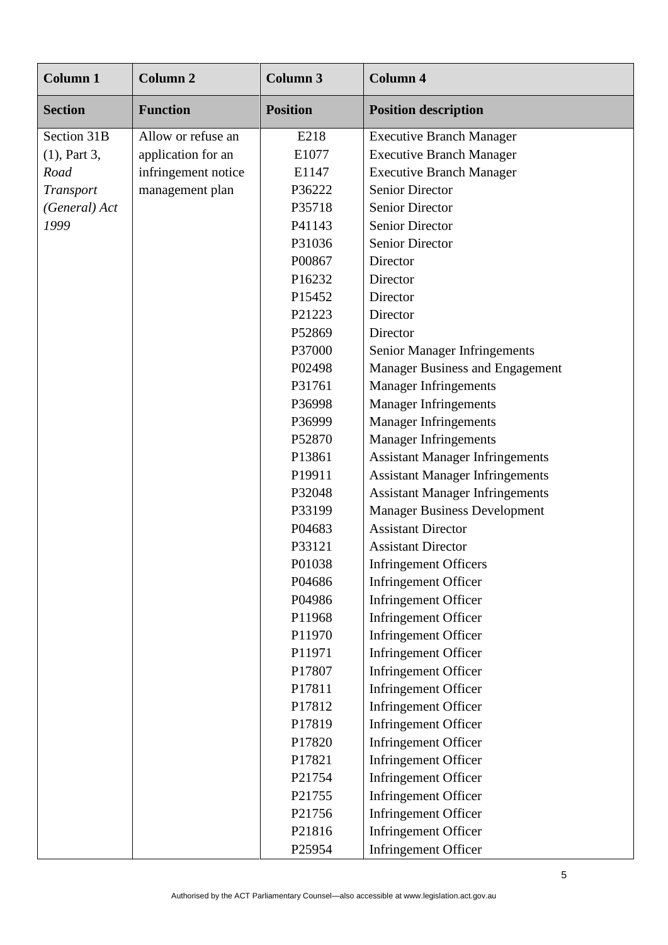| <b>Column 1</b> | <b>Column 2</b>     | <b>Column 3</b> | <b>Column 4</b>                        |
|-----------------|---------------------|-----------------|----------------------------------------|
| <b>Section</b>  | <b>Function</b>     | <b>Position</b> | <b>Position description</b>            |
| Section 31B     | Allow or refuse an  | E218            | <b>Executive Branch Manager</b>        |
| $(1)$ , Part 3, | application for an  | E1077           | <b>Executive Branch Manager</b>        |
| Road            | infringement notice | E1147           | <b>Executive Branch Manager</b>        |
| Transport       | management plan     | P36222          | <b>Senior Director</b>                 |
| (General) Act   |                     | P35718          | <b>Senior Director</b>                 |
| 1999            |                     | P41143          | <b>Senior Director</b>                 |
|                 |                     | P31036          | <b>Senior Director</b>                 |
|                 |                     | P00867          | Director                               |
|                 |                     | P16232          | Director                               |
|                 |                     | P15452          | Director                               |
|                 |                     | P21223          | Director                               |
|                 |                     | P52869          | Director                               |
|                 |                     | P37000          | <b>Senior Manager Infringements</b>    |
|                 |                     | P02498          | Manager Business and Engagement        |
|                 |                     | P31761          | <b>Manager Infringements</b>           |
|                 |                     | P36998          | <b>Manager Infringements</b>           |
|                 |                     | P36999          | <b>Manager Infringements</b>           |
|                 |                     | P52870          | <b>Manager Infringements</b>           |
|                 |                     | P13861          | <b>Assistant Manager Infringements</b> |
|                 |                     | P19911          | <b>Assistant Manager Infringements</b> |
|                 |                     | P32048          | <b>Assistant Manager Infringements</b> |
|                 |                     | P33199          | <b>Manager Business Development</b>    |
|                 |                     | P04683          | <b>Assistant Director</b>              |
|                 |                     | P33121          | <b>Assistant Director</b>              |
|                 |                     | P01038          | <b>Infringement Officers</b>           |
|                 |                     | P04686          | <b>Infringement Officer</b>            |
|                 |                     | P04986          | <b>Infringement Officer</b>            |
|                 |                     | P11968          | Infringement Officer                   |
|                 |                     | P11970          | Infringement Officer                   |
|                 |                     | P11971          | <b>Infringement Officer</b>            |
|                 |                     | P17807          | <b>Infringement Officer</b>            |
|                 |                     | P17811          | Infringement Officer                   |
|                 |                     | P17812          | <b>Infringement Officer</b>            |
|                 |                     | P17819          | <b>Infringement Officer</b>            |
|                 |                     | P17820          | Infringement Officer                   |
|                 |                     | P17821          | Infringement Officer                   |
|                 |                     | P21754          | <b>Infringement Officer</b>            |
|                 |                     | P21755          | Infringement Officer                   |
|                 |                     | P21756          | <b>Infringement Officer</b>            |
|                 |                     | P21816          | <b>Infringement Officer</b>            |
|                 |                     | P25954          | Infringement Officer                   |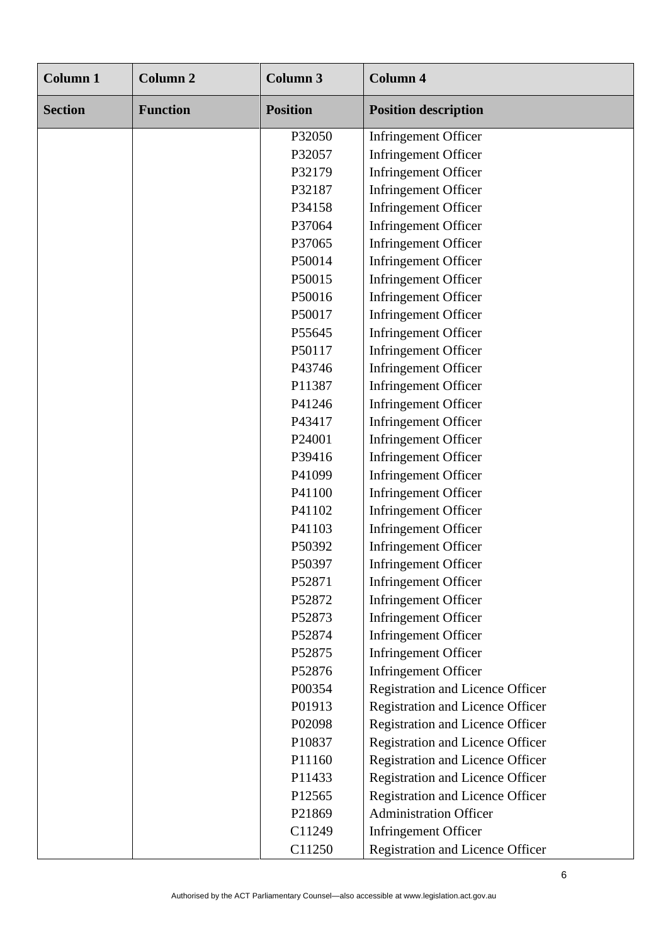| <b>Column 1</b> | <b>Column 2</b> | <b>Column 3</b> | <b>Column 4</b>                         |
|-----------------|-----------------|-----------------|-----------------------------------------|
| <b>Section</b>  | <b>Function</b> | <b>Position</b> | <b>Position description</b>             |
|                 |                 | P32050          | Infringement Officer                    |
|                 |                 | P32057          | <b>Infringement Officer</b>             |
|                 |                 | P32179          | Infringement Officer                    |
|                 |                 | P32187          | Infringement Officer                    |
|                 |                 | P34158          | <b>Infringement Officer</b>             |
|                 |                 | P37064          | Infringement Officer                    |
|                 |                 | P37065          | <b>Infringement Officer</b>             |
|                 |                 | P50014          | <b>Infringement Officer</b>             |
|                 |                 | P50015          | Infringement Officer                    |
|                 |                 | P50016          | Infringement Officer                    |
|                 |                 | P50017          | <b>Infringement Officer</b>             |
|                 |                 | P55645          | Infringement Officer                    |
|                 |                 | P50117          | Infringement Officer                    |
|                 |                 | P43746          | <b>Infringement Officer</b>             |
|                 |                 | P11387          | Infringement Officer                    |
|                 |                 | P41246          | Infringement Officer                    |
|                 |                 | P43417          | <b>Infringement Officer</b>             |
|                 |                 | P24001          | Infringement Officer                    |
|                 |                 | P39416          | <b>Infringement Officer</b>             |
|                 |                 | P41099          | <b>Infringement Officer</b>             |
|                 |                 | P41100          | Infringement Officer                    |
|                 |                 | P41102          | Infringement Officer                    |
|                 |                 | P41103          | <b>Infringement Officer</b>             |
|                 |                 | P50392          | Infringement Officer                    |
|                 |                 | P50397          | Infringement Officer                    |
|                 |                 | P52871          | Infringement Officer                    |
|                 |                 | P52872          | Infringement Officer                    |
|                 |                 | P52873          | <b>Infringement Officer</b>             |
|                 |                 | P52874          | Infringement Officer                    |
|                 |                 | P52875          | <b>Infringement Officer</b>             |
|                 |                 | P52876          | Infringement Officer                    |
|                 |                 | P00354          | Registration and Licence Officer        |
|                 |                 | P01913          | Registration and Licence Officer        |
|                 |                 | P02098          | Registration and Licence Officer        |
|                 |                 | P10837          | Registration and Licence Officer        |
|                 |                 | P11160          | Registration and Licence Officer        |
|                 |                 | P11433          | <b>Registration and Licence Officer</b> |
|                 |                 | P12565          | Registration and Licence Officer        |
|                 |                 | P21869          | <b>Administration Officer</b>           |
|                 |                 | C11249          | <b>Infringement Officer</b>             |
|                 |                 | C11250          | Registration and Licence Officer        |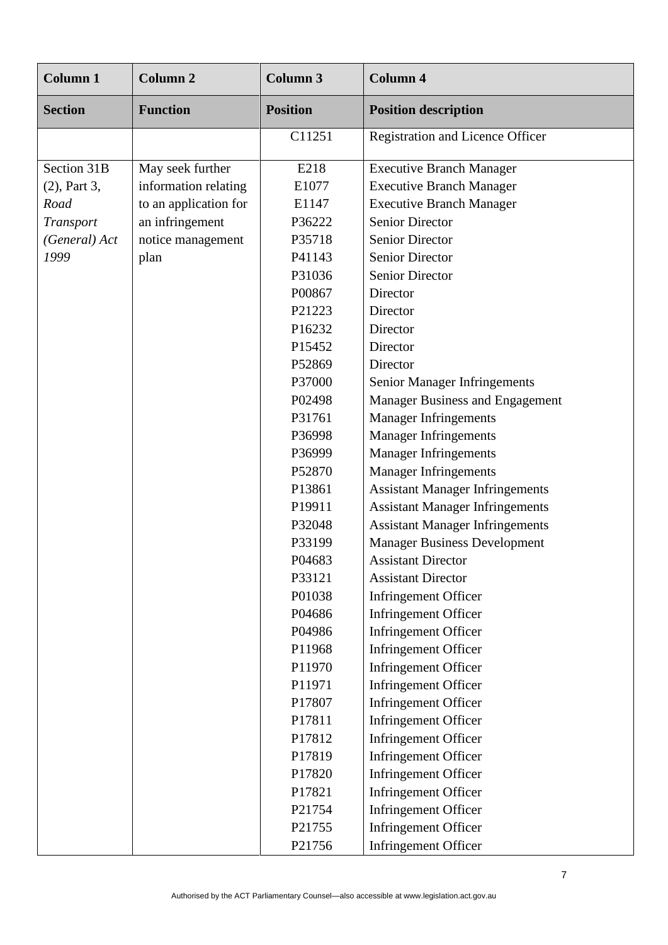| <b>Column 1</b> | <b>Column 2</b>       | <b>Column 3</b> | <b>Column 4</b>                        |
|-----------------|-----------------------|-----------------|----------------------------------------|
| <b>Section</b>  | <b>Function</b>       | <b>Position</b> | <b>Position description</b>            |
|                 |                       | C11251          | Registration and Licence Officer       |
| Section 31B     | May seek further      | E218            | <b>Executive Branch Manager</b>        |
| $(2)$ , Part 3, | information relating  | E1077           | <b>Executive Branch Manager</b>        |
| Road            | to an application for | E1147           | <b>Executive Branch Manager</b>        |
| Transport       | an infringement       | P36222          | <b>Senior Director</b>                 |
| (General) Act   | notice management     | P35718          | <b>Senior Director</b>                 |
| 1999            | plan                  | P41143          | <b>Senior Director</b>                 |
|                 |                       | P31036          | <b>Senior Director</b>                 |
|                 |                       | P00867          | Director                               |
|                 |                       | P21223          | Director                               |
|                 |                       | P16232          | Director                               |
|                 |                       | P15452          | Director                               |
|                 |                       | P52869          | Director                               |
|                 |                       | P37000          | <b>Senior Manager Infringements</b>    |
|                 |                       | P02498          | Manager Business and Engagement        |
|                 |                       | P31761          | <b>Manager Infringements</b>           |
|                 |                       | P36998          | <b>Manager Infringements</b>           |
|                 |                       | P36999          | <b>Manager Infringements</b>           |
|                 |                       | P52870          | <b>Manager Infringements</b>           |
|                 |                       | P13861          | <b>Assistant Manager Infringements</b> |
|                 |                       | P19911          | <b>Assistant Manager Infringements</b> |
|                 |                       | P32048          | <b>Assistant Manager Infringements</b> |
|                 |                       | P33199          | <b>Manager Business Development</b>    |
|                 |                       | P04683          | <b>Assistant Director</b>              |
|                 |                       | P33121          | <b>Assistant Director</b>              |
|                 |                       | P01038          | Infringement Officer                   |
|                 |                       | P04686          | <b>Infringement Officer</b>            |
|                 |                       | P04986          | Infringement Officer                   |
|                 |                       | P11968          | Infringement Officer                   |
|                 |                       | P11970          | Infringement Officer                   |
|                 |                       | P11971          | Infringement Officer                   |
|                 |                       | P17807          | Infringement Officer                   |
|                 |                       | P17811          | Infringement Officer                   |
|                 |                       | P17812          | Infringement Officer                   |
|                 |                       | P17819          | Infringement Officer                   |
|                 |                       | P17820          | Infringement Officer                   |
|                 |                       | P17821          | Infringement Officer                   |
|                 |                       | P21754          | Infringement Officer                   |
|                 |                       | P21755          | Infringement Officer                   |
|                 |                       | P21756          | Infringement Officer                   |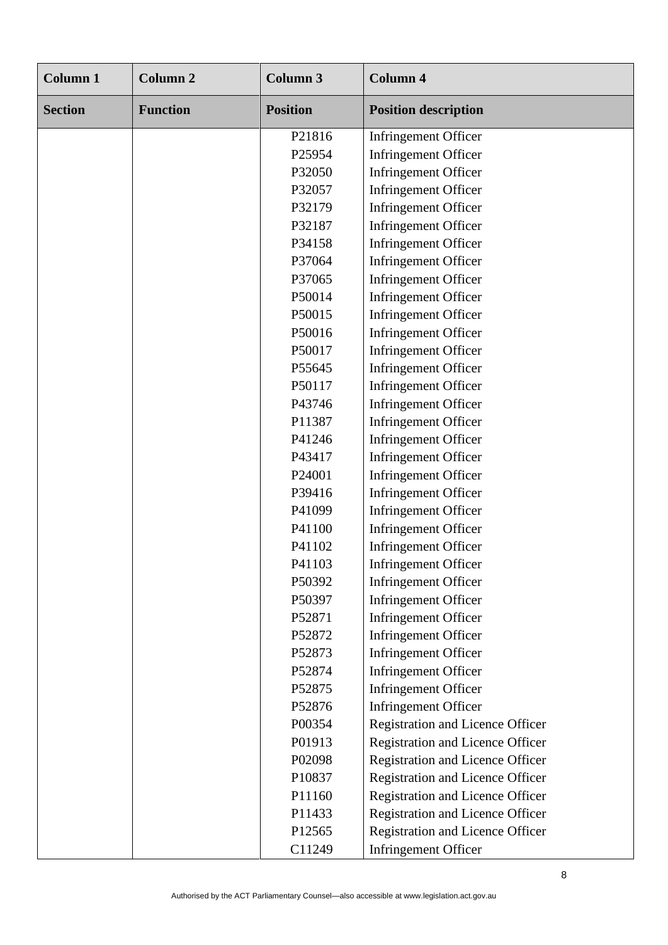| <b>Column 1</b> | <b>Column 2</b> | <b>Column 3</b> | <b>Column 4</b>                  |
|-----------------|-----------------|-----------------|----------------------------------|
| <b>Section</b>  | <b>Function</b> | <b>Position</b> | <b>Position description</b>      |
|                 |                 | P21816          | <b>Infringement Officer</b>      |
|                 |                 | P25954          | <b>Infringement Officer</b>      |
|                 |                 | P32050          | <b>Infringement Officer</b>      |
|                 |                 | P32057          | <b>Infringement Officer</b>      |
|                 |                 | P32179          | <b>Infringement Officer</b>      |
|                 |                 | P32187          | Infringement Officer             |
|                 |                 | P34158          | <b>Infringement Officer</b>      |
|                 |                 | P37064          | <b>Infringement Officer</b>      |
|                 |                 | P37065          | Infringement Officer             |
|                 |                 | P50014          | <b>Infringement Officer</b>      |
|                 |                 | P50015          | <b>Infringement Officer</b>      |
|                 |                 | P50016          | Infringement Officer             |
|                 |                 | P50017          | Infringement Officer             |
|                 |                 | P55645          | <b>Infringement Officer</b>      |
|                 |                 | P50117          | <b>Infringement Officer</b>      |
|                 |                 | P43746          | <b>Infringement Officer</b>      |
|                 |                 | P11387          | <b>Infringement Officer</b>      |
|                 |                 | P41246          | Infringement Officer             |
|                 |                 | P43417          | Infringement Officer             |
|                 |                 | P24001          | <b>Infringement Officer</b>      |
|                 |                 | P39416          | <b>Infringement Officer</b>      |
|                 |                 | P41099          | Infringement Officer             |
|                 |                 | P41100          | <b>Infringement Officer</b>      |
|                 |                 | P41102          | Infringement Officer             |
|                 |                 | P41103          | Infringement Officer             |
|                 |                 | P50392          | <b>Infringement Officer</b>      |
|                 |                 | P50397          | <b>Infringement Officer</b>      |
|                 |                 | P52871          | <b>Infringement Officer</b>      |
|                 |                 | P52872          | Infringement Officer             |
|                 |                 | P52873          | Infringement Officer             |
|                 |                 | P52874          | Infringement Officer             |
|                 |                 | P52875          | Infringement Officer             |
|                 |                 | P52876          | Infringement Officer             |
|                 |                 | P00354          | Registration and Licence Officer |
|                 |                 | P01913          | Registration and Licence Officer |
|                 |                 | P02098          | Registration and Licence Officer |
|                 |                 | P10837          | Registration and Licence Officer |
|                 |                 | P11160          | Registration and Licence Officer |
|                 |                 | P11433          | Registration and Licence Officer |
|                 |                 | P12565          | Registration and Licence Officer |
|                 |                 | C11249          | Infringement Officer             |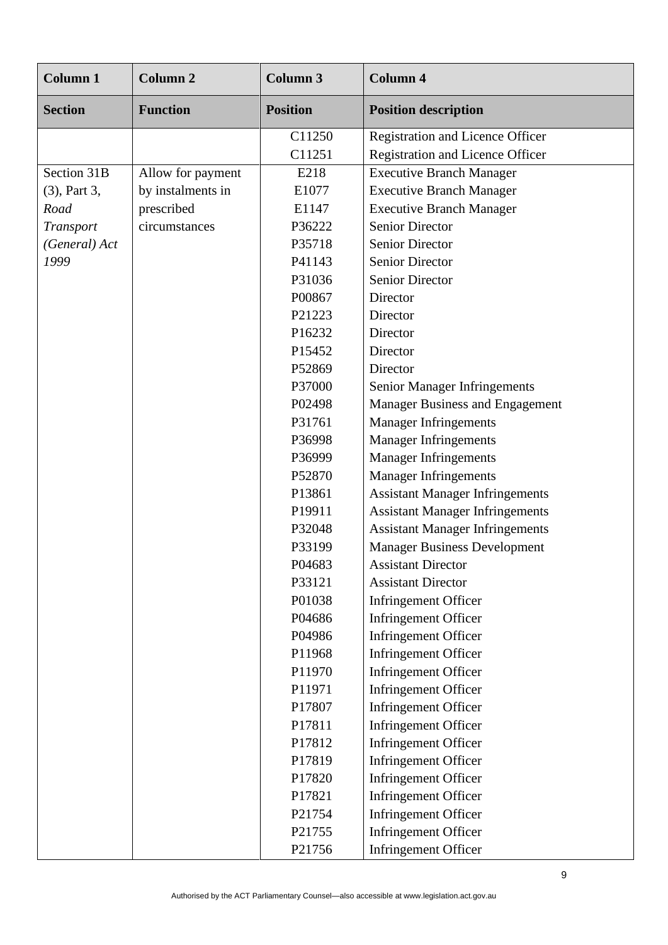| <b>Column 1</b> | <b>Column 2</b>   | <b>Column 3</b> | <b>Column 4</b>                        |
|-----------------|-------------------|-----------------|----------------------------------------|
| <b>Section</b>  | <b>Function</b>   | <b>Position</b> | <b>Position description</b>            |
|                 |                   | C11250          | Registration and Licence Officer       |
|                 |                   | C11251          | Registration and Licence Officer       |
| Section 31B     | Allow for payment | E218            | <b>Executive Branch Manager</b>        |
| $(3)$ , Part 3, | by instalments in | E1077           | <b>Executive Branch Manager</b>        |
| Road            | prescribed        | E1147           | <b>Executive Branch Manager</b>        |
| Transport       | circumstances     | P36222          | <b>Senior Director</b>                 |
| (General) Act   |                   | P35718          | <b>Senior Director</b>                 |
| 1999            |                   | P41143          | <b>Senior Director</b>                 |
|                 |                   | P31036          | <b>Senior Director</b>                 |
|                 |                   | P00867          | Director                               |
|                 |                   | P21223          | Director                               |
|                 |                   | P16232          | Director                               |
|                 |                   | P15452          | Director                               |
|                 |                   | P52869          | Director                               |
|                 |                   | P37000          | <b>Senior Manager Infringements</b>    |
|                 |                   | P02498          | Manager Business and Engagement        |
|                 |                   | P31761          | <b>Manager Infringements</b>           |
|                 |                   | P36998          | <b>Manager Infringements</b>           |
|                 |                   | P36999          | <b>Manager Infringements</b>           |
|                 |                   | P52870          | <b>Manager Infringements</b>           |
|                 |                   | P13861          | <b>Assistant Manager Infringements</b> |
|                 |                   | P19911          | <b>Assistant Manager Infringements</b> |
|                 |                   | P32048          | <b>Assistant Manager Infringements</b> |
|                 |                   | P33199          | <b>Manager Business Development</b>    |
|                 |                   | P04683          | <b>Assistant Director</b>              |
|                 |                   | P33121          | <b>Assistant Director</b>              |
|                 |                   | P01038          | Infringement Officer                   |
|                 |                   | P04686          | Infringement Officer                   |
|                 |                   | P04986          | Infringement Officer                   |
|                 |                   | P11968          | <b>Infringement Officer</b>            |
|                 |                   | P11970          | Infringement Officer                   |
|                 |                   | P11971          | Infringement Officer                   |
|                 |                   | P17807          | Infringement Officer                   |
|                 |                   | P17811          | Infringement Officer                   |
|                 |                   | P17812          | Infringement Officer                   |
|                 |                   | P17819          | Infringement Officer                   |
|                 |                   | P17820          | Infringement Officer                   |
|                 |                   | P17821          | Infringement Officer                   |
|                 |                   | P21754          | Infringement Officer                   |
|                 |                   | P21755          | Infringement Officer                   |
|                 |                   | P21756          | Infringement Officer                   |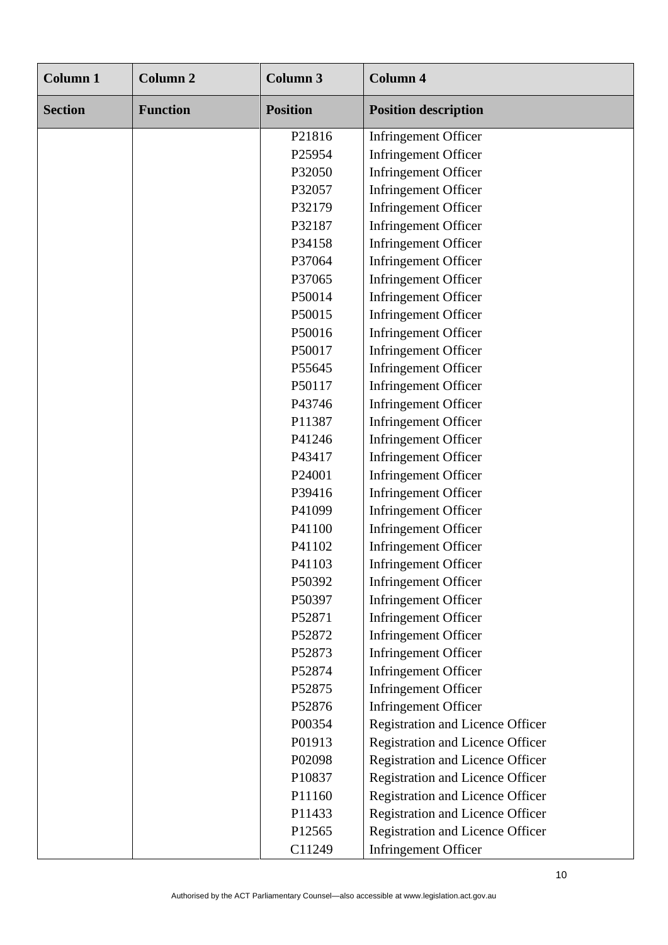| <b>Column 1</b> | <b>Column 2</b> | <b>Column 3</b> | <b>Column 4</b>                  |
|-----------------|-----------------|-----------------|----------------------------------|
| <b>Section</b>  | <b>Function</b> | <b>Position</b> | <b>Position description</b>      |
|                 |                 | P21816          | Infringement Officer             |
|                 |                 | P25954          | <b>Infringement Officer</b>      |
|                 |                 | P32050          | <b>Infringement Officer</b>      |
|                 |                 | P32057          | Infringement Officer             |
|                 |                 | P32179          | <b>Infringement Officer</b>      |
|                 |                 | P32187          | Infringement Officer             |
|                 |                 | P34158          | <b>Infringement Officer</b>      |
|                 |                 | P37064          | Infringement Officer             |
|                 |                 | P37065          | Infringement Officer             |
|                 |                 | P50014          | <b>Infringement Officer</b>      |
|                 |                 | P50015          | <b>Infringement Officer</b>      |
|                 |                 | P50016          | Infringement Officer             |
|                 |                 | P50017          | Infringement Officer             |
|                 |                 | P55645          | <b>Infringement Officer</b>      |
|                 |                 | P50117          | Infringement Officer             |
|                 |                 | P43746          | <b>Infringement Officer</b>      |
|                 |                 | P11387          | <b>Infringement Officer</b>      |
|                 |                 | P41246          | Infringement Officer             |
|                 |                 | P43417          | Infringement Officer             |
|                 |                 | P24001          | <b>Infringement Officer</b>      |
|                 |                 | P39416          | Infringement Officer             |
|                 |                 | P41099          | Infringement Officer             |
|                 |                 | P41100          | <b>Infringement Officer</b>      |
|                 |                 | P41102          | Infringement Officer             |
|                 |                 | P41103          | Infringement Officer             |
|                 |                 | P50392          | <b>Infringement Officer</b>      |
|                 |                 | P50397          | <b>Infringement Officer</b>      |
|                 |                 | P52871          | <b>Infringement Officer</b>      |
|                 |                 | P52872          | Infringement Officer             |
|                 |                 | P52873          | <b>Infringement Officer</b>      |
|                 |                 | P52874          | Infringement Officer             |
|                 |                 | P52875          | Infringement Officer             |
|                 |                 | P52876          | Infringement Officer             |
|                 |                 | P00354          | Registration and Licence Officer |
|                 |                 | P01913          | Registration and Licence Officer |
|                 |                 | P02098          | Registration and Licence Officer |
|                 |                 | P10837          | Registration and Licence Officer |
|                 |                 | P11160          | Registration and Licence Officer |
|                 |                 | P11433          | Registration and Licence Officer |
|                 |                 | P12565          | Registration and Licence Officer |
|                 |                 | C11249          | Infringement Officer             |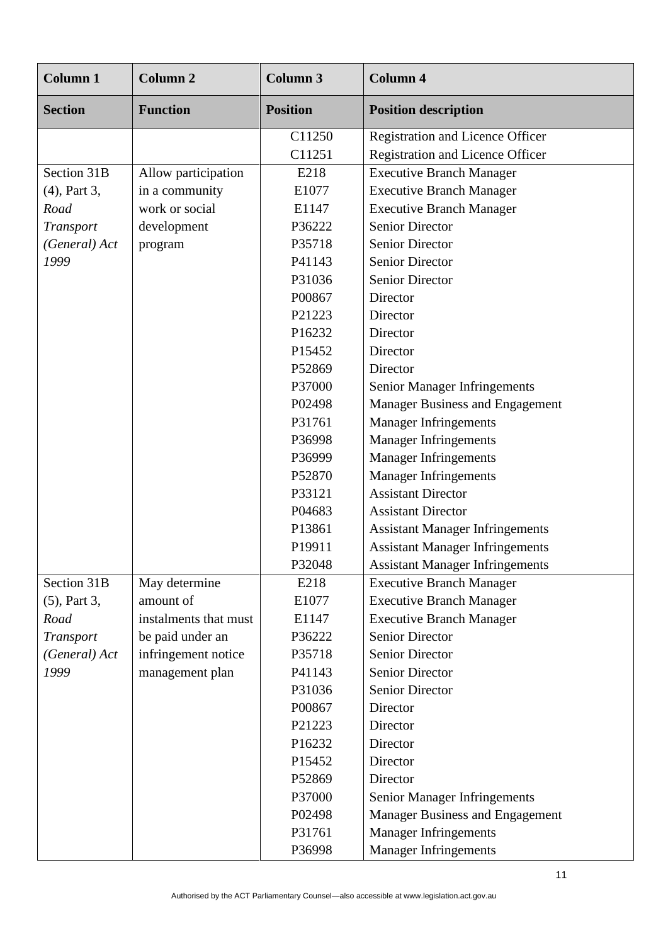| <b>Column 1</b> | <b>Column 2</b>       | <b>Column 3</b> | <b>Column 4</b>                        |
|-----------------|-----------------------|-----------------|----------------------------------------|
| <b>Section</b>  | <b>Function</b>       | <b>Position</b> | <b>Position description</b>            |
|                 |                       | C11250          | Registration and Licence Officer       |
|                 |                       | C11251          | Registration and Licence Officer       |
| Section 31B     | Allow participation   | E218            | <b>Executive Branch Manager</b>        |
| $(4)$ , Part 3, | in a community        | E1077           | <b>Executive Branch Manager</b>        |
| Road            | work or social        | E1147           | <b>Executive Branch Manager</b>        |
| Transport       | development           | P36222          | <b>Senior Director</b>                 |
| (General) Act   | program               | P35718          | <b>Senior Director</b>                 |
| 1999            |                       | P41143          | <b>Senior Director</b>                 |
|                 |                       | P31036          | <b>Senior Director</b>                 |
|                 |                       | P00867          | Director                               |
|                 |                       | P21223          | Director                               |
|                 |                       | P16232          | Director                               |
|                 |                       | P15452          | Director                               |
|                 |                       | P52869          | Director                               |
|                 |                       | P37000          | <b>Senior Manager Infringements</b>    |
|                 |                       | P02498          | Manager Business and Engagement        |
|                 |                       | P31761          | <b>Manager Infringements</b>           |
|                 |                       | P36998          | <b>Manager Infringements</b>           |
|                 |                       | P36999          | <b>Manager Infringements</b>           |
|                 |                       | P52870          | <b>Manager Infringements</b>           |
|                 |                       | P33121          | <b>Assistant Director</b>              |
|                 |                       | P04683          | <b>Assistant Director</b>              |
|                 |                       | P13861          | <b>Assistant Manager Infringements</b> |
|                 |                       | P19911          | <b>Assistant Manager Infringements</b> |
|                 |                       | P32048          | <b>Assistant Manager Infringements</b> |
| Section 31B     | May determine         | E218            | <b>Executive Branch Manager</b>        |
| $(5)$ , Part 3, | amount of             | E1077           | <b>Executive Branch Manager</b>        |
| Road            | instalments that must | E1147           | <b>Executive Branch Manager</b>        |
| Transport       | be paid under an      | P36222          | <b>Senior Director</b>                 |
| (General) Act   | infringement notice   | P35718          | <b>Senior Director</b>                 |
| 1999            | management plan       | P41143          | <b>Senior Director</b>                 |
|                 |                       | P31036          | <b>Senior Director</b>                 |
|                 |                       | P00867          | Director                               |
|                 |                       | P21223          | Director                               |
|                 |                       | P16232          | Director                               |
|                 |                       | P15452          | Director                               |
|                 |                       | P52869          | Director                               |
|                 |                       | P37000          | <b>Senior Manager Infringements</b>    |
|                 |                       | P02498          | Manager Business and Engagement        |
|                 |                       | P31761          | <b>Manager Infringements</b>           |
|                 |                       | P36998          | <b>Manager Infringements</b>           |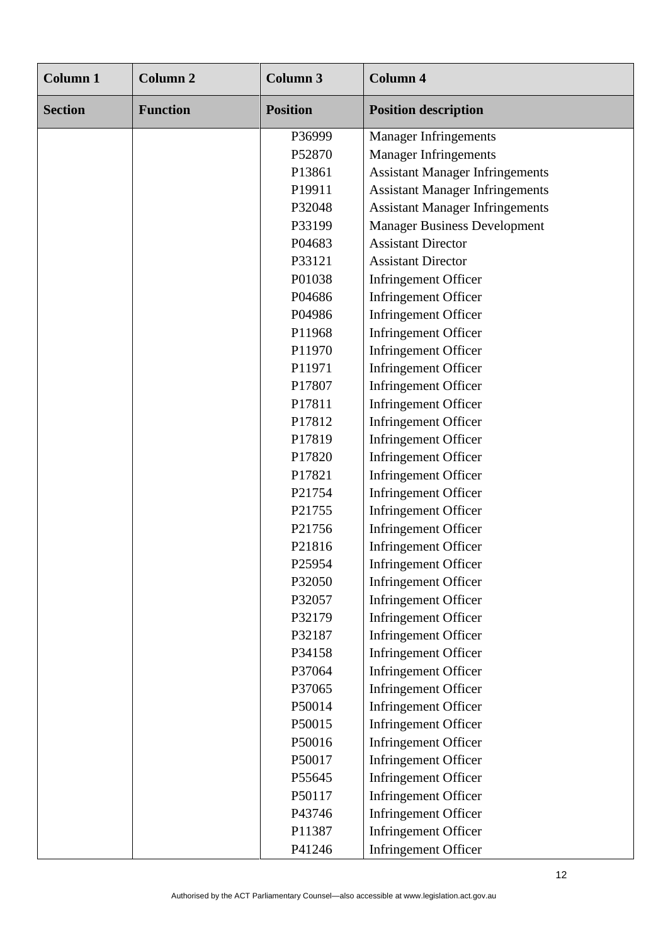| <b>Column 1</b> | <b>Column 2</b> | <b>Column 3</b> | <b>Column 4</b>                        |
|-----------------|-----------------|-----------------|----------------------------------------|
| <b>Section</b>  | <b>Function</b> | <b>Position</b> | <b>Position description</b>            |
|                 |                 | P36999          | <b>Manager Infringements</b>           |
|                 |                 | P52870          | <b>Manager Infringements</b>           |
|                 |                 | P13861          | <b>Assistant Manager Infringements</b> |
|                 |                 | P19911          | <b>Assistant Manager Infringements</b> |
|                 |                 | P32048          | <b>Assistant Manager Infringements</b> |
|                 |                 | P33199          | <b>Manager Business Development</b>    |
|                 |                 | P04683          | <b>Assistant Director</b>              |
|                 |                 | P33121          | <b>Assistant Director</b>              |
|                 |                 | P01038          | <b>Infringement Officer</b>            |
|                 |                 | P04686          | <b>Infringement Officer</b>            |
|                 |                 | P04986          | Infringement Officer                   |
|                 |                 | P11968          | Infringement Officer                   |
|                 |                 | P11970          | <b>Infringement Officer</b>            |
|                 |                 | P11971          | <b>Infringement Officer</b>            |
|                 |                 | P17807          | Infringement Officer                   |
|                 |                 | P17811          | <b>Infringement Officer</b>            |
|                 |                 | P17812          | <b>Infringement Officer</b>            |
|                 |                 | P17819          | <b>Infringement Officer</b>            |
|                 |                 | P17820          | <b>Infringement Officer</b>            |
|                 |                 | P17821          | <b>Infringement Officer</b>            |
|                 |                 | P21754          | Infringement Officer                   |
|                 |                 | P21755          | Infringement Officer                   |
|                 |                 | P21756          | <b>Infringement Officer</b>            |
|                 |                 | P21816          | <b>Infringement Officer</b>            |
|                 |                 | P25954          | Infringement Officer                   |
|                 |                 | P32050          | <b>Infringement Officer</b>            |
|                 |                 | P32057          | Infringement Officer                   |
|                 |                 | P32179          | Infringement Officer                   |
|                 |                 | P32187          | Infringement Officer                   |
|                 |                 | P34158          | <b>Infringement Officer</b>            |
|                 |                 | P37064          | Infringement Officer                   |
|                 |                 | P37065          | Infringement Officer                   |
|                 |                 | P50014          | Infringement Officer                   |
|                 |                 | P50015          | Infringement Officer                   |
|                 |                 | P50016          | <b>Infringement Officer</b>            |
|                 |                 | P50017          | Infringement Officer                   |
|                 |                 | P55645          | <b>Infringement Officer</b>            |
|                 |                 | P50117          | Infringement Officer                   |
|                 |                 | P43746          | Infringement Officer                   |
|                 |                 | P11387          | <b>Infringement Officer</b>            |
|                 |                 | P41246          | Infringement Officer                   |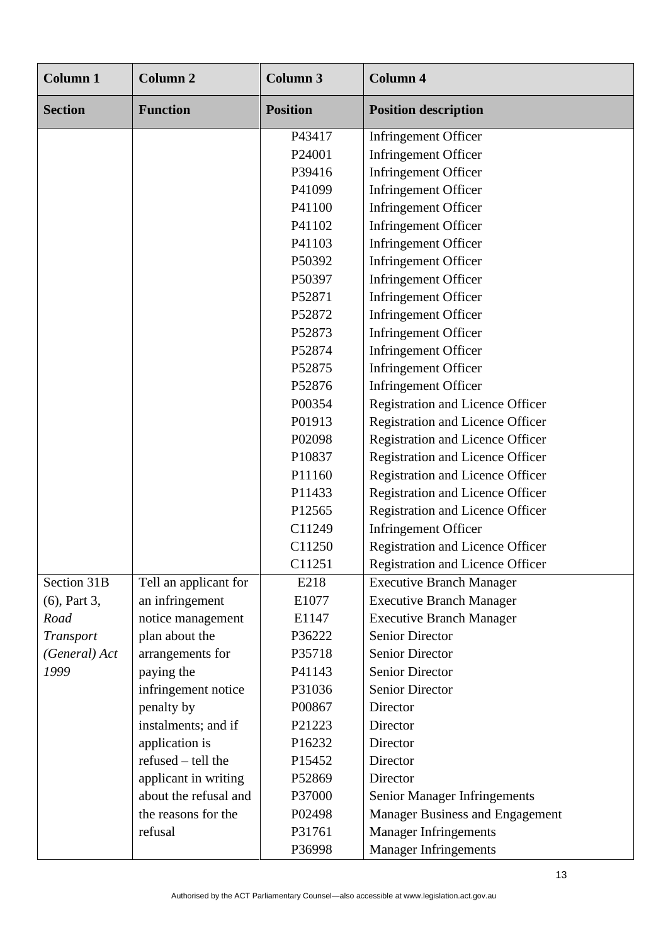| <b>Column 1</b> | <b>Column 2</b>       | <b>Column 3</b> | <b>Column 4</b>                         |
|-----------------|-----------------------|-----------------|-----------------------------------------|
| <b>Section</b>  | <b>Function</b>       | <b>Position</b> | <b>Position description</b>             |
|                 |                       | P43417          | <b>Infringement Officer</b>             |
|                 |                       | P24001          | <b>Infringement Officer</b>             |
|                 |                       | P39416          | Infringement Officer                    |
|                 |                       | P41099          | Infringement Officer                    |
|                 |                       | P41100          | <b>Infringement Officer</b>             |
|                 |                       | P41102          | <b>Infringement Officer</b>             |
|                 |                       | P41103          | <b>Infringement Officer</b>             |
|                 |                       | P50392          | <b>Infringement Officer</b>             |
|                 |                       | P50397          | Infringement Officer                    |
|                 |                       | P52871          | Infringement Officer                    |
|                 |                       | P52872          | <b>Infringement Officer</b>             |
|                 |                       | P52873          | <b>Infringement Officer</b>             |
|                 |                       | P52874          | Infringement Officer                    |
|                 |                       | P52875          | Infringement Officer                    |
|                 |                       | P52876          | Infringement Officer                    |
|                 |                       | P00354          | Registration and Licence Officer        |
|                 |                       | P01913          | Registration and Licence Officer        |
|                 |                       | P02098          | Registration and Licence Officer        |
|                 |                       | P10837          | Registration and Licence Officer        |
|                 |                       | P11160          | Registration and Licence Officer        |
|                 |                       | P11433          | Registration and Licence Officer        |
|                 |                       | P12565          | Registration and Licence Officer        |
|                 |                       | C11249          | <b>Infringement Officer</b>             |
|                 |                       | C11250          | <b>Registration and Licence Officer</b> |
|                 |                       | C11251          | <b>Registration and Licence Officer</b> |
| Section 31B     | Tell an applicant for | E218            | <b>Executive Branch Manager</b>         |
| $(6)$ , Part 3, | an infringement       | E1077           | <b>Executive Branch Manager</b>         |
| Road            | notice management     | E1147           | <b>Executive Branch Manager</b>         |
| Transport       | plan about the        | P36222          | <b>Senior Director</b>                  |
| (General) Act   | arrangements for      | P35718          | <b>Senior Director</b>                  |
| 1999            | paying the            | P41143          | Senior Director                         |
|                 | infringement notice   | P31036          | <b>Senior Director</b>                  |
|                 | penalty by            | P00867          | Director                                |
|                 | instalments; and if   | P21223          | Director                                |
|                 | application is        | P16232          | Director                                |
|                 | refused - tell the    | P15452          | Director                                |
|                 | applicant in writing  | P52869          | Director                                |
|                 | about the refusal and | P37000          | <b>Senior Manager Infringements</b>     |
|                 | the reasons for the   | P02498          | Manager Business and Engagement         |
|                 | refusal               | P31761          | <b>Manager Infringements</b>            |
|                 |                       | P36998          | <b>Manager Infringements</b>            |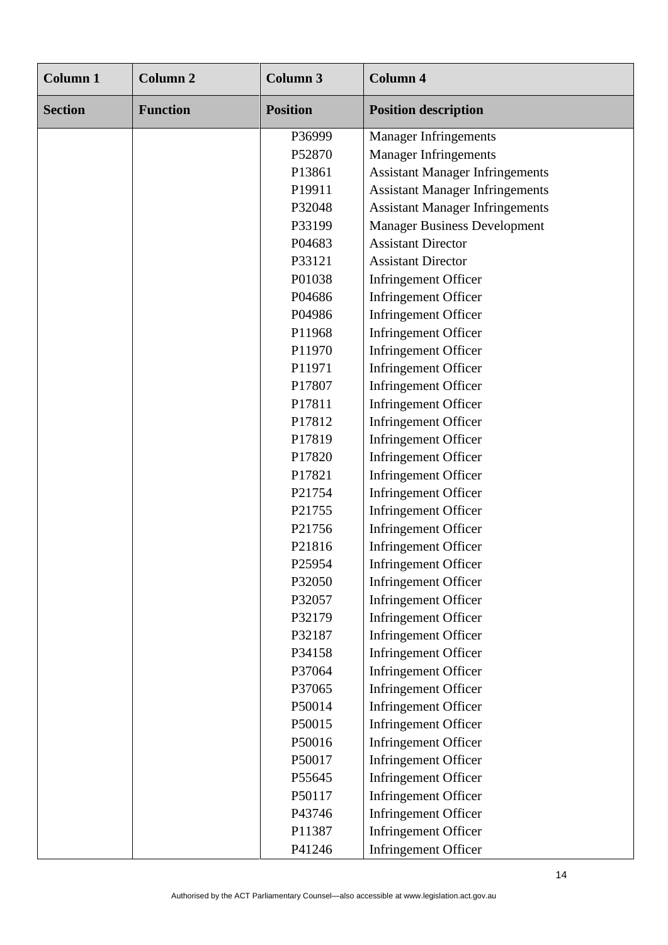| <b>Column 1</b> | <b>Column 2</b> | <b>Column 3</b> | <b>Column 4</b>                        |
|-----------------|-----------------|-----------------|----------------------------------------|
| <b>Section</b>  | <b>Function</b> | <b>Position</b> | <b>Position description</b>            |
|                 |                 | P36999          | <b>Manager Infringements</b>           |
|                 |                 | P52870          | <b>Manager Infringements</b>           |
|                 |                 | P13861          | <b>Assistant Manager Infringements</b> |
|                 |                 | P19911          | <b>Assistant Manager Infringements</b> |
|                 |                 | P32048          | <b>Assistant Manager Infringements</b> |
|                 |                 | P33199          | <b>Manager Business Development</b>    |
|                 |                 | P04683          | <b>Assistant Director</b>              |
|                 |                 | P33121          | <b>Assistant Director</b>              |
|                 |                 | P01038          | Infringement Officer                   |
|                 |                 | P04686          | Infringement Officer                   |
|                 |                 | P04986          | Infringement Officer                   |
|                 |                 | P11968          | Infringement Officer                   |
|                 |                 | P11970          | <b>Infringement Officer</b>            |
|                 |                 | P11971          | <b>Infringement Officer</b>            |
|                 |                 | P17807          | Infringement Officer                   |
|                 |                 | P17811          | <b>Infringement Officer</b>            |
|                 |                 | P17812          | <b>Infringement Officer</b>            |
|                 |                 | P17819          | <b>Infringement Officer</b>            |
|                 |                 | P17820          | <b>Infringement Officer</b>            |
|                 |                 | P17821          | <b>Infringement Officer</b>            |
|                 |                 | P21754          | Infringement Officer                   |
|                 |                 | P21755          | Infringement Officer                   |
|                 |                 | P21756          | <b>Infringement Officer</b>            |
|                 |                 | P21816          | <b>Infringement Officer</b>            |
|                 |                 | P25954          | Infringement Officer                   |
|                 |                 | P32050          | <b>Infringement Officer</b>            |
|                 |                 | P32057          | Infringement Officer                   |
|                 |                 | P32179          | Infringement Officer                   |
|                 |                 | P32187          | Infringement Officer                   |
|                 |                 | P34158          | <b>Infringement Officer</b>            |
|                 |                 | P37064          | Infringement Officer                   |
|                 |                 | P37065          | Infringement Officer                   |
|                 |                 | P50014          | Infringement Officer                   |
|                 |                 | P50015          | Infringement Officer                   |
|                 |                 | P50016          | <b>Infringement Officer</b>            |
|                 |                 | P50017          | Infringement Officer                   |
|                 |                 | P55645          | <b>Infringement Officer</b>            |
|                 |                 | P50117          | Infringement Officer                   |
|                 |                 | P43746          | Infringement Officer                   |
|                 |                 | P11387          | <b>Infringement Officer</b>            |
|                 |                 | P41246          | Infringement Officer                   |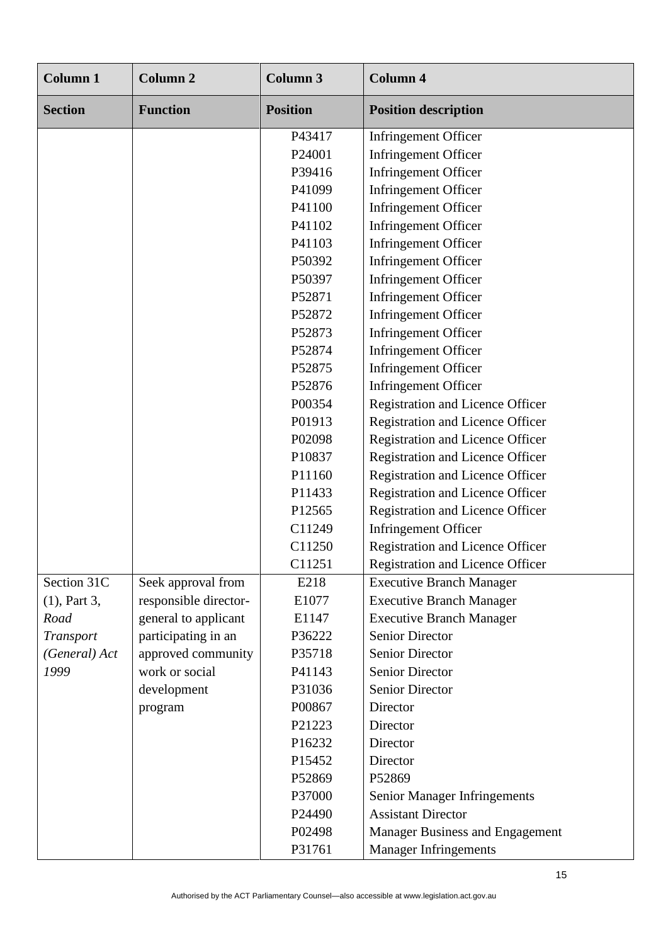| <b>Column 1</b> | <b>Column 2</b>       | <b>Column 3</b> | <b>Column 4</b>                         |
|-----------------|-----------------------|-----------------|-----------------------------------------|
| <b>Section</b>  | <b>Function</b>       | <b>Position</b> | <b>Position description</b>             |
|                 |                       | P43417          | Infringement Officer                    |
|                 |                       | P24001          | <b>Infringement Officer</b>             |
|                 |                       | P39416          | Infringement Officer                    |
|                 |                       | P41099          | Infringement Officer                    |
|                 |                       | P41100          | Infringement Officer                    |
|                 |                       | P41102          | <b>Infringement Officer</b>             |
|                 |                       | P41103          | <b>Infringement Officer</b>             |
|                 |                       | P50392          | <b>Infringement Officer</b>             |
|                 |                       | P50397          | <b>Infringement Officer</b>             |
|                 |                       | P52871          | <b>Infringement Officer</b>             |
|                 |                       | P52872          | Infringement Officer                    |
|                 |                       | P52873          | Infringement Officer                    |
|                 |                       | P52874          | <b>Infringement Officer</b>             |
|                 |                       | P52875          | <b>Infringement Officer</b>             |
|                 |                       | P52876          | Infringement Officer                    |
|                 |                       | P00354          | Registration and Licence Officer        |
|                 |                       | P01913          | Registration and Licence Officer        |
|                 |                       | P02098          | Registration and Licence Officer        |
|                 |                       | P10837          | Registration and Licence Officer        |
|                 |                       | P11160          | Registration and Licence Officer        |
|                 |                       | P11433          | Registration and Licence Officer        |
|                 |                       | P12565          | Registration and Licence Officer        |
|                 |                       | C11249          | <b>Infringement Officer</b>             |
|                 |                       | C11250          | Registration and Licence Officer        |
|                 |                       | C11251          | <b>Registration and Licence Officer</b> |
| Section 31C     | Seek approval from    | E218            | <b>Executive Branch Manager</b>         |
| $(1)$ , Part 3, | responsible director- | E1077           | <b>Executive Branch Manager</b>         |
| Road            | general to applicant  | E1147           | <b>Executive Branch Manager</b>         |
| Transport       | participating in an   | P36222          | <b>Senior Director</b>                  |
| (General) Act   | approved community    | P35718          | <b>Senior Director</b>                  |
| 1999            | work or social        | P41143          | Senior Director                         |
|                 | development           | P31036          | <b>Senior Director</b>                  |
|                 | program               | P00867          | Director                                |
|                 |                       | P21223          | Director                                |
|                 |                       | P16232          | Director                                |
|                 |                       | P15452          | Director                                |
|                 |                       | P52869          | P52869                                  |
|                 |                       | P37000          | <b>Senior Manager Infringements</b>     |
|                 |                       | P24490          | <b>Assistant Director</b>               |
|                 |                       | P02498          | Manager Business and Engagement         |
|                 |                       | P31761          | <b>Manager Infringements</b>            |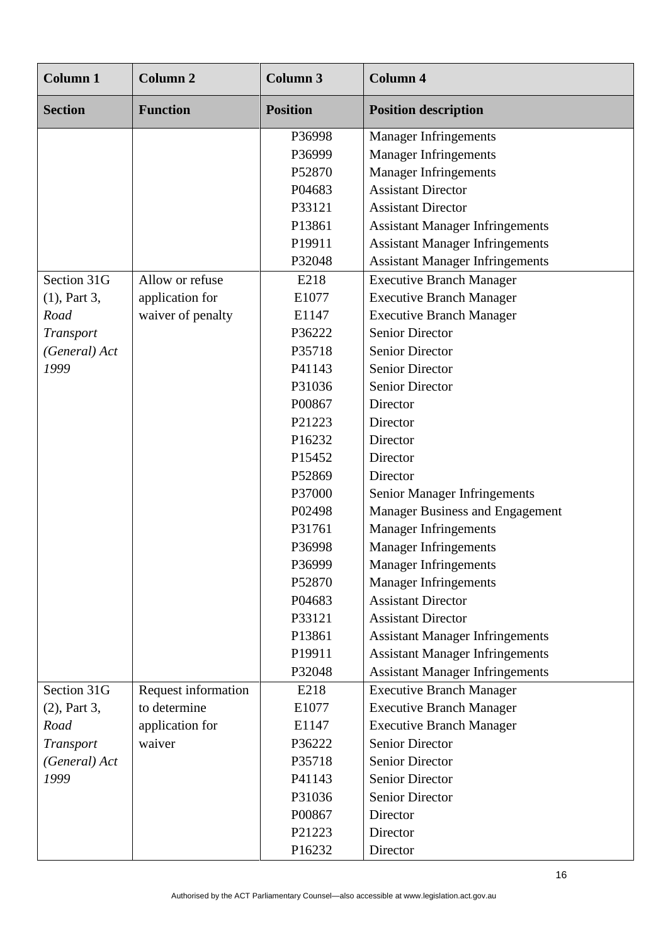| <b>Column 1</b> | <b>Column 2</b>     | <b>Column 3</b> | <b>Column 4</b>                        |
|-----------------|---------------------|-----------------|----------------------------------------|
| <b>Section</b>  | <b>Function</b>     | <b>Position</b> | <b>Position description</b>            |
|                 |                     | P36998          | <b>Manager Infringements</b>           |
|                 |                     | P36999          | <b>Manager Infringements</b>           |
|                 |                     | P52870          | <b>Manager Infringements</b>           |
|                 |                     | P04683          | <b>Assistant Director</b>              |
|                 |                     | P33121          | <b>Assistant Director</b>              |
|                 |                     | P13861          | <b>Assistant Manager Infringements</b> |
|                 |                     | P19911          | <b>Assistant Manager Infringements</b> |
|                 |                     | P32048          | <b>Assistant Manager Infringements</b> |
| Section 31G     | Allow or refuse     | E218            | <b>Executive Branch Manager</b>        |
| $(1)$ , Part 3, | application for     | E1077           | <b>Executive Branch Manager</b>        |
| Road            | waiver of penalty   | E1147           | <b>Executive Branch Manager</b>        |
| Transport       |                     | P36222          | <b>Senior Director</b>                 |
| (General) Act   |                     | P35718          | <b>Senior Director</b>                 |
| 1999            |                     | P41143          | <b>Senior Director</b>                 |
|                 |                     | P31036          | <b>Senior Director</b>                 |
|                 |                     | P00867          | Director                               |
|                 |                     | P21223          | Director                               |
|                 |                     | P16232          | Director                               |
|                 |                     | P15452          | Director                               |
|                 |                     | P52869          | Director                               |
|                 |                     | P37000          | <b>Senior Manager Infringements</b>    |
|                 |                     | P02498          | <b>Manager Business and Engagement</b> |
|                 |                     | P31761          | <b>Manager Infringements</b>           |
|                 |                     | P36998          | <b>Manager Infringements</b>           |
|                 |                     | P36999          | <b>Manager Infringements</b>           |
|                 |                     | P52870          | <b>Manager Infringements</b>           |
|                 |                     | P04683          | <b>Assistant Director</b>              |
|                 |                     | P33121          | <b>Assistant Director</b>              |
|                 |                     | P13861          | <b>Assistant Manager Infringements</b> |
|                 |                     | P19911          | <b>Assistant Manager Infringements</b> |
|                 |                     | P32048          | <b>Assistant Manager Infringements</b> |
| Section 31G     | Request information | E218            | <b>Executive Branch Manager</b>        |
| $(2)$ , Part 3, | to determine        | E1077           | <b>Executive Branch Manager</b>        |
| Road            | application for     | E1147           | <b>Executive Branch Manager</b>        |
| Transport       | waiver              | P36222          | <b>Senior Director</b>                 |
| (General) Act   |                     | P35718          | <b>Senior Director</b>                 |
| 1999            |                     | P41143          | <b>Senior Director</b>                 |
|                 |                     | P31036          | <b>Senior Director</b>                 |
|                 |                     | P00867          | Director                               |
|                 |                     | P21223          | Director                               |
|                 |                     | P16232          | Director                               |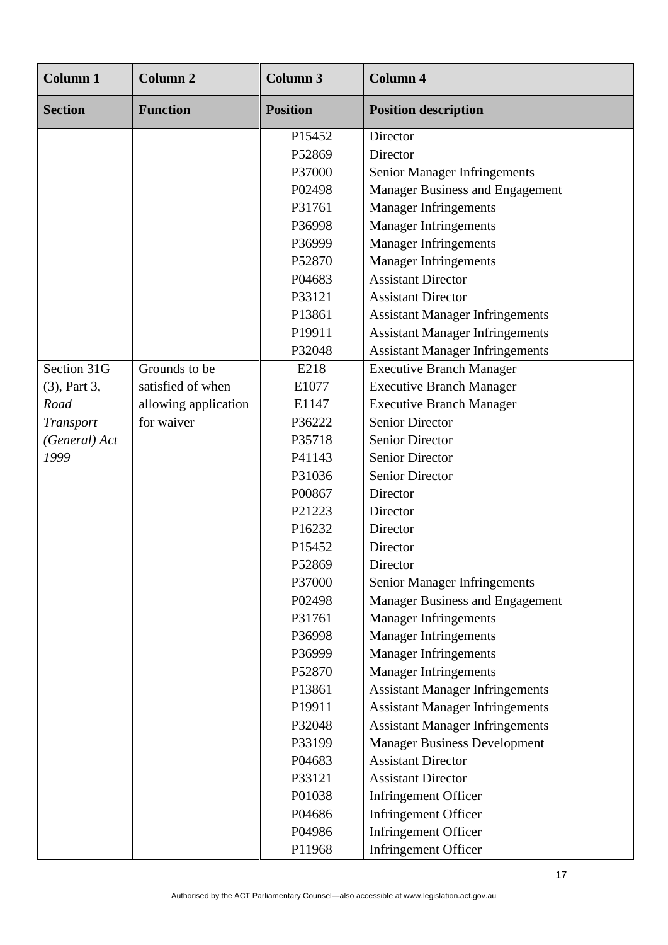| <b>Column 1</b> | <b>Column 2</b>      | <b>Column 3</b> | <b>Column 4</b>                        |
|-----------------|----------------------|-----------------|----------------------------------------|
| <b>Section</b>  | <b>Function</b>      | <b>Position</b> | <b>Position description</b>            |
|                 |                      | P15452          | Director                               |
|                 |                      | P52869          | Director                               |
|                 |                      | P37000          | Senior Manager Infringements           |
|                 |                      | P02498          | <b>Manager Business and Engagement</b> |
|                 |                      | P31761          | <b>Manager Infringements</b>           |
|                 |                      | P36998          | <b>Manager Infringements</b>           |
|                 |                      | P36999          | <b>Manager Infringements</b>           |
|                 |                      | P52870          | <b>Manager Infringements</b>           |
|                 |                      | P04683          | <b>Assistant Director</b>              |
|                 |                      | P33121          | <b>Assistant Director</b>              |
|                 |                      | P13861          | <b>Assistant Manager Infringements</b> |
|                 |                      | P19911          | <b>Assistant Manager Infringements</b> |
|                 |                      | P32048          | <b>Assistant Manager Infringements</b> |
| Section 31G     | Grounds to be        | E218            | <b>Executive Branch Manager</b>        |
| $(3)$ , Part 3, | satisfied of when    | E1077           | <b>Executive Branch Manager</b>        |
| Road            | allowing application | E1147           | <b>Executive Branch Manager</b>        |
| Transport       | for waiver           | P36222          | <b>Senior Director</b>                 |
| (General) Act   |                      | P35718          | <b>Senior Director</b>                 |
| 1999            |                      | P41143          | <b>Senior Director</b>                 |
|                 |                      | P31036          | <b>Senior Director</b>                 |
|                 |                      | P00867          | Director                               |
|                 |                      | P21223          | Director                               |
|                 |                      | P16232          | Director                               |
|                 |                      | P15452          | Director                               |
|                 |                      | P52869          | Director                               |
|                 |                      | P37000          | <b>Senior Manager Infringements</b>    |
|                 |                      | P02498          | Manager Business and Engagement        |
|                 |                      | P31761          | <b>Manager Infringements</b>           |
|                 |                      | P36998          | <b>Manager Infringements</b>           |
|                 |                      | P36999          | <b>Manager Infringements</b>           |
|                 |                      | P52870          | <b>Manager Infringements</b>           |
|                 |                      | P13861          | <b>Assistant Manager Infringements</b> |
|                 |                      | P19911          | <b>Assistant Manager Infringements</b> |
|                 |                      | P32048          | <b>Assistant Manager Infringements</b> |
|                 |                      | P33199          | <b>Manager Business Development</b>    |
|                 |                      | P04683          | <b>Assistant Director</b>              |
|                 |                      | P33121          | <b>Assistant Director</b>              |
|                 |                      | P01038          | Infringement Officer                   |
|                 |                      | P04686          | <b>Infringement Officer</b>            |
|                 |                      | P04986          | Infringement Officer                   |
|                 |                      | P11968          | Infringement Officer                   |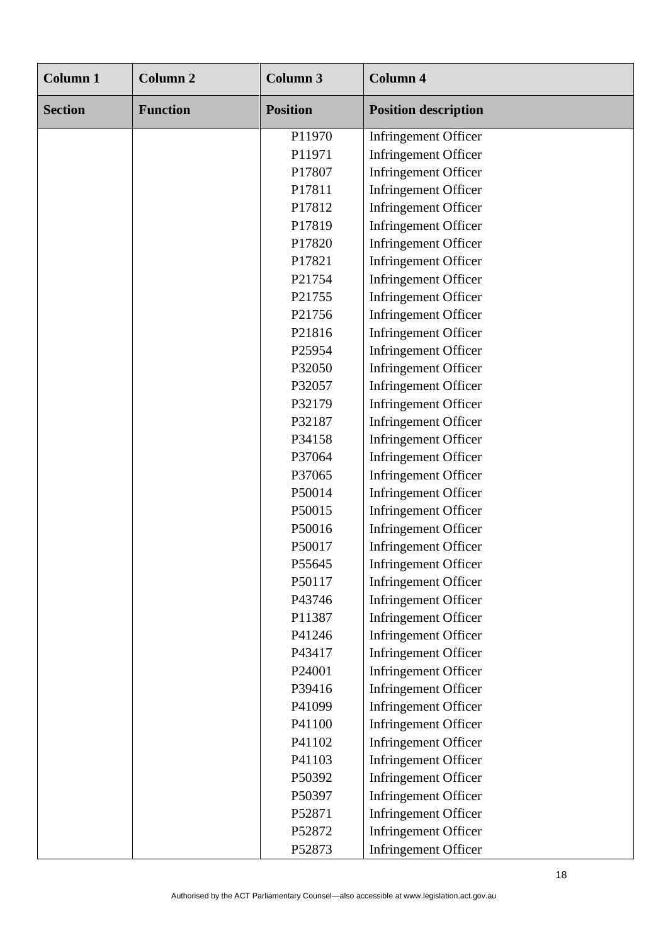| <b>Column 1</b> | <b>Column 2</b> | <b>Column 3</b>    | <b>Column 4</b>             |
|-----------------|-----------------|--------------------|-----------------------------|
| <b>Section</b>  | <b>Function</b> | <b>Position</b>    | <b>Position description</b> |
|                 |                 | P11970             | Infringement Officer        |
|                 |                 | P11971             | <b>Infringement Officer</b> |
|                 |                 | P17807             | Infringement Officer        |
|                 |                 | P17811             | <b>Infringement Officer</b> |
|                 |                 | P17812             | Infringement Officer        |
|                 |                 | P17819             | <b>Infringement Officer</b> |
|                 |                 | P17820             | <b>Infringement Officer</b> |
|                 |                 | P17821             | Infringement Officer        |
|                 |                 | P21754             | Infringement Officer        |
|                 |                 | P <sub>21755</sub> | Infringement Officer        |
|                 |                 | P21756             | <b>Infringement Officer</b> |
|                 |                 | P21816             | Infringement Officer        |
|                 |                 | P25954             | <b>Infringement Officer</b> |
|                 |                 | P32050             | <b>Infringement Officer</b> |
|                 |                 | P32057             | Infringement Officer        |
|                 |                 | P32179             | Infringement Officer        |
|                 |                 | P32187             | <b>Infringement Officer</b> |
|                 |                 | P34158             | Infringement Officer        |
|                 |                 | P37064             | <b>Infringement Officer</b> |
|                 |                 | P37065             | Infringement Officer        |
|                 |                 | P50014             | Infringement Officer        |
|                 |                 | P50015             | <b>Infringement Officer</b> |
|                 |                 | P50016             | <b>Infringement Officer</b> |
|                 |                 | P50017             | <b>Infringement Officer</b> |
|                 |                 | P55645             | <b>Infringement Officer</b> |
|                 |                 | P50117             | Infringement Officer        |
|                 |                 | P43746             | <b>Infringement Officer</b> |
|                 |                 | P11387             | Infringement Officer        |
|                 |                 | P41246             | Infringement Officer        |
|                 |                 | P43417             | Infringement Officer        |
|                 |                 | P24001             | Infringement Officer        |
|                 |                 | P39416             | Infringement Officer        |
|                 |                 | P41099             | Infringement Officer        |
|                 |                 | P41100             | Infringement Officer        |
|                 |                 | P41102             | Infringement Officer        |
|                 |                 | P41103             | Infringement Officer        |
|                 |                 | P50392             | Infringement Officer        |
|                 |                 | P50397             | Infringement Officer        |
|                 |                 | P52871             | Infringement Officer        |
|                 |                 | P52872             | Infringement Officer        |
|                 |                 | P52873             | Infringement Officer        |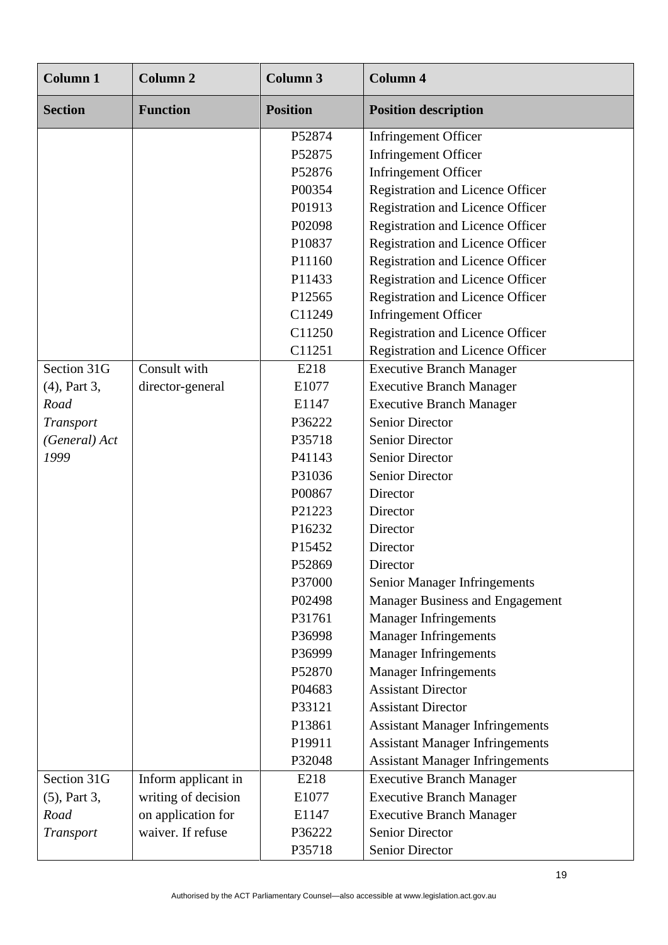| <b>Column 1</b> | <b>Column 2</b>     | <b>Column 3</b> | <b>Column 4</b>                        |
|-----------------|---------------------|-----------------|----------------------------------------|
| <b>Section</b>  | <b>Function</b>     | <b>Position</b> | <b>Position description</b>            |
|                 |                     | P52874          | Infringement Officer                   |
|                 |                     | P52875          | <b>Infringement Officer</b>            |
|                 |                     | P52876          | <b>Infringement Officer</b>            |
|                 |                     | P00354          | Registration and Licence Officer       |
|                 |                     | P01913          | Registration and Licence Officer       |
|                 |                     | P02098          | Registration and Licence Officer       |
|                 |                     | P10837          | Registration and Licence Officer       |
|                 |                     | P11160          | Registration and Licence Officer       |
|                 |                     | P11433          | Registration and Licence Officer       |
|                 |                     | P12565          | Registration and Licence Officer       |
|                 |                     | C11249          | Infringement Officer                   |
|                 |                     | C11250          | Registration and Licence Officer       |
|                 |                     | C11251          | Registration and Licence Officer       |
| Section 31G     | Consult with        | E218            | <b>Executive Branch Manager</b>        |
| $(4)$ , Part 3, | director-general    | E1077           | <b>Executive Branch Manager</b>        |
| Road            |                     | E1147           | <b>Executive Branch Manager</b>        |
| Transport       |                     | P36222          | <b>Senior Director</b>                 |
| (General) Act   |                     | P35718          | <b>Senior Director</b>                 |
| 1999            |                     | P41143          | <b>Senior Director</b>                 |
|                 |                     | P31036          | <b>Senior Director</b>                 |
|                 |                     | P00867          | Director                               |
|                 |                     | P21223          | Director                               |
|                 |                     | P16232          | Director                               |
|                 |                     | P15452          | Director                               |
|                 |                     | P52869          | Director                               |
|                 |                     | P37000          | <b>Senior Manager Infringements</b>    |
|                 |                     | P02498          | Manager Business and Engagement        |
|                 |                     | P31761          | <b>Manager Infringements</b>           |
|                 |                     | P36998          | <b>Manager Infringements</b>           |
|                 |                     | P36999          | <b>Manager Infringements</b>           |
|                 |                     | P52870          | <b>Manager Infringements</b>           |
|                 |                     | P04683          | <b>Assistant Director</b>              |
|                 |                     | P33121          | <b>Assistant Director</b>              |
|                 |                     | P13861          | <b>Assistant Manager Infringements</b> |
|                 |                     | P19911          | <b>Assistant Manager Infringements</b> |
|                 |                     | P32048          | <b>Assistant Manager Infringements</b> |
| Section 31G     | Inform applicant in | E218            | <b>Executive Branch Manager</b>        |
| $(5)$ , Part 3, | writing of decision | E1077           | <b>Executive Branch Manager</b>        |
| Road            | on application for  | E1147           | <b>Executive Branch Manager</b>        |
| Transport       | waiver. If refuse   | P36222          | <b>Senior Director</b>                 |
|                 |                     | P35718          | Senior Director                        |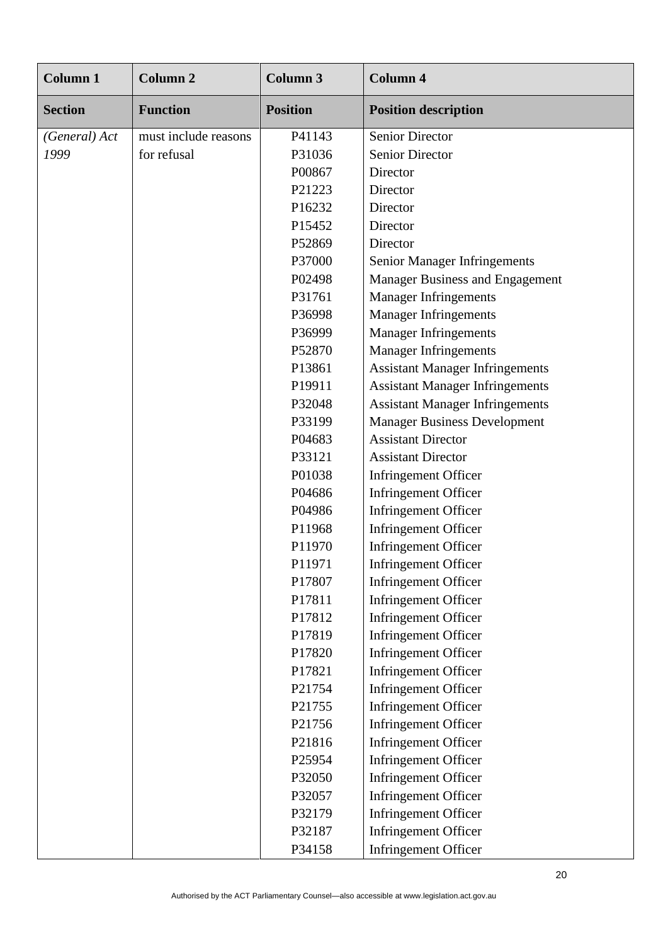| <b>Column 1</b> | <b>Column 2</b>      | <b>Column 3</b>    | <b>Column 4</b>                        |
|-----------------|----------------------|--------------------|----------------------------------------|
| <b>Section</b>  | <b>Function</b>      | <b>Position</b>    | <b>Position description</b>            |
| (General) Act   | must include reasons | P41143             | <b>Senior Director</b>                 |
| 1999            | for refusal          | P31036             | <b>Senior Director</b>                 |
|                 |                      | P00867             | Director                               |
|                 |                      | P21223             | Director                               |
|                 |                      | P16232             | Director                               |
|                 |                      | P15452             | Director                               |
|                 |                      | P52869             | Director                               |
|                 |                      | P37000             | <b>Senior Manager Infringements</b>    |
|                 |                      | P02498             | <b>Manager Business and Engagement</b> |
|                 |                      | P31761             | <b>Manager Infringements</b>           |
|                 |                      | P36998             | <b>Manager Infringements</b>           |
|                 |                      | P36999             | <b>Manager Infringements</b>           |
|                 |                      | P52870             | <b>Manager Infringements</b>           |
|                 |                      | P13861             | <b>Assistant Manager Infringements</b> |
|                 |                      | P19911             | <b>Assistant Manager Infringements</b> |
|                 |                      | P32048             | <b>Assistant Manager Infringements</b> |
|                 |                      | P33199             | <b>Manager Business Development</b>    |
|                 |                      | P04683             | <b>Assistant Director</b>              |
|                 |                      | P33121             | <b>Assistant Director</b>              |
|                 |                      | P01038             | Infringement Officer                   |
|                 |                      | P04686             | Infringement Officer                   |
|                 |                      | P04986             | <b>Infringement Officer</b>            |
|                 |                      | P11968             | <b>Infringement Officer</b>            |
|                 |                      | P11970             | <b>Infringement Officer</b>            |
|                 |                      | P11971             | <b>Infringement Officer</b>            |
|                 |                      | P17807             | <b>Infringement Officer</b>            |
|                 |                      | P17811             | Infringement Officer                   |
|                 |                      | P17812             | Infringement Officer                   |
|                 |                      | P17819             | Infringement Officer                   |
|                 |                      | P17820             | Infringement Officer                   |
|                 |                      | P17821             | Infringement Officer                   |
|                 |                      | P21754             | Infringement Officer                   |
|                 |                      | P <sub>21755</sub> | <b>Infringement Officer</b>            |
|                 |                      | P21756             | <b>Infringement Officer</b>            |
|                 |                      | P21816             | Infringement Officer                   |
|                 |                      | P25954             | <b>Infringement Officer</b>            |
|                 |                      | P32050             | Infringement Officer                   |
|                 |                      | P32057             | Infringement Officer                   |
|                 |                      | P32179             | <b>Infringement Officer</b>            |
|                 |                      | P32187             | Infringement Officer                   |
|                 |                      | P34158             | Infringement Officer                   |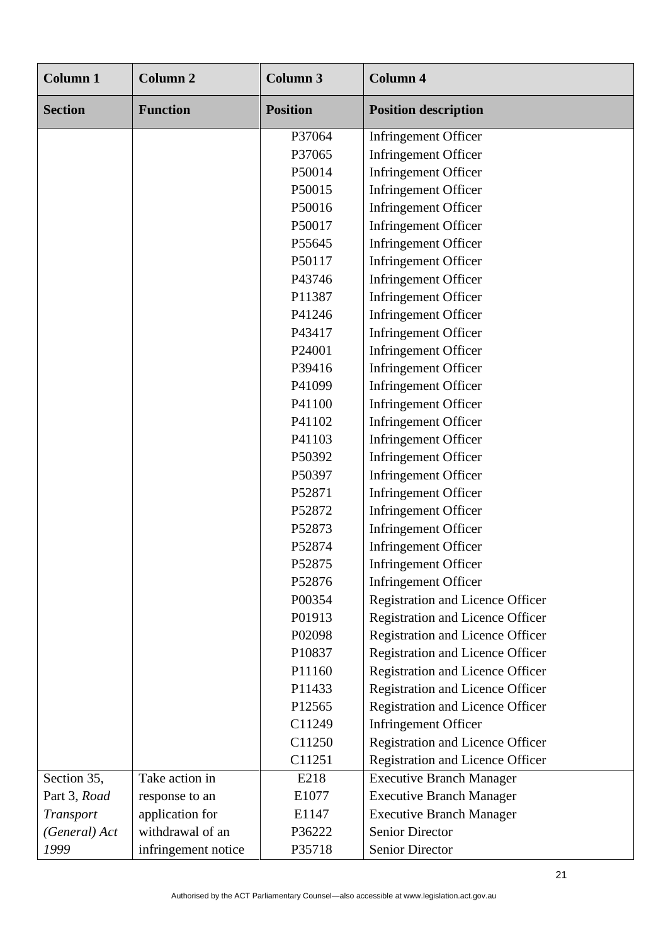| <b>Column 1</b> | <b>Column 2</b>     | <b>Column 3</b> | <b>Column 4</b>                  |
|-----------------|---------------------|-----------------|----------------------------------|
| <b>Section</b>  | <b>Function</b>     | <b>Position</b> | <b>Position description</b>      |
|                 |                     | P37064          | Infringement Officer             |
|                 |                     | P37065          | <b>Infringement Officer</b>      |
|                 |                     | P50014          | <b>Infringement Officer</b>      |
|                 |                     | P50015          | Infringement Officer             |
|                 |                     | P50016          | <b>Infringement Officer</b>      |
|                 |                     | P50017          | Infringement Officer             |
|                 |                     | P55645          | <b>Infringement Officer</b>      |
|                 |                     | P50117          | Infringement Officer             |
|                 |                     | P43746          | Infringement Officer             |
|                 |                     | P11387          | <b>Infringement Officer</b>      |
|                 |                     | P41246          | Infringement Officer             |
|                 |                     | P43417          | Infringement Officer             |
|                 |                     | P24001          | Infringement Officer             |
|                 |                     | P39416          | <b>Infringement Officer</b>      |
|                 |                     | P41099          | Infringement Officer             |
|                 |                     | P41100          | Infringement Officer             |
|                 |                     | P41102          | Infringement Officer             |
|                 |                     | P41103          | <b>Infringement Officer</b>      |
|                 |                     | P50392          | <b>Infringement Officer</b>      |
|                 |                     | P50397          | Infringement Officer             |
|                 |                     | P52871          | Infringement Officer             |
|                 |                     | P52872          | Infringement Officer             |
|                 |                     | P52873          | Infringement Officer             |
|                 |                     | P52874          | <b>Infringement Officer</b>      |
|                 |                     | P52875          | Infringement Officer             |
|                 |                     | P52876          | <b>Infringement Officer</b>      |
|                 |                     | P00354          | Registration and Licence Officer |
|                 |                     | P01913          | Registration and Licence Officer |
|                 |                     | P02098          | Registration and Licence Officer |
|                 |                     | P10837          | Registration and Licence Officer |
|                 |                     | P11160          | Registration and Licence Officer |
|                 |                     | P11433          | Registration and Licence Officer |
|                 |                     | P12565          | Registration and Licence Officer |
|                 |                     | C11249          | Infringement Officer             |
|                 |                     | C11250          | Registration and Licence Officer |
|                 |                     | C11251          | Registration and Licence Officer |
| Section 35,     | Take action in      | E218            | <b>Executive Branch Manager</b>  |
| Part 3, Road    | response to an      | E1077           | <b>Executive Branch Manager</b>  |
| Transport       | application for     | E1147           | <b>Executive Branch Manager</b>  |
| (General) Act   | withdrawal of an    | P36222          | <b>Senior Director</b>           |
| 1999            | infringement notice | P35718          | Senior Director                  |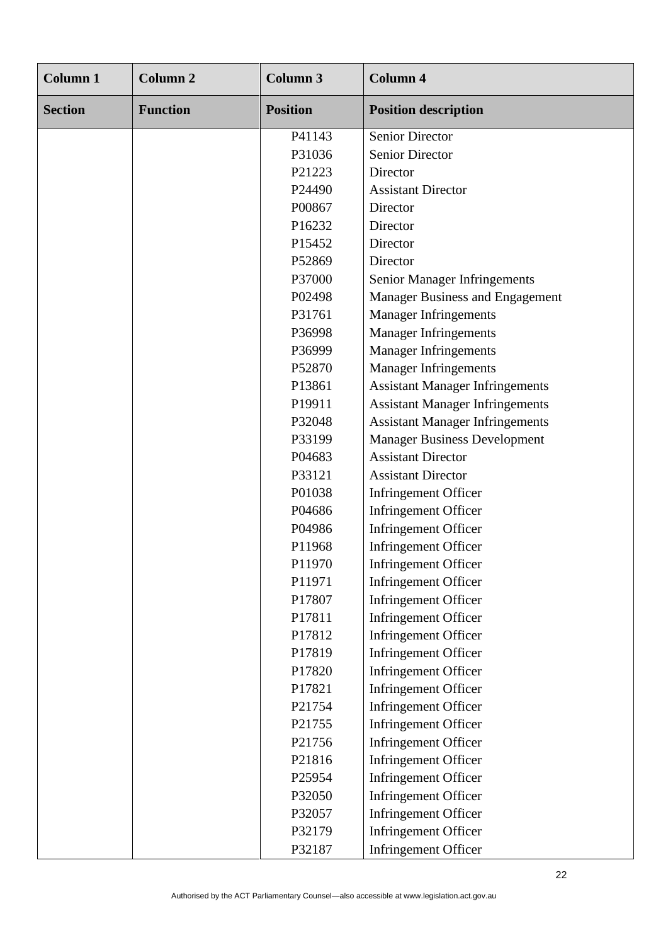| <b>Column 1</b> | <b>Column 2</b> | <b>Column 3</b>    | <b>Column 4</b>                        |
|-----------------|-----------------|--------------------|----------------------------------------|
| <b>Section</b>  | <b>Function</b> | <b>Position</b>    | <b>Position description</b>            |
|                 |                 | P41143             | <b>Senior Director</b>                 |
|                 |                 | P31036             | <b>Senior Director</b>                 |
|                 |                 | P21223             | Director                               |
|                 |                 | P <sub>24490</sub> | <b>Assistant Director</b>              |
|                 |                 | P00867             | Director                               |
|                 |                 | P16232             | Director                               |
|                 |                 | P15452             | Director                               |
|                 |                 | P52869             | Director                               |
|                 |                 | P37000             | Senior Manager Infringements           |
|                 |                 | P02498             | Manager Business and Engagement        |
|                 |                 | P31761             | <b>Manager Infringements</b>           |
|                 |                 | P36998             | <b>Manager Infringements</b>           |
|                 |                 | P36999             | <b>Manager Infringements</b>           |
|                 |                 | P52870             | <b>Manager Infringements</b>           |
|                 |                 | P13861             | <b>Assistant Manager Infringements</b> |
|                 |                 | P19911             | <b>Assistant Manager Infringements</b> |
|                 |                 | P32048             | <b>Assistant Manager Infringements</b> |
|                 |                 | P33199             | <b>Manager Business Development</b>    |
|                 |                 | P04683             | <b>Assistant Director</b>              |
|                 |                 | P33121             | <b>Assistant Director</b>              |
|                 |                 | P01038             | Infringement Officer                   |
|                 |                 | P04686             | Infringement Officer                   |
|                 |                 | P04986             | <b>Infringement Officer</b>            |
|                 |                 | P11968             | <b>Infringement Officer</b>            |
|                 |                 | P11970             | <b>Infringement Officer</b>            |
|                 |                 | P11971             | <b>Infringement Officer</b>            |
|                 |                 | P17807             | Infringement Officer                   |
|                 |                 | P17811             | Infringement Officer                   |
|                 |                 | P17812             | Infringement Officer                   |
|                 |                 | P17819             | Infringement Officer                   |
|                 |                 | P17820             | Infringement Officer                   |
|                 |                 | P17821             | Infringement Officer                   |
|                 |                 | P21754             | Infringement Officer                   |
|                 |                 | P21755             | Infringement Officer                   |
|                 |                 | P21756             | <b>Infringement Officer</b>            |
|                 |                 | P21816             | Infringement Officer                   |
|                 |                 | P25954             | Infringement Officer                   |
|                 |                 | P32050             | <b>Infringement Officer</b>            |
|                 |                 | P32057             | Infringement Officer                   |
|                 |                 | P32179             | Infringement Officer                   |
|                 |                 | P32187             | Infringement Officer                   |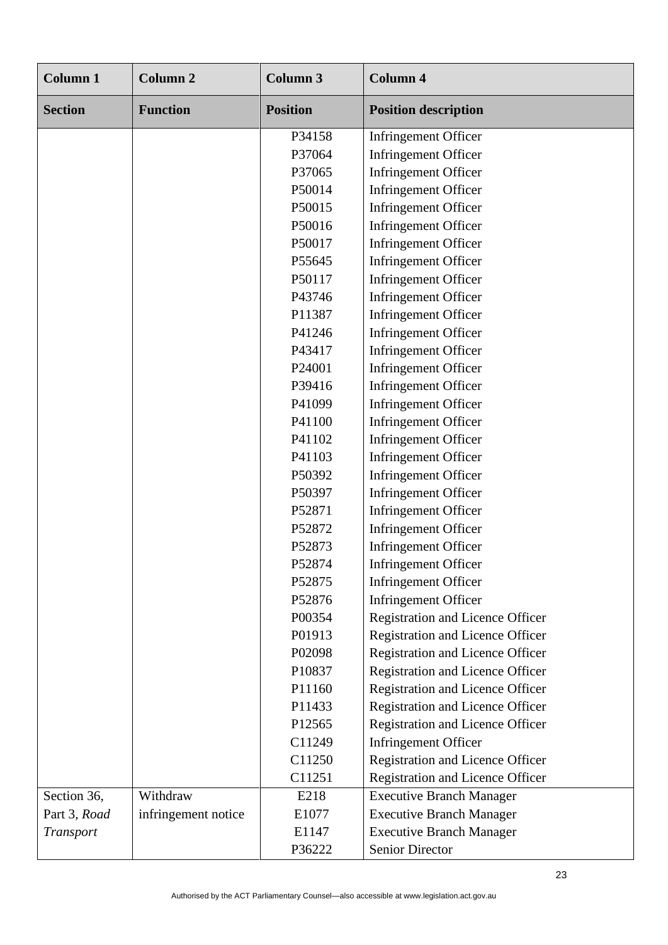| <b>Column 1</b> | <b>Column 2</b>     | <b>Column 3</b>    | <b>Column 4</b>                         |
|-----------------|---------------------|--------------------|-----------------------------------------|
| <b>Section</b>  | <b>Function</b>     | <b>Position</b>    | <b>Position description</b>             |
|                 |                     | P34158             | Infringement Officer                    |
|                 |                     | P37064             | <b>Infringement Officer</b>             |
|                 |                     | P37065             | <b>Infringement Officer</b>             |
|                 |                     | P50014             | <b>Infringement Officer</b>             |
|                 |                     | P50015             | <b>Infringement Officer</b>             |
|                 |                     | P50016             | Infringement Officer                    |
|                 |                     | P50017             | <b>Infringement Officer</b>             |
|                 |                     | P55645             | Infringement Officer                    |
|                 |                     | P50117             | Infringement Officer                    |
|                 |                     | P43746             | <b>Infringement Officer</b>             |
|                 |                     | P11387             | <b>Infringement Officer</b>             |
|                 |                     | P41246             | Infringement Officer                    |
|                 |                     | P43417             | Infringement Officer                    |
|                 |                     | P24001             | <b>Infringement Officer</b>             |
|                 |                     | P39416             | <b>Infringement Officer</b>             |
|                 |                     | P41099             | Infringement Officer                    |
|                 |                     | P41100             | <b>Infringement Officer</b>             |
|                 |                     | P41102             | <b>Infringement Officer</b>             |
|                 |                     | P41103             | <b>Infringement Officer</b>             |
|                 |                     | P50392             | <b>Infringement Officer</b>             |
|                 |                     | P50397             | Infringement Officer                    |
|                 |                     | P52871             | Infringement Officer                    |
|                 |                     | P52872             | <b>Infringement Officer</b>             |
|                 |                     | P52873             | Infringement Officer                    |
|                 |                     | P52874             | <b>Infringement Officer</b>             |
|                 |                     | P52875             | <b>Infringement Officer</b>             |
|                 |                     | P52876             | Infringement Officer                    |
|                 |                     | P00354             | Registration and Licence Officer        |
|                 |                     | P01913             | Registration and Licence Officer        |
|                 |                     | P02098             | Registration and Licence Officer        |
|                 |                     | P10837             | <b>Registration and Licence Officer</b> |
|                 |                     | P11160             | Registration and Licence Officer        |
|                 |                     | P11433             | Registration and Licence Officer        |
|                 |                     | P <sub>12565</sub> | Registration and Licence Officer        |
|                 |                     | C11249             | <b>Infringement Officer</b>             |
|                 |                     | C11250             | Registration and Licence Officer        |
|                 |                     | C11251             | Registration and Licence Officer        |
| Section 36,     | Withdraw            | E218               | <b>Executive Branch Manager</b>         |
| Part 3, Road    | infringement notice | E1077              | <b>Executive Branch Manager</b>         |
| Transport       |                     | E1147              | <b>Executive Branch Manager</b>         |
|                 |                     | P36222             | Senior Director                         |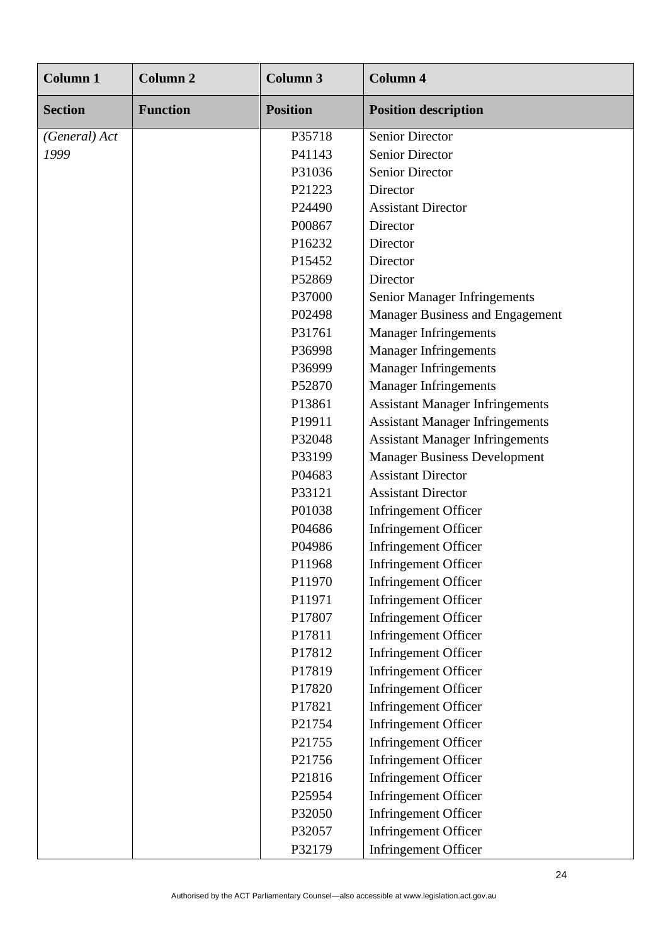| <b>Column 1</b> | <b>Column 2</b> | <b>Column 3</b>    | <b>Column 4</b>                        |
|-----------------|-----------------|--------------------|----------------------------------------|
| <b>Section</b>  | <b>Function</b> | <b>Position</b>    | <b>Position description</b>            |
| (General) Act   |                 | P35718             | <b>Senior Director</b>                 |
| 1999            |                 | P41143             | <b>Senior Director</b>                 |
|                 |                 | P31036             | <b>Senior Director</b>                 |
|                 |                 | P21223             | Director                               |
|                 |                 | P <sub>24490</sub> | <b>Assistant Director</b>              |
|                 |                 | P00867             | Director                               |
|                 |                 | P16232             | Director                               |
|                 |                 | P15452             | Director                               |
|                 |                 | P52869             | Director                               |
|                 |                 | P37000             | <b>Senior Manager Infringements</b>    |
|                 |                 | P02498             | Manager Business and Engagement        |
|                 |                 | P31761             | <b>Manager Infringements</b>           |
|                 |                 | P36998             | <b>Manager Infringements</b>           |
|                 |                 | P36999             | <b>Manager Infringements</b>           |
|                 |                 | P52870             | <b>Manager Infringements</b>           |
|                 |                 | P13861             | <b>Assistant Manager Infringements</b> |
|                 |                 | P19911             | <b>Assistant Manager Infringements</b> |
|                 |                 | P32048             | <b>Assistant Manager Infringements</b> |
|                 |                 | P33199             | <b>Manager Business Development</b>    |
|                 |                 | P04683             | <b>Assistant Director</b>              |
|                 |                 | P33121             | <b>Assistant Director</b>              |
|                 |                 | P01038             | Infringement Officer                   |
|                 |                 | P04686             | <b>Infringement Officer</b>            |
|                 |                 | P04986             | <b>Infringement Officer</b>            |
|                 |                 | P11968             | <b>Infringement Officer</b>            |
|                 |                 | P11970             | Infringement Officer                   |
|                 |                 | P11971             | <b>Infringement Officer</b>            |
|                 |                 | P17807             | Infringement Officer                   |
|                 |                 | P17811             | Infringement Officer                   |
|                 |                 | P17812             | <b>Infringement Officer</b>            |
|                 |                 | P17819             | Infringement Officer                   |
|                 |                 | P17820             | Infringement Officer                   |
|                 |                 | P17821             | Infringement Officer                   |
|                 |                 | P21754             | <b>Infringement Officer</b>            |
|                 |                 | P21755             | Infringement Officer                   |
|                 |                 | P21756             | <b>Infringement Officer</b>            |
|                 |                 | P21816             | <b>Infringement Officer</b>            |
|                 |                 | P25954             | <b>Infringement Officer</b>            |
|                 |                 | P32050             | Infringement Officer                   |
|                 |                 | P32057             | Infringement Officer                   |
|                 |                 | P32179             | Infringement Officer                   |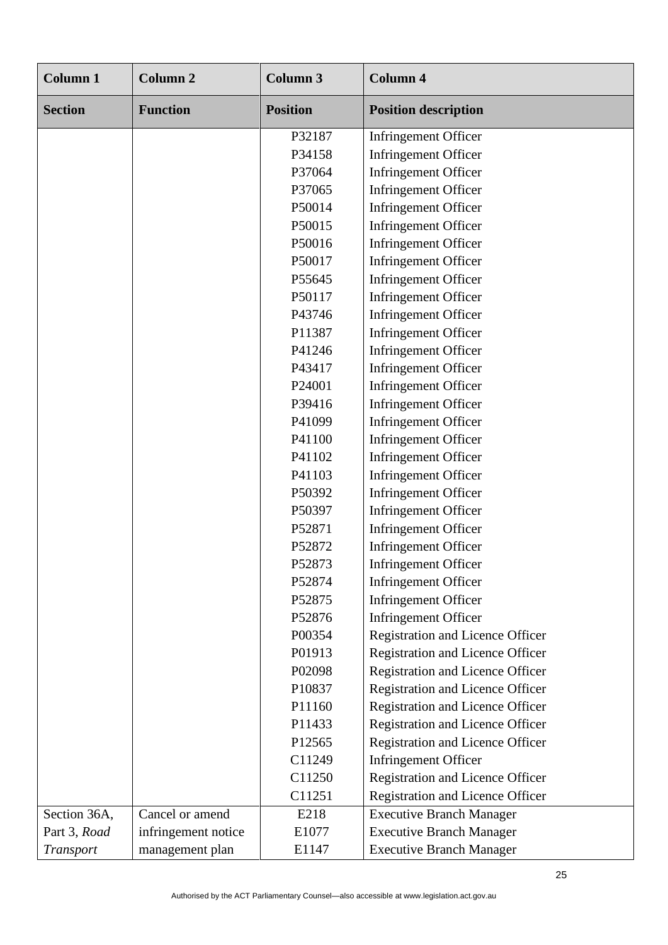| <b>Column 1</b> | <b>Column 2</b>     | <b>Column 3</b> | <b>Column 4</b>                  |
|-----------------|---------------------|-----------------|----------------------------------|
| <b>Section</b>  | <b>Function</b>     | <b>Position</b> | <b>Position description</b>      |
|                 |                     | P32187          | Infringement Officer             |
|                 |                     | P34158          | <b>Infringement Officer</b>      |
|                 |                     | P37064          | Infringement Officer             |
|                 |                     | P37065          | <b>Infringement Officer</b>      |
|                 |                     | P50014          | <b>Infringement Officer</b>      |
|                 |                     | P50015          | Infringement Officer             |
|                 |                     | P50016          | <b>Infringement Officer</b>      |
|                 |                     | P50017          | Infringement Officer             |
|                 |                     | P55645          | Infringement Officer             |
|                 |                     | P50117          | <b>Infringement Officer</b>      |
|                 |                     | P43746          | <b>Infringement Officer</b>      |
|                 |                     | P11387          | Infringement Officer             |
|                 |                     | P41246          | Infringement Officer             |
|                 |                     | P43417          | <b>Infringement Officer</b>      |
|                 |                     | P24001          | <b>Infringement Officer</b>      |
|                 |                     | P39416          | <b>Infringement Officer</b>      |
|                 |                     | P41099          | <b>Infringement Officer</b>      |
|                 |                     | P41100          | Infringement Officer             |
|                 |                     | P41102          | <b>Infringement Officer</b>      |
|                 |                     | P41103          | <b>Infringement Officer</b>      |
|                 |                     | P50392          | Infringement Officer             |
|                 |                     | P50397          | Infringement Officer             |
|                 |                     | P52871          | <b>Infringement Officer</b>      |
|                 |                     | P52872          | <b>Infringement Officer</b>      |
|                 |                     | P52873          | <b>Infringement Officer</b>      |
|                 |                     | P52874          | <b>Infringement Officer</b>      |
|                 |                     | P52875          | Infringement Officer             |
|                 |                     | P52876          | Infringement Officer             |
|                 |                     | P00354          | Registration and Licence Officer |
|                 |                     | P01913          | Registration and Licence Officer |
|                 |                     | P02098          | Registration and Licence Officer |
|                 |                     | P10837          | Registration and Licence Officer |
|                 |                     | P11160          | Registration and Licence Officer |
|                 |                     | P11433          | Registration and Licence Officer |
|                 |                     | P12565          | Registration and Licence Officer |
|                 |                     | C11249          | Infringement Officer             |
|                 |                     | C11250          | Registration and Licence Officer |
|                 |                     | C11251          | Registration and Licence Officer |
| Section 36A,    | Cancel or amend     | E218            | <b>Executive Branch Manager</b>  |
| Part 3, Road    | infringement notice | E1077           | <b>Executive Branch Manager</b>  |
| Transport       | management plan     | E1147           | <b>Executive Branch Manager</b>  |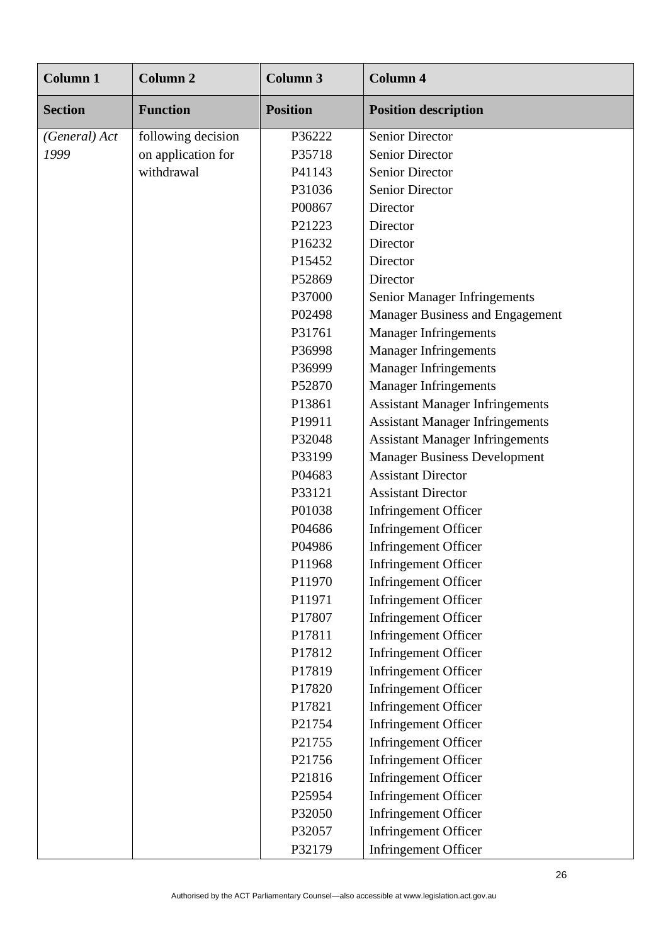| <b>Column 1</b> | <b>Column 2</b>    | <b>Column 3</b> | <b>Column 4</b>                        |
|-----------------|--------------------|-----------------|----------------------------------------|
| <b>Section</b>  | <b>Function</b>    | <b>Position</b> | <b>Position description</b>            |
| (General) Act   | following decision | P36222          | <b>Senior Director</b>                 |
| 1999            | on application for | P35718          | <b>Senior Director</b>                 |
|                 | withdrawal         | P41143          | <b>Senior Director</b>                 |
|                 |                    | P31036          | <b>Senior Director</b>                 |
|                 |                    | P00867          | Director                               |
|                 |                    | P21223          | Director                               |
|                 |                    | P16232          | Director                               |
|                 |                    | P15452          | Director                               |
|                 |                    | P52869          | Director                               |
|                 |                    | P37000          | <b>Senior Manager Infringements</b>    |
|                 |                    | P02498          | Manager Business and Engagement        |
|                 |                    | P31761          | <b>Manager Infringements</b>           |
|                 |                    | P36998          | <b>Manager Infringements</b>           |
|                 |                    | P36999          | <b>Manager Infringements</b>           |
|                 |                    | P52870          | <b>Manager Infringements</b>           |
|                 |                    | P13861          | <b>Assistant Manager Infringements</b> |
|                 |                    | P19911          | <b>Assistant Manager Infringements</b> |
|                 |                    | P32048          | <b>Assistant Manager Infringements</b> |
|                 |                    | P33199          | <b>Manager Business Development</b>    |
|                 |                    | P04683          | <b>Assistant Director</b>              |
|                 |                    | P33121          | <b>Assistant Director</b>              |
|                 |                    | P01038          | <b>Infringement Officer</b>            |
|                 |                    | P04686          | <b>Infringement Officer</b>            |
|                 |                    | P04986          | <b>Infringement Officer</b>            |
|                 |                    | P11968          | <b>Infringement Officer</b>            |
|                 |                    | P11970          | Infringement Officer                   |
|                 |                    | P11971          | Infringement Officer                   |
|                 |                    | P17807          | Infringement Officer                   |
|                 |                    | P17811          | Infringement Officer                   |
|                 |                    | P17812          | Infringement Officer                   |
|                 |                    | P17819          | Infringement Officer                   |
|                 |                    | P17820          | Infringement Officer                   |
|                 |                    | P17821          | Infringement Officer                   |
|                 |                    | P21754          | Infringement Officer                   |
|                 |                    | P21755          | Infringement Officer                   |
|                 |                    | P21756          | Infringement Officer                   |
|                 |                    | P21816          | <b>Infringement Officer</b>            |
|                 |                    | P25954          | Infringement Officer                   |
|                 |                    | P32050          | Infringement Officer                   |
|                 |                    | P32057          | <b>Infringement Officer</b>            |
|                 |                    | P32179          | Infringement Officer                   |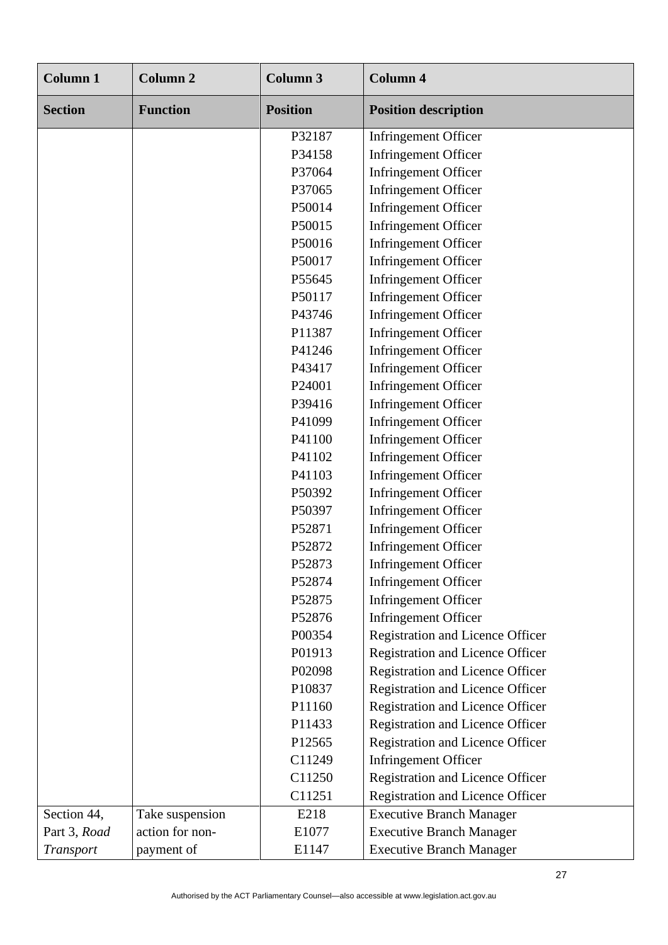| <b>Column 1</b> | <b>Column 2</b> | <b>Column 3</b> | <b>Column 4</b>                  |
|-----------------|-----------------|-----------------|----------------------------------|
| <b>Section</b>  | <b>Function</b> | <b>Position</b> | <b>Position description</b>      |
|                 |                 | P32187          | <b>Infringement Officer</b>      |
|                 |                 | P34158          | <b>Infringement Officer</b>      |
|                 |                 | P37064          | Infringement Officer             |
|                 |                 | P37065          | <b>Infringement Officer</b>      |
|                 |                 | P50014          | Infringement Officer             |
|                 |                 | P50015          | Infringement Officer             |
|                 |                 | P50016          | <b>Infringement Officer</b>      |
|                 |                 | P50017          | Infringement Officer             |
|                 |                 | P55645          | Infringement Officer             |
|                 |                 | P50117          | Infringement Officer             |
|                 |                 | P43746          | Infringement Officer             |
|                 |                 | P11387          | Infringement Officer             |
|                 |                 | P41246          | Infringement Officer             |
|                 |                 | P43417          | Infringement Officer             |
|                 |                 | P24001          | <b>Infringement Officer</b>      |
|                 |                 | P39416          | Infringement Officer             |
|                 |                 | P41099          | Infringement Officer             |
|                 |                 | P41100          | Infringement Officer             |
|                 |                 | P41102          | Infringement Officer             |
|                 |                 | P41103          | Infringement Officer             |
|                 |                 | P50392          | Infringement Officer             |
|                 |                 | P50397          | Infringement Officer             |
|                 |                 | P52871          | Infringement Officer             |
|                 |                 | P52872          | <b>Infringement Officer</b>      |
|                 |                 | P52873          | <b>Infringement Officer</b>      |
|                 |                 | P52874          | Infringement Officer             |
|                 |                 | P52875          | Infringement Officer             |
|                 |                 | P52876          | Infringement Officer             |
|                 |                 | P00354          | Registration and Licence Officer |
|                 |                 | P01913          | Registration and Licence Officer |
|                 |                 | P02098          | Registration and Licence Officer |
|                 |                 | P10837          | Registration and Licence Officer |
|                 |                 | P11160          | Registration and Licence Officer |
|                 |                 | P11433          | Registration and Licence Officer |
|                 |                 | P12565          | Registration and Licence Officer |
|                 |                 | C11249          | Infringement Officer             |
|                 |                 | C11250          | Registration and Licence Officer |
|                 |                 | C11251          | Registration and Licence Officer |
| Section 44,     | Take suspension | E218            | <b>Executive Branch Manager</b>  |
| Part 3, Road    | action for non- | E1077           | <b>Executive Branch Manager</b>  |
| Transport       | payment of      | E1147           | <b>Executive Branch Manager</b>  |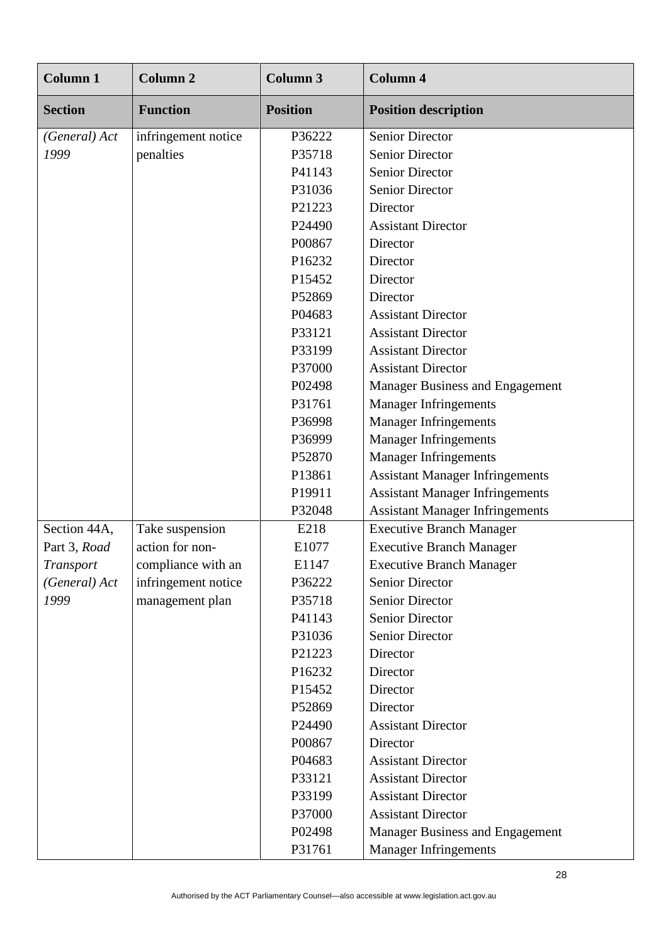| <b>Column 1</b> | <b>Column 2</b>     | <b>Column 3</b> | <b>Column 4</b>                        |
|-----------------|---------------------|-----------------|----------------------------------------|
| <b>Section</b>  | <b>Function</b>     | <b>Position</b> | <b>Position description</b>            |
| (General) Act   | infringement notice | P36222          | <b>Senior Director</b>                 |
| 1999            | penalties           | P35718          | <b>Senior Director</b>                 |
|                 |                     | P41143          | <b>Senior Director</b>                 |
|                 |                     | P31036          | <b>Senior Director</b>                 |
|                 |                     | P21223          | Director                               |
|                 |                     | P24490          | <b>Assistant Director</b>              |
|                 |                     | P00867          | Director                               |
|                 |                     | P16232          | Director                               |
|                 |                     | P15452          | Director                               |
|                 |                     | P52869          | Director                               |
|                 |                     | P04683          | <b>Assistant Director</b>              |
|                 |                     | P33121          | <b>Assistant Director</b>              |
|                 |                     | P33199          | <b>Assistant Director</b>              |
|                 |                     | P37000          | <b>Assistant Director</b>              |
|                 |                     | P02498          | <b>Manager Business and Engagement</b> |
|                 |                     | P31761          | <b>Manager Infringements</b>           |
|                 |                     | P36998          | <b>Manager Infringements</b>           |
|                 |                     | P36999          | <b>Manager Infringements</b>           |
|                 |                     | P52870          | <b>Manager Infringements</b>           |
|                 |                     | P13861          | <b>Assistant Manager Infringements</b> |
|                 |                     | P19911          | <b>Assistant Manager Infringements</b> |
|                 |                     | P32048          | <b>Assistant Manager Infringements</b> |
| Section 44A,    | Take suspension     | E218            | <b>Executive Branch Manager</b>        |
| Part 3, Road    | action for non-     | E1077           | <b>Executive Branch Manager</b>        |
| Transport       | compliance with an  | E1147           | <b>Executive Branch Manager</b>        |
| (General) Act   | infringement notice | P36222          | <b>Senior Director</b>                 |
| 1999            | management plan     | P35718          | <b>Senior Director</b>                 |
|                 |                     | P41143          | <b>Senior Director</b>                 |
|                 |                     | P31036          | <b>Senior Director</b>                 |
|                 |                     | P21223          | Director                               |
|                 |                     | P16232          | Director                               |
|                 |                     | P15452          | Director                               |
|                 |                     | P52869          | Director                               |
|                 |                     | P24490          | <b>Assistant Director</b>              |
|                 |                     | P00867          | Director                               |
|                 |                     | P04683          | <b>Assistant Director</b>              |
|                 |                     | P33121          | <b>Assistant Director</b>              |
|                 |                     | P33199          | <b>Assistant Director</b>              |
|                 |                     | P37000          | <b>Assistant Director</b>              |
|                 |                     | P02498          | Manager Business and Engagement        |
|                 |                     | P31761          | <b>Manager Infringements</b>           |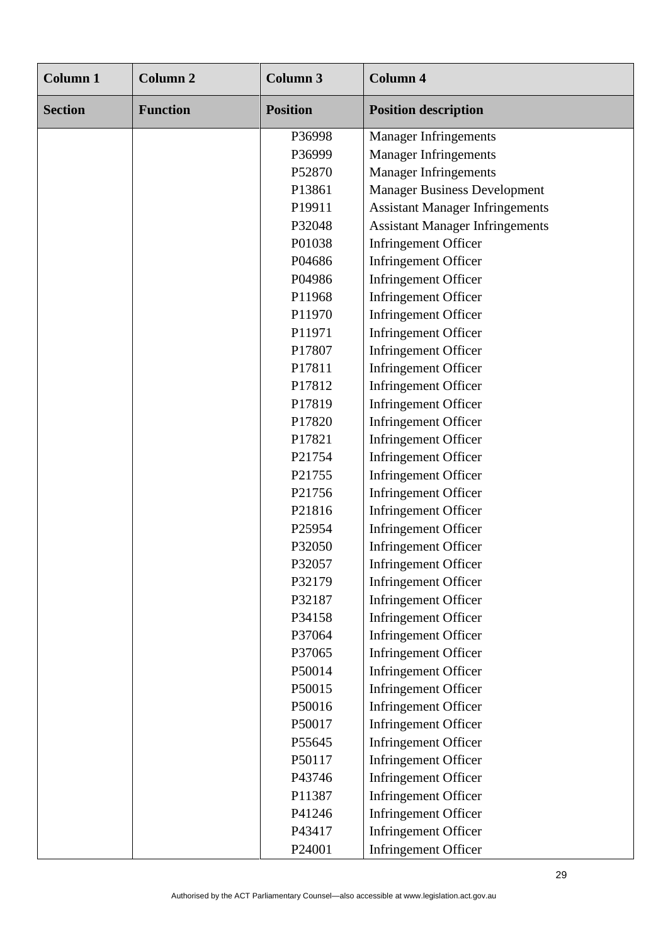| <b>Column 1</b> | <b>Column 2</b> | <b>Column 3</b> | <b>Column 4</b>                        |
|-----------------|-----------------|-----------------|----------------------------------------|
| <b>Section</b>  | <b>Function</b> | <b>Position</b> | <b>Position description</b>            |
|                 |                 | P36998          | <b>Manager Infringements</b>           |
|                 |                 | P36999          | <b>Manager Infringements</b>           |
|                 |                 | P52870          | <b>Manager Infringements</b>           |
|                 |                 | P13861          | <b>Manager Business Development</b>    |
|                 |                 | P19911          | <b>Assistant Manager Infringements</b> |
|                 |                 | P32048          | <b>Assistant Manager Infringements</b> |
|                 |                 | P01038          | <b>Infringement Officer</b>            |
|                 |                 | P04686          | <b>Infringement Officer</b>            |
|                 |                 | P04986          | <b>Infringement Officer</b>            |
|                 |                 | P11968          | Infringement Officer                   |
|                 |                 | P11970          | Infringement Officer                   |
|                 |                 | P11971          | <b>Infringement Officer</b>            |
|                 |                 | P17807          | Infringement Officer                   |
|                 |                 | P17811          | <b>Infringement Officer</b>            |
|                 |                 | P17812          | Infringement Officer                   |
|                 |                 | P17819          | Infringement Officer                   |
|                 |                 | P17820          | <b>Infringement Officer</b>            |
|                 |                 | P17821          | <b>Infringement Officer</b>            |
|                 |                 | P21754          | Infringement Officer                   |
|                 |                 | P21755          | Infringement Officer                   |
|                 |                 | P21756          | Infringement Officer                   |
|                 |                 | P21816          | <b>Infringement Officer</b>            |
|                 |                 | P25954          | Infringement Officer                   |
|                 |                 | P32050          | Infringement Officer                   |
|                 |                 | P32057          | Infringement Officer                   |
|                 |                 | P32179          | Infringement Officer                   |
|                 |                 | P32187          | <b>Infringement Officer</b>            |
|                 |                 | P34158          | Infringement Officer                   |
|                 |                 | P37064          | <b>Infringement Officer</b>            |
|                 |                 | P37065          | Infringement Officer                   |
|                 |                 | P50014          | Infringement Officer                   |
|                 |                 | P50015          | <b>Infringement Officer</b>            |
|                 |                 | P50016          | <b>Infringement Officer</b>            |
|                 |                 | P50017          | Infringement Officer                   |
|                 |                 | P55645          | <b>Infringement Officer</b>            |
|                 |                 | P50117          | <b>Infringement Officer</b>            |
|                 |                 | P43746          | Infringement Officer                   |
|                 |                 | P11387          | <b>Infringement Officer</b>            |
|                 |                 | P41246          | Infringement Officer                   |
|                 |                 | P43417          | <b>Infringement Officer</b>            |
|                 |                 | P24001          | Infringement Officer                   |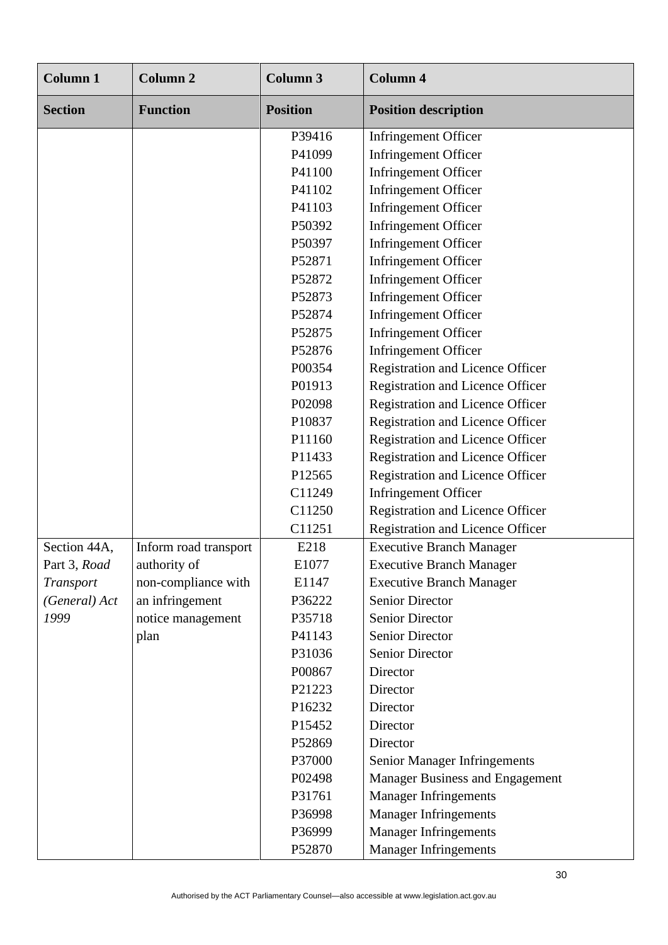| <b>Column 1</b>  | <b>Column 2</b>       | <b>Column 3</b> | <b>Column 4</b>                         |
|------------------|-----------------------|-----------------|-----------------------------------------|
| <b>Section</b>   | <b>Function</b>       | <b>Position</b> | <b>Position description</b>             |
|                  |                       | P39416          | <b>Infringement Officer</b>             |
|                  |                       | P41099          | <b>Infringement Officer</b>             |
|                  |                       | P41100          | <b>Infringement Officer</b>             |
|                  |                       | P41102          | Infringement Officer                    |
|                  |                       | P41103          | <b>Infringement Officer</b>             |
|                  |                       | P50392          | Infringement Officer                    |
|                  |                       | P50397          | <b>Infringement Officer</b>             |
|                  |                       | P52871          | <b>Infringement Officer</b>             |
|                  |                       | P52872          | Infringement Officer                    |
|                  |                       | P52873          | <b>Infringement Officer</b>             |
|                  |                       | P52874          | <b>Infringement Officer</b>             |
|                  |                       | P52875          | <b>Infringement Officer</b>             |
|                  |                       | P52876          | <b>Infringement Officer</b>             |
|                  |                       | P00354          | <b>Registration and Licence Officer</b> |
|                  |                       | P01913          | <b>Registration and Licence Officer</b> |
|                  |                       | P02098          | <b>Registration and Licence Officer</b> |
|                  |                       | P10837          | <b>Registration and Licence Officer</b> |
|                  |                       | P11160          | <b>Registration and Licence Officer</b> |
|                  |                       | P11433          | <b>Registration and Licence Officer</b> |
|                  |                       | P12565          | <b>Registration and Licence Officer</b> |
|                  |                       | C11249          | <b>Infringement Officer</b>             |
|                  |                       | C11250          | <b>Registration and Licence Officer</b> |
|                  |                       | C11251          | <b>Registration and Licence Officer</b> |
| Section 44A,     | Inform road transport | E218            | <b>Executive Branch Manager</b>         |
| Part 3, Road     | authority of          | E1077           | <b>Executive Branch Manager</b>         |
| <b>Transport</b> | non-compliance with   | E1147           | <b>Executive Branch Manager</b>         |
| (General) Act    | an infringement       | P36222          | <b>Senior Director</b>                  |
| 1999             | notice management     | P35718          | Senior Director                         |
|                  | plan                  | P41143          | <b>Senior Director</b>                  |
|                  |                       | P31036          | <b>Senior Director</b>                  |
|                  |                       | P00867          | Director                                |
|                  |                       | P21223          | Director                                |
|                  |                       | P16232          | Director                                |
|                  |                       | P15452          | Director                                |
|                  |                       | P52869          | Director                                |
|                  |                       | P37000          | <b>Senior Manager Infringements</b>     |
|                  |                       | P02498          | Manager Business and Engagement         |
|                  |                       | P31761          | <b>Manager Infringements</b>            |
|                  |                       | P36998          | <b>Manager Infringements</b>            |
|                  |                       | P36999          | <b>Manager Infringements</b>            |
|                  |                       | P52870          | <b>Manager Infringements</b>            |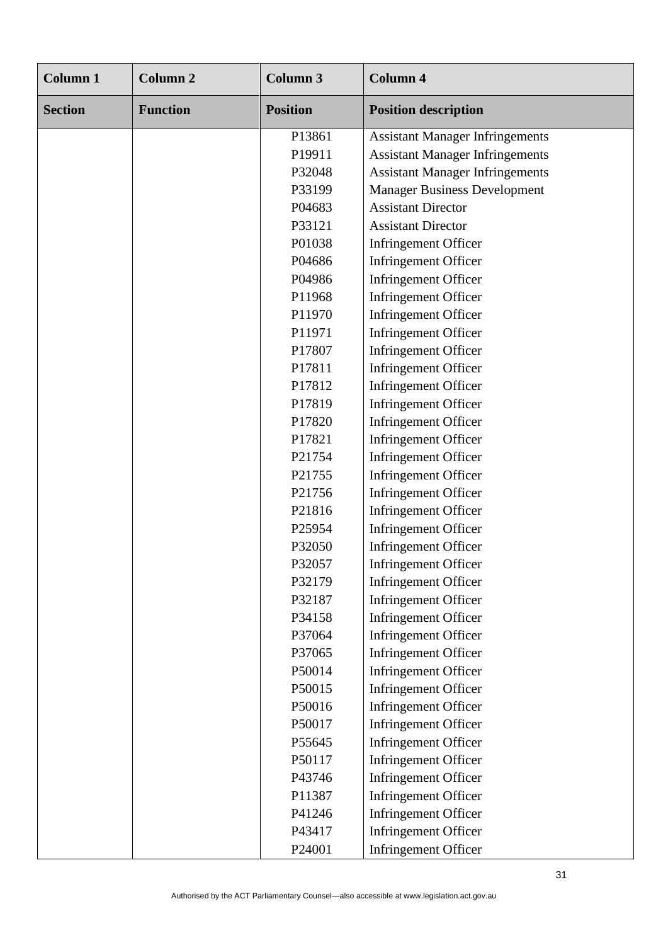| <b>Column 1</b> | <b>Column 2</b> | <b>Column 3</b> | <b>Column 4</b>                        |
|-----------------|-----------------|-----------------|----------------------------------------|
| <b>Section</b>  | <b>Function</b> | <b>Position</b> | <b>Position description</b>            |
|                 |                 | P13861          | <b>Assistant Manager Infringements</b> |
|                 |                 | P19911          | <b>Assistant Manager Infringements</b> |
|                 |                 | P32048          | <b>Assistant Manager Infringements</b> |
|                 |                 | P33199          | <b>Manager Business Development</b>    |
|                 |                 | P04683          | <b>Assistant Director</b>              |
|                 |                 | P33121          | <b>Assistant Director</b>              |
|                 |                 | P01038          | Infringement Officer                   |
|                 |                 | P04686          | <b>Infringement Officer</b>            |
|                 |                 | P04986          | Infringement Officer                   |
|                 |                 | P11968          | Infringement Officer                   |
|                 |                 | P11970          | Infringement Officer                   |
|                 |                 | P11971          | <b>Infringement Officer</b>            |
|                 |                 | P17807          | Infringement Officer                   |
|                 |                 | P17811          | <b>Infringement Officer</b>            |
|                 |                 | P17812          | <b>Infringement Officer</b>            |
|                 |                 | P17819          | <b>Infringement Officer</b>            |
|                 |                 | P17820          | <b>Infringement Officer</b>            |
|                 |                 | P17821          | <b>Infringement Officer</b>            |
|                 |                 | P21754          | <b>Infringement Officer</b>            |
|                 |                 | P21755          | <b>Infringement Officer</b>            |
|                 |                 | P21756          | <b>Infringement Officer</b>            |
|                 |                 | P21816          | <b>Infringement Officer</b>            |
|                 |                 | P25954          | <b>Infringement Officer</b>            |
|                 |                 | P32050          | <b>Infringement Officer</b>            |
|                 |                 | P32057          | Infringement Officer                   |
|                 |                 | P32179          | Infringement Officer                   |
|                 |                 | P32187          | Infringement Officer                   |
|                 |                 | P34158          | Infringement Officer                   |
|                 |                 | P37064          | <b>Infringement Officer</b>            |
|                 |                 | P37065          | <b>Infringement Officer</b>            |
|                 |                 | P50014          | Infringement Officer                   |
|                 |                 | P50015          | <b>Infringement Officer</b>            |
|                 |                 | P50016          | Infringement Officer                   |
|                 |                 | P50017          | Infringement Officer                   |
|                 |                 | P55645          | <b>Infringement Officer</b>            |
|                 |                 | P50117          | <b>Infringement Officer</b>            |
|                 |                 | P43746          | <b>Infringement Officer</b>            |
|                 |                 | P11387          | <b>Infringement Officer</b>            |
|                 |                 | P41246          | <b>Infringement Officer</b>            |
|                 |                 | P43417          | <b>Infringement Officer</b>            |
|                 |                 | P24001          | Infringement Officer                   |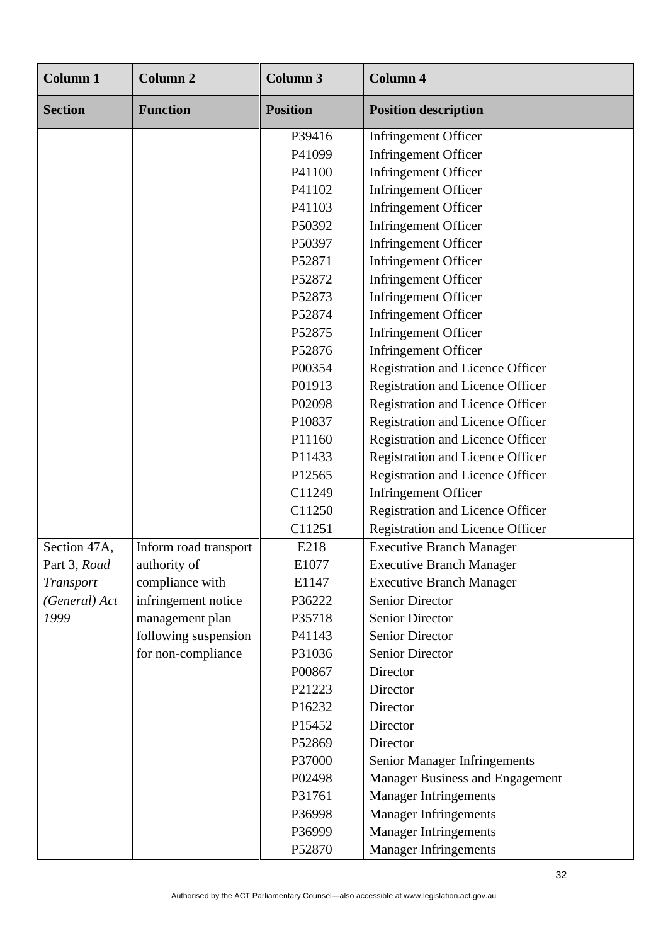| <b>Column 1</b>  | <b>Column 2</b>       | <b>Column 3</b> | <b>Column 4</b>                     |
|------------------|-----------------------|-----------------|-------------------------------------|
| <b>Section</b>   | <b>Function</b>       | <b>Position</b> | <b>Position description</b>         |
|                  |                       | P39416          | Infringement Officer                |
|                  |                       | P41099          | Infringement Officer                |
|                  |                       | P41100          | Infringement Officer                |
|                  |                       | P41102          | <b>Infringement Officer</b>         |
|                  |                       | P41103          | Infringement Officer                |
|                  |                       | P50392          | Infringement Officer                |
|                  |                       | P50397          | Infringement Officer                |
|                  |                       | P52871          | Infringement Officer                |
|                  |                       | P52872          | Infringement Officer                |
|                  |                       | P52873          | Infringement Officer                |
|                  |                       | P52874          | Infringement Officer                |
|                  |                       | P52875          | Infringement Officer                |
|                  |                       | P52876          | Infringement Officer                |
|                  |                       | P00354          | Registration and Licence Officer    |
|                  |                       | P01913          | Registration and Licence Officer    |
|                  |                       | P02098          | Registration and Licence Officer    |
|                  |                       | P10837          | Registration and Licence Officer    |
|                  |                       | P11160          | Registration and Licence Officer    |
|                  |                       | P11433          | Registration and Licence Officer    |
|                  |                       | P12565          | Registration and Licence Officer    |
|                  |                       | C11249          | Infringement Officer                |
|                  |                       | C11250          | Registration and Licence Officer    |
|                  |                       | C11251          | Registration and Licence Officer    |
| Section 47A,     | Inform road transport | E218            | <b>Executive Branch Manager</b>     |
| Part 3, Road     | authority of          | E1077           | <b>Executive Branch Manager</b>     |
| <b>Transport</b> | compliance with       | E1147           | <b>Executive Branch Manager</b>     |
| (General) Act    | infringement notice   | P36222          | <b>Senior Director</b>              |
| 1999             | management plan       | P35718          | Senior Director                     |
|                  | following suspension  | P41143          | <b>Senior Director</b>              |
|                  | for non-compliance    | P31036          | <b>Senior Director</b>              |
|                  |                       | P00867          | Director                            |
|                  |                       | P21223          | Director                            |
|                  |                       | P16232          | Director                            |
|                  |                       | P15452          | Director                            |
|                  |                       | P52869          | Director                            |
|                  |                       | P37000          | <b>Senior Manager Infringements</b> |
|                  |                       | P02498          | Manager Business and Engagement     |
|                  |                       | P31761          | <b>Manager Infringements</b>        |
|                  |                       | P36998          | <b>Manager Infringements</b>        |
|                  |                       | P36999          | <b>Manager Infringements</b>        |
|                  |                       | P52870          | <b>Manager Infringements</b>        |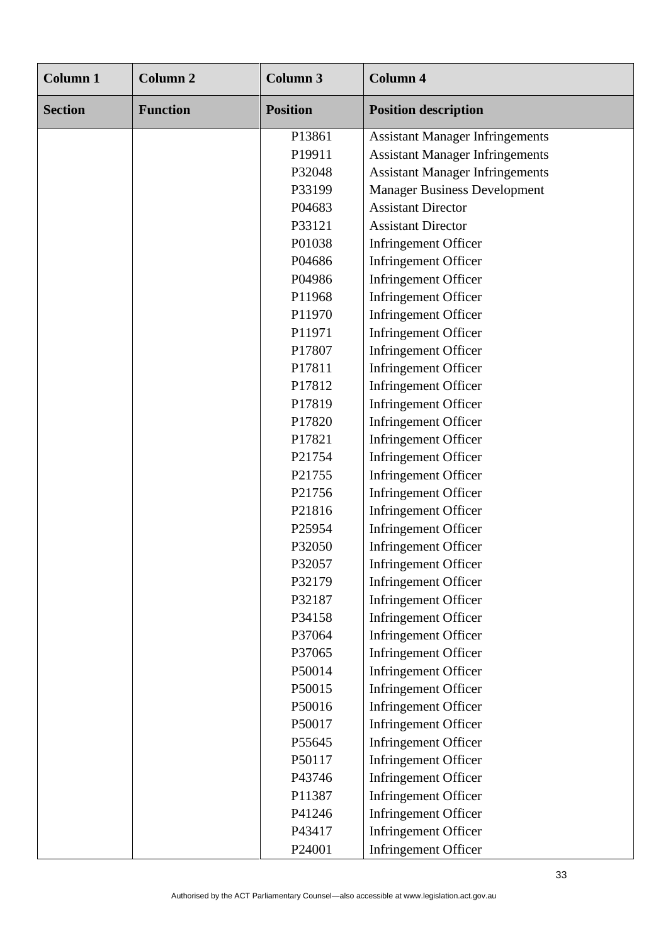| <b>Column 1</b> | <b>Column 2</b> | <b>Column 3</b> | <b>Column 4</b>                        |
|-----------------|-----------------|-----------------|----------------------------------------|
| <b>Section</b>  | <b>Function</b> | <b>Position</b> | <b>Position description</b>            |
|                 |                 | P13861          | <b>Assistant Manager Infringements</b> |
|                 |                 | P19911          | <b>Assistant Manager Infringements</b> |
|                 |                 | P32048          | <b>Assistant Manager Infringements</b> |
|                 |                 | P33199          | <b>Manager Business Development</b>    |
|                 |                 | P04683          | <b>Assistant Director</b>              |
|                 |                 | P33121          | <b>Assistant Director</b>              |
|                 |                 | P01038          | Infringement Officer                   |
|                 |                 | P04686          | <b>Infringement Officer</b>            |
|                 |                 | P04986          | Infringement Officer                   |
|                 |                 | P11968          | Infringement Officer                   |
|                 |                 | P11970          | Infringement Officer                   |
|                 |                 | P11971          | Infringement Officer                   |
|                 |                 | P17807          | Infringement Officer                   |
|                 |                 | P17811          | <b>Infringement Officer</b>            |
|                 |                 | P17812          | Infringement Officer                   |
|                 |                 | P17819          | <b>Infringement Officer</b>            |
|                 |                 | P17820          | <b>Infringement Officer</b>            |
|                 |                 | P17821          | Infringement Officer                   |
|                 |                 | P21754          | <b>Infringement Officer</b>            |
|                 |                 | P21755          | <b>Infringement Officer</b>            |
|                 |                 | P21756          | Infringement Officer                   |
|                 |                 | P21816          | Infringement Officer                   |
|                 |                 | P25954          | Infringement Officer                   |
|                 |                 | P32050          | <b>Infringement Officer</b>            |
|                 |                 | P32057          | Infringement Officer                   |
|                 |                 | P32179          | Infringement Officer                   |
|                 |                 | P32187          | Infringement Officer                   |
|                 |                 | P34158          | Infringement Officer                   |
|                 |                 | P37064          | Infringement Officer                   |
|                 |                 | P37065          | Infringement Officer                   |
|                 |                 | P50014          | Infringement Officer                   |
|                 |                 | P50015          | Infringement Officer                   |
|                 |                 | P50016          | Infringement Officer                   |
|                 |                 | P50017          | Infringement Officer                   |
|                 |                 | P55645          | Infringement Officer                   |
|                 |                 | P50117          | Infringement Officer                   |
|                 |                 | P43746          | <b>Infringement Officer</b>            |
|                 |                 | P11387          | Infringement Officer                   |
|                 |                 | P41246          | Infringement Officer                   |
|                 |                 | P43417          | <b>Infringement Officer</b>            |
|                 |                 | P24001          | Infringement Officer                   |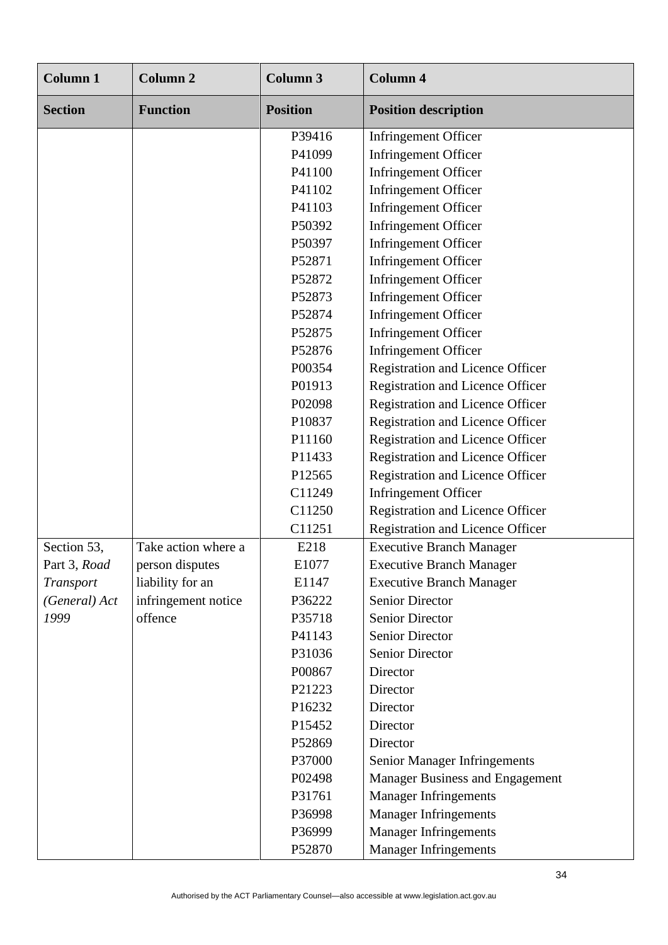| <b>Column 1</b>  | <b>Column 2</b>     | <b>Column 3</b> | <b>Column 4</b>                         |
|------------------|---------------------|-----------------|-----------------------------------------|
| <b>Section</b>   | <b>Function</b>     | <b>Position</b> | <b>Position description</b>             |
|                  |                     | P39416          | <b>Infringement Officer</b>             |
|                  |                     | P41099          | <b>Infringement Officer</b>             |
|                  |                     | P41100          | <b>Infringement Officer</b>             |
|                  |                     | P41102          | Infringement Officer                    |
|                  |                     | P41103          | <b>Infringement Officer</b>             |
|                  |                     | P50392          | <b>Infringement Officer</b>             |
|                  |                     | P50397          | <b>Infringement Officer</b>             |
|                  |                     | P52871          | <b>Infringement Officer</b>             |
|                  |                     | P52872          | Infringement Officer                    |
|                  |                     | P52873          | <b>Infringement Officer</b>             |
|                  |                     | P52874          | <b>Infringement Officer</b>             |
|                  |                     | P52875          | <b>Infringement Officer</b>             |
|                  |                     | P52876          | <b>Infringement Officer</b>             |
|                  |                     | P00354          | <b>Registration and Licence Officer</b> |
|                  |                     | P01913          | <b>Registration and Licence Officer</b> |
|                  |                     | P02098          | <b>Registration and Licence Officer</b> |
|                  |                     | P10837          | <b>Registration and Licence Officer</b> |
|                  |                     | P11160          | <b>Registration and Licence Officer</b> |
|                  |                     | P11433          | <b>Registration and Licence Officer</b> |
|                  |                     | P12565          | <b>Registration and Licence Officer</b> |
|                  |                     | C11249          | <b>Infringement Officer</b>             |
|                  |                     | C11250          | <b>Registration and Licence Officer</b> |
|                  |                     | C11251          | <b>Registration and Licence Officer</b> |
| Section 53,      | Take action where a | E218            | <b>Executive Branch Manager</b>         |
| Part 3, Road     | person disputes     | E1077           | <b>Executive Branch Manager</b>         |
| <b>Transport</b> | liability for an    | E1147           | <b>Executive Branch Manager</b>         |
| (General) Act    | infringement notice | P36222          | <b>Senior Director</b>                  |
| 1999             | offence             | P35718          | Senior Director                         |
|                  |                     | P41143          | <b>Senior Director</b>                  |
|                  |                     | P31036          | <b>Senior Director</b>                  |
|                  |                     | P00867          | Director                                |
|                  |                     | P21223          | Director                                |
|                  |                     | P16232          | Director                                |
|                  |                     | P15452          | Director                                |
|                  |                     | P52869          | Director                                |
|                  |                     | P37000          | <b>Senior Manager Infringements</b>     |
|                  |                     | P02498          | <b>Manager Business and Engagement</b>  |
|                  |                     | P31761          | <b>Manager Infringements</b>            |
|                  |                     | P36998          | <b>Manager Infringements</b>            |
|                  |                     | P36999          | <b>Manager Infringements</b>            |
|                  |                     | P52870          | <b>Manager Infringements</b>            |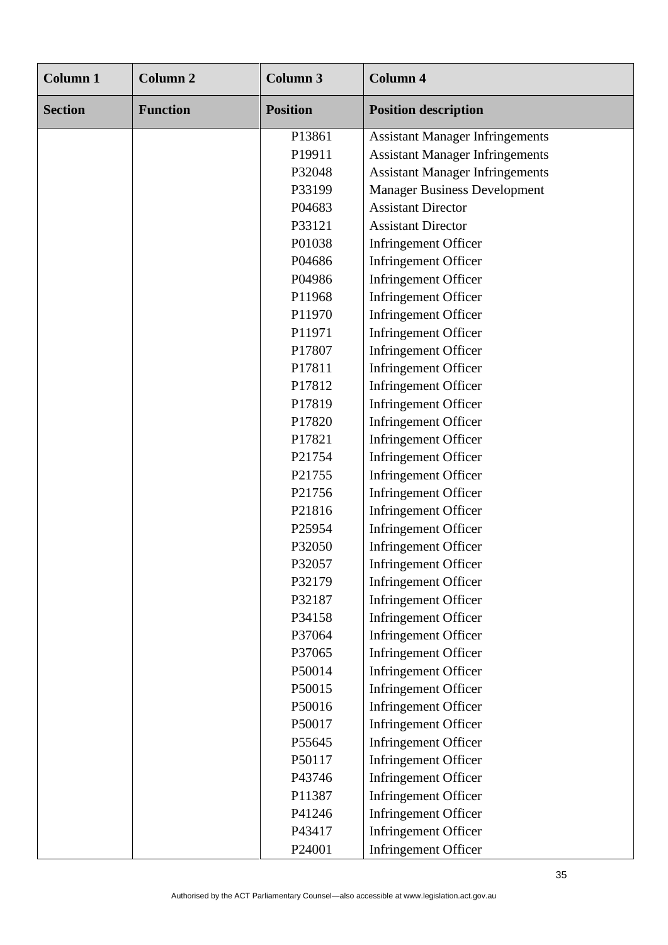| <b>Column 1</b> | <b>Column 2</b> | <b>Column 3</b> | <b>Column 4</b>                        |
|-----------------|-----------------|-----------------|----------------------------------------|
| <b>Section</b>  | <b>Function</b> | <b>Position</b> | <b>Position description</b>            |
|                 |                 | P13861          | <b>Assistant Manager Infringements</b> |
|                 |                 | P19911          | <b>Assistant Manager Infringements</b> |
|                 |                 | P32048          | <b>Assistant Manager Infringements</b> |
|                 |                 | P33199          | <b>Manager Business Development</b>    |
|                 |                 | P04683          | <b>Assistant Director</b>              |
|                 |                 | P33121          | <b>Assistant Director</b>              |
|                 |                 | P01038          | Infringement Officer                   |
|                 |                 | P04686          | <b>Infringement Officer</b>            |
|                 |                 | P04986          | Infringement Officer                   |
|                 |                 | P11968          | Infringement Officer                   |
|                 |                 | P11970          | Infringement Officer                   |
|                 |                 | P11971          | <b>Infringement Officer</b>            |
|                 |                 | P17807          | Infringement Officer                   |
|                 |                 | P17811          | <b>Infringement Officer</b>            |
|                 |                 | P17812          | <b>Infringement Officer</b>            |
|                 |                 | P17819          | <b>Infringement Officer</b>            |
|                 |                 | P17820          | <b>Infringement Officer</b>            |
|                 |                 | P17821          | <b>Infringement Officer</b>            |
|                 |                 | P21754          | <b>Infringement Officer</b>            |
|                 |                 | P21755          | <b>Infringement Officer</b>            |
|                 |                 | P21756          | Infringement Officer                   |
|                 |                 | P21816          | <b>Infringement Officer</b>            |
|                 |                 | P25954          | <b>Infringement Officer</b>            |
|                 |                 | P32050          | <b>Infringement Officer</b>            |
|                 |                 | P32057          | Infringement Officer                   |
|                 |                 | P32179          | Infringement Officer                   |
|                 |                 | P32187          | Infringement Officer                   |
|                 |                 | P34158          | Infringement Officer                   |
|                 |                 | P37064          | Infringement Officer                   |
|                 |                 | P37065          | Infringement Officer                   |
|                 |                 | P50014          | Infringement Officer                   |
|                 |                 | P50015          | Infringement Officer                   |
|                 |                 | P50016          | Infringement Officer                   |
|                 |                 | P50017          | Infringement Officer                   |
|                 |                 | P55645          | Infringement Officer                   |
|                 |                 | P50117          | Infringement Officer                   |
|                 |                 | P43746          | <b>Infringement Officer</b>            |
|                 |                 | P11387          | Infringement Officer                   |
|                 |                 | P41246          | Infringement Officer                   |
|                 |                 | P43417          | <b>Infringement Officer</b>            |
|                 |                 | P24001          | Infringement Officer                   |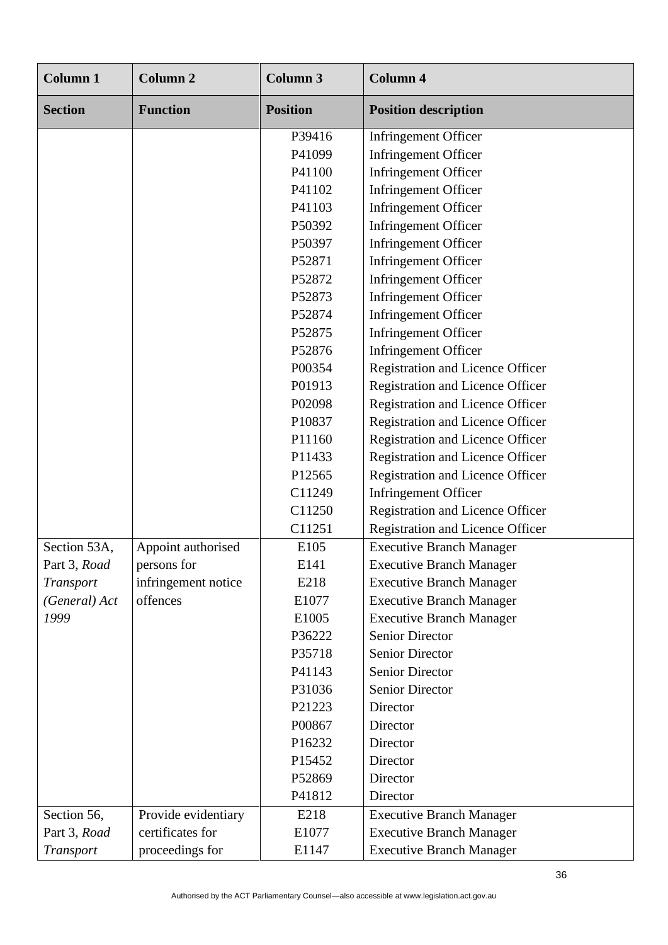| <b>Column 1</b>  | <b>Column 2</b>     | <b>Column 3</b> | <b>Column 4</b>                         |
|------------------|---------------------|-----------------|-----------------------------------------|
| <b>Section</b>   | <b>Function</b>     | <b>Position</b> | <b>Position description</b>             |
|                  |                     | P39416          | Infringement Officer                    |
|                  |                     | P41099          | <b>Infringement Officer</b>             |
|                  |                     | P41100          | <b>Infringement Officer</b>             |
|                  |                     | P41102          | Infringement Officer                    |
|                  |                     | P41103          | <b>Infringement Officer</b>             |
|                  |                     | P50392          | <b>Infringement Officer</b>             |
|                  |                     | P50397          | <b>Infringement Officer</b>             |
|                  |                     | P52871          | <b>Infringement Officer</b>             |
|                  |                     | P52872          | <b>Infringement Officer</b>             |
|                  |                     | P52873          | <b>Infringement Officer</b>             |
|                  |                     | P52874          | <b>Infringement Officer</b>             |
|                  |                     | P52875          | <b>Infringement Officer</b>             |
|                  |                     | P52876          | Infringement Officer                    |
|                  |                     | P00354          | Registration and Licence Officer        |
|                  |                     | P01913          | <b>Registration and Licence Officer</b> |
|                  |                     | P02098          | Registration and Licence Officer        |
|                  |                     | P10837          | Registration and Licence Officer        |
|                  |                     | P11160          | Registration and Licence Officer        |
|                  |                     | P11433          | Registration and Licence Officer        |
|                  |                     | P12565          | Registration and Licence Officer        |
|                  |                     | C11249          | <b>Infringement Officer</b>             |
|                  |                     | C11250          | Registration and Licence Officer        |
|                  |                     | C11251          | <b>Registration and Licence Officer</b> |
| Section 53A,     | Appoint authorised  | E105            | <b>Executive Branch Manager</b>         |
| Part 3, Road     | persons for         | E141            | <b>Executive Branch Manager</b>         |
| Transport        | infringement notice | E218            | <b>Executive Branch Manager</b>         |
| (General) Act    | offences            | E1077           | <b>Executive Branch Manager</b>         |
| 1999             |                     | E1005           | <b>Executive Branch Manager</b>         |
|                  |                     | P36222          | <b>Senior Director</b>                  |
|                  |                     | P35718          | <b>Senior Director</b>                  |
|                  |                     | P41143          | <b>Senior Director</b>                  |
|                  |                     | P31036          | <b>Senior Director</b>                  |
|                  |                     | P21223          | Director                                |
|                  |                     | P00867          | Director                                |
|                  |                     | P16232          | Director                                |
|                  |                     | P15452          | Director                                |
|                  |                     | P52869          | Director                                |
|                  |                     | P41812          | Director                                |
| Section 56,      | Provide evidentiary | E218            | <b>Executive Branch Manager</b>         |
| Part 3, Road     | certificates for    | E1077           | <b>Executive Branch Manager</b>         |
| <b>Transport</b> | proceedings for     | E1147           | <b>Executive Branch Manager</b>         |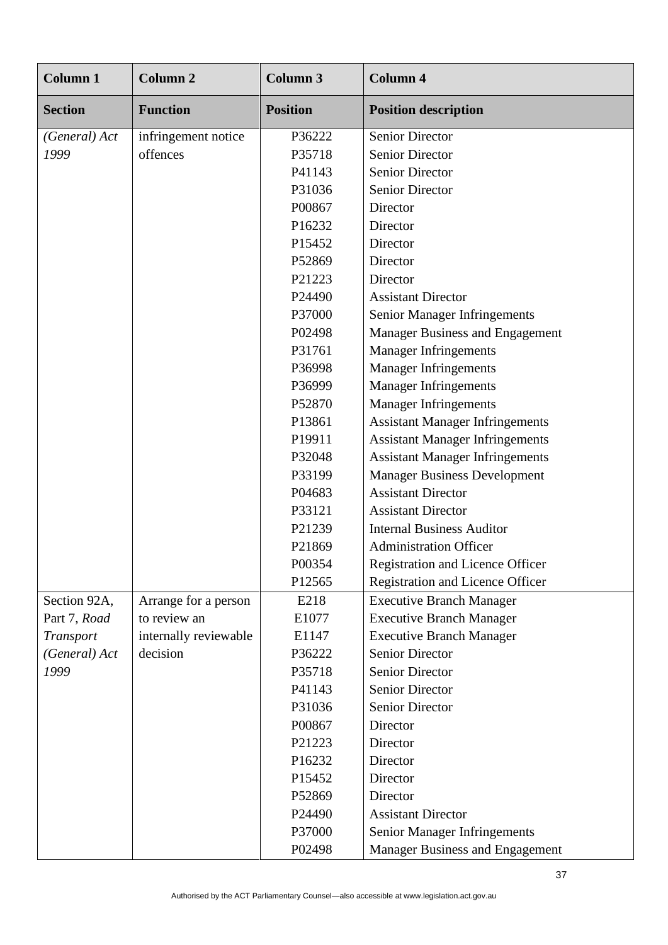| <b>Column 1</b> | <b>Column 2</b>       | <b>Column 3</b> | <b>Column 4</b>                         |
|-----------------|-----------------------|-----------------|-----------------------------------------|
| <b>Section</b>  | <b>Function</b>       | <b>Position</b> | <b>Position description</b>             |
| (General) Act   | infringement notice   | P36222          | <b>Senior Director</b>                  |
| 1999            | offences              | P35718          | <b>Senior Director</b>                  |
|                 |                       | P41143          | <b>Senior Director</b>                  |
|                 |                       | P31036          | <b>Senior Director</b>                  |
|                 |                       | P00867          | Director                                |
|                 |                       | P16232          | Director                                |
|                 |                       | P15452          | Director                                |
|                 |                       | P52869          | Director                                |
|                 |                       | P21223          | Director                                |
|                 |                       | P24490          | <b>Assistant Director</b>               |
|                 |                       | P37000          | <b>Senior Manager Infringements</b>     |
|                 |                       | P02498          | Manager Business and Engagement         |
|                 |                       | P31761          | <b>Manager Infringements</b>            |
|                 |                       | P36998          | <b>Manager Infringements</b>            |
|                 |                       | P36999          | <b>Manager Infringements</b>            |
|                 |                       | P52870          | <b>Manager Infringements</b>            |
|                 |                       | P13861          | <b>Assistant Manager Infringements</b>  |
|                 |                       | P19911          | <b>Assistant Manager Infringements</b>  |
|                 |                       | P32048          | <b>Assistant Manager Infringements</b>  |
|                 |                       | P33199          | <b>Manager Business Development</b>     |
|                 |                       | P04683          | <b>Assistant Director</b>               |
|                 |                       | P33121          | <b>Assistant Director</b>               |
|                 |                       | P21239          | <b>Internal Business Auditor</b>        |
|                 |                       | P21869          | <b>Administration Officer</b>           |
|                 |                       | P00354          | <b>Registration and Licence Officer</b> |
|                 |                       | P12565          | <b>Registration and Licence Officer</b> |
| Section 92A,    | Arrange for a person  | E218            | <b>Executive Branch Manager</b>         |
| Part 7, Road    | to review an          | E1077           | <b>Executive Branch Manager</b>         |
| Transport       | internally reviewable | E1147           | <b>Executive Branch Manager</b>         |
| (General) Act   | decision              | P36222          | <b>Senior Director</b>                  |
| 1999            |                       | P35718          | <b>Senior Director</b>                  |
|                 |                       | P41143          | <b>Senior Director</b>                  |
|                 |                       | P31036          | <b>Senior Director</b>                  |
|                 |                       | P00867          | Director                                |
|                 |                       | P21223          | Director                                |
|                 |                       | P16232          | Director                                |
|                 |                       | P15452          | Director                                |
|                 |                       | P52869          | Director                                |
|                 |                       | P24490          | <b>Assistant Director</b>               |
|                 |                       | P37000          | Senior Manager Infringements            |
|                 |                       | P02498          | Manager Business and Engagement         |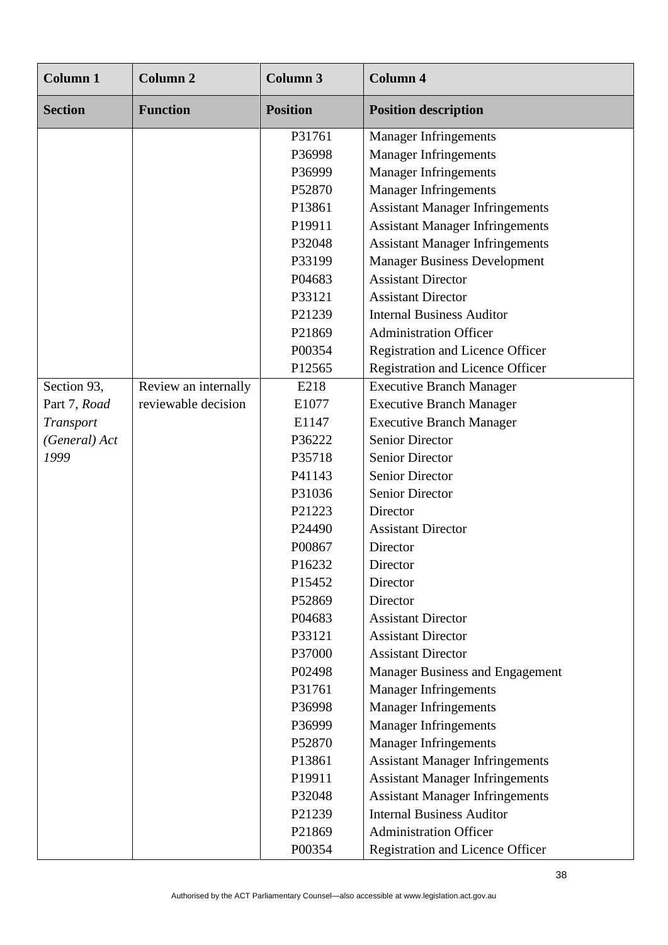| <b>Column 1</b> | <b>Column 2</b>      | <b>Column 3</b> | <b>Column 4</b>                        |
|-----------------|----------------------|-----------------|----------------------------------------|
| <b>Section</b>  | <b>Function</b>      | <b>Position</b> | <b>Position description</b>            |
|                 |                      | P31761          | <b>Manager Infringements</b>           |
|                 |                      | P36998          | <b>Manager Infringements</b>           |
|                 |                      | P36999          | <b>Manager Infringements</b>           |
|                 |                      | P52870          | <b>Manager Infringements</b>           |
|                 |                      | P13861          | <b>Assistant Manager Infringements</b> |
|                 |                      | P19911          | <b>Assistant Manager Infringements</b> |
|                 |                      | P32048          | <b>Assistant Manager Infringements</b> |
|                 |                      | P33199          | <b>Manager Business Development</b>    |
|                 |                      | P04683          | <b>Assistant Director</b>              |
|                 |                      | P33121          | <b>Assistant Director</b>              |
|                 |                      | P21239          | <b>Internal Business Auditor</b>       |
|                 |                      | P21869          | <b>Administration Officer</b>          |
|                 |                      | P00354          | Registration and Licence Officer       |
|                 |                      | P12565          | Registration and Licence Officer       |
| Section 93,     | Review an internally | E218            | <b>Executive Branch Manager</b>        |
| Part 7, Road    | reviewable decision  | E1077           | <b>Executive Branch Manager</b>        |
| Transport       |                      | E1147           | <b>Executive Branch Manager</b>        |
| (General) Act   |                      | P36222          | <b>Senior Director</b>                 |
| 1999            |                      | P35718          | <b>Senior Director</b>                 |
|                 |                      | P41143          | <b>Senior Director</b>                 |
|                 |                      | P31036          | <b>Senior Director</b>                 |
|                 |                      | P21223          | Director                               |
|                 |                      | P24490          | <b>Assistant Director</b>              |
|                 |                      | P00867          | Director                               |
|                 |                      | P16232          | Director                               |
|                 |                      | P15452          | Director                               |
|                 |                      | P52869          | Director                               |
|                 |                      | P04683          | <b>Assistant Director</b>              |
|                 |                      | P33121          | <b>Assistant Director</b>              |
|                 |                      | P37000          | <b>Assistant Director</b>              |
|                 |                      | P02498          | Manager Business and Engagement        |
|                 |                      | P31761          | <b>Manager Infringements</b>           |
|                 |                      | P36998          | <b>Manager Infringements</b>           |
|                 |                      | P36999          | <b>Manager Infringements</b>           |
|                 |                      | P52870          | <b>Manager Infringements</b>           |
|                 |                      | P13861          | <b>Assistant Manager Infringements</b> |
|                 |                      | P19911          | <b>Assistant Manager Infringements</b> |
|                 |                      | P32048          | <b>Assistant Manager Infringements</b> |
|                 |                      | P21239          | <b>Internal Business Auditor</b>       |
|                 |                      | P21869          | <b>Administration Officer</b>          |
|                 |                      | P00354          | Registration and Licence Officer       |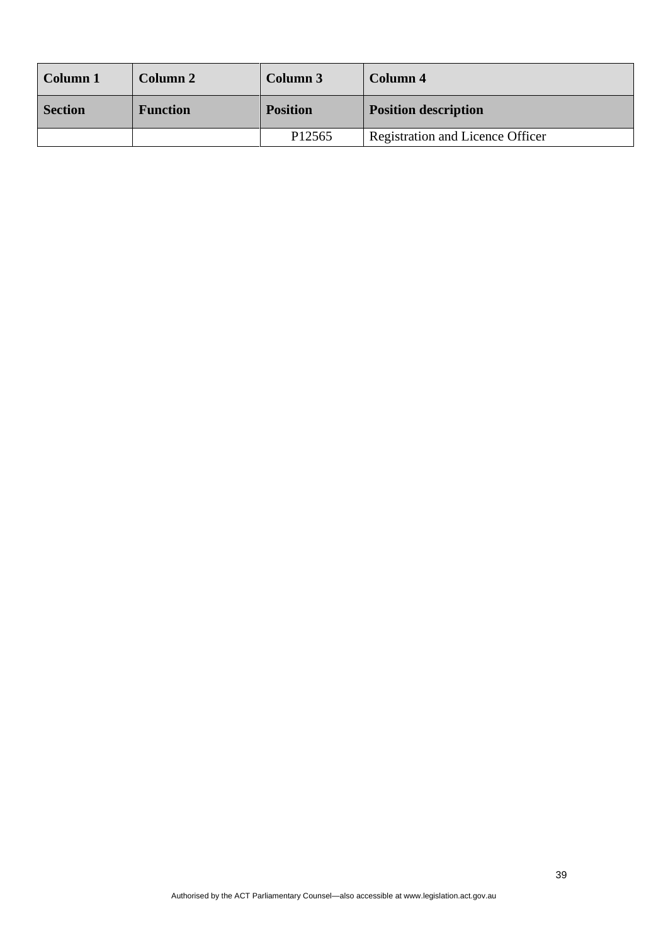| Column 1       | Column 2        | Column 3           | Column 4                                |
|----------------|-----------------|--------------------|-----------------------------------------|
| <b>Section</b> | <b>Function</b> | <b>Position</b>    | <b>Position description</b>             |
|                |                 | P <sub>12565</sub> | <b>Registration and Licence Officer</b> |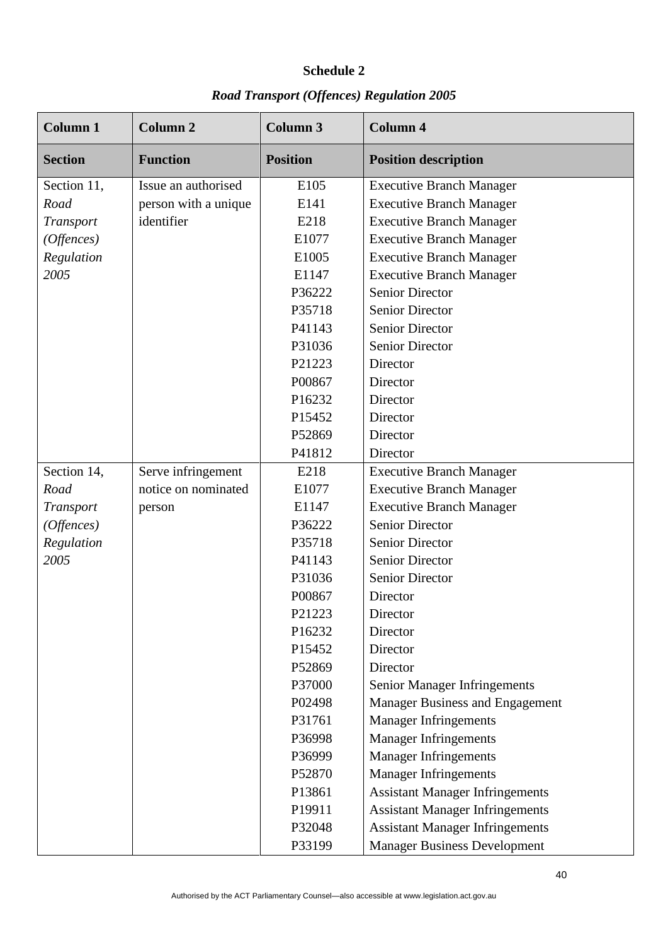|  |  |  | <b>Road Transport (Offences) Regulation 2005</b> |  |
|--|--|--|--------------------------------------------------|--|
|--|--|--|--------------------------------------------------|--|

| <b>Column 1</b> | <b>Column 2</b>      | <b>Column 3</b> | <b>Column 4</b>                        |
|-----------------|----------------------|-----------------|----------------------------------------|
| <b>Section</b>  | <b>Function</b>      | <b>Position</b> | <b>Position description</b>            |
| Section 11,     | Issue an authorised  | E105            | <b>Executive Branch Manager</b>        |
| Road            | person with a unique | E141            | <b>Executive Branch Manager</b>        |
| Transport       | identifier           | E218            | <b>Executive Branch Manager</b>        |
| (Offences)      |                      | E1077           | <b>Executive Branch Manager</b>        |
| Regulation      |                      | E1005           | <b>Executive Branch Manager</b>        |
| 2005            |                      | E1147           | <b>Executive Branch Manager</b>        |
|                 |                      | P36222          | <b>Senior Director</b>                 |
|                 |                      | P35718          | <b>Senior Director</b>                 |
|                 |                      | P41143          | <b>Senior Director</b>                 |
|                 |                      | P31036          | <b>Senior Director</b>                 |
|                 |                      | P21223          | Director                               |
|                 |                      | P00867          | Director                               |
|                 |                      | P16232          | Director                               |
|                 |                      | P15452          | Director                               |
|                 |                      | P52869          | Director                               |
|                 |                      | P41812          | Director                               |
| Section 14,     | Serve infringement   | E218            | <b>Executive Branch Manager</b>        |
| Road            | notice on nominated  | E1077           | <b>Executive Branch Manager</b>        |
| Transport       | person               | E1147           | <b>Executive Branch Manager</b>        |
| (Offences)      |                      | P36222          | <b>Senior Director</b>                 |
| Regulation      |                      | P35718          | <b>Senior Director</b>                 |
| 2005            |                      | P41143          | <b>Senior Director</b>                 |
|                 |                      | P31036          | <b>Senior Director</b>                 |
|                 |                      | P00867          | Director                               |
|                 |                      | P21223          | Director                               |
|                 |                      | P16232          | Director                               |
|                 |                      | P15452          | Director                               |
|                 |                      | P52869          | Director                               |
|                 |                      | P37000          | Senior Manager Infringements           |
|                 |                      | P02498          | Manager Business and Engagement        |
|                 |                      | P31761          | <b>Manager Infringements</b>           |
|                 |                      | P36998          | <b>Manager Infringements</b>           |
|                 |                      | P36999          | <b>Manager Infringements</b>           |
|                 |                      | P52870          | <b>Manager Infringements</b>           |
|                 |                      | P13861          | <b>Assistant Manager Infringements</b> |
|                 |                      | P19911          | <b>Assistant Manager Infringements</b> |
|                 |                      | P32048          | <b>Assistant Manager Infringements</b> |
|                 |                      | P33199          | <b>Manager Business Development</b>    |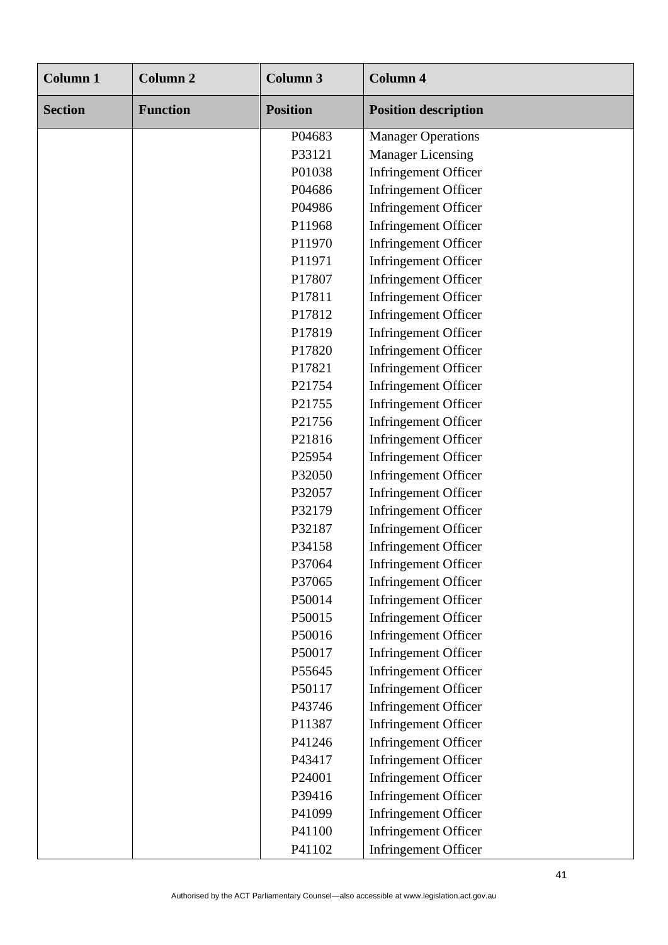| <b>Column 1</b> | <b>Column 2</b> | <b>Column 3</b> | <b>Column 4</b>             |
|-----------------|-----------------|-----------------|-----------------------------|
| <b>Section</b>  | <b>Function</b> | <b>Position</b> | <b>Position description</b> |
|                 |                 | P04683          | <b>Manager Operations</b>   |
|                 |                 | P33121          | <b>Manager Licensing</b>    |
|                 |                 | P01038          | Infringement Officer        |
|                 |                 | P04686          | <b>Infringement Officer</b> |
|                 |                 | P04986          | Infringement Officer        |
|                 |                 | P11968          | <b>Infringement Officer</b> |
|                 |                 | P11970          | <b>Infringement Officer</b> |
|                 |                 | P11971          | Infringement Officer        |
|                 |                 | P17807          | Infringement Officer        |
|                 |                 | P17811          | Infringement Officer        |
|                 |                 | P17812          | <b>Infringement Officer</b> |
|                 |                 | P17819          | Infringement Officer        |
|                 |                 | P17820          | <b>Infringement Officer</b> |
|                 |                 | P17821          | <b>Infringement Officer</b> |
|                 |                 | P21754          | Infringement Officer        |
|                 |                 | P21755          | Infringement Officer        |
|                 |                 | P21756          | <b>Infringement Officer</b> |
|                 |                 | P21816          | Infringement Officer        |
|                 |                 | P25954          | <b>Infringement Officer</b> |
|                 |                 | P32050          | Infringement Officer        |
|                 |                 | P32057          | Infringement Officer        |
|                 |                 | P32179          | <b>Infringement Officer</b> |
|                 |                 | P32187          | <b>Infringement Officer</b> |
|                 |                 | P34158          | <b>Infringement Officer</b> |
|                 |                 | P37064          | <b>Infringement Officer</b> |
|                 |                 | P37065          | Infringement Officer        |
|                 |                 | P50014          | Infringement Officer        |
|                 |                 | P50015          | Infringement Officer        |
|                 |                 | P50016          | <b>Infringement Officer</b> |
|                 |                 | P50017          | Infringement Officer        |
|                 |                 | P55645          | Infringement Officer        |
|                 |                 | P50117          | <b>Infringement Officer</b> |
|                 |                 | P43746          | Infringement Officer        |
|                 |                 | P11387          | Infringement Officer        |
|                 |                 | P41246          | Infringement Officer        |
|                 |                 | P43417          | Infringement Officer        |
|                 |                 | P24001          | Infringement Officer        |
|                 |                 | P39416          | Infringement Officer        |
|                 |                 | P41099          | Infringement Officer        |
|                 |                 | P41100          | <b>Infringement Officer</b> |
|                 |                 | P41102          | Infringement Officer        |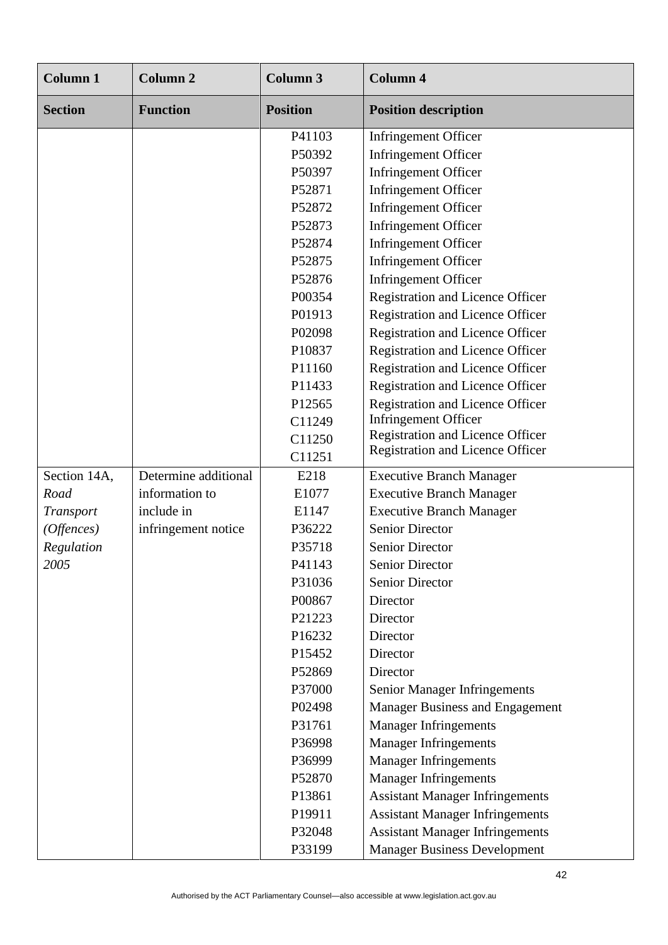| <b>Column 1</b> | <b>Column 2</b>      | <b>Column 3</b> | <b>Column 4</b>                                                             |
|-----------------|----------------------|-----------------|-----------------------------------------------------------------------------|
| <b>Section</b>  | <b>Function</b>      | <b>Position</b> | <b>Position description</b>                                                 |
|                 |                      | P41103          | Infringement Officer                                                        |
|                 |                      | P50392          | Infringement Officer                                                        |
|                 |                      | P50397          | Infringement Officer                                                        |
|                 |                      | P52871          | Infringement Officer                                                        |
|                 |                      | P52872          | Infringement Officer                                                        |
|                 |                      | P52873          | Infringement Officer                                                        |
|                 |                      | P52874          | Infringement Officer                                                        |
|                 |                      | P52875          | Infringement Officer                                                        |
|                 |                      | P52876          | <b>Infringement Officer</b>                                                 |
|                 |                      | P00354          | Registration and Licence Officer                                            |
|                 |                      | P01913          | Registration and Licence Officer                                            |
|                 |                      | P02098          | Registration and Licence Officer                                            |
|                 |                      | P10837          | Registration and Licence Officer                                            |
|                 |                      | P11160          | Registration and Licence Officer                                            |
|                 |                      | P11433          | Registration and Licence Officer                                            |
|                 |                      | P12565          | Registration and Licence Officer                                            |
|                 |                      | C11249          | Infringement Officer                                                        |
|                 |                      | C11250          | Registration and Licence Officer<br><b>Registration and Licence Officer</b> |
|                 |                      | C11251          |                                                                             |
| Section 14A,    | Determine additional | E218            | <b>Executive Branch Manager</b>                                             |
| Road            | information to       | E1077           | <b>Executive Branch Manager</b>                                             |
| Transport       | include in           | E1147           | <b>Executive Branch Manager</b>                                             |
| (Offences)      | infringement notice  | P36222          | <b>Senior Director</b>                                                      |
| Regulation      |                      | P35718          | <b>Senior Director</b>                                                      |
| 2005            |                      | P41143          | <b>Senior Director</b>                                                      |
|                 |                      | P31036          | <b>Senior Director</b>                                                      |
|                 |                      | P00867          | Director                                                                    |
|                 |                      | P21223          | Director                                                                    |
|                 |                      | P16232          | Director                                                                    |
|                 |                      | P15452          | Director                                                                    |
|                 |                      | P52869          | Director                                                                    |
|                 |                      | P37000          | <b>Senior Manager Infringements</b>                                         |
|                 |                      | P02498          | Manager Business and Engagement                                             |
|                 |                      | P31761          | <b>Manager Infringements</b>                                                |
|                 |                      | P36998          | <b>Manager Infringements</b>                                                |
|                 |                      | P36999          | <b>Manager Infringements</b>                                                |
|                 |                      | P52870          | <b>Manager Infringements</b>                                                |
|                 |                      | P13861          | <b>Assistant Manager Infringements</b>                                      |
|                 |                      | P19911          | <b>Assistant Manager Infringements</b>                                      |
|                 |                      | P32048          | <b>Assistant Manager Infringements</b>                                      |
|                 |                      | P33199          | <b>Manager Business Development</b>                                         |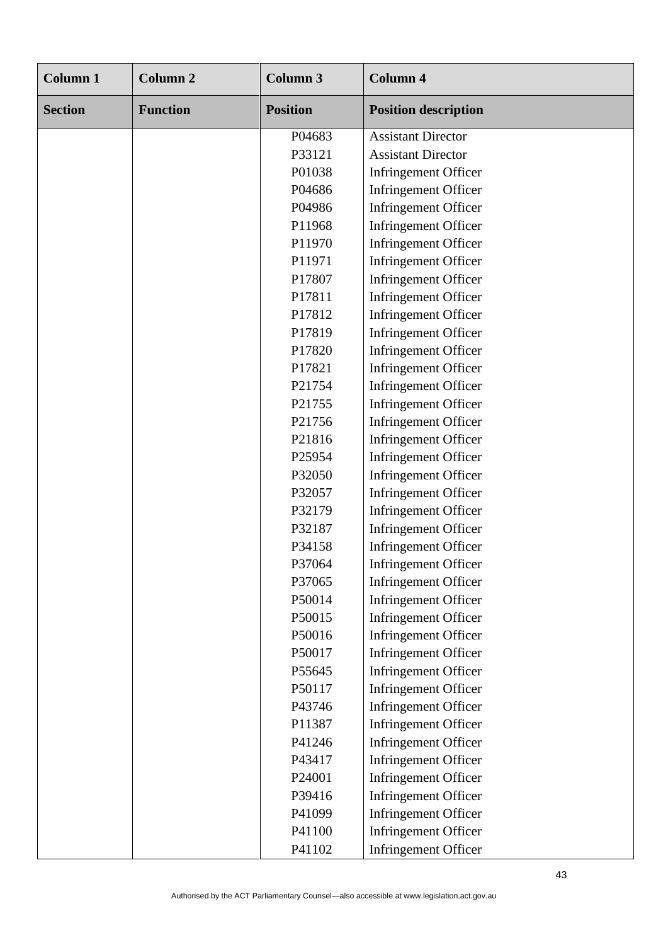| <b>Column 1</b> | <b>Column 2</b> | <b>Column 3</b> | <b>Column 4</b>             |
|-----------------|-----------------|-----------------|-----------------------------|
| <b>Section</b>  | <b>Function</b> | <b>Position</b> | <b>Position description</b> |
|                 |                 | P04683          | <b>Assistant Director</b>   |
|                 |                 | P33121          | <b>Assistant Director</b>   |
|                 |                 | P01038          | Infringement Officer        |
|                 |                 | P04686          | <b>Infringement Officer</b> |
|                 |                 | P04986          | Infringement Officer        |
|                 |                 | P11968          | Infringement Officer        |
|                 |                 | P11970          | <b>Infringement Officer</b> |
|                 |                 | P11971          | Infringement Officer        |
|                 |                 | P17807          | <b>Infringement Officer</b> |
|                 |                 | P17811          | Infringement Officer        |
|                 |                 | P17812          | Infringement Officer        |
|                 |                 | P17819          | Infringement Officer        |
|                 |                 | P17820          | Infringement Officer        |
|                 |                 | P17821          | <b>Infringement Officer</b> |
|                 |                 | P21754          | Infringement Officer        |
|                 |                 | P21755          | Infringement Officer        |
|                 |                 | P21756          | <b>Infringement Officer</b> |
|                 |                 | P21816          | Infringement Officer        |
|                 |                 | P25954          | Infringement Officer        |
|                 |                 | P32050          | <b>Infringement Officer</b> |
|                 |                 | P32057          | Infringement Officer        |
|                 |                 | P32179          | <b>Infringement Officer</b> |
|                 |                 | P32187          | <b>Infringement Officer</b> |
|                 |                 | P34158          | <b>Infringement Officer</b> |
|                 |                 | P37064          | <b>Infringement Officer</b> |
|                 |                 | P37065          | Infringement Officer        |
|                 |                 | P50014          | Infringement Officer        |
|                 |                 | P50015          | <b>Infringement Officer</b> |
|                 |                 | P50016          | Infringement Officer        |
|                 |                 | P50017          | Infringement Officer        |
|                 |                 | P55645          | Infringement Officer        |
|                 |                 | P50117          | <b>Infringement Officer</b> |
|                 |                 | P43746          | Infringement Officer        |
|                 |                 | P11387          | <b>Infringement Officer</b> |
|                 |                 | P41246          | Infringement Officer        |
|                 |                 | P43417          | Infringement Officer        |
|                 |                 | P24001          | <b>Infringement Officer</b> |
|                 |                 | P39416          | Infringement Officer        |
|                 |                 | P41099          | Infringement Officer        |
|                 |                 | P41100          | <b>Infringement Officer</b> |
|                 |                 | P41102          | Infringement Officer        |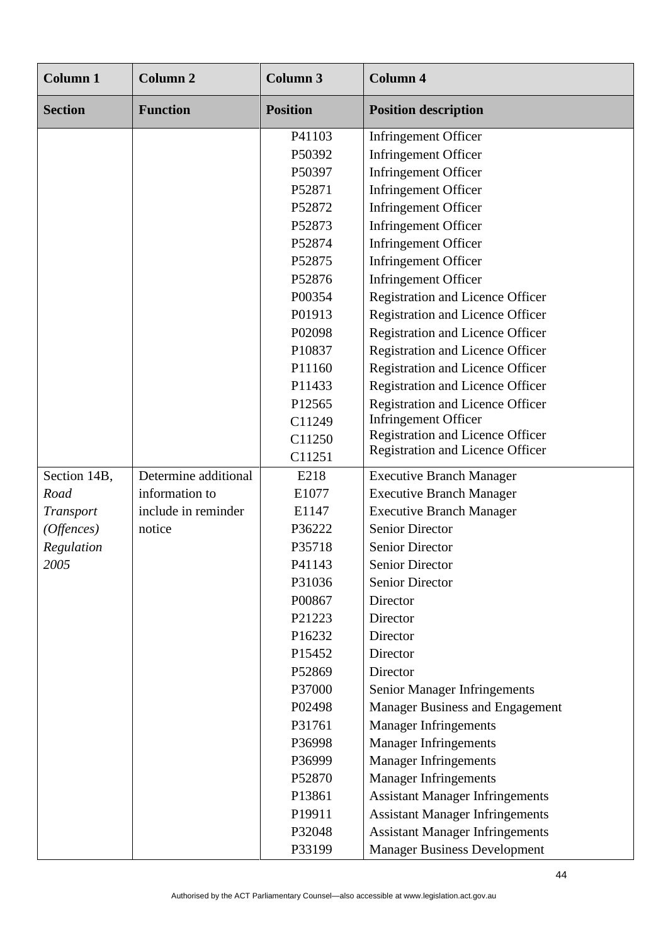| <b>Column 1</b> | <b>Column 2</b>      | <b>Column 3</b> | <b>Column 4</b>                        |
|-----------------|----------------------|-----------------|----------------------------------------|
| <b>Section</b>  | <b>Function</b>      | <b>Position</b> | <b>Position description</b>            |
|                 |                      | P41103          | Infringement Officer                   |
|                 |                      | P50392          | Infringement Officer                   |
|                 |                      | P50397          | Infringement Officer                   |
|                 |                      | P52871          | <b>Infringement Officer</b>            |
|                 |                      | P52872          | Infringement Officer                   |
|                 |                      | P52873          | Infringement Officer                   |
|                 |                      | P52874          | Infringement Officer                   |
|                 |                      | P52875          | Infringement Officer                   |
|                 |                      | P52876          | Infringement Officer                   |
|                 |                      | P00354          | Registration and Licence Officer       |
|                 |                      | P01913          | Registration and Licence Officer       |
|                 |                      | P02098          | Registration and Licence Officer       |
|                 |                      | P10837          | Registration and Licence Officer       |
|                 |                      | P11160          | Registration and Licence Officer       |
|                 |                      | P11433          | Registration and Licence Officer       |
|                 |                      | P12565          | Registration and Licence Officer       |
|                 |                      | C11249          | <b>Infringement Officer</b>            |
|                 |                      | C11250          | Registration and Licence Officer       |
|                 |                      | C11251          | Registration and Licence Officer       |
| Section 14B,    | Determine additional | E218            | <b>Executive Branch Manager</b>        |
| Road            | information to       | E1077           | <b>Executive Branch Manager</b>        |
| Transport       | include in reminder  | E1147           | <b>Executive Branch Manager</b>        |
| (Offences)      | notice               | P36222          | <b>Senior Director</b>                 |
| Regulation      |                      | P35718          | <b>Senior Director</b>                 |
| 2005            |                      | P41143          | <b>Senior Director</b>                 |
|                 |                      | P31036          | <b>Senior Director</b>                 |
|                 |                      | P00867          | Director                               |
|                 |                      | P21223          | Director                               |
|                 |                      | P16232          | Director                               |
|                 |                      | P15452          | Director                               |
|                 |                      | P52869          | Director                               |
|                 |                      | P37000          | <b>Senior Manager Infringements</b>    |
|                 |                      | P02498          | Manager Business and Engagement        |
|                 |                      | P31761          | <b>Manager Infringements</b>           |
|                 |                      | P36998          | <b>Manager Infringements</b>           |
|                 |                      | P36999          | <b>Manager Infringements</b>           |
|                 |                      | P52870          | <b>Manager Infringements</b>           |
|                 |                      | P13861          | <b>Assistant Manager Infringements</b> |
|                 |                      | P19911          | <b>Assistant Manager Infringements</b> |
|                 |                      | P32048          | <b>Assistant Manager Infringements</b> |
|                 |                      | P33199          | <b>Manager Business Development</b>    |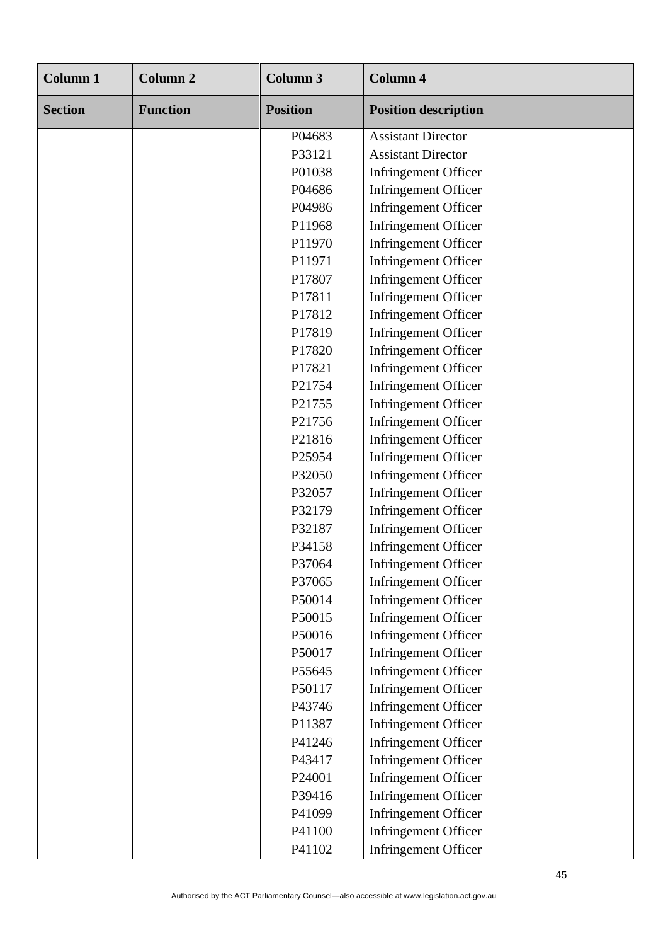| <b>Column 1</b> | <b>Column 2</b> | <b>Column 3</b> | <b>Column 4</b>             |
|-----------------|-----------------|-----------------|-----------------------------|
| <b>Section</b>  | <b>Function</b> | <b>Position</b> | <b>Position description</b> |
|                 |                 | P04683          | <b>Assistant Director</b>   |
|                 |                 | P33121          | <b>Assistant Director</b>   |
|                 |                 | P01038          | <b>Infringement Officer</b> |
|                 |                 | P04686          | <b>Infringement Officer</b> |
|                 |                 | P04986          | Infringement Officer        |
|                 |                 | P11968          | <b>Infringement Officer</b> |
|                 |                 | P11970          | <b>Infringement Officer</b> |
|                 |                 | P11971          | Infringement Officer        |
|                 |                 | P17807          | <b>Infringement Officer</b> |
|                 |                 | P17811          | Infringement Officer        |
|                 |                 | P17812          | Infringement Officer        |
|                 |                 | P17819          | Infringement Officer        |
|                 |                 | P17820          | <b>Infringement Officer</b> |
|                 |                 | P17821          | <b>Infringement Officer</b> |
|                 |                 | P21754          | Infringement Officer        |
|                 |                 | P21755          | <b>Infringement Officer</b> |
|                 |                 | P21756          | <b>Infringement Officer</b> |
|                 |                 | P21816          | Infringement Officer        |
|                 |                 | P25954          | Infringement Officer        |
|                 |                 | P32050          | <b>Infringement Officer</b> |
|                 |                 | P32057          | Infringement Officer        |
|                 |                 | P32179          | Infringement Officer        |
|                 |                 | P32187          | Infringement Officer        |
|                 |                 | P34158          | <b>Infringement Officer</b> |
|                 |                 | P37064          | <b>Infringement Officer</b> |
|                 |                 | P37065          | Infringement Officer        |
|                 |                 | P50014          | Infringement Officer        |
|                 |                 | P50015          | <b>Infringement Officer</b> |
|                 |                 | P50016          | Infringement Officer        |
|                 |                 | P50017          | Infringement Officer        |
|                 |                 | P55645          | Infringement Officer        |
|                 |                 | P50117          | <b>Infringement Officer</b> |
|                 |                 | P43746          | Infringement Officer        |
|                 |                 | P11387          | <b>Infringement Officer</b> |
|                 |                 | P41246          | Infringement Officer        |
|                 |                 | P43417          | Infringement Officer        |
|                 |                 | P24001          | <b>Infringement Officer</b> |
|                 |                 | P39416          | Infringement Officer        |
|                 |                 | P41099          | Infringement Officer        |
|                 |                 | P41100          | <b>Infringement Officer</b> |
|                 |                 | P41102          | Infringement Officer        |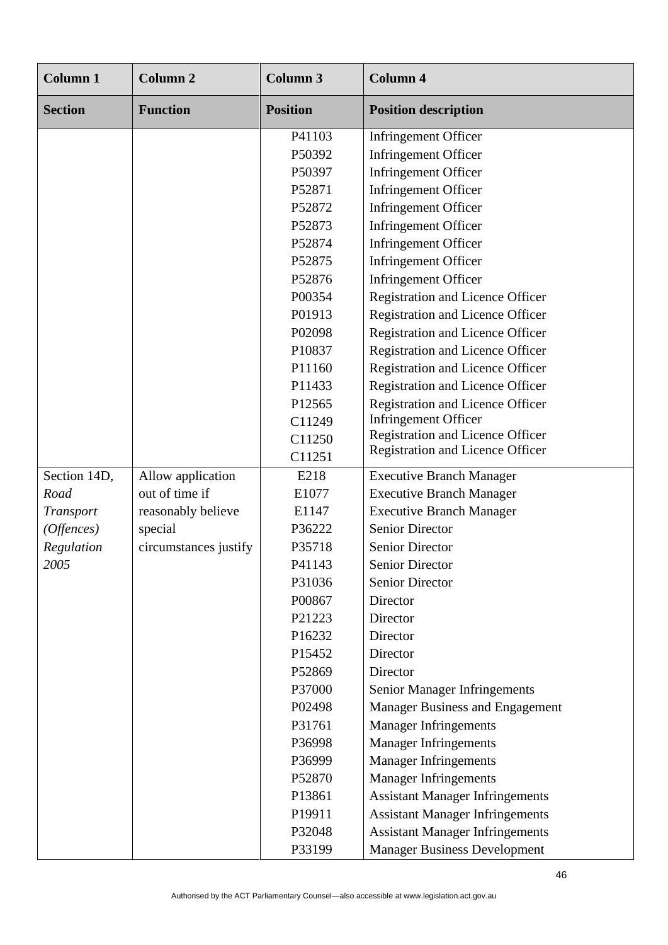| <b>Column 1</b>  | <b>Column 2</b>       | <b>Column 3</b> | <b>Column 4</b>                         |
|------------------|-----------------------|-----------------|-----------------------------------------|
| <b>Section</b>   | <b>Function</b>       | <b>Position</b> | <b>Position description</b>             |
|                  |                       | P41103          | <b>Infringement Officer</b>             |
|                  |                       | P50392          | Infringement Officer                    |
|                  |                       | P50397          | Infringement Officer                    |
|                  |                       | P52871          | <b>Infringement Officer</b>             |
|                  |                       | P52872          | <b>Infringement Officer</b>             |
|                  |                       | P52873          | <b>Infringement Officer</b>             |
|                  |                       | P52874          | <b>Infringement Officer</b>             |
|                  |                       | P52875          | Infringement Officer                    |
|                  |                       | P52876          | Infringement Officer                    |
|                  |                       | P00354          | Registration and Licence Officer        |
|                  |                       | P01913          | Registration and Licence Officer        |
|                  |                       | P02098          | Registration and Licence Officer        |
|                  |                       | P10837          | Registration and Licence Officer        |
|                  |                       | P11160          | Registration and Licence Officer        |
|                  |                       | P11433          | Registration and Licence Officer        |
|                  |                       | P12565          | Registration and Licence Officer        |
|                  |                       | C11249          | <b>Infringement Officer</b>             |
|                  |                       | C11250          | Registration and Licence Officer        |
|                  |                       | C11251          | <b>Registration and Licence Officer</b> |
| Section 14D,     | Allow application     | E218            | <b>Executive Branch Manager</b>         |
| Road             | out of time if        | E1077           | <b>Executive Branch Manager</b>         |
| <b>Transport</b> | reasonably believe    | E1147           | <b>Executive Branch Manager</b>         |
| (Offences)       | special               | P36222          | <b>Senior Director</b>                  |
| Regulation       | circumstances justify | P35718          | <b>Senior Director</b>                  |
| 2005             |                       | P41143          | <b>Senior Director</b>                  |
|                  |                       | P31036          | <b>Senior Director</b>                  |
|                  |                       | P00867          | Director                                |
|                  |                       | P21223          | Director                                |
|                  |                       | P16232          | Director                                |
|                  |                       | P15452          | Director                                |
|                  |                       | P52869          | Director                                |
|                  |                       | P37000          | <b>Senior Manager Infringements</b>     |
|                  |                       | P02498          | Manager Business and Engagement         |
|                  |                       | P31761          | <b>Manager Infringements</b>            |
|                  |                       | P36998          | <b>Manager Infringements</b>            |
|                  |                       | P36999          | <b>Manager Infringements</b>            |
|                  |                       | P52870          | <b>Manager Infringements</b>            |
|                  |                       | P13861          | <b>Assistant Manager Infringements</b>  |
|                  |                       | P19911          | <b>Assistant Manager Infringements</b>  |
|                  |                       | P32048          | <b>Assistant Manager Infringements</b>  |
|                  |                       | P33199          | <b>Manager Business Development</b>     |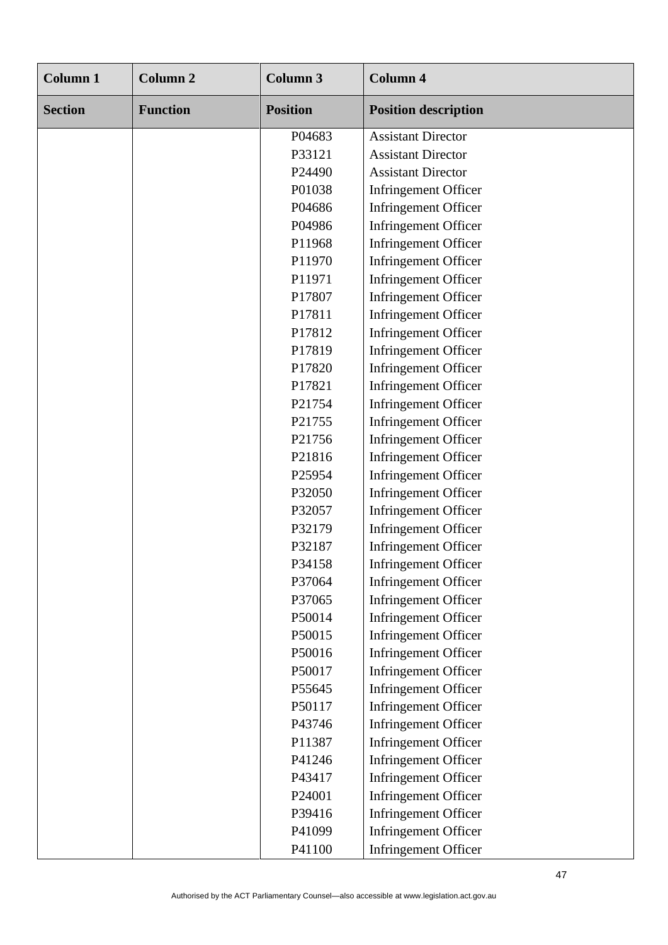| <b>Column 1</b> | <b>Column 2</b> | <b>Column 3</b> | <b>Column 4</b>             |
|-----------------|-----------------|-----------------|-----------------------------|
| <b>Section</b>  | <b>Function</b> | <b>Position</b> | <b>Position description</b> |
|                 |                 | P04683          | <b>Assistant Director</b>   |
|                 |                 | P33121          | <b>Assistant Director</b>   |
|                 |                 | P24490          | <b>Assistant Director</b>   |
|                 |                 | P01038          | Infringement Officer        |
|                 |                 | P04686          | <b>Infringement Officer</b> |
|                 |                 | P04986          | Infringement Officer        |
|                 |                 | P11968          | <b>Infringement Officer</b> |
|                 |                 | P11970          | Infringement Officer        |
|                 |                 | P11971          | <b>Infringement Officer</b> |
|                 |                 | P17807          | Infringement Officer        |
|                 |                 | P17811          | Infringement Officer        |
|                 |                 | P17812          | Infringement Officer        |
|                 |                 | P17819          | <b>Infringement Officer</b> |
|                 |                 | P17820          | <b>Infringement Officer</b> |
|                 |                 | P17821          | Infringement Officer        |
|                 |                 | P21754          | Infringement Officer        |
|                 |                 | P21755          | <b>Infringement Officer</b> |
|                 |                 | P21756          | <b>Infringement Officer</b> |
|                 |                 | P21816          | <b>Infringement Officer</b> |
|                 |                 | P25954          | <b>Infringement Officer</b> |
|                 |                 | P32050          | Infringement Officer        |
|                 |                 | P32057          | Infringement Officer        |
|                 |                 | P32179          | Infringement Officer        |
|                 |                 | P32187          | <b>Infringement Officer</b> |
|                 |                 | P34158          | <b>Infringement Officer</b> |
|                 |                 | P37064          | Infringement Officer        |
|                 |                 | P37065          | Infringement Officer        |
|                 |                 | P50014          | <b>Infringement Officer</b> |
|                 |                 | P50015          | Infringement Officer        |
|                 |                 | P50016          | Infringement Officer        |
|                 |                 | P50017          | Infringement Officer        |
|                 |                 | P55645          | <b>Infringement Officer</b> |
|                 |                 | P50117          | Infringement Officer        |
|                 |                 | P43746          | <b>Infringement Officer</b> |
|                 |                 | P11387          | Infringement Officer        |
|                 |                 | P41246          | <b>Infringement Officer</b> |
|                 |                 | P43417          | <b>Infringement Officer</b> |
|                 |                 | P24001          | Infringement Officer        |
|                 |                 | P39416          | Infringement Officer        |
|                 |                 | P41099          | <b>Infringement Officer</b> |
|                 |                 | P41100          | Infringement Officer        |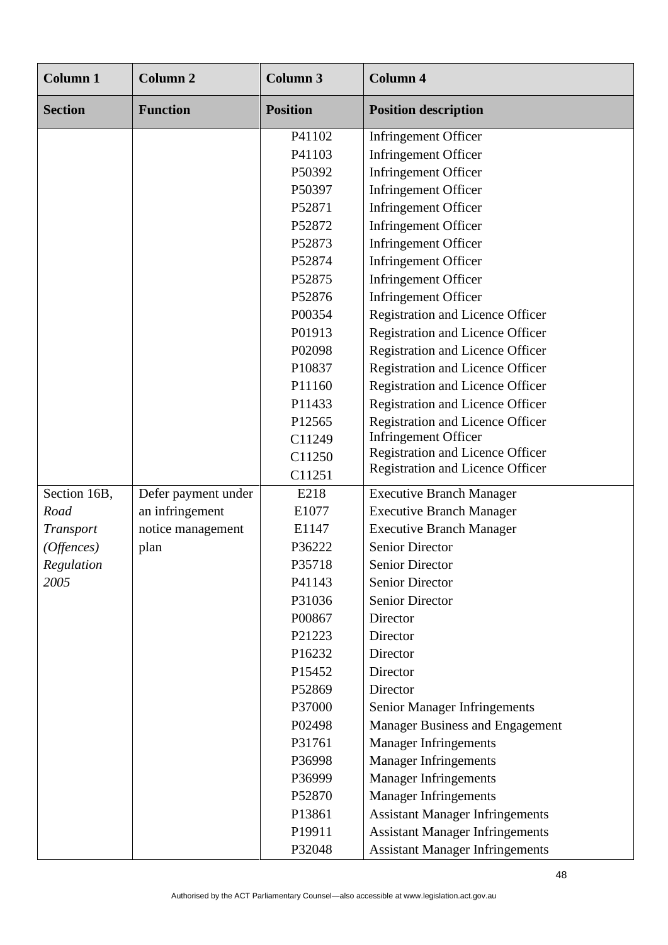| <b>Column 1</b> | <b>Column 2</b>     | <b>Column 3</b> | <b>Column 4</b>                                                                    |
|-----------------|---------------------|-----------------|------------------------------------------------------------------------------------|
| <b>Section</b>  | <b>Function</b>     | <b>Position</b> | <b>Position description</b>                                                        |
|                 |                     | P41102          | <b>Infringement Officer</b>                                                        |
|                 |                     | P41103          | <b>Infringement Officer</b>                                                        |
|                 |                     | P50392          | <b>Infringement Officer</b>                                                        |
|                 |                     | P50397          | <b>Infringement Officer</b>                                                        |
|                 |                     | P52871          | <b>Infringement Officer</b>                                                        |
|                 |                     | P52872          | Infringement Officer                                                               |
|                 |                     | P52873          | <b>Infringement Officer</b>                                                        |
|                 |                     | P52874          | <b>Infringement Officer</b>                                                        |
|                 |                     | P52875          | <b>Infringement Officer</b>                                                        |
|                 |                     | P52876          | <b>Infringement Officer</b>                                                        |
|                 |                     | P00354          | Registration and Licence Officer                                                   |
|                 |                     | P01913          | Registration and Licence Officer                                                   |
|                 |                     | P02098          | Registration and Licence Officer                                                   |
|                 |                     | P10837          | Registration and Licence Officer                                                   |
|                 |                     | P11160          | Registration and Licence Officer                                                   |
|                 |                     | P11433          | Registration and Licence Officer                                                   |
|                 |                     | P12565          | Registration and Licence Officer                                                   |
|                 |                     | C11249          | <b>Infringement Officer</b>                                                        |
|                 |                     | C11250          | <b>Registration and Licence Officer</b><br><b>Registration and Licence Officer</b> |
|                 |                     | C11251          |                                                                                    |
| Section 16B,    | Defer payment under | E218            | <b>Executive Branch Manager</b>                                                    |
| Road            | an infringement     | E1077           | <b>Executive Branch Manager</b>                                                    |
| Transport       | notice management   | E1147           | <b>Executive Branch Manager</b>                                                    |
| (Offences)      | plan                | P36222          | <b>Senior Director</b>                                                             |
| Regulation      |                     | P35718          | <b>Senior Director</b>                                                             |
| 2005            |                     | P41143          | <b>Senior Director</b>                                                             |
|                 |                     | P31036          | <b>Senior Director</b>                                                             |
|                 |                     | P00867          | Director                                                                           |
|                 |                     | P21223          | Director                                                                           |
|                 |                     | P16232          | Director                                                                           |
|                 |                     | P15452          | Director                                                                           |
|                 |                     | P52869          | Director                                                                           |
|                 |                     | P37000          | <b>Senior Manager Infringements</b>                                                |
|                 |                     | P02498          | Manager Business and Engagement                                                    |
|                 |                     | P31761          | <b>Manager Infringements</b>                                                       |
|                 |                     | P36998          | <b>Manager Infringements</b>                                                       |
|                 |                     | P36999          | <b>Manager Infringements</b>                                                       |
|                 |                     | P52870          | <b>Manager Infringements</b>                                                       |
|                 |                     | P13861          | <b>Assistant Manager Infringements</b>                                             |
|                 |                     | P19911          | <b>Assistant Manager Infringements</b>                                             |
|                 |                     | P32048          | <b>Assistant Manager Infringements</b>                                             |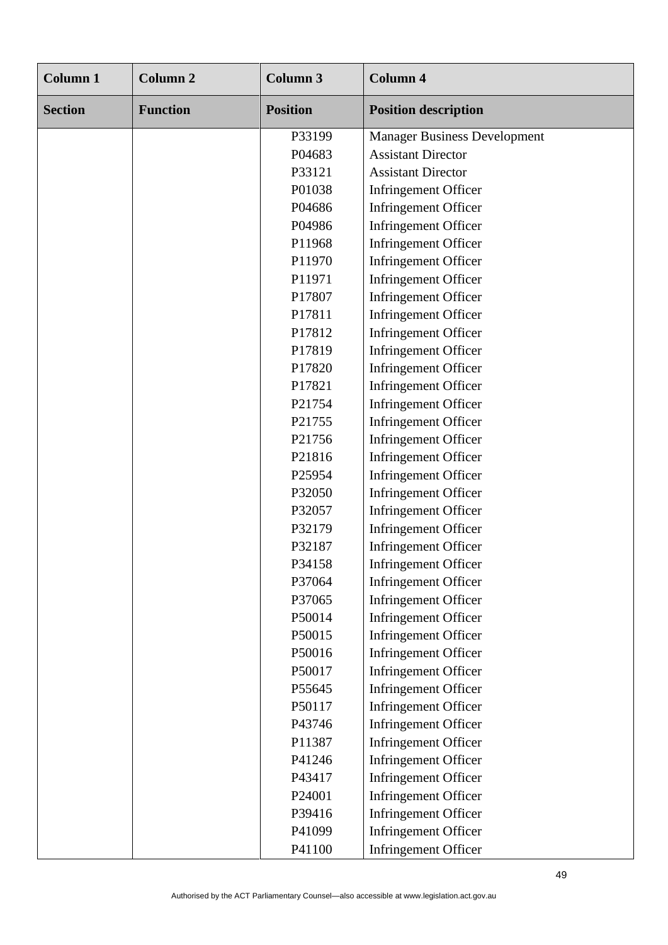| <b>Column 1</b> | <b>Column 2</b> | <b>Column 3</b> | <b>Column 4</b>                     |
|-----------------|-----------------|-----------------|-------------------------------------|
| <b>Section</b>  | <b>Function</b> | <b>Position</b> | <b>Position description</b>         |
|                 |                 | P33199          | <b>Manager Business Development</b> |
|                 |                 | P04683          | <b>Assistant Director</b>           |
|                 |                 | P33121          | <b>Assistant Director</b>           |
|                 |                 | P01038          | Infringement Officer                |
|                 |                 | P04686          | Infringement Officer                |
|                 |                 | P04986          | Infringement Officer                |
|                 |                 | P11968          | Infringement Officer                |
|                 |                 | P11970          | Infringement Officer                |
|                 |                 | P11971          | <b>Infringement Officer</b>         |
|                 |                 | P17807          | Infringement Officer                |
|                 |                 | P17811          | Infringement Officer                |
|                 |                 | P17812          | Infringement Officer                |
|                 |                 | P17819          | <b>Infringement Officer</b>         |
|                 |                 | P17820          | <b>Infringement Officer</b>         |
|                 |                 | P17821          | <b>Infringement Officer</b>         |
|                 |                 | P21754          | Infringement Officer                |
|                 |                 | P21755          | <b>Infringement Officer</b>         |
|                 |                 | P21756          | <b>Infringement Officer</b>         |
|                 |                 | P21816          | <b>Infringement Officer</b>         |
|                 |                 | P25954          | <b>Infringement Officer</b>         |
|                 |                 | P32050          | Infringement Officer                |
|                 |                 | P32057          | <b>Infringement Officer</b>         |
|                 |                 | P32179          | <b>Infringement Officer</b>         |
|                 |                 | P32187          | <b>Infringement Officer</b>         |
|                 |                 | P34158          | Infringement Officer                |
|                 |                 | P37064          | Infringement Officer                |
|                 |                 | P37065          | Infringement Officer                |
|                 |                 | P50014          | Infringement Officer                |
|                 |                 | P50015          | <b>Infringement Officer</b>         |
|                 |                 | P50016          | <b>Infringement Officer</b>         |
|                 |                 | P50017          | <b>Infringement Officer</b>         |
|                 |                 | P55645          | Infringement Officer                |
|                 |                 | P50117          | <b>Infringement Officer</b>         |
|                 |                 | P43746          | Infringement Officer                |
|                 |                 | P11387          | <b>Infringement Officer</b>         |
|                 |                 | P41246          | <b>Infringement Officer</b>         |
|                 |                 | P43417          | Infringement Officer                |
|                 |                 | P24001          | Infringement Officer                |
|                 |                 | P39416          | Infringement Officer                |
|                 |                 | P41099          | Infringement Officer                |
|                 |                 | P41100          | Infringement Officer                |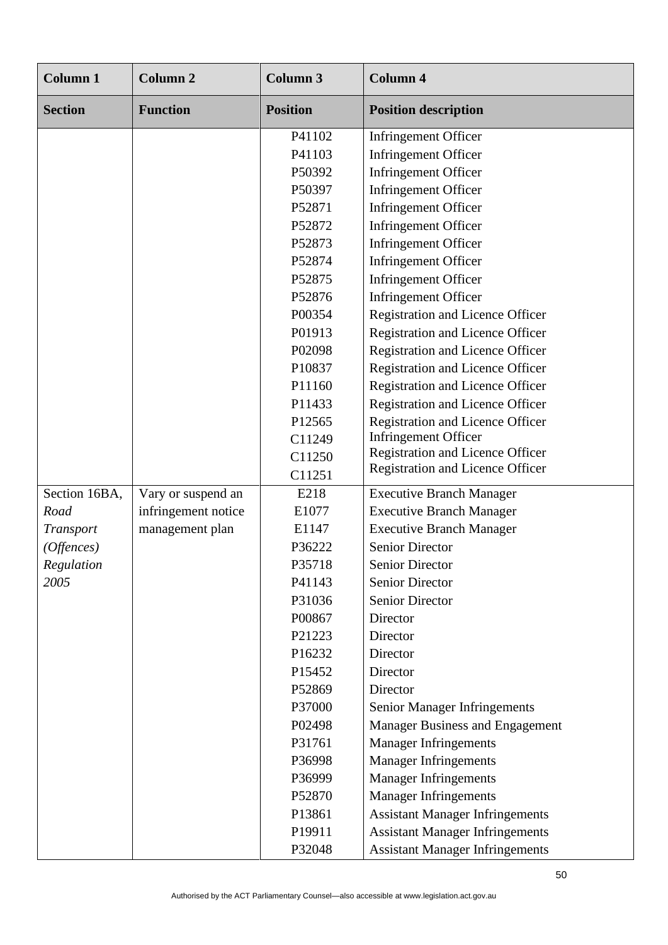| <b>Column 1</b> | <b>Column 2</b>     | <b>Column 3</b> | <b>Column 4</b>                                                                    |
|-----------------|---------------------|-----------------|------------------------------------------------------------------------------------|
| <b>Section</b>  | <b>Function</b>     | <b>Position</b> | <b>Position description</b>                                                        |
|                 |                     | P41102          | <b>Infringement Officer</b>                                                        |
|                 |                     | P41103          | Infringement Officer                                                               |
|                 |                     | P50392          | <b>Infringement Officer</b>                                                        |
|                 |                     | P50397          | <b>Infringement Officer</b>                                                        |
|                 |                     | P52871          | <b>Infringement Officer</b>                                                        |
|                 |                     | P52872          | Infringement Officer                                                               |
|                 |                     | P52873          | <b>Infringement Officer</b>                                                        |
|                 |                     | P52874          | Infringement Officer                                                               |
|                 |                     | P52875          | <b>Infringement Officer</b>                                                        |
|                 |                     | P52876          | <b>Infringement Officer</b>                                                        |
|                 |                     | P00354          | Registration and Licence Officer                                                   |
|                 |                     | P01913          | Registration and Licence Officer                                                   |
|                 |                     | P02098          | <b>Registration and Licence Officer</b>                                            |
|                 |                     | P10837          | Registration and Licence Officer                                                   |
|                 |                     | P11160          | Registration and Licence Officer                                                   |
|                 |                     | P11433          | Registration and Licence Officer                                                   |
|                 |                     | P12565          | Registration and Licence Officer                                                   |
|                 |                     | C11249          | <b>Infringement Officer</b>                                                        |
|                 |                     | C11250          | <b>Registration and Licence Officer</b><br><b>Registration and Licence Officer</b> |
|                 |                     | C11251          |                                                                                    |
| Section 16BA,   | Vary or suspend an  | E218            | <b>Executive Branch Manager</b>                                                    |
| Road            | infringement notice | E1077           | <b>Executive Branch Manager</b>                                                    |
| Transport       | management plan     | E1147           | <b>Executive Branch Manager</b>                                                    |
| (Offences)      |                     | P36222          | <b>Senior Director</b>                                                             |
| Regulation      |                     | P35718          | <b>Senior Director</b>                                                             |
| 2005            |                     | P41143          | <b>Senior Director</b>                                                             |
|                 |                     | P31036          | <b>Senior Director</b>                                                             |
|                 |                     | P00867          | Director                                                                           |
|                 |                     | P21223          | Director                                                                           |
|                 |                     | P16232          | Director                                                                           |
|                 |                     | P15452          | Director                                                                           |
|                 |                     | P52869          | Director                                                                           |
|                 |                     | P37000          | <b>Senior Manager Infringements</b>                                                |
|                 |                     | P02498          | Manager Business and Engagement                                                    |
|                 |                     | P31761          | <b>Manager Infringements</b>                                                       |
|                 |                     | P36998          | <b>Manager Infringements</b>                                                       |
|                 |                     | P36999          | <b>Manager Infringements</b>                                                       |
|                 |                     | P52870          | <b>Manager Infringements</b>                                                       |
|                 |                     | P13861          | <b>Assistant Manager Infringements</b>                                             |
|                 |                     | P19911          | <b>Assistant Manager Infringements</b>                                             |
|                 |                     | P32048          | <b>Assistant Manager Infringements</b>                                             |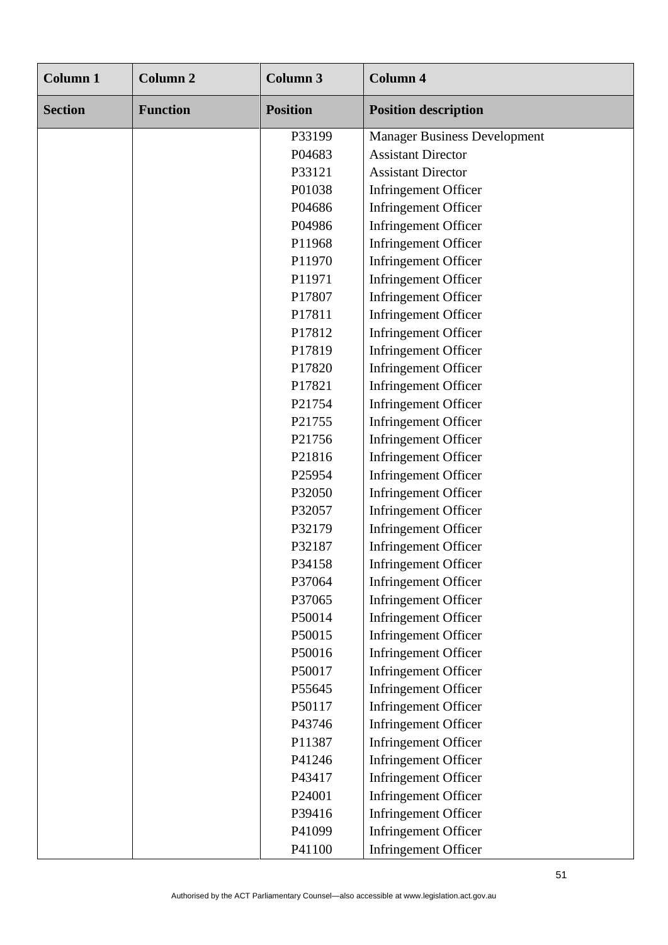| <b>Column 1</b> | <b>Column 2</b> | <b>Column 3</b> | <b>Column 4</b>                     |
|-----------------|-----------------|-----------------|-------------------------------------|
| <b>Section</b>  | <b>Function</b> | <b>Position</b> | <b>Position description</b>         |
|                 |                 | P33199          | <b>Manager Business Development</b> |
|                 |                 | P04683          | <b>Assistant Director</b>           |
|                 |                 | P33121          | <b>Assistant Director</b>           |
|                 |                 | P01038          | <b>Infringement Officer</b>         |
|                 |                 | P04686          | Infringement Officer                |
|                 |                 | P04986          | Infringement Officer                |
|                 |                 | P11968          | Infringement Officer                |
|                 |                 | P11970          | <b>Infringement Officer</b>         |
|                 |                 | P11971          | Infringement Officer                |
|                 |                 | P17807          | Infringement Officer                |
|                 |                 | P17811          | <b>Infringement Officer</b>         |
|                 |                 | P17812          | Infringement Officer                |
|                 |                 | P17819          | Infringement Officer                |
|                 |                 | P17820          | <b>Infringement Officer</b>         |
|                 |                 | P17821          | <b>Infringement Officer</b>         |
|                 |                 | P21754          | <b>Infringement Officer</b>         |
|                 |                 | P21755          | <b>Infringement Officer</b>         |
|                 |                 | P21756          | Infringement Officer                |
|                 |                 | P21816          | <b>Infringement Officer</b>         |
|                 |                 | P25954          | Infringement Officer                |
|                 |                 | P32050          | Infringement Officer                |
|                 |                 | P32057          | Infringement Officer                |
|                 |                 | P32179          | Infringement Officer                |
|                 |                 | P32187          | Infringement Officer                |
|                 |                 | P34158          | Infringement Officer                |
|                 |                 | P37064          | Infringement Officer                |
|                 |                 | P37065          | <b>Infringement Officer</b>         |
|                 |                 | P50014          | Infringement Officer                |
|                 |                 | P50015          | Infringement Officer                |
|                 |                 | P50016          | Infringement Officer                |
|                 |                 | P50017          | Infringement Officer                |
|                 |                 | P55645          | <b>Infringement Officer</b>         |
|                 |                 | P50117          | Infringement Officer                |
|                 |                 | P43746          | <b>Infringement Officer</b>         |
|                 |                 | P11387          | Infringement Officer                |
|                 |                 | P41246          | Infringement Officer                |
|                 |                 | P43417          | Infringement Officer                |
|                 |                 | P24001          | Infringement Officer                |
|                 |                 | P39416          | Infringement Officer                |
|                 |                 | P41099          | <b>Infringement Officer</b>         |
|                 |                 | P41100          | Infringement Officer                |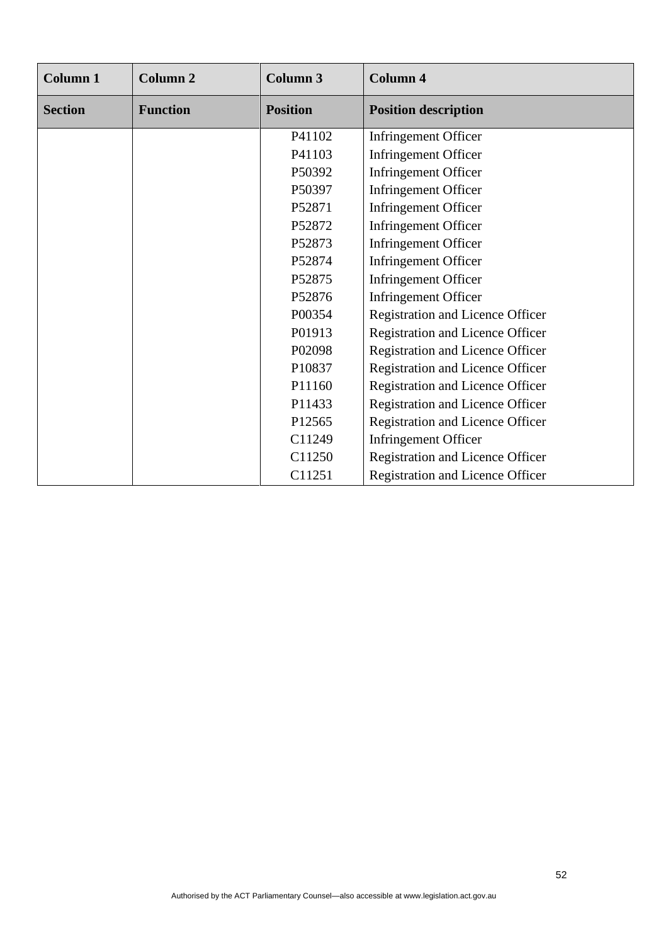| <b>Column 1</b> | <b>Column 2</b> | <b>Column 3</b>    | <b>Column 4</b>                         |
|-----------------|-----------------|--------------------|-----------------------------------------|
| <b>Section</b>  | <b>Function</b> | <b>Position</b>    | <b>Position description</b>             |
|                 |                 | P41102             | Infringement Officer                    |
|                 |                 | P41103             | <b>Infringement Officer</b>             |
|                 |                 | P50392             | Infringement Officer                    |
|                 |                 | P50397             | Infringement Officer                    |
|                 |                 | P52871             | Infringement Officer                    |
|                 |                 | P52872             | Infringement Officer                    |
|                 |                 | P52873             | Infringement Officer                    |
|                 |                 | P52874             | Infringement Officer                    |
|                 |                 | P52875             | <b>Infringement Officer</b>             |
|                 |                 | P52876             | Infringement Officer                    |
|                 |                 | P00354             | Registration and Licence Officer        |
|                 |                 | P01913             | Registration and Licence Officer        |
|                 |                 | P02098             | <b>Registration and Licence Officer</b> |
|                 |                 | P10837             | Registration and Licence Officer        |
|                 |                 | P11160             | Registration and Licence Officer        |
|                 |                 | P11433             | Registration and Licence Officer        |
|                 |                 | P <sub>12565</sub> | Registration and Licence Officer        |
|                 |                 | C11249             | Infringement Officer                    |
|                 |                 | C11250             | Registration and Licence Officer        |
|                 |                 | C11251             | Registration and Licence Officer        |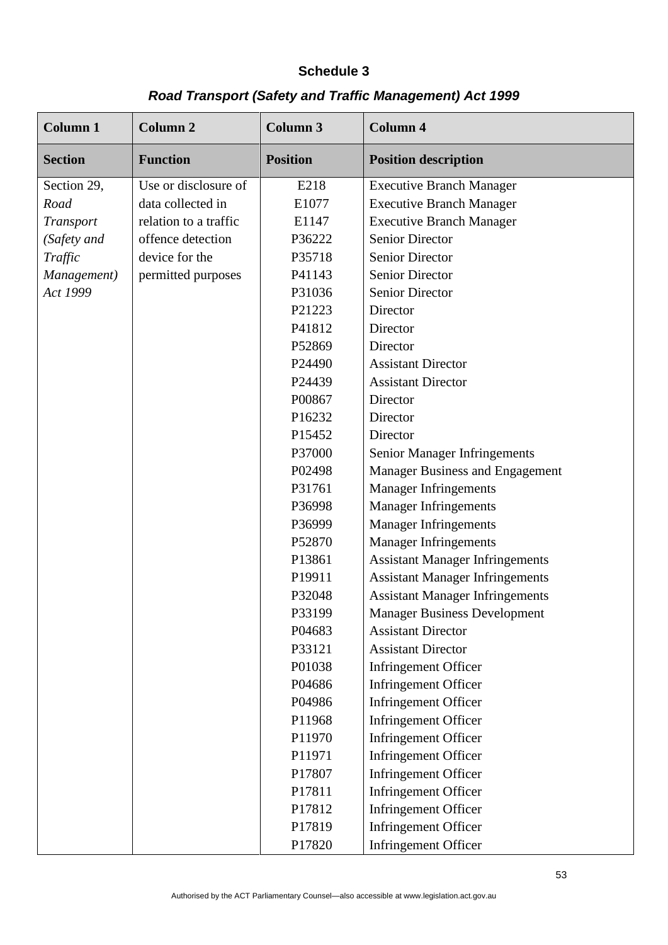# *Road Transport (Safety and Traffic Management) Act 1999*

| <b>Column 1</b> | <b>Column 2</b>       | <b>Column 3</b> | <b>Column 4</b>                        |
|-----------------|-----------------------|-----------------|----------------------------------------|
| <b>Section</b>  | <b>Function</b>       | <b>Position</b> | <b>Position description</b>            |
| Section 29,     | Use or disclosure of  | E218            | <b>Executive Branch Manager</b>        |
| Road            | data collected in     | E1077           | <b>Executive Branch Manager</b>        |
| Transport       | relation to a traffic | E1147           | <b>Executive Branch Manager</b>        |
| (Safety and     | offence detection     | P36222          | <b>Senior Director</b>                 |
| Traffic         | device for the        | P35718          | <b>Senior Director</b>                 |
| Management)     | permitted purposes    | P41143          | <b>Senior Director</b>                 |
| Act 1999        |                       | P31036          | <b>Senior Director</b>                 |
|                 |                       | P21223          | Director                               |
|                 |                       | P41812          | Director                               |
|                 |                       | P52869          | Director                               |
|                 |                       | P24490          | <b>Assistant Director</b>              |
|                 |                       | P24439          | <b>Assistant Director</b>              |
|                 |                       | P00867          | Director                               |
|                 |                       | P16232          | Director                               |
|                 |                       | P15452          | Director                               |
|                 |                       | P37000          | <b>Senior Manager Infringements</b>    |
|                 |                       | P02498          | Manager Business and Engagement        |
|                 |                       | P31761          | <b>Manager Infringements</b>           |
|                 |                       | P36998          | <b>Manager Infringements</b>           |
|                 |                       | P36999          | <b>Manager Infringements</b>           |
|                 |                       | P52870          | <b>Manager Infringements</b>           |
|                 |                       | P13861          | <b>Assistant Manager Infringements</b> |
|                 |                       | P19911          | <b>Assistant Manager Infringements</b> |
|                 |                       | P32048          | <b>Assistant Manager Infringements</b> |
|                 |                       | P33199          | <b>Manager Business Development</b>    |
|                 |                       | P04683          | <b>Assistant Director</b>              |
|                 |                       | P33121          | <b>Assistant Director</b>              |
|                 |                       | P01038          | <b>Infringement Officer</b>            |
|                 |                       | P04686          | <b>Infringement Officer</b>            |
|                 |                       | P04986          | <b>Infringement Officer</b>            |
|                 |                       | P11968          | Infringement Officer                   |
|                 |                       | P11970          | <b>Infringement Officer</b>            |
|                 |                       | P11971          | <b>Infringement Officer</b>            |
|                 |                       | P17807          | <b>Infringement Officer</b>            |
|                 |                       | P17811          | Infringement Officer                   |
|                 |                       | P17812          | <b>Infringement Officer</b>            |
|                 |                       | P17819          | Infringement Officer                   |
|                 |                       | P17820          | Infringement Officer                   |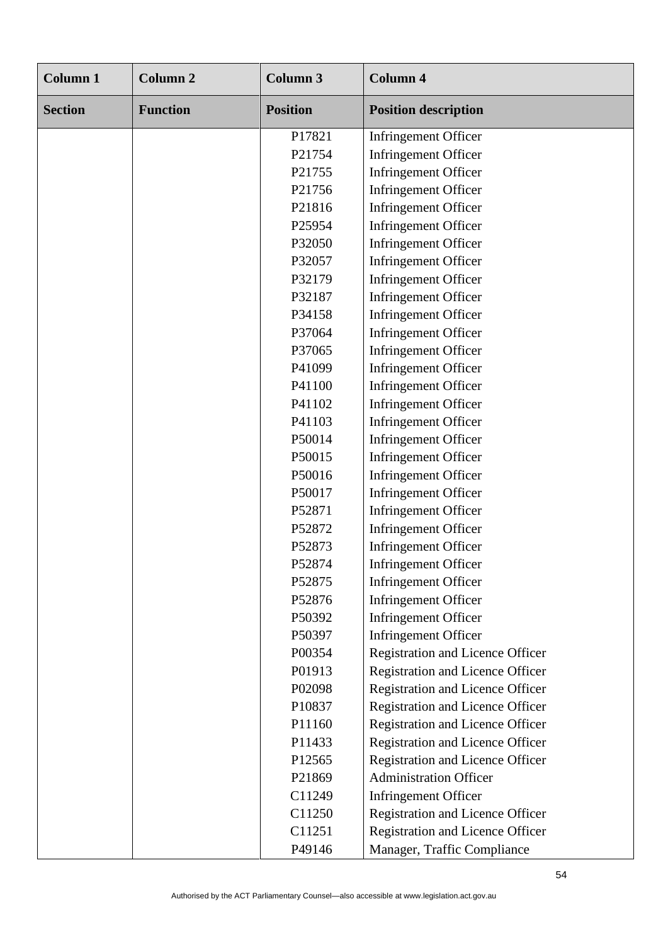| <b>Column 1</b> | <b>Column 2</b> | <b>Column 3</b>    | <b>Column 4</b>                         |
|-----------------|-----------------|--------------------|-----------------------------------------|
| <b>Section</b>  | <b>Function</b> | <b>Position</b>    | <b>Position description</b>             |
|                 |                 | P17821             | Infringement Officer                    |
|                 |                 | P21754             | <b>Infringement Officer</b>             |
|                 |                 | P21755             | Infringement Officer                    |
|                 |                 | P21756             | Infringement Officer                    |
|                 |                 | P21816             | <b>Infringement Officer</b>             |
|                 |                 | P25954             | Infringement Officer                    |
|                 |                 | P32050             | <b>Infringement Officer</b>             |
|                 |                 | P32057             | <b>Infringement Officer</b>             |
|                 |                 | P32179             | Infringement Officer                    |
|                 |                 | P32187             | Infringement Officer                    |
|                 |                 | P34158             | <b>Infringement Officer</b>             |
|                 |                 | P37064             | Infringement Officer                    |
|                 |                 | P37065             | Infringement Officer                    |
|                 |                 | P41099             | Infringement Officer                    |
|                 |                 | P41100             | Infringement Officer                    |
|                 |                 | P41102             | Infringement Officer                    |
|                 |                 | P41103             | <b>Infringement Officer</b>             |
|                 |                 | P50014             | Infringement Officer                    |
|                 |                 | P50015             | <b>Infringement Officer</b>             |
|                 |                 | P50016             | <b>Infringement Officer</b>             |
|                 |                 | P50017             | Infringement Officer                    |
|                 |                 | P52871             | Infringement Officer                    |
|                 |                 | P52872             | <b>Infringement Officer</b>             |
|                 |                 | P52873             | Infringement Officer                    |
|                 |                 | P52874             | Infringement Officer                    |
|                 |                 | P52875             | Infringement Officer                    |
|                 |                 | P52876             | Infringement Officer                    |
|                 |                 | P50392             | Infringement Officer                    |
|                 |                 | P50397             | <b>Infringement Officer</b>             |
|                 |                 | P00354             | <b>Registration and Licence Officer</b> |
|                 |                 | P01913             | Registration and Licence Officer        |
|                 |                 | P02098             | Registration and Licence Officer        |
|                 |                 | P10837             | <b>Registration and Licence Officer</b> |
|                 |                 | P11160             | Registration and Licence Officer        |
|                 |                 | P11433             | Registration and Licence Officer        |
|                 |                 | P <sub>12565</sub> | Registration and Licence Officer        |
|                 |                 | P21869             | <b>Administration Officer</b>           |
|                 |                 | C <sub>11249</sub> | Infringement Officer                    |
|                 |                 | C11250             | <b>Registration and Licence Officer</b> |
|                 |                 | C11251             | Registration and Licence Officer        |
|                 |                 | P49146             | Manager, Traffic Compliance             |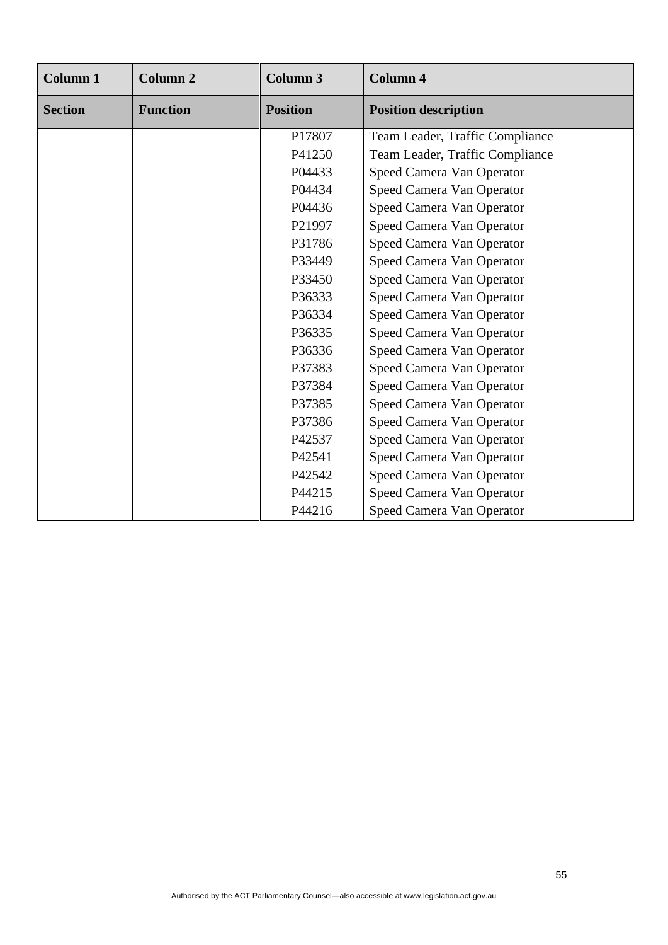| <b>Column 1</b> | <b>Column 2</b> | <b>Column 3</b> | <b>Column 4</b>                 |
|-----------------|-----------------|-----------------|---------------------------------|
| <b>Section</b>  | <b>Function</b> | <b>Position</b> | <b>Position description</b>     |
|                 |                 | P17807          | Team Leader, Traffic Compliance |
|                 |                 | P41250          | Team Leader, Traffic Compliance |
|                 |                 | P04433          | Speed Camera Van Operator       |
|                 |                 | P04434          | Speed Camera Van Operator       |
|                 |                 | P04436          | Speed Camera Van Operator       |
|                 |                 | P21997          | Speed Camera Van Operator       |
|                 |                 | P31786          | Speed Camera Van Operator       |
|                 |                 | P33449          | Speed Camera Van Operator       |
|                 |                 | P33450          | Speed Camera Van Operator       |
|                 |                 | P36333          | Speed Camera Van Operator       |
|                 |                 | P36334          | Speed Camera Van Operator       |
|                 |                 | P36335          | Speed Camera Van Operator       |
|                 |                 | P36336          | Speed Camera Van Operator       |
|                 |                 | P37383          | Speed Camera Van Operator       |
|                 |                 | P37384          | Speed Camera Van Operator       |
|                 |                 | P37385          | Speed Camera Van Operator       |
|                 |                 | P37386          | Speed Camera Van Operator       |
|                 |                 | P42537          | Speed Camera Van Operator       |
|                 |                 | P42541          | Speed Camera Van Operator       |
|                 |                 | P42542          | Speed Camera Van Operator       |
|                 |                 | P44215          | Speed Camera Van Operator       |
|                 |                 | P44216          | Speed Camera Van Operator       |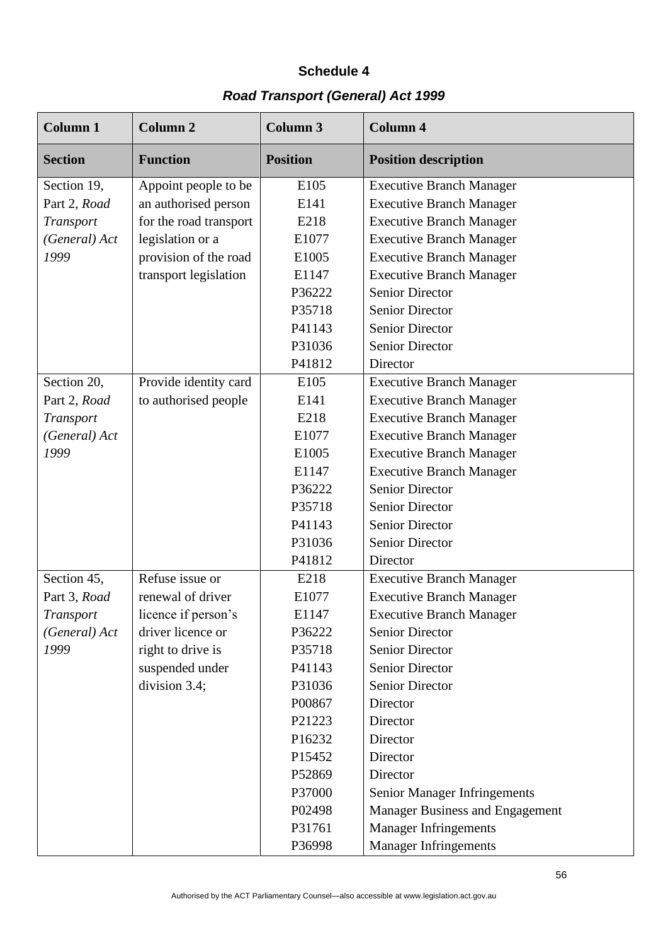# *Road Transport (General) Act 1999*

| <b>Column 1</b> | <b>Column 2</b>        | <b>Column 3</b> | <b>Column 4</b>                     |
|-----------------|------------------------|-----------------|-------------------------------------|
| <b>Section</b>  | <b>Function</b>        | <b>Position</b> | <b>Position description</b>         |
| Section 19,     | Appoint people to be   | E105            | <b>Executive Branch Manager</b>     |
| Part 2, Road    | an authorised person   | E141            | <b>Executive Branch Manager</b>     |
| Transport       | for the road transport | E218            | <b>Executive Branch Manager</b>     |
| (General) Act   | legislation or a       | E1077           | <b>Executive Branch Manager</b>     |
| 1999            | provision of the road  | E1005           | <b>Executive Branch Manager</b>     |
|                 | transport legislation  | E1147           | <b>Executive Branch Manager</b>     |
|                 |                        | P36222          | <b>Senior Director</b>              |
|                 |                        | P35718          | <b>Senior Director</b>              |
|                 |                        | P41143          | <b>Senior Director</b>              |
|                 |                        | P31036          | <b>Senior Director</b>              |
|                 |                        | P41812          | Director                            |
| Section 20,     | Provide identity card  | E105            | <b>Executive Branch Manager</b>     |
| Part 2, Road    | to authorised people   | E141            | <b>Executive Branch Manager</b>     |
| Transport       |                        | E218            | <b>Executive Branch Manager</b>     |
| (General) Act   |                        | E1077           | <b>Executive Branch Manager</b>     |
| 1999            |                        | E1005           | <b>Executive Branch Manager</b>     |
|                 |                        | E1147           | <b>Executive Branch Manager</b>     |
|                 |                        | P36222          | <b>Senior Director</b>              |
|                 |                        | P35718          | <b>Senior Director</b>              |
|                 |                        | P41143          | <b>Senior Director</b>              |
|                 |                        | P31036          | <b>Senior Director</b>              |
|                 |                        | P41812          | Director                            |
| Section 45,     | Refuse issue or        | E218            | <b>Executive Branch Manager</b>     |
| Part 3, Road    | renewal of driver      | E1077           | <b>Executive Branch Manager</b>     |
| Transport       | licence if person's    | E1147           | <b>Executive Branch Manager</b>     |
| (General) Act   | driver licence or      | P36222          | <b>Senior Director</b>              |
| 1999            | right to drive is      | P35718          | <b>Senior Director</b>              |
|                 | suspended under        | P41143          | <b>Senior Director</b>              |
|                 | division 3.4;          | P31036          | <b>Senior Director</b>              |
|                 |                        | P00867          | Director                            |
|                 |                        | P21223          | Director                            |
|                 |                        | P16232          | Director                            |
|                 |                        | P15452          | Director                            |
|                 |                        | P52869          | Director                            |
|                 |                        | P37000          | <b>Senior Manager Infringements</b> |
|                 |                        | P02498          | Manager Business and Engagement     |
|                 |                        | P31761          | <b>Manager Infringements</b>        |
|                 |                        | P36998          | <b>Manager Infringements</b>        |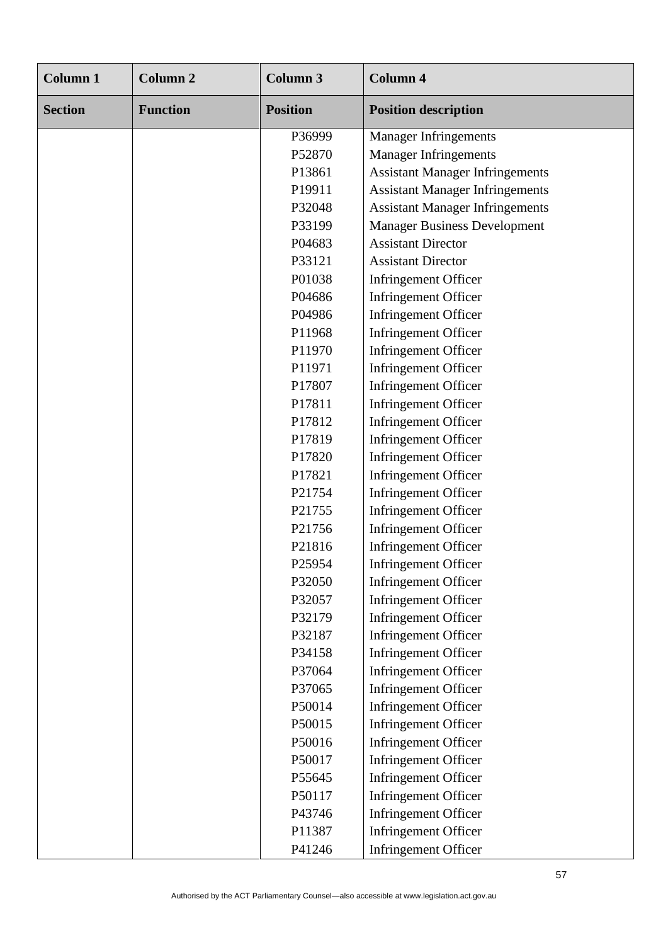| <b>Column 1</b> | <b>Column 2</b> | <b>Column 3</b> | <b>Column 4</b>                        |
|-----------------|-----------------|-----------------|----------------------------------------|
| <b>Section</b>  | <b>Function</b> | <b>Position</b> | <b>Position description</b>            |
|                 |                 | P36999          | <b>Manager Infringements</b>           |
|                 |                 | P52870          | <b>Manager Infringements</b>           |
|                 |                 | P13861          | <b>Assistant Manager Infringements</b> |
|                 |                 | P19911          | <b>Assistant Manager Infringements</b> |
|                 |                 | P32048          | <b>Assistant Manager Infringements</b> |
|                 |                 | P33199          | <b>Manager Business Development</b>    |
|                 |                 | P04683          | <b>Assistant Director</b>              |
|                 |                 | P33121          | <b>Assistant Director</b>              |
|                 |                 | P01038          | Infringement Officer                   |
|                 |                 | P04686          | Infringement Officer                   |
|                 |                 | P04986          | Infringement Officer                   |
|                 |                 | P11968          | Infringement Officer                   |
|                 |                 | P11970          | <b>Infringement Officer</b>            |
|                 |                 | P11971          | <b>Infringement Officer</b>            |
|                 |                 | P17807          | Infringement Officer                   |
|                 |                 | P17811          | <b>Infringement Officer</b>            |
|                 |                 | P17812          | <b>Infringement Officer</b>            |
|                 |                 | P17819          | Infringement Officer                   |
|                 |                 | P17820          | <b>Infringement Officer</b>            |
|                 |                 | P17821          | <b>Infringement Officer</b>            |
|                 |                 | P21754          | Infringement Officer                   |
|                 |                 | P21755          | Infringement Officer                   |
|                 |                 | P21756          | <b>Infringement Officer</b>            |
|                 |                 | P21816          | <b>Infringement Officer</b>            |
|                 |                 | P25954          | Infringement Officer                   |
|                 |                 | P32050          | Infringement Officer                   |
|                 |                 | P32057          | Infringement Officer                   |
|                 |                 | P32179          | Infringement Officer                   |
|                 |                 | P32187          | Infringement Officer                   |
|                 |                 | P34158          | Infringement Officer                   |
|                 |                 | P37064          | Infringement Officer                   |
|                 |                 | P37065          | Infringement Officer                   |
|                 |                 | P50014          | Infringement Officer                   |
|                 |                 | P50015          | Infringement Officer                   |
|                 |                 | P50016          | Infringement Officer                   |
|                 |                 | P50017          | Infringement Officer                   |
|                 |                 | P55645          | Infringement Officer                   |
|                 |                 | P50117          | Infringement Officer                   |
|                 |                 | P43746          | Infringement Officer                   |
|                 |                 | P11387          | <b>Infringement Officer</b>            |
|                 |                 | P41246          | Infringement Officer                   |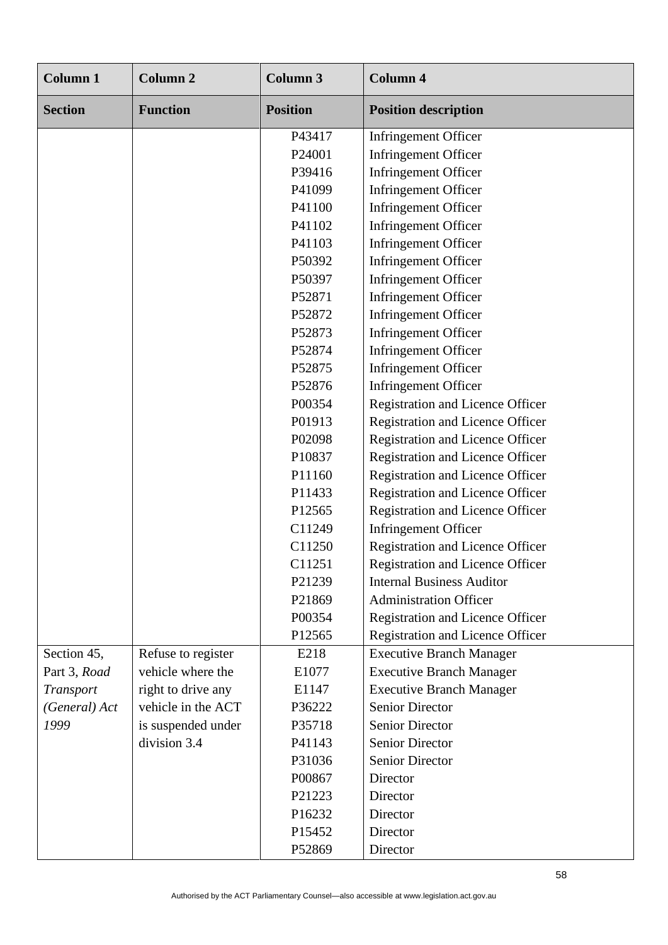| <b>Column 1</b> | <b>Column 2</b>    | <b>Column 3</b> | <b>Column 4</b>                         |
|-----------------|--------------------|-----------------|-----------------------------------------|
| <b>Section</b>  | <b>Function</b>    | <b>Position</b> | <b>Position description</b>             |
|                 |                    | P43417          | Infringement Officer                    |
|                 |                    | P24001          | Infringement Officer                    |
|                 |                    | P39416          | <b>Infringement Officer</b>             |
|                 |                    | P41099          | Infringement Officer                    |
|                 |                    | P41100          | <b>Infringement Officer</b>             |
|                 |                    | P41102          | <b>Infringement Officer</b>             |
|                 |                    | P41103          | <b>Infringement Officer</b>             |
|                 |                    | P50392          | <b>Infringement Officer</b>             |
|                 |                    | P50397          | Infringement Officer                    |
|                 |                    | P52871          | <b>Infringement Officer</b>             |
|                 |                    | P52872          | <b>Infringement Officer</b>             |
|                 |                    | P52873          | Infringement Officer                    |
|                 |                    | P52874          | <b>Infringement Officer</b>             |
|                 |                    | P52875          | <b>Infringement Officer</b>             |
|                 |                    | P52876          | Infringement Officer                    |
|                 |                    | P00354          | Registration and Licence Officer        |
|                 |                    | P01913          | Registration and Licence Officer        |
|                 |                    | P02098          | Registration and Licence Officer        |
|                 |                    | P10837          | Registration and Licence Officer        |
|                 |                    | P11160          | Registration and Licence Officer        |
|                 |                    | P11433          | Registration and Licence Officer        |
|                 |                    | P12565          | Registration and Licence Officer        |
|                 |                    | C11249          | <b>Infringement Officer</b>             |
|                 |                    | C11250          | <b>Registration and Licence Officer</b> |
|                 |                    | C11251          | Registration and Licence Officer        |
|                 |                    | P21239          | <b>Internal Business Auditor</b>        |
|                 |                    | P21869          | <b>Administration Officer</b>           |
|                 |                    | P00354          | Registration and Licence Officer        |
|                 |                    | P12565          | Registration and Licence Officer        |
| Section 45,     | Refuse to register | E218            | <b>Executive Branch Manager</b>         |
| Part 3, Road    | vehicle where the  | E1077           | <b>Executive Branch Manager</b>         |
| Transport       | right to drive any | E1147           | <b>Executive Branch Manager</b>         |
| (General) Act   | vehicle in the ACT | P36222          | Senior Director                         |
| 1999            | is suspended under | P35718          | Senior Director                         |
|                 | division 3.4       | P41143          | <b>Senior Director</b>                  |
|                 |                    | P31036          | <b>Senior Director</b>                  |
|                 |                    | P00867          | Director                                |
|                 |                    | P21223          | Director                                |
|                 |                    | P16232          | Director                                |
|                 |                    | P15452          | Director                                |
|                 |                    | P52869          | Director                                |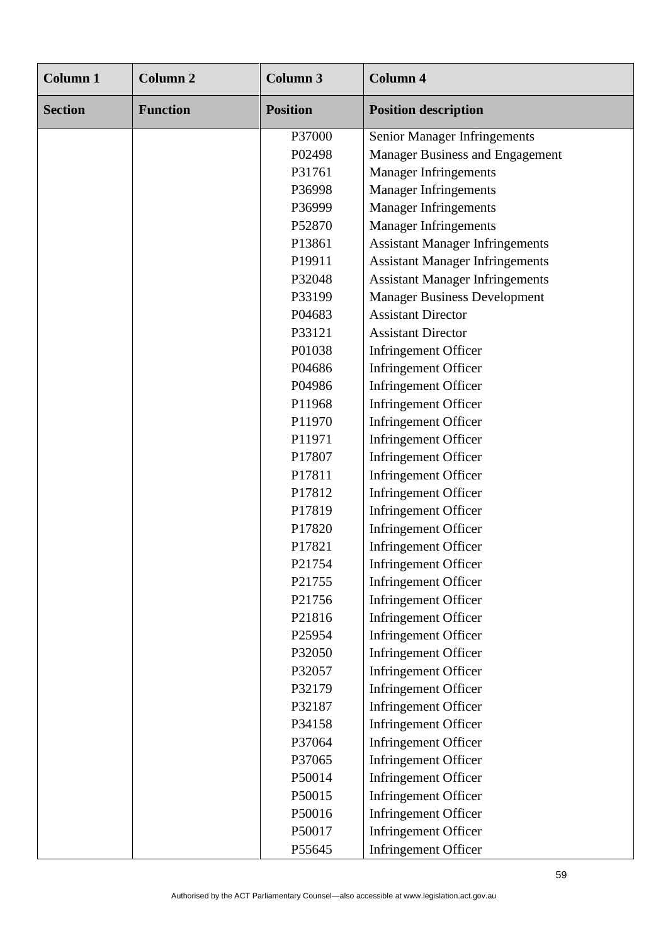| <b>Column 1</b> | <b>Column 2</b> | <b>Column 3</b> | <b>Column 4</b>                        |
|-----------------|-----------------|-----------------|----------------------------------------|
| <b>Section</b>  | <b>Function</b> | <b>Position</b> | <b>Position description</b>            |
|                 |                 | P37000          | <b>Senior Manager Infringements</b>    |
|                 |                 | P02498          | Manager Business and Engagement        |
|                 |                 | P31761          | <b>Manager Infringements</b>           |
|                 |                 | P36998          | <b>Manager Infringements</b>           |
|                 |                 | P36999          | <b>Manager Infringements</b>           |
|                 |                 | P52870          | <b>Manager Infringements</b>           |
|                 |                 | P13861          | <b>Assistant Manager Infringements</b> |
|                 |                 | P19911          | <b>Assistant Manager Infringements</b> |
|                 |                 | P32048          | <b>Assistant Manager Infringements</b> |
|                 |                 | P33199          | <b>Manager Business Development</b>    |
|                 |                 | P04683          | <b>Assistant Director</b>              |
|                 |                 | P33121          | <b>Assistant Director</b>              |
|                 |                 | P01038          | Infringement Officer                   |
|                 |                 | P04686          | <b>Infringement Officer</b>            |
|                 |                 | P04986          | Infringement Officer                   |
|                 |                 | P11968          | Infringement Officer                   |
|                 |                 | P11970          | <b>Infringement Officer</b>            |
|                 |                 | P11971          | Infringement Officer                   |
|                 |                 | P17807          | <b>Infringement Officer</b>            |
|                 |                 | P17811          | <b>Infringement Officer</b>            |
|                 |                 | P17812          | Infringement Officer                   |
|                 |                 | P17819          | Infringement Officer                   |
|                 |                 | P17820          | <b>Infringement Officer</b>            |
|                 |                 | P17821          | <b>Infringement Officer</b>            |
|                 |                 | P21754          | Infringement Officer                   |
|                 |                 | P21755          | <b>Infringement Officer</b>            |
|                 |                 | P21756          | Infringement Officer                   |
|                 |                 | P21816          | Infringement Officer                   |
|                 |                 | P25954          | <b>Infringement Officer</b>            |
|                 |                 | P32050          | <b>Infringement Officer</b>            |
|                 |                 | P32057          | Infringement Officer                   |
|                 |                 | P32179          | Infringement Officer                   |
|                 |                 | P32187          | Infringement Officer                   |
|                 |                 | P34158          | <b>Infringement Officer</b>            |
|                 |                 | P37064          | <b>Infringement Officer</b>            |
|                 |                 | P37065          | Infringement Officer                   |
|                 |                 | P50014          | <b>Infringement Officer</b>            |
|                 |                 | P50015          | Infringement Officer                   |
|                 |                 | P50016          | Infringement Officer                   |
|                 |                 | P50017          | <b>Infringement Officer</b>            |
|                 |                 | P55645          | Infringement Officer                   |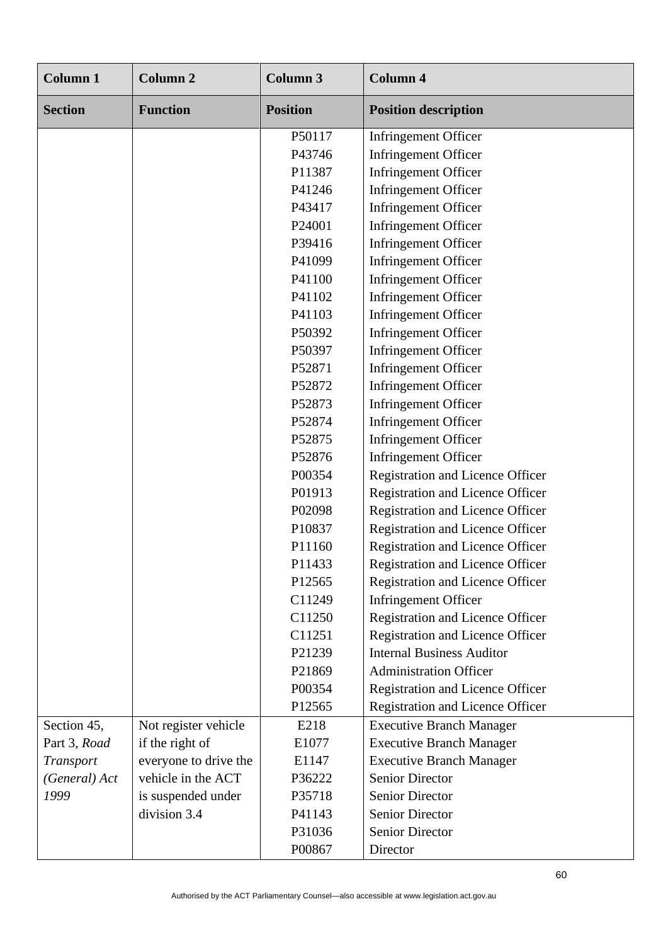| <b>Column 1</b> | <b>Column 2</b>       | <b>Column 3</b>    | <b>Column 4</b>                         |
|-----------------|-----------------------|--------------------|-----------------------------------------|
| <b>Section</b>  | <b>Function</b>       | <b>Position</b>    | <b>Position description</b>             |
|                 |                       | P50117             | Infringement Officer                    |
|                 |                       | P43746             | <b>Infringement Officer</b>             |
|                 |                       | P11387             | Infringement Officer                    |
|                 |                       | P41246             | <b>Infringement Officer</b>             |
|                 |                       | P43417             | <b>Infringement Officer</b>             |
|                 |                       | P24001             | <b>Infringement Officer</b>             |
|                 |                       | P39416             | <b>Infringement Officer</b>             |
|                 |                       | P41099             | <b>Infringement Officer</b>             |
|                 |                       | P41100             | Infringement Officer                    |
|                 |                       | P41102             | Infringement Officer                    |
|                 |                       | P41103             | <b>Infringement Officer</b>             |
|                 |                       | P50392             | Infringement Officer                    |
|                 |                       | P50397             | Infringement Officer                    |
|                 |                       | P52871             | <b>Infringement Officer</b>             |
|                 |                       | P52872             | Infringement Officer                    |
|                 |                       | P52873             | <b>Infringement Officer</b>             |
|                 |                       | P52874             | <b>Infringement Officer</b>             |
|                 |                       | P52875             | Infringement Officer                    |
|                 |                       | P52876             | <b>Infringement Officer</b>             |
|                 |                       | P00354             | Registration and Licence Officer        |
|                 |                       | P01913             | Registration and Licence Officer        |
|                 |                       | P02098             | Registration and Licence Officer        |
|                 |                       | P10837             | Registration and Licence Officer        |
|                 |                       | P11160             | Registration and Licence Officer        |
|                 |                       | P11433             | <b>Registration and Licence Officer</b> |
|                 |                       | P12565             | <b>Registration and Licence Officer</b> |
|                 |                       | C <sub>11249</sub> | <b>Infringement Officer</b>             |
|                 |                       | C11250             | Registration and Licence Officer        |
|                 |                       | C11251             | Registration and Licence Officer        |
|                 |                       | P21239             | <b>Internal Business Auditor</b>        |
|                 |                       | P21869             | <b>Administration Officer</b>           |
|                 |                       | P00354             | Registration and Licence Officer        |
|                 |                       | P12565             | <b>Registration and Licence Officer</b> |
| Section 45,     | Not register vehicle  | E218               | <b>Executive Branch Manager</b>         |
| Part 3, Road    | if the right of       | E1077              | <b>Executive Branch Manager</b>         |
| Transport       | everyone to drive the | E1147              | <b>Executive Branch Manager</b>         |
| (General) Act   | vehicle in the ACT    | P36222             | <b>Senior Director</b>                  |
| 1999            | is suspended under    | P35718             | <b>Senior Director</b>                  |
|                 | division 3.4          | P41143             | <b>Senior Director</b>                  |
|                 |                       | P31036             | <b>Senior Director</b>                  |
|                 |                       | P00867             | Director                                |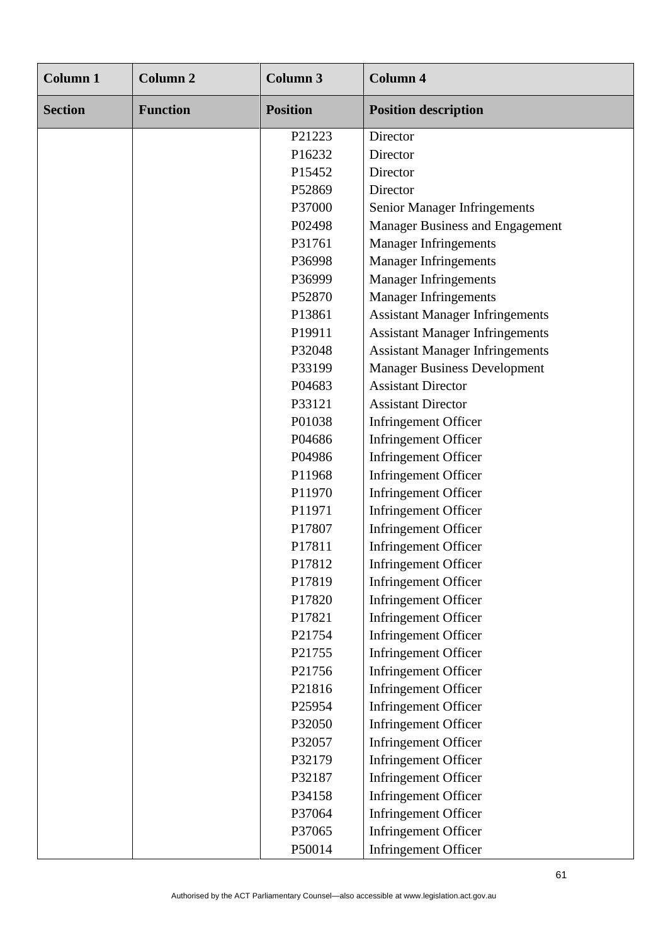| <b>Column 1</b> | <b>Column 2</b> | <b>Column 3</b>    | <b>Column 4</b>                        |
|-----------------|-----------------|--------------------|----------------------------------------|
| <b>Section</b>  | <b>Function</b> | <b>Position</b>    | <b>Position description</b>            |
|                 |                 | P21223             | Director                               |
|                 |                 | P16232             | Director                               |
|                 |                 | P15452             | Director                               |
|                 |                 | P52869             | Director                               |
|                 |                 | P37000             | <b>Senior Manager Infringements</b>    |
|                 |                 | P02498             | <b>Manager Business and Engagement</b> |
|                 |                 | P31761             | <b>Manager Infringements</b>           |
|                 |                 | P36998             | <b>Manager Infringements</b>           |
|                 |                 | P36999             | <b>Manager Infringements</b>           |
|                 |                 | P52870             | <b>Manager Infringements</b>           |
|                 |                 | P13861             | <b>Assistant Manager Infringements</b> |
|                 |                 | P19911             | <b>Assistant Manager Infringements</b> |
|                 |                 | P32048             | <b>Assistant Manager Infringements</b> |
|                 |                 | P33199             | <b>Manager Business Development</b>    |
|                 |                 | P04683             | <b>Assistant Director</b>              |
|                 |                 | P33121             | <b>Assistant Director</b>              |
|                 |                 | P01038             | <b>Infringement Officer</b>            |
|                 |                 | P04686             | Infringement Officer                   |
|                 |                 | P04986             | <b>Infringement Officer</b>            |
|                 |                 | P11968             | <b>Infringement Officer</b>            |
|                 |                 | P11970             | <b>Infringement Officer</b>            |
|                 |                 | P11971             | <b>Infringement Officer</b>            |
|                 |                 | P17807             | <b>Infringement Officer</b>            |
|                 |                 | P17811             | <b>Infringement Officer</b>            |
|                 |                 | P17812             | Infringement Officer                   |
|                 |                 | P17819             | <b>Infringement Officer</b>            |
|                 |                 | P17820             | Infringement Officer                   |
|                 |                 | P17821             | <b>Infringement Officer</b>            |
|                 |                 | P21754             | <b>Infringement Officer</b>            |
|                 |                 | P21755             | <b>Infringement Officer</b>            |
|                 |                 | P21756             | <b>Infringement Officer</b>            |
|                 |                 | P21816             | Infringement Officer                   |
|                 |                 | P <sub>25954</sub> | <b>Infringement Officer</b>            |
|                 |                 | P32050             | <b>Infringement Officer</b>            |
|                 |                 | P32057             | <b>Infringement Officer</b>            |
|                 |                 | P32179             | <b>Infringement Officer</b>            |
|                 |                 | P32187             | <b>Infringement Officer</b>            |
|                 |                 | P34158             | Infringement Officer                   |
|                 |                 | P37064             | <b>Infringement Officer</b>            |
|                 |                 | P37065             | <b>Infringement Officer</b>            |
|                 |                 | P50014             | Infringement Officer                   |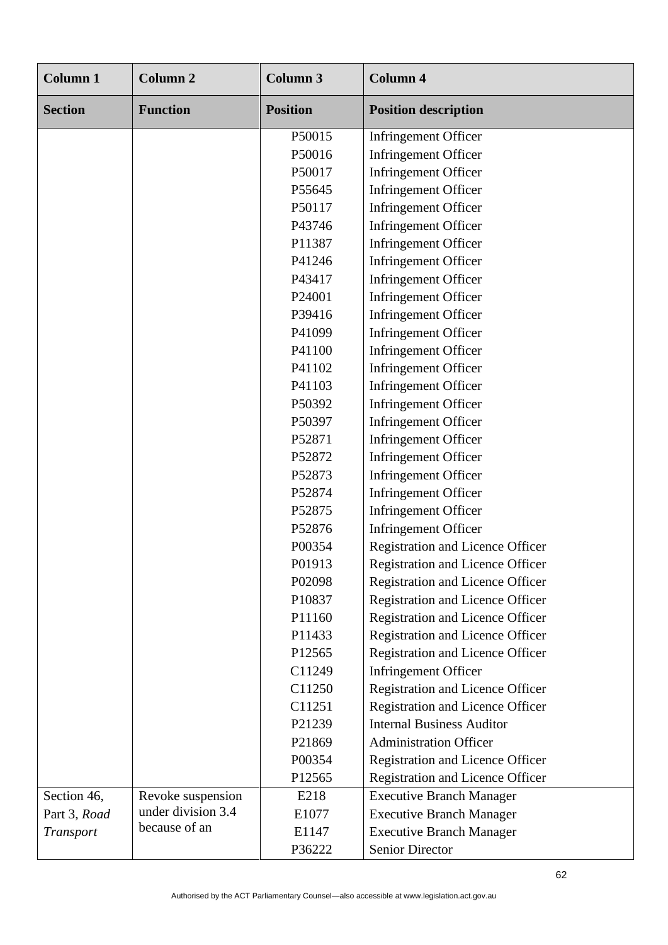| <b>Column 1</b> | <b>Column 2</b>    | <b>Column 3</b>    | <b>Column 4</b>                         |
|-----------------|--------------------|--------------------|-----------------------------------------|
| <b>Section</b>  | <b>Function</b>    | <b>Position</b>    | <b>Position description</b>             |
|                 |                    | P50015             | Infringement Officer                    |
|                 |                    | P50016             | <b>Infringement Officer</b>             |
|                 |                    | P50017             | Infringement Officer                    |
|                 |                    | P55645             | <b>Infringement Officer</b>             |
|                 |                    | P50117             | <b>Infringement Officer</b>             |
|                 |                    | P43746             | Infringement Officer                    |
|                 |                    | P11387             | <b>Infringement Officer</b>             |
|                 |                    | P41246             | <b>Infringement Officer</b>             |
|                 |                    | P43417             | Infringement Officer                    |
|                 |                    | P24001             | Infringement Officer                    |
|                 |                    | P39416             | <b>Infringement Officer</b>             |
|                 |                    | P41099             | Infringement Officer                    |
|                 |                    | P41100             | Infringement Officer                    |
|                 |                    | P41102             | <b>Infringement Officer</b>             |
|                 |                    | P41103             | Infringement Officer                    |
|                 |                    | P50392             | <b>Infringement Officer</b>             |
|                 |                    | P50397             | <b>Infringement Officer</b>             |
|                 |                    | P52871             | Infringement Officer                    |
|                 |                    | P52872             | <b>Infringement Officer</b>             |
|                 |                    | P52873             | <b>Infringement Officer</b>             |
|                 |                    | P52874             | Infringement Officer                    |
|                 |                    | P52875             | Infringement Officer                    |
|                 |                    | P52876             | <b>Infringement Officer</b>             |
|                 |                    | P00354             | Registration and Licence Officer        |
|                 |                    | P01913             | <b>Registration and Licence Officer</b> |
|                 |                    | P02098             | Registration and Licence Officer        |
|                 |                    | P10837             | Registration and Licence Officer        |
|                 |                    | P11160             | Registration and Licence Officer        |
|                 |                    | P11433             | Registration and Licence Officer        |
|                 |                    | P <sub>12565</sub> | <b>Registration and Licence Officer</b> |
|                 |                    | C11249             | <b>Infringement Officer</b>             |
|                 |                    | C <sub>11250</sub> | Registration and Licence Officer        |
|                 |                    | C11251             | Registration and Licence Officer        |
|                 |                    | P21239             | <b>Internal Business Auditor</b>        |
|                 |                    | P <sub>21869</sub> | <b>Administration Officer</b>           |
|                 |                    | P00354             | <b>Registration and Licence Officer</b> |
|                 |                    | P12565             | Registration and Licence Officer        |
| Section 46,     | Revoke suspension  | E218               | <b>Executive Branch Manager</b>         |
| Part 3, Road    | under division 3.4 | E1077              | <b>Executive Branch Manager</b>         |
| Transport       | because of an      | E1147              | <b>Executive Branch Manager</b>         |
|                 |                    | P36222             | Senior Director                         |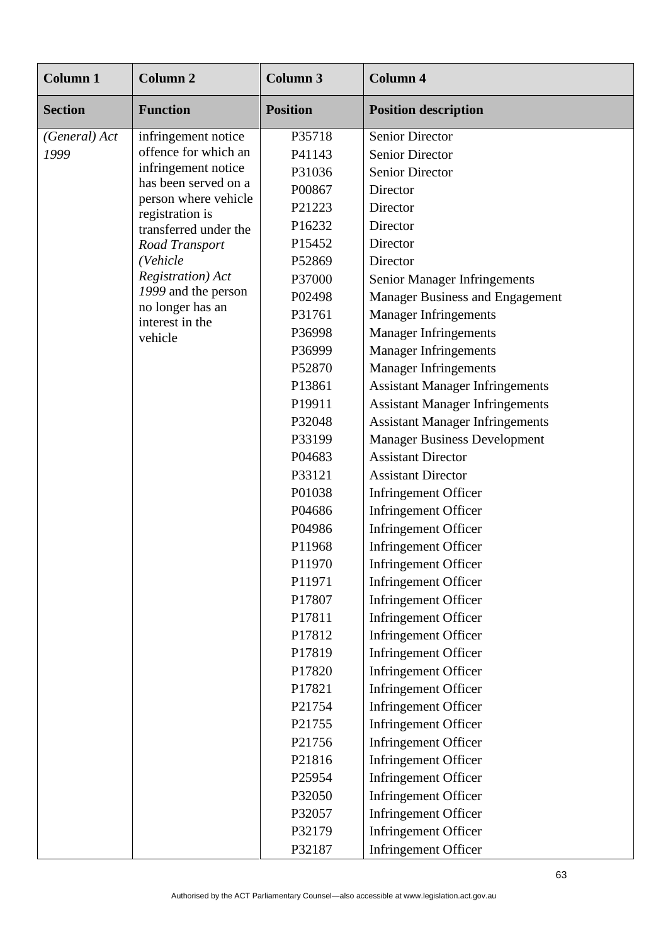| <b>Column 1</b> | <b>Column 2</b>                              | <b>Column 3</b> | <b>Column 4</b>                        |
|-----------------|----------------------------------------------|-----------------|----------------------------------------|
| <b>Section</b>  | <b>Function</b>                              | <b>Position</b> | <b>Position description</b>            |
| (General) Act   | infringement notice                          | P35718          | <b>Senior Director</b>                 |
| 1999            | offence for which an                         | P41143          | <b>Senior Director</b>                 |
|                 | infringement notice                          | P31036          | <b>Senior Director</b>                 |
|                 | has been served on a<br>person where vehicle | P00867          | Director                               |
|                 | registration is                              | P21223          | Director                               |
|                 | transferred under the                        | P16232          | Director                               |
|                 | Road Transport                               | P15452          | Director                               |
|                 | (Vehicle                                     | P52869          | Director                               |
|                 | <b>Registration</b> ) Act                    | P37000          | <b>Senior Manager Infringements</b>    |
|                 | 1999 and the person                          | P02498          | Manager Business and Engagement        |
|                 | no longer has an<br>interest in the          | P31761          | <b>Manager Infringements</b>           |
|                 | vehicle                                      | P36998          | <b>Manager Infringements</b>           |
|                 |                                              | P36999          | <b>Manager Infringements</b>           |
|                 |                                              | P52870          | <b>Manager Infringements</b>           |
|                 |                                              | P13861          | <b>Assistant Manager Infringements</b> |
|                 |                                              | P19911          | <b>Assistant Manager Infringements</b> |
|                 |                                              | P32048          | <b>Assistant Manager Infringements</b> |
|                 |                                              | P33199          | <b>Manager Business Development</b>    |
|                 |                                              | P04683          | <b>Assistant Director</b>              |
|                 |                                              | P33121          | <b>Assistant Director</b>              |
|                 |                                              | P01038          | <b>Infringement Officer</b>            |
|                 |                                              | P04686          | <b>Infringement Officer</b>            |
|                 |                                              | P04986          | <b>Infringement Officer</b>            |
|                 |                                              | P11968          | <b>Infringement Officer</b>            |
|                 |                                              | P11970          | Infringement Officer                   |
|                 |                                              | P11971          | <b>Infringement Officer</b>            |
|                 |                                              | P17807          | Infringement Officer                   |
|                 |                                              | P17811          | Infringement Officer                   |
|                 |                                              | P17812          | <b>Infringement Officer</b>            |
|                 |                                              | P17819          | <b>Infringement Officer</b>            |
|                 |                                              | P17820          | Infringement Officer                   |
|                 |                                              | P17821          | Infringement Officer                   |
|                 |                                              | P21754          | Infringement Officer                   |
|                 |                                              | P21755          | <b>Infringement Officer</b>            |
|                 |                                              | P21756          | <b>Infringement Officer</b>            |
|                 |                                              | P21816          | <b>Infringement Officer</b>            |
|                 |                                              | P25954          | Infringement Officer                   |
|                 |                                              | P32050          | <b>Infringement Officer</b>            |
|                 |                                              | P32057          | <b>Infringement Officer</b>            |
|                 |                                              | P32179          | <b>Infringement Officer</b>            |
|                 |                                              | P32187          | <b>Infringement Officer</b>            |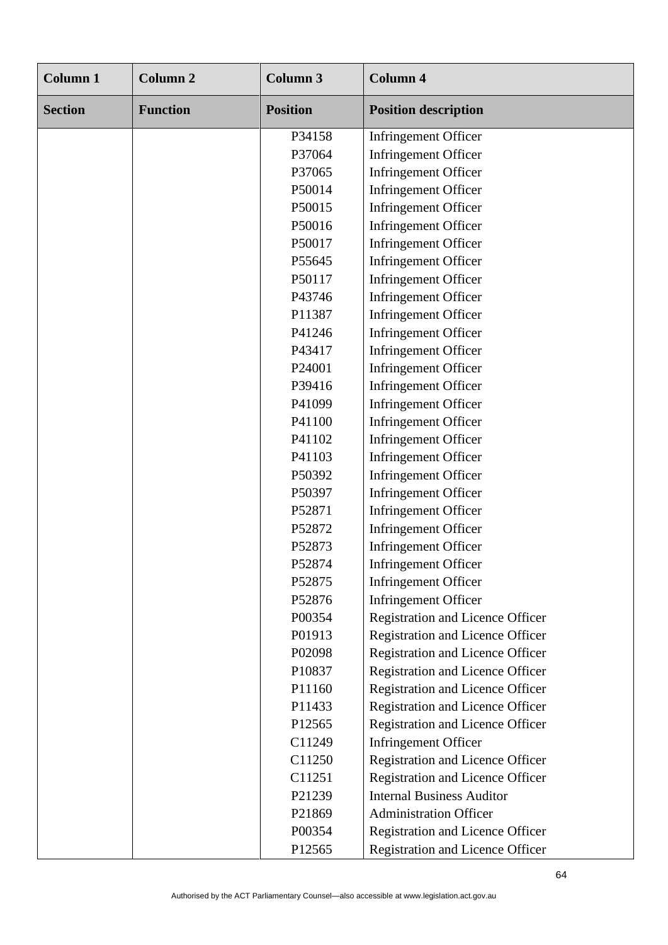| <b>Column 1</b> | <b>Column 2</b> | <b>Column 3</b>    | <b>Column 4</b>                         |
|-----------------|-----------------|--------------------|-----------------------------------------|
| <b>Section</b>  | <b>Function</b> | <b>Position</b>    | <b>Position description</b>             |
|                 |                 | P34158             | Infringement Officer                    |
|                 |                 | P37064             | <b>Infringement Officer</b>             |
|                 |                 | P37065             | <b>Infringement Officer</b>             |
|                 |                 | P50014             | Infringement Officer                    |
|                 |                 | P50015             | <b>Infringement Officer</b>             |
|                 |                 | P50016             | Infringement Officer                    |
|                 |                 | P50017             | <b>Infringement Officer</b>             |
|                 |                 | P55645             | <b>Infringement Officer</b>             |
|                 |                 | P50117             | Infringement Officer                    |
|                 |                 | P43746             | <b>Infringement Officer</b>             |
|                 |                 | P11387             | <b>Infringement Officer</b>             |
|                 |                 | P41246             | Infringement Officer                    |
|                 |                 | P43417             | <b>Infringement Officer</b>             |
|                 |                 | P24001             | <b>Infringement Officer</b>             |
|                 |                 | P39416             | Infringement Officer                    |
|                 |                 | P41099             | <b>Infringement Officer</b>             |
|                 |                 | P41100             | <b>Infringement Officer</b>             |
|                 |                 | P41102             | Infringement Officer                    |
|                 |                 | P41103             | <b>Infringement Officer</b>             |
|                 |                 | P50392             | <b>Infringement Officer</b>             |
|                 |                 | P50397             | Infringement Officer                    |
|                 |                 | P52871             | Infringement Officer                    |
|                 |                 | P52872             | <b>Infringement Officer</b>             |
|                 |                 | P52873             | Infringement Officer                    |
|                 |                 | P52874             | Infringement Officer                    |
|                 |                 | P52875             | <b>Infringement Officer</b>             |
|                 |                 | P52876             | <b>Infringement Officer</b>             |
|                 |                 | P00354             | Registration and Licence Officer        |
|                 |                 | P01913             | <b>Registration and Licence Officer</b> |
|                 |                 | P02098             | Registration and Licence Officer        |
|                 |                 | P10837             | <b>Registration and Licence Officer</b> |
|                 |                 | P11160             | <b>Registration and Licence Officer</b> |
|                 |                 | P11433             | Registration and Licence Officer        |
|                 |                 | P <sub>12565</sub> | Registration and Licence Officer        |
|                 |                 | C <sub>11249</sub> | <b>Infringement Officer</b>             |
|                 |                 | C11250             | Registration and Licence Officer        |
|                 |                 | C11251             | Registration and Licence Officer        |
|                 |                 | P21239             | <b>Internal Business Auditor</b>        |
|                 |                 | P <sub>21869</sub> | <b>Administration Officer</b>           |
|                 |                 | P00354             | <b>Registration and Licence Officer</b> |
|                 |                 | P12565             | Registration and Licence Officer        |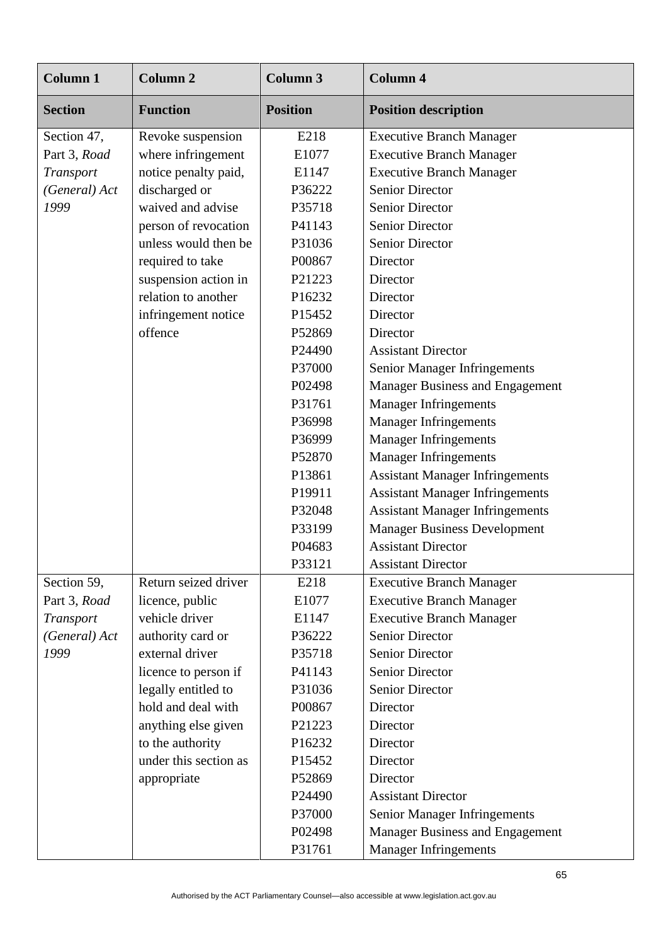| <b>Column 1</b> | <b>Column 2</b>       | <b>Column 3</b> | <b>Column 4</b>                        |
|-----------------|-----------------------|-----------------|----------------------------------------|
| <b>Section</b>  | <b>Function</b>       | <b>Position</b> | <b>Position description</b>            |
| Section 47,     | Revoke suspension     | E218            | <b>Executive Branch Manager</b>        |
| Part 3, Road    | where infringement    | E1077           | <b>Executive Branch Manager</b>        |
| Transport       | notice penalty paid,  | E1147           | <b>Executive Branch Manager</b>        |
| (General) Act   | discharged or         | P36222          | <b>Senior Director</b>                 |
| 1999            | waived and advise     | P35718          | <b>Senior Director</b>                 |
|                 | person of revocation  | P41143          | <b>Senior Director</b>                 |
|                 | unless would then be  | P31036          | <b>Senior Director</b>                 |
|                 | required to take      | P00867          | Director                               |
|                 | suspension action in  | P21223          | Director                               |
|                 | relation to another   | P16232          | Director                               |
|                 | infringement notice   | P15452          | Director                               |
|                 | offence               | P52869          | Director                               |
|                 |                       | P24490          | <b>Assistant Director</b>              |
|                 |                       | P37000          | <b>Senior Manager Infringements</b>    |
|                 |                       | P02498          | Manager Business and Engagement        |
|                 |                       | P31761          | <b>Manager Infringements</b>           |
|                 |                       | P36998          | <b>Manager Infringements</b>           |
|                 |                       | P36999          | <b>Manager Infringements</b>           |
|                 |                       | P52870          | <b>Manager Infringements</b>           |
|                 |                       | P13861          | <b>Assistant Manager Infringements</b> |
|                 |                       | P19911          | <b>Assistant Manager Infringements</b> |
|                 |                       | P32048          | <b>Assistant Manager Infringements</b> |
|                 |                       | P33199          | <b>Manager Business Development</b>    |
|                 |                       | P04683          | <b>Assistant Director</b>              |
|                 |                       | P33121          | <b>Assistant Director</b>              |
| Section 59,     | Return seized driver  | E218            | <b>Executive Branch Manager</b>        |
| Part 3, Road    | licence, public       | E1077           | <b>Executive Branch Manager</b>        |
| Transport       | vehicle driver        | E1147           | <b>Executive Branch Manager</b>        |
| (General) Act   | authority card or     | P36222          | <b>Senior Director</b>                 |
| 1999            | external driver       | P35718          | <b>Senior Director</b>                 |
|                 | licence to person if  | P41143          | <b>Senior Director</b>                 |
|                 | legally entitled to   | P31036          | <b>Senior Director</b>                 |
|                 | hold and deal with    | P00867          | Director                               |
|                 | anything else given   | P21223          | Director                               |
|                 | to the authority      | P16232          | Director                               |
|                 | under this section as | P15452          | Director                               |
|                 | appropriate           | P52869          | Director                               |
|                 |                       | P24490          | <b>Assistant Director</b>              |
|                 |                       | P37000          | <b>Senior Manager Infringements</b>    |
|                 |                       | P02498          | <b>Manager Business and Engagement</b> |
|                 |                       | P31761          | <b>Manager Infringements</b>           |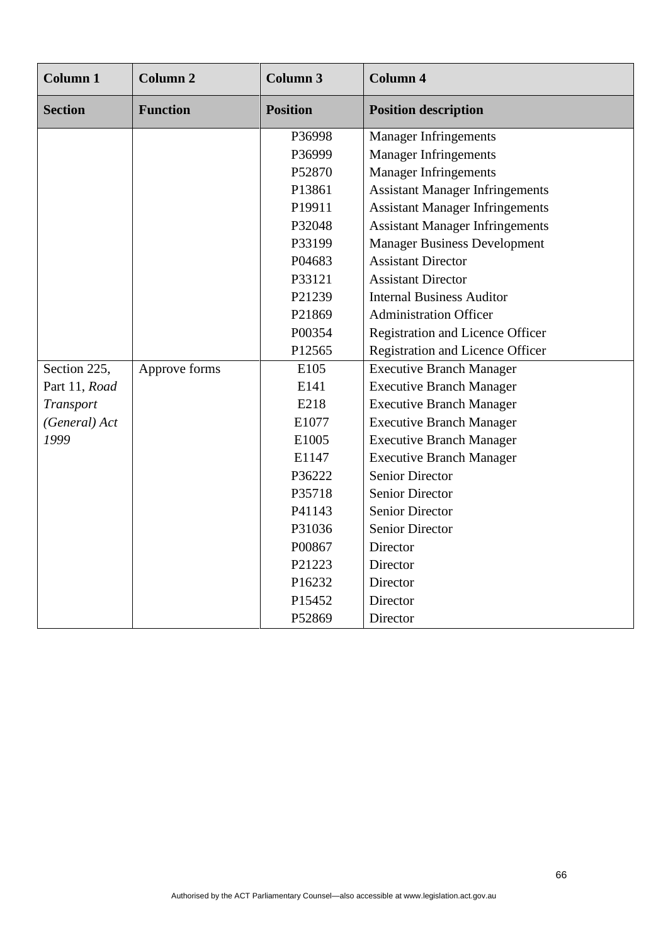| <b>Column 1</b> | <b>Column 2</b> | <b>Column 3</b> | <b>Column 4</b>                        |
|-----------------|-----------------|-----------------|----------------------------------------|
| <b>Section</b>  | <b>Function</b> | <b>Position</b> | <b>Position description</b>            |
|                 |                 | P36998          | <b>Manager Infringements</b>           |
|                 |                 | P36999          | <b>Manager Infringements</b>           |
|                 |                 | P52870          | <b>Manager Infringements</b>           |
|                 |                 | P13861          | <b>Assistant Manager Infringements</b> |
|                 |                 | P19911          | <b>Assistant Manager Infringements</b> |
|                 |                 | P32048          | <b>Assistant Manager Infringements</b> |
|                 |                 | P33199          | <b>Manager Business Development</b>    |
|                 |                 | P04683          | <b>Assistant Director</b>              |
|                 |                 | P33121          | <b>Assistant Director</b>              |
|                 |                 | P21239          | <b>Internal Business Auditor</b>       |
|                 |                 | P21869          | <b>Administration Officer</b>          |
|                 |                 | P00354          | Registration and Licence Officer       |
|                 |                 | P12565          | Registration and Licence Officer       |
| Section 225,    | Approve forms   | E105            | <b>Executive Branch Manager</b>        |
| Part 11, Road   |                 | E141            | <b>Executive Branch Manager</b>        |
| Transport       |                 | E218            | <b>Executive Branch Manager</b>        |
| (General) Act   |                 | E1077           | <b>Executive Branch Manager</b>        |
| 1999            |                 | E1005           | <b>Executive Branch Manager</b>        |
|                 |                 | E1147           | <b>Executive Branch Manager</b>        |
|                 |                 | P36222          | <b>Senior Director</b>                 |
|                 |                 | P35718          | <b>Senior Director</b>                 |
|                 |                 | P41143          | <b>Senior Director</b>                 |
|                 |                 | P31036          | <b>Senior Director</b>                 |
|                 |                 | P00867          | Director                               |
|                 |                 | P21223          | Director                               |
|                 |                 | P16232          | Director                               |
|                 |                 | P15452          | Director                               |
|                 |                 | P52869          | Director                               |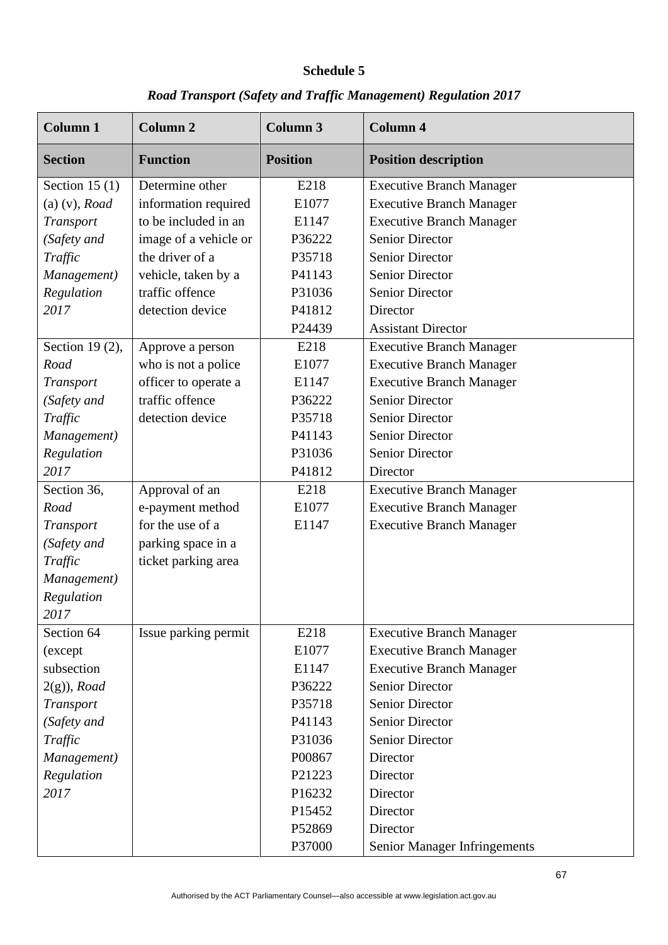| Road Transport (Safety and Traffic Management) Regulation 2017 |  |  |  |  |  |  |
|----------------------------------------------------------------|--|--|--|--|--|--|
|----------------------------------------------------------------|--|--|--|--|--|--|

| <b>Column 1</b>  | <b>Column 2</b>       | <b>Column 3</b> | <b>Column 4</b>                     |
|------------------|-----------------------|-----------------|-------------------------------------|
| <b>Section</b>   | <b>Function</b>       | <b>Position</b> | <b>Position description</b>         |
| Section 15 $(1)$ | Determine other       | E218            | <b>Executive Branch Manager</b>     |
| $(a)$ (v), Road  | information required  | E1077           | <b>Executive Branch Manager</b>     |
| Transport        | to be included in an  | E1147           | <b>Executive Branch Manager</b>     |
| (Safety and      | image of a vehicle or | P36222          | <b>Senior Director</b>              |
| Traffic          | the driver of a       | P35718          | <b>Senior Director</b>              |
| Management)      | vehicle, taken by a   | P41143          | <b>Senior Director</b>              |
| Regulation       | traffic offence       | P31036          | <b>Senior Director</b>              |
| 2017             | detection device      | P41812          | Director                            |
|                  |                       | P24439          | <b>Assistant Director</b>           |
| Section 19 (2),  | Approve a person      | E218            | <b>Executive Branch Manager</b>     |
| Road             | who is not a police   | E1077           | <b>Executive Branch Manager</b>     |
| Transport        | officer to operate a  | E1147           | <b>Executive Branch Manager</b>     |
| (Safety and      | traffic offence       | P36222          | <b>Senior Director</b>              |
| Traffic          | detection device      | P35718          | <b>Senior Director</b>              |
| Management)      |                       | P41143          | <b>Senior Director</b>              |
| Regulation       |                       | P31036          | <b>Senior Director</b>              |
| 2017             |                       | P41812          | Director                            |
| Section 36,      | Approval of an        | E218            | <b>Executive Branch Manager</b>     |
| Road             | e-payment method      | E1077           | <b>Executive Branch Manager</b>     |
| Transport        | for the use of a      | E1147           | <b>Executive Branch Manager</b>     |
| (Safety and      | parking space in a    |                 |                                     |
| Traffic          | ticket parking area   |                 |                                     |
| Management)      |                       |                 |                                     |
| Regulation       |                       |                 |                                     |
| 2017             |                       |                 |                                     |
| Section 64       | Issue parking permit  | E218            | <b>Executive Branch Manager</b>     |
| (except          |                       | E1077           | <b>Executive Branch Manager</b>     |
| subsection       |                       | E1147           | <b>Executive Branch Manager</b>     |
| $2(g)$ ), Road   |                       | P36222          | <b>Senior Director</b>              |
| Transport        |                       | P35718          | <b>Senior Director</b>              |
| (Safety and      |                       | P41143          | <b>Senior Director</b>              |
| Traffic          |                       | P31036          | <b>Senior Director</b>              |
| Management)      |                       | P00867          | Director                            |
| Regulation       |                       | P21223          | Director                            |
| 2017             |                       | P16232          | Director                            |
|                  |                       | P15452          | Director                            |
|                  |                       | P52869          | Director                            |
|                  |                       | P37000          | <b>Senior Manager Infringements</b> |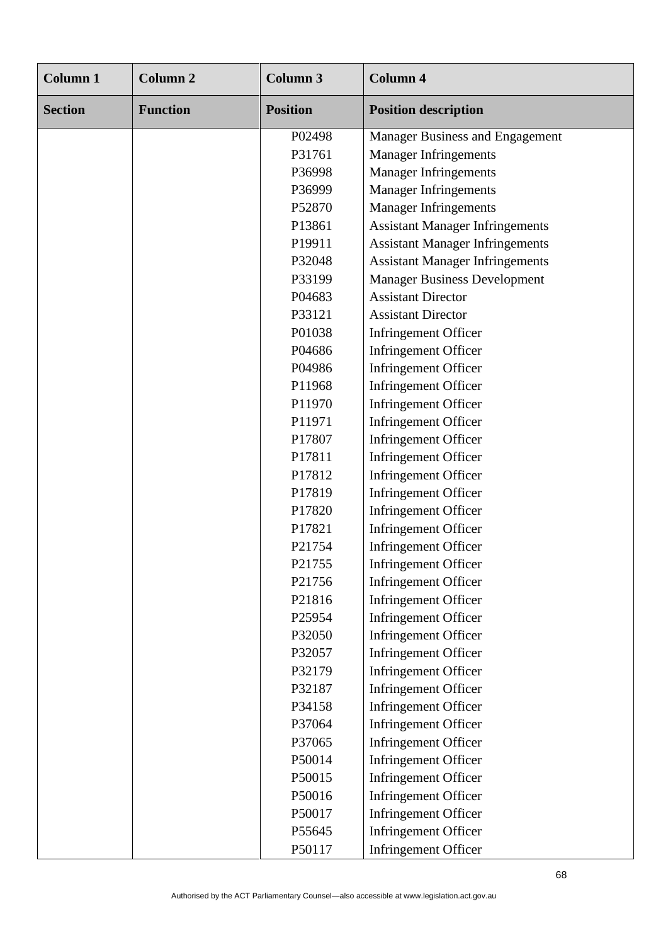| <b>Column 1</b> | <b>Column 2</b> | <b>Column 3</b> | <b>Column 4</b>                        |
|-----------------|-----------------|-----------------|----------------------------------------|
| <b>Section</b>  | <b>Function</b> | <b>Position</b> | <b>Position description</b>            |
|                 |                 | P02498          | Manager Business and Engagement        |
|                 |                 | P31761          | <b>Manager Infringements</b>           |
|                 |                 | P36998          | <b>Manager Infringements</b>           |
|                 |                 | P36999          | <b>Manager Infringements</b>           |
|                 |                 | P52870          | <b>Manager Infringements</b>           |
|                 |                 | P13861          | <b>Assistant Manager Infringements</b> |
|                 |                 | P19911          | <b>Assistant Manager Infringements</b> |
|                 |                 | P32048          | <b>Assistant Manager Infringements</b> |
|                 |                 | P33199          | <b>Manager Business Development</b>    |
|                 |                 | P04683          | <b>Assistant Director</b>              |
|                 |                 | P33121          | <b>Assistant Director</b>              |
|                 |                 | P01038          | Infringement Officer                   |
|                 |                 | P04686          | Infringement Officer                   |
|                 |                 | P04986          | <b>Infringement Officer</b>            |
|                 |                 | P11968          | <b>Infringement Officer</b>            |
|                 |                 | P11970          | Infringement Officer                   |
|                 |                 | P11971          | <b>Infringement Officer</b>            |
|                 |                 | P17807          | Infringement Officer                   |
|                 |                 | P17811          | Infringement Officer                   |
|                 |                 | P17812          | <b>Infringement Officer</b>            |
|                 |                 | P17819          | Infringement Officer                   |
|                 |                 | P17820          | <b>Infringement Officer</b>            |
|                 |                 | P17821          | <b>Infringement Officer</b>            |
|                 |                 | P21754          | Infringement Officer                   |
|                 |                 | P21755          | Infringement Officer                   |
|                 |                 | P21756          | Infringement Officer                   |
|                 |                 | P21816          | <b>Infringement Officer</b>            |
|                 |                 | P25954          | Infringement Officer                   |
|                 |                 | P32050          | <b>Infringement Officer</b>            |
|                 |                 | P32057          | Infringement Officer                   |
|                 |                 | P32179          | Infringement Officer                   |
|                 |                 | P32187          | <b>Infringement Officer</b>            |
|                 |                 | P34158          | Infringement Officer                   |
|                 |                 | P37064          | Infringement Officer                   |
|                 |                 | P37065          | <b>Infringement Officer</b>            |
|                 |                 | P50014          | <b>Infringement Officer</b>            |
|                 |                 | P50015          | Infringement Officer                   |
|                 |                 | P50016          | <b>Infringement Officer</b>            |
|                 |                 | P50017          | Infringement Officer                   |
|                 |                 | P55645          | <b>Infringement Officer</b>            |
|                 |                 | P50117          | Infringement Officer                   |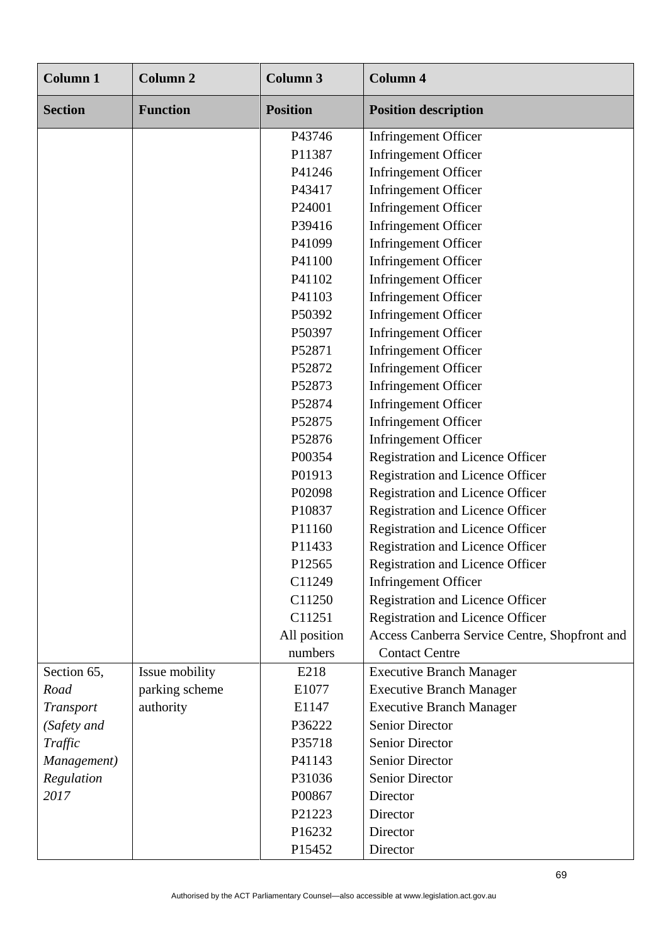| <b>Column 1</b> | <b>Column 2</b> | <b>Column 3</b> | <b>Column 4</b>                               |
|-----------------|-----------------|-----------------|-----------------------------------------------|
| <b>Section</b>  | <b>Function</b> | <b>Position</b> | <b>Position description</b>                   |
|                 |                 | P43746          | Infringement Officer                          |
|                 |                 | P11387          | <b>Infringement Officer</b>                   |
|                 |                 | P41246          | <b>Infringement Officer</b>                   |
|                 |                 | P43417          | <b>Infringement Officer</b>                   |
|                 |                 | P24001          | <b>Infringement Officer</b>                   |
|                 |                 | P39416          | Infringement Officer                          |
|                 |                 | P41099          | <b>Infringement Officer</b>                   |
|                 |                 | P41100          | <b>Infringement Officer</b>                   |
|                 |                 | P41102          | Infringement Officer                          |
|                 |                 | P41103          | <b>Infringement Officer</b>                   |
|                 |                 | P50392          | <b>Infringement Officer</b>                   |
|                 |                 | P50397          | Infringement Officer                          |
|                 |                 | P52871          | Infringement Officer                          |
|                 |                 | P52872          | <b>Infringement Officer</b>                   |
|                 |                 | P52873          | Infringement Officer                          |
|                 |                 | P52874          | <b>Infringement Officer</b>                   |
|                 |                 | P52875          | <b>Infringement Officer</b>                   |
|                 |                 | P52876          | Infringement Officer                          |
|                 |                 | P00354          | Registration and Licence Officer              |
|                 |                 | P01913          | Registration and Licence Officer              |
|                 |                 | P02098          | Registration and Licence Officer              |
|                 |                 | P10837          | <b>Registration and Licence Officer</b>       |
|                 |                 | P11160          | Registration and Licence Officer              |
|                 |                 | P11433          | Registration and Licence Officer              |
|                 |                 | P12565          | Registration and Licence Officer              |
|                 |                 | C11249          | Infringement Officer                          |
|                 |                 | C11250          | Registration and Licence Officer              |
|                 |                 | C11251          | Registration and Licence Officer              |
|                 |                 | All position    | Access Canberra Service Centre, Shopfront and |
|                 |                 | numbers         | <b>Contact Centre</b>                         |
| Section 65,     | Issue mobility  | E218            | <b>Executive Branch Manager</b>               |
| Road            | parking scheme  | E1077           | <b>Executive Branch Manager</b>               |
| Transport       | authority       | E1147           | <b>Executive Branch Manager</b>               |
| (Safety and     |                 | P36222          | <b>Senior Director</b>                        |
| Traffic         |                 | P35718          | <b>Senior Director</b>                        |
| Management)     |                 | P41143          | <b>Senior Director</b>                        |
| Regulation      |                 | P31036          | <b>Senior Director</b>                        |
| 2017            |                 | P00867          | Director                                      |
|                 |                 | P21223          | Director                                      |
|                 |                 | P16232          | Director                                      |
|                 |                 | P15452          | Director                                      |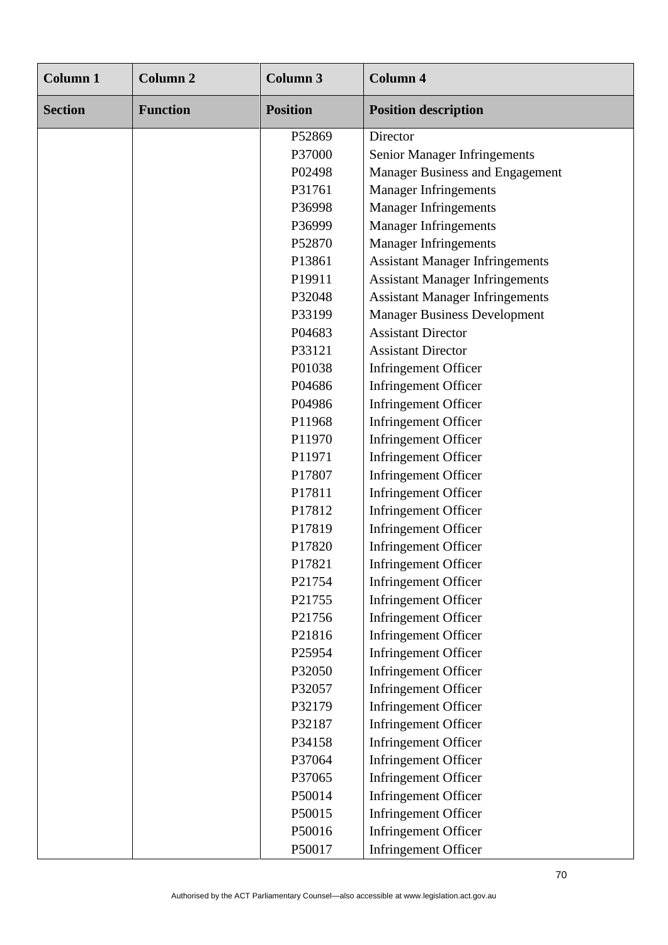| <b>Column 1</b> | <b>Column 2</b> | <b>Column 3</b> | <b>Column 4</b>                        |
|-----------------|-----------------|-----------------|----------------------------------------|
| <b>Section</b>  | <b>Function</b> | <b>Position</b> | <b>Position description</b>            |
|                 |                 | P52869          | Director                               |
|                 |                 | P37000          | <b>Senior Manager Infringements</b>    |
|                 |                 | P02498          | <b>Manager Business and Engagement</b> |
|                 |                 | P31761          | <b>Manager Infringements</b>           |
|                 |                 | P36998          | <b>Manager Infringements</b>           |
|                 |                 | P36999          | <b>Manager Infringements</b>           |
|                 |                 | P52870          | <b>Manager Infringements</b>           |
|                 |                 | P13861          | <b>Assistant Manager Infringements</b> |
|                 |                 | P19911          | <b>Assistant Manager Infringements</b> |
|                 |                 | P32048          | <b>Assistant Manager Infringements</b> |
|                 |                 | P33199          | <b>Manager Business Development</b>    |
|                 |                 | P04683          | <b>Assistant Director</b>              |
|                 |                 | P33121          | <b>Assistant Director</b>              |
|                 |                 | P01038          | <b>Infringement Officer</b>            |
|                 |                 | P04686          | Infringement Officer                   |
|                 |                 | P04986          | <b>Infringement Officer</b>            |
|                 |                 | P11968          | <b>Infringement Officer</b>            |
|                 |                 | P11970          | <b>Infringement Officer</b>            |
|                 |                 | P11971          | <b>Infringement Officer</b>            |
|                 |                 | P17807          | <b>Infringement Officer</b>            |
|                 |                 | P17811          | Infringement Officer                   |
|                 |                 | P17812          | Infringement Officer                   |
|                 |                 | P17819          | <b>Infringement Officer</b>            |
|                 |                 | P17820          | <b>Infringement Officer</b>            |
|                 |                 | P17821          | <b>Infringement Officer</b>            |
|                 |                 | P21754          | <b>Infringement Officer</b>            |
|                 |                 | P21755          | Infringement Officer                   |
|                 |                 | P21756          | Infringement Officer                   |
|                 |                 | P21816          | Infringement Officer                   |
|                 |                 | P25954          | <b>Infringement Officer</b>            |
|                 |                 | P32050          | Infringement Officer                   |
|                 |                 | P32057          | Infringement Officer                   |
|                 |                 | P32179          | <b>Infringement Officer</b>            |
|                 |                 | P32187          | Infringement Officer                   |
|                 |                 | P34158          | Infringement Officer                   |
|                 |                 | P37064          | <b>Infringement Officer</b>            |
|                 |                 | P37065          | <b>Infringement Officer</b>            |
|                 |                 | P50014          | Infringement Officer                   |
|                 |                 | P50015          | <b>Infringement Officer</b>            |
|                 |                 | P50016          | <b>Infringement Officer</b>            |
|                 |                 | P50017          | Infringement Officer                   |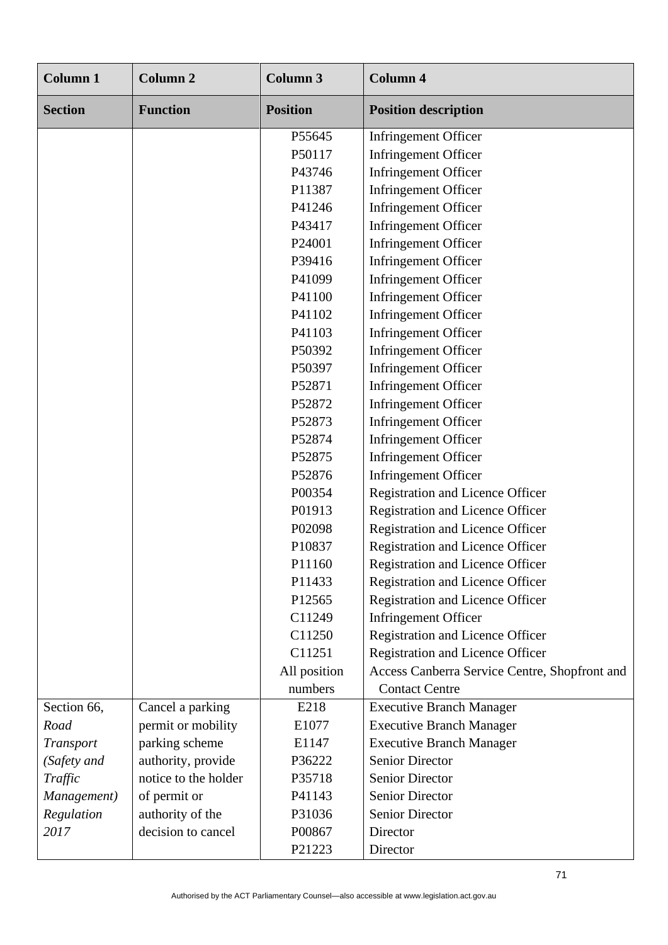| <b>Column 1</b> | <b>Column 2</b>      | <b>Column 3</b>    | <b>Column 4</b>                               |
|-----------------|----------------------|--------------------|-----------------------------------------------|
| <b>Section</b>  | <b>Function</b>      | <b>Position</b>    | <b>Position description</b>                   |
|                 |                      | P55645             | Infringement Officer                          |
|                 |                      | P50117             | <b>Infringement Officer</b>                   |
|                 |                      | P43746             | <b>Infringement Officer</b>                   |
|                 |                      | P11387             | Infringement Officer                          |
|                 |                      | P41246             | <b>Infringement Officer</b>                   |
|                 |                      | P43417             | <b>Infringement Officer</b>                   |
|                 |                      | P24001             | <b>Infringement Officer</b>                   |
|                 |                      | P39416             | <b>Infringement Officer</b>                   |
|                 |                      | P41099             | Infringement Officer                          |
|                 |                      | P41100             | Infringement Officer                          |
|                 |                      | P41102             | Infringement Officer                          |
|                 |                      | P41103             | <b>Infringement Officer</b>                   |
|                 |                      | P50392             | <b>Infringement Officer</b>                   |
|                 |                      | P50397             | Infringement Officer                          |
|                 |                      | P52871             | Infringement Officer                          |
|                 |                      | P52872             | Infringement Officer                          |
|                 |                      | P52873             | <b>Infringement Officer</b>                   |
|                 |                      | P52874             | Infringement Officer                          |
|                 |                      | P52875             | <b>Infringement Officer</b>                   |
|                 |                      | P52876             | <b>Infringement Officer</b>                   |
|                 |                      | P00354             | Registration and Licence Officer              |
|                 |                      | P01913             | <b>Registration and Licence Officer</b>       |
|                 |                      | P02098             | <b>Registration and Licence Officer</b>       |
|                 |                      | P10837             | Registration and Licence Officer              |
|                 |                      | P11160             | <b>Registration and Licence Officer</b>       |
|                 |                      | P11433             | Registration and Licence Officer              |
|                 |                      | P <sub>12565</sub> | Registration and Licence Officer              |
|                 |                      | C11249             | <b>Infringement Officer</b>                   |
|                 |                      | C11250             | Registration and Licence Officer              |
|                 |                      | C11251             | Registration and Licence Officer              |
|                 |                      | All position       | Access Canberra Service Centre, Shopfront and |
|                 |                      | numbers            | <b>Contact Centre</b>                         |
| Section 66,     | Cancel a parking     | E218               | <b>Executive Branch Manager</b>               |
| Road            | permit or mobility   | E1077              | <b>Executive Branch Manager</b>               |
| Transport       | parking scheme       | E1147              | <b>Executive Branch Manager</b>               |
| (Safety and     | authority, provide   | P36222             | <b>Senior Director</b>                        |
| Traffic         | notice to the holder | P35718             | <b>Senior Director</b>                        |
| Management)     | of permit or         | P41143             | <b>Senior Director</b>                        |
| Regulation      | authority of the     | P31036             | <b>Senior Director</b>                        |
| 2017            | decision to cancel   | P00867             | Director                                      |
|                 |                      | P21223             | Director                                      |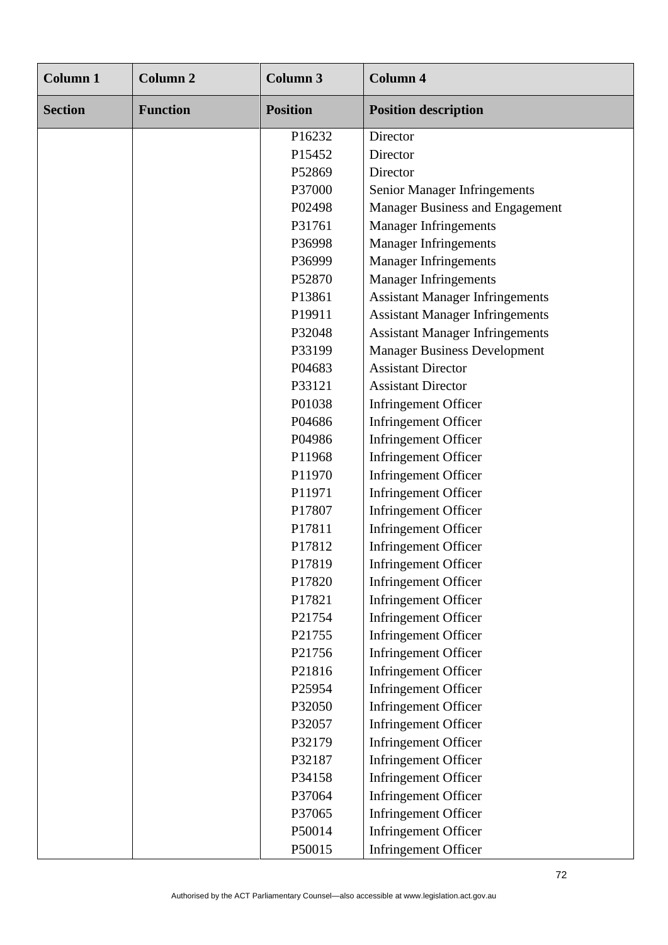| <b>Column 1</b> | <b>Column 2</b> | <b>Column 3</b> | <b>Column 4</b>                        |
|-----------------|-----------------|-----------------|----------------------------------------|
| <b>Section</b>  | <b>Function</b> | <b>Position</b> | <b>Position description</b>            |
|                 |                 | P16232          | Director                               |
|                 |                 | P15452          | Director                               |
|                 |                 | P52869          | Director                               |
|                 |                 | P37000          | <b>Senior Manager Infringements</b>    |
|                 |                 | P02498          | Manager Business and Engagement        |
|                 |                 | P31761          | <b>Manager Infringements</b>           |
|                 |                 | P36998          | <b>Manager Infringements</b>           |
|                 |                 | P36999          | <b>Manager Infringements</b>           |
|                 |                 | P52870          | <b>Manager Infringements</b>           |
|                 |                 | P13861          | <b>Assistant Manager Infringements</b> |
|                 |                 | P19911          | <b>Assistant Manager Infringements</b> |
|                 |                 | P32048          | <b>Assistant Manager Infringements</b> |
|                 |                 | P33199          | <b>Manager Business Development</b>    |
|                 |                 | P04683          | <b>Assistant Director</b>              |
|                 |                 | P33121          | <b>Assistant Director</b>              |
|                 |                 | P01038          | Infringement Officer                   |
|                 |                 | P04686          | <b>Infringement Officer</b>            |
|                 |                 | P04986          | <b>Infringement Officer</b>            |
|                 |                 | P11968          | Infringement Officer                   |
|                 |                 | P11970          | <b>Infringement Officer</b>            |
|                 |                 | P11971          | <b>Infringement Officer</b>            |
|                 |                 | P17807          | Infringement Officer                   |
|                 |                 | P17811          | <b>Infringement Officer</b>            |
|                 |                 | P17812          | Infringement Officer                   |
|                 |                 | P17819          | Infringement Officer                   |
|                 |                 | P17820          | Infringement Officer                   |
|                 |                 | P17821          | Infringement Officer                   |
|                 |                 | P21754          | Infringement Officer                   |
|                 |                 | P21755          | Infringement Officer                   |
|                 |                 | P21756          | <b>Infringement Officer</b>            |
|                 |                 | P21816          | Infringement Officer                   |
|                 |                 | P25954          | Infringement Officer                   |
|                 |                 | P32050          | <b>Infringement Officer</b>            |
|                 |                 | P32057          | <b>Infringement Officer</b>            |
|                 |                 | P32179          | Infringement Officer                   |
|                 |                 | P32187          | <b>Infringement Officer</b>            |
|                 |                 | P34158          | Infringement Officer                   |
|                 |                 | P37064          | Infringement Officer                   |
|                 |                 | P37065          | <b>Infringement Officer</b>            |
|                 |                 | P50014          | <b>Infringement Officer</b>            |
|                 |                 | P50015          | <b>Infringement Officer</b>            |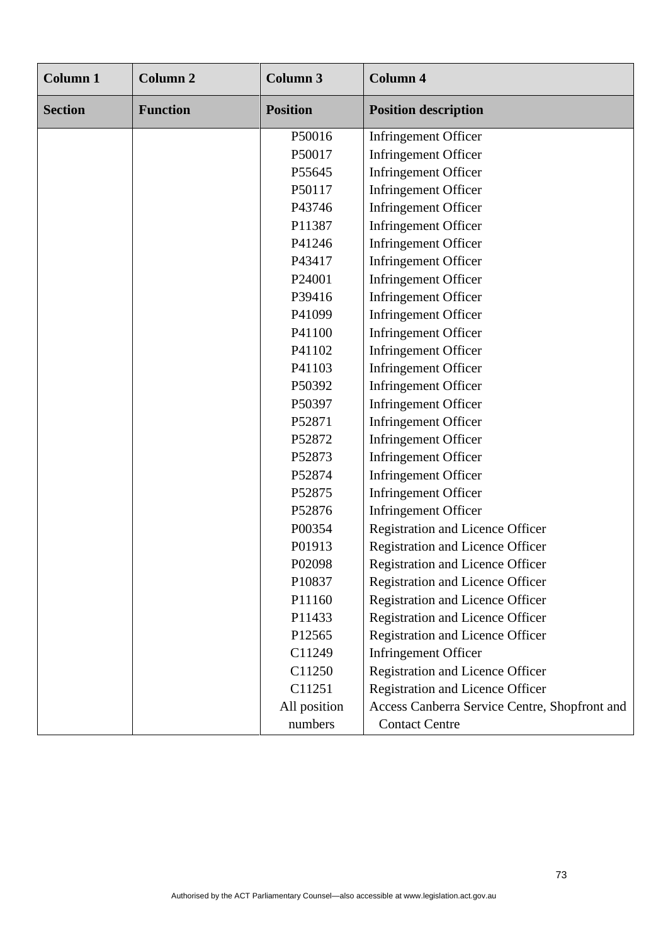| <b>Column 1</b> | <b>Column 2</b> | <b>Column 3</b> | <b>Column 4</b>                               |
|-----------------|-----------------|-----------------|-----------------------------------------------|
| <b>Section</b>  | <b>Function</b> | <b>Position</b> | <b>Position description</b>                   |
|                 |                 | P50016          | <b>Infringement Officer</b>                   |
|                 |                 | P50017          | <b>Infringement Officer</b>                   |
|                 |                 | P55645          | <b>Infringement Officer</b>                   |
|                 |                 | P50117          | <b>Infringement Officer</b>                   |
|                 |                 | P43746          | <b>Infringement Officer</b>                   |
|                 |                 | P11387          | Infringement Officer                          |
|                 |                 | P41246          | <b>Infringement Officer</b>                   |
|                 |                 | P43417          | <b>Infringement Officer</b>                   |
|                 |                 | P24001          | Infringement Officer                          |
|                 |                 | P39416          | <b>Infringement Officer</b>                   |
|                 |                 | P41099          | <b>Infringement Officer</b>                   |
|                 |                 | P41100          | Infringement Officer                          |
|                 |                 | P41102          | Infringement Officer                          |
|                 |                 | P41103          | <b>Infringement Officer</b>                   |
|                 |                 | P50392          | Infringement Officer                          |
|                 |                 | P50397          | <b>Infringement Officer</b>                   |
|                 |                 | P52871          | <b>Infringement Officer</b>                   |
|                 |                 | P52872          | Infringement Officer                          |
|                 |                 | P52873          | <b>Infringement Officer</b>                   |
|                 |                 | P52874          | <b>Infringement Officer</b>                   |
|                 |                 | P52875          | Infringement Officer                          |
|                 |                 | P52876          | <b>Infringement Officer</b>                   |
|                 |                 | P00354          | Registration and Licence Officer              |
|                 |                 | P01913          | <b>Registration and Licence Officer</b>       |
|                 |                 | P02098          | Registration and Licence Officer              |
|                 |                 | P10837          | <b>Registration and Licence Officer</b>       |
|                 |                 | P11160          | Registration and Licence Officer              |
|                 |                 | P11433          | Registration and Licence Officer              |
|                 |                 | P12565          | <b>Registration and Licence Officer</b>       |
|                 |                 | C11249          | <b>Infringement Officer</b>                   |
|                 |                 | C11250          | Registration and Licence Officer              |
|                 |                 | C11251          | Registration and Licence Officer              |
|                 |                 | All position    | Access Canberra Service Centre, Shopfront and |
|                 |                 | numbers         | <b>Contact Centre</b>                         |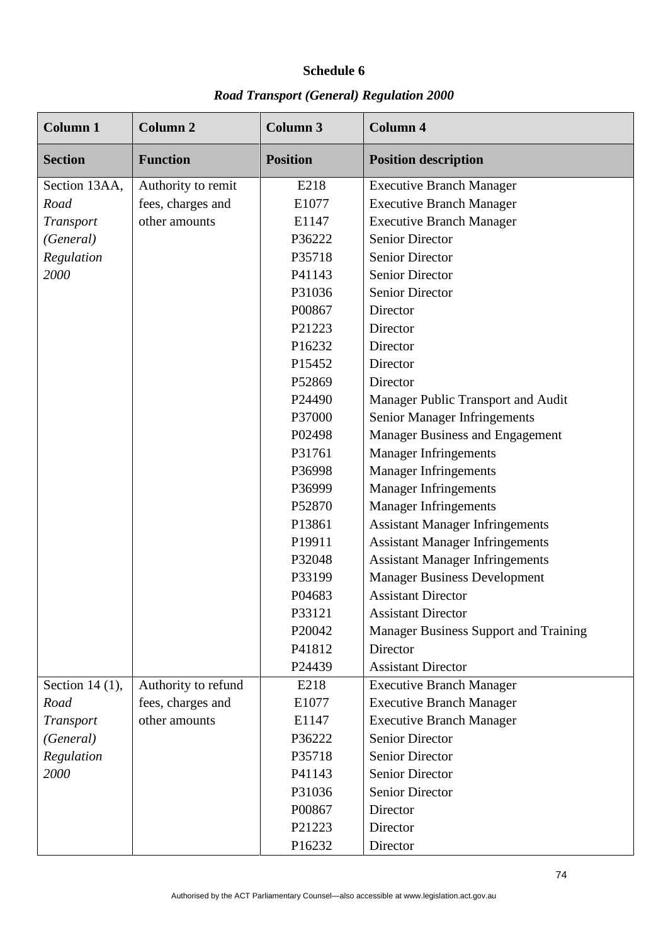## **Schedule 6**

| <b>Column 1</b> | <b>Column 2</b>     | <b>Column 3</b> | <b>Column 4</b>                              |
|-----------------|---------------------|-----------------|----------------------------------------------|
| <b>Section</b>  | <b>Function</b>     | <b>Position</b> | <b>Position description</b>                  |
| Section 13AA,   | Authority to remit  | E218            | <b>Executive Branch Manager</b>              |
| Road            | fees, charges and   | E1077           | <b>Executive Branch Manager</b>              |
| Transport       | other amounts       | E1147           | <b>Executive Branch Manager</b>              |
| (General)       |                     | P36222          | <b>Senior Director</b>                       |
| Regulation      |                     | P35718          | <b>Senior Director</b>                       |
| 2000            |                     | P41143          | <b>Senior Director</b>                       |
|                 |                     | P31036          | <b>Senior Director</b>                       |
|                 |                     | P00867          | Director                                     |
|                 |                     | P21223          | Director                                     |
|                 |                     | P16232          | Director                                     |
|                 |                     | P15452          | Director                                     |
|                 |                     | P52869          | Director                                     |
|                 |                     | P24490          | Manager Public Transport and Audit           |
|                 |                     | P37000          | <b>Senior Manager Infringements</b>          |
|                 |                     | P02498          | <b>Manager Business and Engagement</b>       |
|                 |                     | P31761          | <b>Manager Infringements</b>                 |
|                 |                     | P36998          | <b>Manager Infringements</b>                 |
|                 |                     | P36999          | <b>Manager Infringements</b>                 |
|                 |                     | P52870          | <b>Manager Infringements</b>                 |
|                 |                     | P13861          | <b>Assistant Manager Infringements</b>       |
|                 |                     | P19911          | <b>Assistant Manager Infringements</b>       |
|                 |                     | P32048          | <b>Assistant Manager Infringements</b>       |
|                 |                     | P33199          | <b>Manager Business Development</b>          |
|                 |                     | P04683          | <b>Assistant Director</b>                    |
|                 |                     | P33121          | <b>Assistant Director</b>                    |
|                 |                     | P20042          | <b>Manager Business Support and Training</b> |
|                 |                     | P41812          | Director                                     |
|                 |                     | P24439          | <b>Assistant Director</b>                    |
| Section 14 (1), | Authority to refund | E218            | <b>Executive Branch Manager</b>              |
| Road            | fees, charges and   | E1077           | <b>Executive Branch Manager</b>              |
| Transport       | other amounts       | E1147           | <b>Executive Branch Manager</b>              |
| (General)       |                     | P36222          | <b>Senior Director</b>                       |
| Regulation      |                     | P35718          | <b>Senior Director</b>                       |
| 2000            |                     | P41143          | <b>Senior Director</b>                       |
|                 |                     | P31036          | <b>Senior Director</b>                       |
|                 |                     | P00867          | Director                                     |
|                 |                     | P21223          | Director                                     |
|                 |                     | P16232          | Director                                     |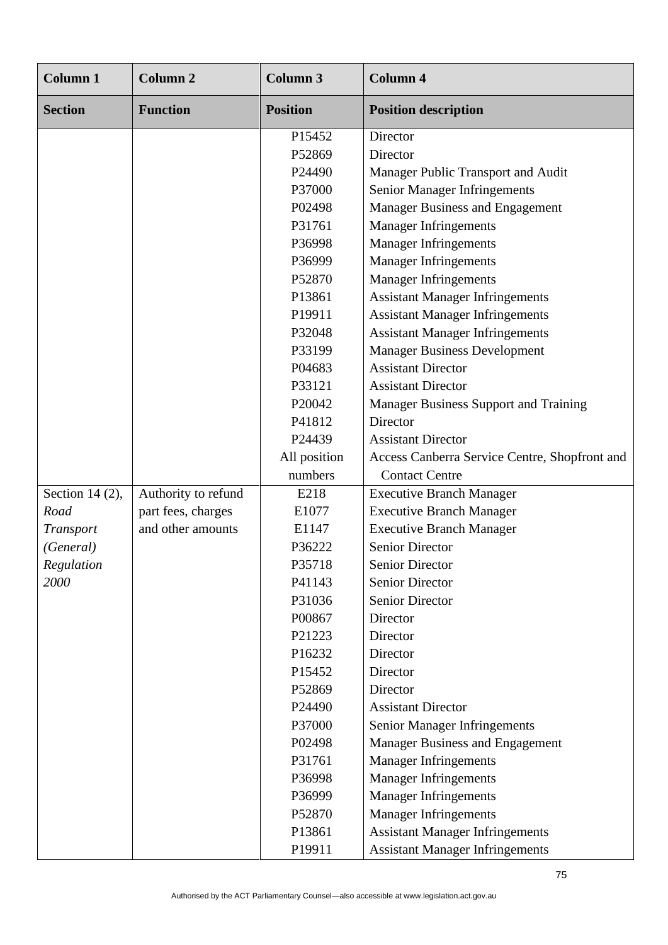| <b>Column 1</b> | <b>Column 2</b>     | <b>Column 3</b>    | <b>Column 4</b>                               |
|-----------------|---------------------|--------------------|-----------------------------------------------|
| <b>Section</b>  | <b>Function</b>     | <b>Position</b>    | <b>Position description</b>                   |
|                 |                     | P15452             | Director                                      |
|                 |                     | P52869             | Director                                      |
|                 |                     | P24490             | Manager Public Transport and Audit            |
|                 |                     | P37000             | Senior Manager Infringements                  |
|                 |                     | P02498             | Manager Business and Engagement               |
|                 |                     | P31761             | <b>Manager Infringements</b>                  |
|                 |                     | P36998             | <b>Manager Infringements</b>                  |
|                 |                     | P36999             | <b>Manager Infringements</b>                  |
|                 |                     | P52870             | <b>Manager Infringements</b>                  |
|                 |                     | P13861             | <b>Assistant Manager Infringements</b>        |
|                 |                     | P19911             | <b>Assistant Manager Infringements</b>        |
|                 |                     | P32048             | <b>Assistant Manager Infringements</b>        |
|                 |                     | P33199             | <b>Manager Business Development</b>           |
|                 |                     | P04683             | <b>Assistant Director</b>                     |
|                 |                     | P33121             | <b>Assistant Director</b>                     |
|                 |                     | P20042             | <b>Manager Business Support and Training</b>  |
|                 |                     | P41812             | Director                                      |
|                 |                     | P24439             | <b>Assistant Director</b>                     |
|                 |                     | All position       | Access Canberra Service Centre, Shopfront and |
|                 |                     | numbers            | <b>Contact Centre</b>                         |
| Section 14 (2), | Authority to refund | E <sub>218</sub>   | <b>Executive Branch Manager</b>               |
| Road            | part fees, charges  | E1077              | <b>Executive Branch Manager</b>               |
| Transport       | and other amounts   | E1147              | <b>Executive Branch Manager</b>               |
| (General)       |                     | P36222             | <b>Senior Director</b>                        |
| Regulation      |                     | P35718             | <b>Senior Director</b>                        |
| 2000            |                     | P41143             | <b>Senior Director</b>                        |
|                 |                     | P31036             | <b>Senior Director</b>                        |
|                 |                     | P00867             | Director                                      |
|                 |                     | P21223             | Director                                      |
|                 |                     | P16232             | Director                                      |
|                 |                     | P15452             | Director                                      |
|                 |                     | P52869             | Director                                      |
|                 |                     | P <sub>24490</sub> | <b>Assistant Director</b>                     |
|                 |                     | P37000             | <b>Senior Manager Infringements</b>           |
|                 |                     | P02498             | Manager Business and Engagement               |
|                 |                     | P31761             | <b>Manager Infringements</b>                  |
|                 |                     | P36998             | <b>Manager Infringements</b>                  |
|                 |                     | P36999             | <b>Manager Infringements</b>                  |
|                 |                     | P52870             | <b>Manager Infringements</b>                  |
|                 |                     | P13861             | <b>Assistant Manager Infringements</b>        |
|                 |                     | P19911             | <b>Assistant Manager Infringements</b>        |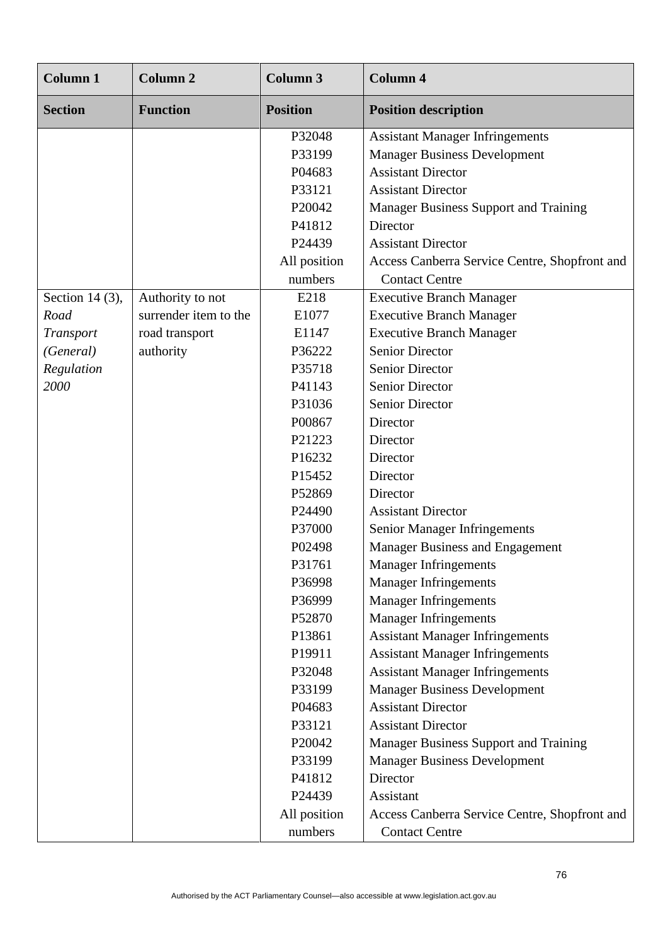| <b>Column 1</b> | <b>Column 2</b>       | <b>Column 3</b>    | <b>Column 4</b>                               |
|-----------------|-----------------------|--------------------|-----------------------------------------------|
| <b>Section</b>  | <b>Function</b>       | <b>Position</b>    | <b>Position description</b>                   |
|                 |                       | P32048             | <b>Assistant Manager Infringements</b>        |
|                 |                       | P33199             | <b>Manager Business Development</b>           |
|                 |                       | P04683             | <b>Assistant Director</b>                     |
|                 |                       | P33121             | <b>Assistant Director</b>                     |
|                 |                       | P20042             | <b>Manager Business Support and Training</b>  |
|                 |                       | P41812             | Director                                      |
|                 |                       | P24439             | <b>Assistant Director</b>                     |
|                 |                       | All position       | Access Canberra Service Centre, Shopfront and |
|                 |                       | numbers            | <b>Contact Centre</b>                         |
| Section 14 (3), | Authority to not      | E218               | <b>Executive Branch Manager</b>               |
| Road            | surrender item to the | E1077              | <b>Executive Branch Manager</b>               |
| Transport       | road transport        | E1147              | <b>Executive Branch Manager</b>               |
| (General)       | authority             | P36222             | <b>Senior Director</b>                        |
| Regulation      |                       | P35718             | <b>Senior Director</b>                        |
| 2000            |                       | P41143             | <b>Senior Director</b>                        |
|                 |                       | P31036             | <b>Senior Director</b>                        |
|                 |                       | P00867             | Director                                      |
|                 |                       | P21223             | Director                                      |
|                 |                       | P16232             | Director                                      |
|                 |                       | P15452             | Director                                      |
|                 |                       | P52869             | Director                                      |
|                 |                       | P <sub>24490</sub> | <b>Assistant Director</b>                     |
|                 |                       | P37000             | <b>Senior Manager Infringements</b>           |
|                 |                       | P02498             | Manager Business and Engagement               |
|                 |                       | P31761             | <b>Manager Infringements</b>                  |
|                 |                       | P36998             | <b>Manager Infringements</b>                  |
|                 |                       | P36999             | <b>Manager Infringements</b>                  |
|                 |                       | P52870             | <b>Manager Infringements</b>                  |
|                 |                       | P13861             | <b>Assistant Manager Infringements</b>        |
|                 |                       | P19911             | <b>Assistant Manager Infringements</b>        |
|                 |                       | P32048             | <b>Assistant Manager Infringements</b>        |
|                 |                       | P33199             | <b>Manager Business Development</b>           |
|                 |                       | P04683             | <b>Assistant Director</b>                     |
|                 |                       | P33121             | <b>Assistant Director</b>                     |
|                 |                       | P20042             | <b>Manager Business Support and Training</b>  |
|                 |                       | P33199             | <b>Manager Business Development</b>           |
|                 |                       | P41812             | Director                                      |
|                 |                       | P24439             | Assistant                                     |
|                 |                       | All position       | Access Canberra Service Centre, Shopfront and |
|                 |                       | numbers            | <b>Contact Centre</b>                         |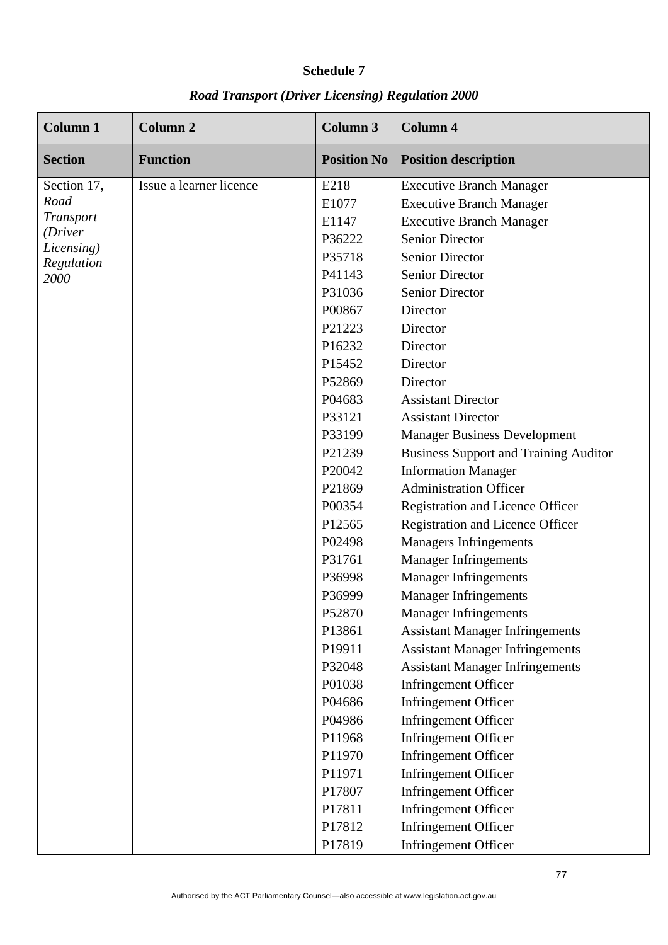## **Schedule 7**

| <b>Column 1</b>       | <b>Column 2</b>         | <b>Column 3</b>    | <b>Column 4</b>                              |
|-----------------------|-------------------------|--------------------|----------------------------------------------|
| <b>Section</b>        | <b>Function</b>         | <b>Position No</b> | <b>Position description</b>                  |
| Section 17,           | Issue a learner licence | E218               | <b>Executive Branch Manager</b>              |
| Road                  |                         | E1077              | <b>Executive Branch Manager</b>              |
| Transport             |                         | E1147              | <b>Executive Branch Manager</b>              |
| (Driver<br>Licensing) |                         | P36222             | <b>Senior Director</b>                       |
| Regulation            |                         | P35718             | <b>Senior Director</b>                       |
| 2000                  |                         | P41143             | <b>Senior Director</b>                       |
|                       |                         | P31036             | <b>Senior Director</b>                       |
|                       |                         | P00867             | Director                                     |
|                       |                         | P21223             | Director                                     |
|                       |                         | P16232             | Director                                     |
|                       |                         | P15452             | Director                                     |
|                       |                         | P52869             | Director                                     |
|                       |                         | P04683             | <b>Assistant Director</b>                    |
|                       |                         | P33121             | <b>Assistant Director</b>                    |
|                       |                         | P33199             | <b>Manager Business Development</b>          |
|                       |                         | P21239             | <b>Business Support and Training Auditor</b> |
|                       |                         | P20042             | <b>Information Manager</b>                   |
|                       |                         | P21869             | <b>Administration Officer</b>                |
|                       |                         | P00354             | Registration and Licence Officer             |
|                       |                         | P12565             | Registration and Licence Officer             |
|                       |                         | P02498             | <b>Managers Infringements</b>                |
|                       |                         | P31761             | <b>Manager Infringements</b>                 |
|                       |                         | P36998             | <b>Manager Infringements</b>                 |
|                       |                         | P36999             | <b>Manager Infringements</b>                 |
|                       |                         | P52870             | <b>Manager Infringements</b>                 |
|                       |                         | P13861             | <b>Assistant Manager Infringements</b>       |
|                       |                         | P19911             | <b>Assistant Manager Infringements</b>       |
|                       |                         | P32048             | <b>Assistant Manager Infringements</b>       |
|                       |                         | P01038             | <b>Infringement Officer</b>                  |
|                       |                         | P04686             | <b>Infringement Officer</b>                  |
|                       |                         | P04986             | Infringement Officer                         |
|                       |                         | P11968             | <b>Infringement Officer</b>                  |
|                       |                         | P11970             | <b>Infringement Officer</b>                  |
|                       |                         | P11971             | Infringement Officer                         |
|                       |                         | P17807             | Infringement Officer                         |
|                       |                         | P17811             | <b>Infringement Officer</b>                  |
|                       |                         | P17812             | Infringement Officer                         |
|                       |                         | P17819             | Infringement Officer                         |

## *Road Transport (Driver Licensing) Regulation 2000*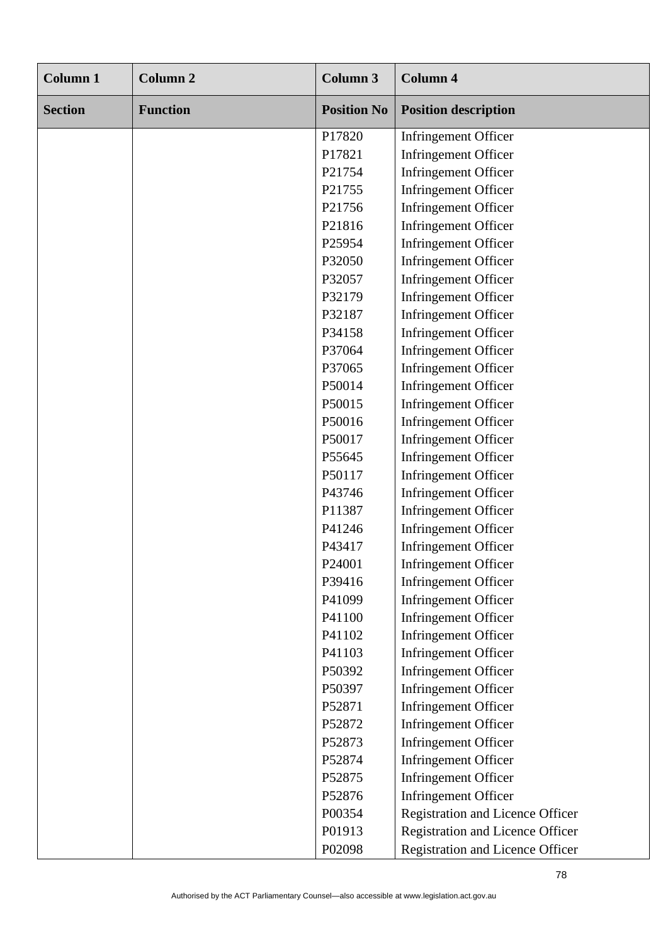| <b>Column 1</b> | <b>Column 2</b> | <b>Column 3</b>    | <b>Column 4</b>                  |
|-----------------|-----------------|--------------------|----------------------------------|
| <b>Section</b>  | <b>Function</b> | <b>Position No</b> | <b>Position description</b>      |
|                 |                 | P17820             | <b>Infringement Officer</b>      |
|                 |                 | P17821             | <b>Infringement Officer</b>      |
|                 |                 | P21754             | <b>Infringement Officer</b>      |
|                 |                 | P21755             | <b>Infringement Officer</b>      |
|                 |                 | P21756             | Infringement Officer             |
|                 |                 | P21816             | <b>Infringement Officer</b>      |
|                 |                 | P <sub>25954</sub> | Infringement Officer             |
|                 |                 | P32050             | Infringement Officer             |
|                 |                 | P32057             | Infringement Officer             |
|                 |                 | P32179             | Infringement Officer             |
|                 |                 | P32187             | <b>Infringement Officer</b>      |
|                 |                 | P34158             | <b>Infringement Officer</b>      |
|                 |                 | P37064             | Infringement Officer             |
|                 |                 | P37065             | <b>Infringement Officer</b>      |
|                 |                 | P50014             | Infringement Officer             |
|                 |                 | P50015             | <b>Infringement Officer</b>      |
|                 |                 | P50016             | Infringement Officer             |
|                 |                 | P50017             | <b>Infringement Officer</b>      |
|                 |                 | P55645             | <b>Infringement Officer</b>      |
|                 |                 | P50117             | Infringement Officer             |
|                 |                 | P43746             | <b>Infringement Officer</b>      |
|                 |                 | P11387             | <b>Infringement Officer</b>      |
|                 |                 | P41246             | Infringement Officer             |
|                 |                 | P43417             | <b>Infringement Officer</b>      |
|                 |                 | P24001             | Infringement Officer             |
|                 |                 | P39416             | <b>Infringement Officer</b>      |
|                 |                 | P41099             | Infringement Officer             |
|                 |                 | P41100             | <b>Infringement Officer</b>      |
|                 |                 | P41102             | Infringement Officer             |
|                 |                 | P41103             | Infringement Officer             |
|                 |                 | P50392             | <b>Infringement Officer</b>      |
|                 |                 | P50397             | Infringement Officer             |
|                 |                 | P52871             | <b>Infringement Officer</b>      |
|                 |                 | P52872             | <b>Infringement Officer</b>      |
|                 |                 | P52873             | Infringement Officer             |
|                 |                 | P52874             | <b>Infringement Officer</b>      |
|                 |                 | P52875             | <b>Infringement Officer</b>      |
|                 |                 | P52876             | Infringement Officer             |
|                 |                 | P00354             | Registration and Licence Officer |
|                 |                 | P01913             | Registration and Licence Officer |
|                 |                 | P02098             | Registration and Licence Officer |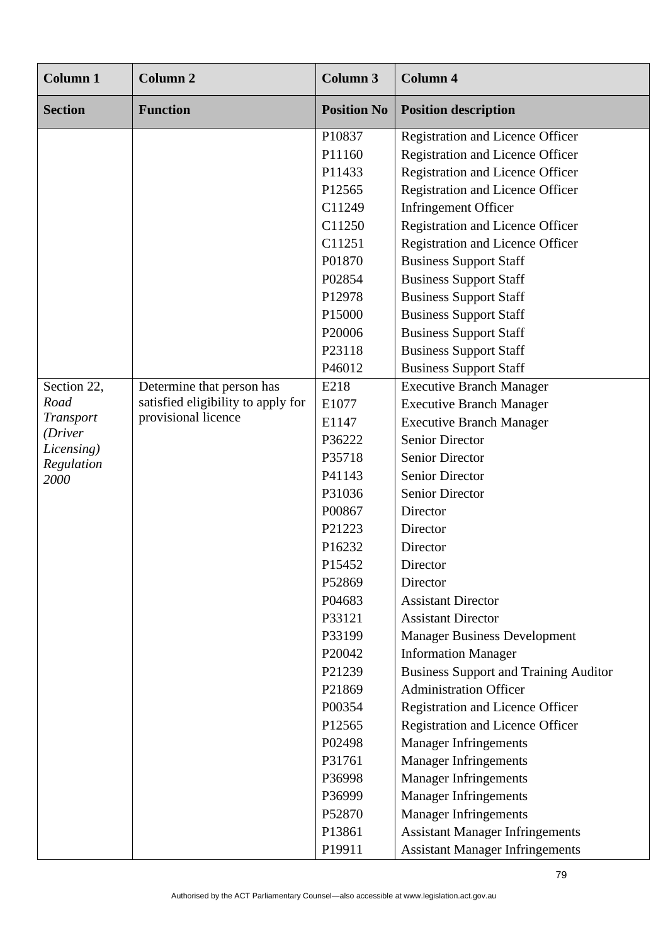| <b>Column 1</b>       | <b>Column 2</b>                    | <b>Column 3</b>    | <b>Column 4</b>                              |
|-----------------------|------------------------------------|--------------------|----------------------------------------------|
| <b>Section</b>        | <b>Function</b>                    | <b>Position No</b> | <b>Position description</b>                  |
|                       |                                    | P10837             | Registration and Licence Officer             |
|                       |                                    | P11160             | Registration and Licence Officer             |
|                       |                                    | P11433             | Registration and Licence Officer             |
|                       |                                    | P12565             | Registration and Licence Officer             |
|                       |                                    | C11249             | <b>Infringement Officer</b>                  |
|                       |                                    | C11250             | <b>Registration and Licence Officer</b>      |
|                       |                                    | C11251             | Registration and Licence Officer             |
|                       |                                    | P01870             | <b>Business Support Staff</b>                |
|                       |                                    | P02854             | <b>Business Support Staff</b>                |
|                       |                                    | P12978             | <b>Business Support Staff</b>                |
|                       |                                    | P15000             | <b>Business Support Staff</b>                |
|                       |                                    | P20006             | <b>Business Support Staff</b>                |
|                       |                                    | P23118             | <b>Business Support Staff</b>                |
|                       |                                    | P46012             | <b>Business Support Staff</b>                |
| Section 22,           | Determine that person has          | E218               | <b>Executive Branch Manager</b>              |
| Road                  | satisfied eligibility to apply for | E1077              | <b>Executive Branch Manager</b>              |
| Transport             | provisional licence                | E1147              | <b>Executive Branch Manager</b>              |
| (Driver<br>Licensing) |                                    | P36222             | <b>Senior Director</b>                       |
| Regulation            |                                    | P35718             | <b>Senior Director</b>                       |
| 2000                  |                                    | P41143             | <b>Senior Director</b>                       |
|                       |                                    | P31036             | <b>Senior Director</b>                       |
|                       |                                    | P00867             | Director                                     |
|                       |                                    | P21223             | Director                                     |
|                       |                                    | P16232             | Director                                     |
|                       |                                    | P15452             | Director                                     |
|                       |                                    | P52869             | Director                                     |
|                       |                                    | P04683             | <b>Assistant Director</b>                    |
|                       |                                    | P33121             | <b>Assistant Director</b>                    |
|                       |                                    | P33199             | <b>Manager Business Development</b>          |
|                       |                                    | P20042             | <b>Information Manager</b>                   |
|                       |                                    | P21239             | <b>Business Support and Training Auditor</b> |
|                       |                                    | P21869             | <b>Administration Officer</b>                |
|                       |                                    | P00354             | Registration and Licence Officer             |
|                       |                                    | P <sub>12565</sub> | Registration and Licence Officer             |
|                       |                                    | P02498             | <b>Manager Infringements</b>                 |
|                       |                                    | P31761             | <b>Manager Infringements</b>                 |
|                       |                                    | P36998             | <b>Manager Infringements</b>                 |
|                       |                                    | P36999             | <b>Manager Infringements</b>                 |
|                       |                                    | P52870             | <b>Manager Infringements</b>                 |
|                       |                                    | P13861             | <b>Assistant Manager Infringements</b>       |
|                       |                                    | P19911             | <b>Assistant Manager Infringements</b>       |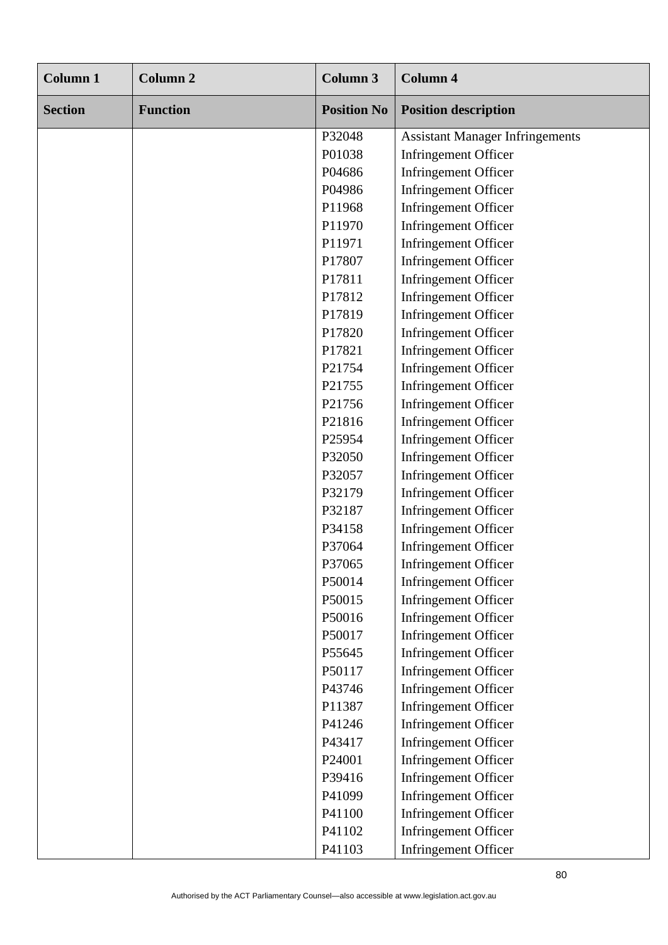| <b>Column 1</b> | <b>Column 2</b> | <b>Column 3</b>    | <b>Column 4</b>                        |
|-----------------|-----------------|--------------------|----------------------------------------|
| <b>Section</b>  | <b>Function</b> | <b>Position No</b> | <b>Position description</b>            |
|                 |                 | P32048             | <b>Assistant Manager Infringements</b> |
|                 |                 | P01038             | <b>Infringement Officer</b>            |
|                 |                 | P04686             | Infringement Officer                   |
|                 |                 | P04986             | Infringement Officer                   |
|                 |                 | P11968             | <b>Infringement Officer</b>            |
|                 |                 | P11970             | <b>Infringement Officer</b>            |
|                 |                 | P11971             | Infringement Officer                   |
|                 |                 | P17807             | <b>Infringement Officer</b>            |
|                 |                 | P17811             | <b>Infringement Officer</b>            |
|                 |                 | P17812             | <b>Infringement Officer</b>            |
|                 |                 | P17819             | <b>Infringement Officer</b>            |
|                 |                 | P17820             | Infringement Officer                   |
|                 |                 | P17821             | <b>Infringement Officer</b>            |
|                 |                 | P21754             | <b>Infringement Officer</b>            |
|                 |                 | P21755             | Infringement Officer                   |
|                 |                 | P21756             | Infringement Officer                   |
|                 |                 | P21816             | <b>Infringement Officer</b>            |
|                 |                 | P25954             | Infringement Officer                   |
|                 |                 | P32050             | <b>Infringement Officer</b>            |
|                 |                 | P32057             | <b>Infringement Officer</b>            |
|                 |                 | P32179             | <b>Infringement Officer</b>            |
|                 |                 | P32187             | <b>Infringement Officer</b>            |
|                 |                 | P34158             | <b>Infringement Officer</b>            |
|                 |                 | P37064             | Infringement Officer                   |
|                 |                 | P37065             | <b>Infringement Officer</b>            |
|                 |                 | P50014             | <b>Infringement Officer</b>            |
|                 |                 | P50015             | Infringement Officer                   |
|                 |                 | P50016             | <b>Infringement Officer</b>            |
|                 |                 | P50017             | <b>Infringement Officer</b>            |
|                 |                 | P55645             | <b>Infringement Officer</b>            |
|                 |                 | P50117             | <b>Infringement Officer</b>            |
|                 |                 | P43746             | Infringement Officer                   |
|                 |                 | P11387             | <b>Infringement Officer</b>            |
|                 |                 | P41246             | <b>Infringement Officer</b>            |
|                 |                 | P43417             | <b>Infringement Officer</b>            |
|                 |                 | P24001             | <b>Infringement Officer</b>            |
|                 |                 | P39416             | Infringement Officer                   |
|                 |                 | P41099             | <b>Infringement Officer</b>            |
|                 |                 | P41100             | <b>Infringement Officer</b>            |
|                 |                 | P41102             | Infringement Officer                   |
|                 |                 | P41103             | <b>Infringement Officer</b>            |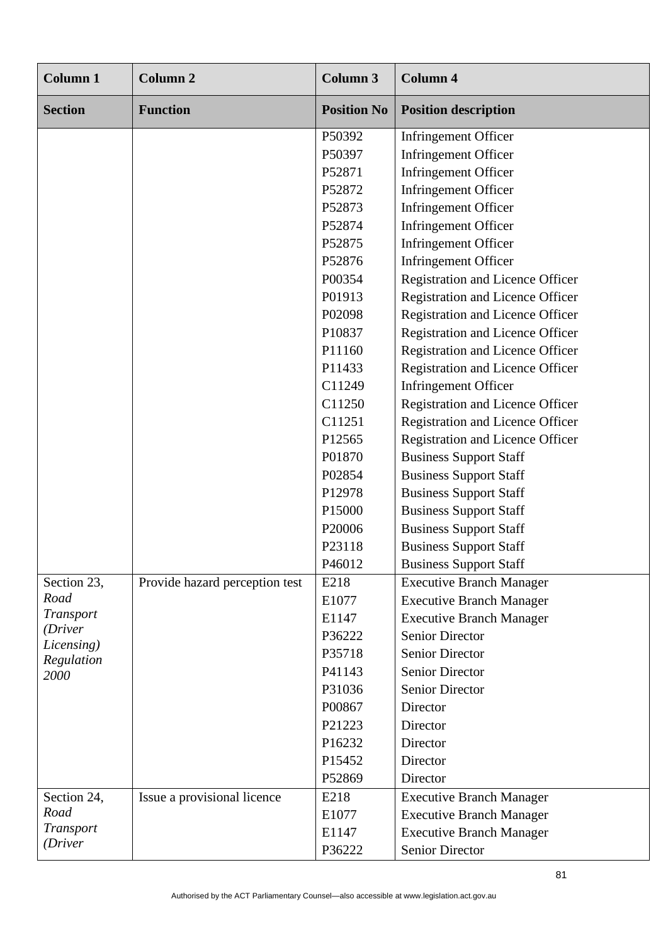| <b>Column 1</b>        | <b>Column 2</b>                | <b>Column 3</b>    | <b>Column 4</b>                         |
|------------------------|--------------------------------|--------------------|-----------------------------------------|
| <b>Section</b>         | <b>Function</b>                | <b>Position No</b> | <b>Position description</b>             |
|                        |                                | P50392             | Infringement Officer                    |
|                        |                                | P50397             | Infringement Officer                    |
|                        |                                | P52871             | Infringement Officer                    |
|                        |                                | P52872             | Infringement Officer                    |
|                        |                                | P52873             | <b>Infringement Officer</b>             |
|                        |                                | P52874             | Infringement Officer                    |
|                        |                                | P52875             | <b>Infringement Officer</b>             |
|                        |                                | P52876             | Infringement Officer                    |
|                        |                                | P00354             | Registration and Licence Officer        |
|                        |                                | P01913             | Registration and Licence Officer        |
|                        |                                | P02098             | Registration and Licence Officer        |
|                        |                                | P10837             | Registration and Licence Officer        |
|                        |                                | P11160             | Registration and Licence Officer        |
|                        |                                | P11433             | <b>Registration and Licence Officer</b> |
|                        |                                | C11249             | Infringement Officer                    |
|                        |                                | C11250             | Registration and Licence Officer        |
|                        |                                | C11251             | Registration and Licence Officer        |
|                        |                                | P12565             | Registration and Licence Officer        |
|                        |                                | P01870             | <b>Business Support Staff</b>           |
|                        |                                | P02854             | <b>Business Support Staff</b>           |
|                        |                                | P12978             | <b>Business Support Staff</b>           |
|                        |                                | P15000             | <b>Business Support Staff</b>           |
|                        |                                | P20006             | <b>Business Support Staff</b>           |
|                        |                                | P23118             | <b>Business Support Staff</b>           |
|                        |                                | P46012             | <b>Business Support Staff</b>           |
| Section 23,            | Provide hazard perception test | E218               | <b>Executive Branch Manager</b>         |
| Road                   |                                | E1077              | <b>Executive Branch Manager</b>         |
| Transport              |                                | E1147              | <b>Executive Branch Manager</b>         |
| (Driver)<br>Licensing) |                                | P36222             | <b>Senior Director</b>                  |
| Regulation             |                                | P35718             | Senior Director                         |
| 2000                   |                                | P41143             | <b>Senior Director</b>                  |
|                        |                                | P31036             | <b>Senior Director</b>                  |
|                        |                                | P00867             | Director                                |
|                        |                                | P21223             | Director                                |
|                        |                                | P <sub>16232</sub> | Director                                |
|                        |                                | P15452             | Director                                |
|                        |                                | P52869             | Director                                |
| Section 24,            | Issue a provisional licence    | E218               | <b>Executive Branch Manager</b>         |
| Road                   |                                | E1077              | <b>Executive Branch Manager</b>         |
| Transport              |                                | E1147              | <b>Executive Branch Manager</b>         |
| (Driver)               |                                | P36222             | <b>Senior Director</b>                  |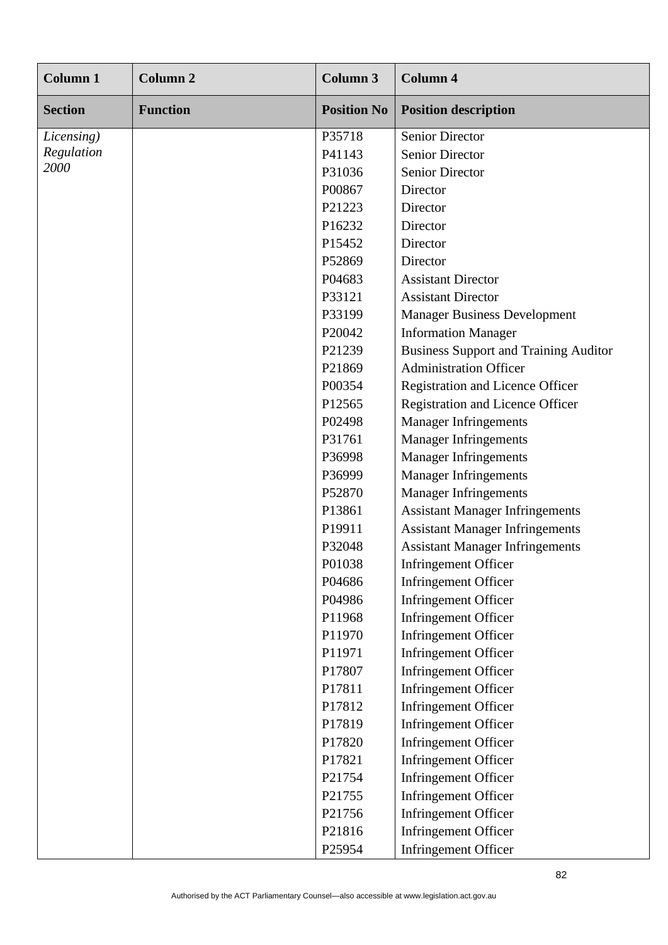| <b>Column 1</b> | <b>Column 2</b> | <b>Column 3</b>    | <b>Column 4</b>                              |
|-----------------|-----------------|--------------------|----------------------------------------------|
| <b>Section</b>  | <b>Function</b> | <b>Position No</b> | <b>Position description</b>                  |
| Licensing)      |                 | P35718             | <b>Senior Director</b>                       |
| Regulation      |                 | P41143             | <b>Senior Director</b>                       |
| 2000            |                 | P31036             | <b>Senior Director</b>                       |
|                 |                 | P00867             | Director                                     |
|                 |                 | P21223             | Director                                     |
|                 |                 | P16232             | Director                                     |
|                 |                 | P15452             | Director                                     |
|                 |                 | P52869             | Director                                     |
|                 |                 | P04683             | <b>Assistant Director</b>                    |
|                 |                 | P33121             | <b>Assistant Director</b>                    |
|                 |                 | P33199             | <b>Manager Business Development</b>          |
|                 |                 | P20042             | <b>Information Manager</b>                   |
|                 |                 | P21239             | <b>Business Support and Training Auditor</b> |
|                 |                 | P21869             | <b>Administration Officer</b>                |
|                 |                 | P00354             | <b>Registration and Licence Officer</b>      |
|                 |                 | P12565             | Registration and Licence Officer             |
|                 |                 | P02498             | <b>Manager Infringements</b>                 |
|                 |                 | P31761             | <b>Manager Infringements</b>                 |
|                 |                 | P36998             | <b>Manager Infringements</b>                 |
|                 |                 | P36999             | <b>Manager Infringements</b>                 |
|                 |                 | P52870             | <b>Manager Infringements</b>                 |
|                 |                 | P13861             | <b>Assistant Manager Infringements</b>       |
|                 |                 | P19911             | <b>Assistant Manager Infringements</b>       |
|                 |                 | P32048             | <b>Assistant Manager Infringements</b>       |
|                 |                 | P01038             | Infringement Officer                         |
|                 |                 | P04686             | <b>Infringement Officer</b>                  |
|                 |                 | P04986             | Infringement Officer                         |
|                 |                 | P11968             | Infringement Officer                         |
|                 |                 | P11970             | Infringement Officer                         |
|                 |                 | P11971             | <b>Infringement Officer</b>                  |
|                 |                 | P17807             | <b>Infringement Officer</b>                  |
|                 |                 | P17811             | Infringement Officer                         |
|                 |                 | P17812             | <b>Infringement Officer</b>                  |
|                 |                 | P17819             | <b>Infringement Officer</b>                  |
|                 |                 | P17820             | Infringement Officer                         |
|                 |                 | P17821             | Infringement Officer                         |
|                 |                 | P21754             | Infringement Officer                         |
|                 |                 | P21755             | Infringement Officer                         |
|                 |                 | P21756             | <b>Infringement Officer</b>                  |
|                 |                 | P21816             | Infringement Officer                         |
|                 |                 | P25954             | Infringement Officer                         |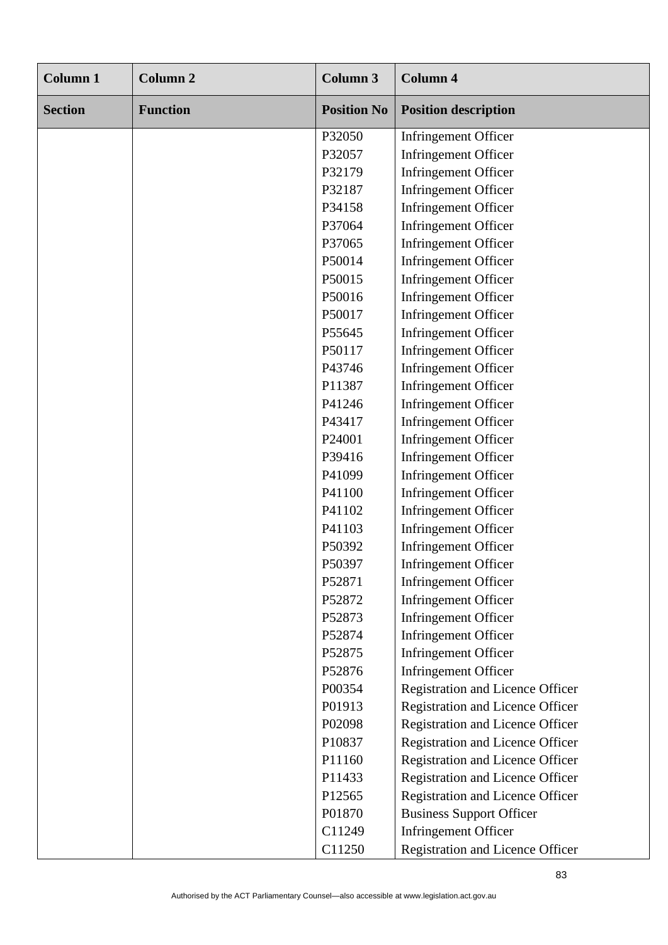| <b>Column 1</b> | <b>Column 2</b> | <b>Column 3</b>    | <b>Column 4</b>                  |
|-----------------|-----------------|--------------------|----------------------------------|
| <b>Section</b>  | <b>Function</b> | <b>Position No</b> | <b>Position description</b>      |
|                 |                 | P32050             | <b>Infringement Officer</b>      |
|                 |                 | P32057             | Infringement Officer             |
|                 |                 | P32179             | Infringement Officer             |
|                 |                 | P32187             | Infringement Officer             |
|                 |                 | P34158             | Infringement Officer             |
|                 |                 | P37064             | Infringement Officer             |
|                 |                 | P37065             | Infringement Officer             |
|                 |                 | P50014             | Infringement Officer             |
|                 |                 | P50015             | <b>Infringement Officer</b>      |
|                 |                 | P50016             | <b>Infringement Officer</b>      |
|                 |                 | P50017             | <b>Infringement Officer</b>      |
|                 |                 | P55645             | Infringement Officer             |
|                 |                 | P50117             | <b>Infringement Officer</b>      |
|                 |                 | P43746             | <b>Infringement Officer</b>      |
|                 |                 | P11387             | Infringement Officer             |
|                 |                 | P41246             | <b>Infringement Officer</b>      |
|                 |                 | P43417             | Infringement Officer             |
|                 |                 | P24001             | Infringement Officer             |
|                 |                 | P39416             | <b>Infringement Officer</b>      |
|                 |                 | P41099             | <b>Infringement Officer</b>      |
|                 |                 | P41100             | Infringement Officer             |
|                 |                 | P41102             | Infringement Officer             |
|                 |                 | P41103             | <b>Infringement Officer</b>      |
|                 |                 | P50392             | Infringement Officer             |
|                 |                 | P50397             | Infringement Officer             |
|                 |                 | P52871             | Infringement Officer             |
|                 |                 | P52872             | Infringement Officer             |
|                 |                 | P52873             | Infringement Officer             |
|                 |                 | P52874             | Infringement Officer             |
|                 |                 | P52875             | <b>Infringement Officer</b>      |
|                 |                 | P52876             | <b>Infringement Officer</b>      |
|                 |                 | P00354             | Registration and Licence Officer |
|                 |                 | P01913             | Registration and Licence Officer |
|                 |                 | P02098             | Registration and Licence Officer |
|                 |                 | P10837             | Registration and Licence Officer |
|                 |                 | P11160             | Registration and Licence Officer |
|                 |                 | P11433             | Registration and Licence Officer |
|                 |                 | P12565             | Registration and Licence Officer |
|                 |                 | P01870             | <b>Business Support Officer</b>  |
|                 |                 | C11249             | <b>Infringement Officer</b>      |
|                 |                 | C11250             | Registration and Licence Officer |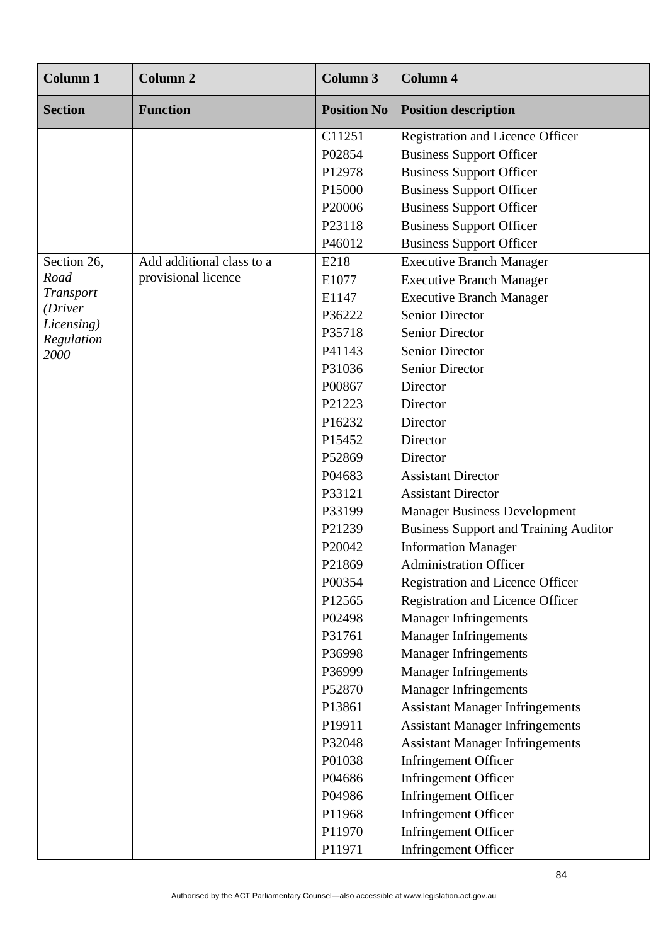| <b>Column 1</b>        | <b>Column 2</b>           | <b>Column 3</b>    | <b>Column 4</b>                              |
|------------------------|---------------------------|--------------------|----------------------------------------------|
| <b>Section</b>         | <b>Function</b>           | <b>Position No</b> | <b>Position description</b>                  |
|                        |                           | C11251             | Registration and Licence Officer             |
|                        |                           | P02854             | <b>Business Support Officer</b>              |
|                        |                           | P12978             | <b>Business Support Officer</b>              |
|                        |                           | P15000             | <b>Business Support Officer</b>              |
|                        |                           | P20006             | <b>Business Support Officer</b>              |
|                        |                           | P23118             | <b>Business Support Officer</b>              |
|                        |                           | P46012             | <b>Business Support Officer</b>              |
| Section 26,            | Add additional class to a | E218               | <b>Executive Branch Manager</b>              |
| Road                   | provisional licence       | E1077              | <b>Executive Branch Manager</b>              |
| Transport              |                           | E1147              | <b>Executive Branch Manager</b>              |
| (Driver)<br>Licensing) |                           | P36222             | <b>Senior Director</b>                       |
| Regulation             |                           | P35718             | <b>Senior Director</b>                       |
| 2000                   |                           | P41143             | <b>Senior Director</b>                       |
|                        |                           | P31036             | <b>Senior Director</b>                       |
|                        |                           | P00867             | Director                                     |
|                        |                           | P21223             | Director                                     |
|                        |                           | P16232             | Director                                     |
|                        |                           | P15452             | Director                                     |
|                        |                           | P52869             | Director                                     |
|                        |                           | P04683             | <b>Assistant Director</b>                    |
|                        |                           | P33121             | <b>Assistant Director</b>                    |
|                        |                           | P33199             | <b>Manager Business Development</b>          |
|                        |                           | P21239             | <b>Business Support and Training Auditor</b> |
|                        |                           | P20042             | <b>Information Manager</b>                   |
|                        |                           | P21869             | <b>Administration Officer</b>                |
|                        |                           | P00354             | <b>Registration and Licence Officer</b>      |
|                        |                           | P12565             | Registration and Licence Officer             |
|                        |                           | P02498             | <b>Manager Infringements</b>                 |
|                        |                           | P31761             | <b>Manager Infringements</b>                 |
|                        |                           | P36998             | <b>Manager Infringements</b>                 |
|                        |                           | P36999             | <b>Manager Infringements</b>                 |
|                        |                           | P52870             | <b>Manager Infringements</b>                 |
|                        |                           | P13861             | <b>Assistant Manager Infringements</b>       |
|                        |                           | P19911             | <b>Assistant Manager Infringements</b>       |
|                        |                           | P32048             | <b>Assistant Manager Infringements</b>       |
|                        |                           | P01038             | <b>Infringement Officer</b>                  |
|                        |                           | P04686             | <b>Infringement Officer</b>                  |
|                        |                           | P04986             | <b>Infringement Officer</b>                  |
|                        |                           | P11968             | <b>Infringement Officer</b>                  |
|                        |                           | P11970             | Infringement Officer                         |
|                        |                           | P11971             | <b>Infringement Officer</b>                  |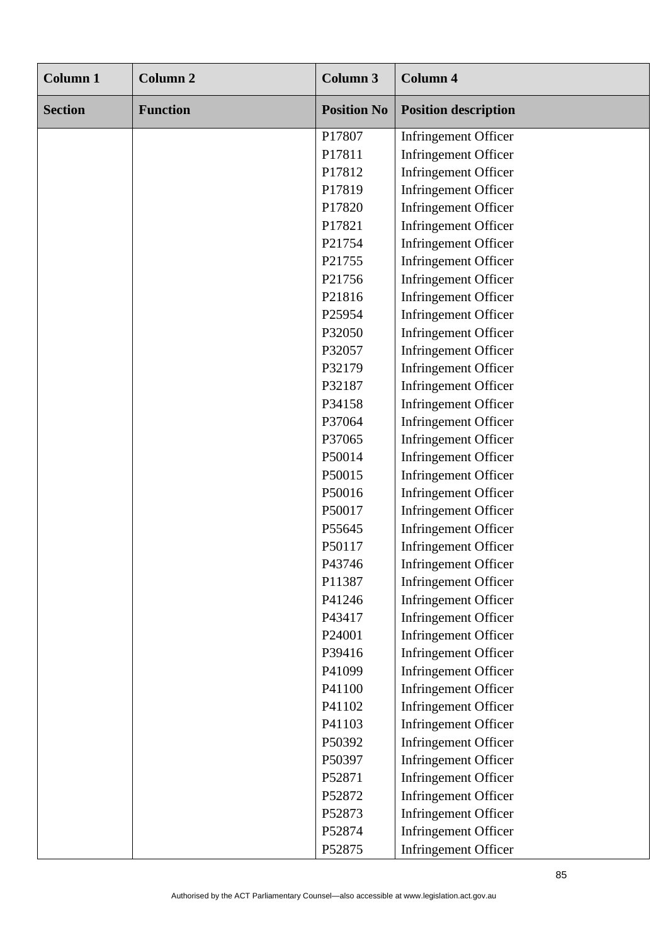| <b>Column 1</b> | <b>Column 2</b> | <b>Column 3</b>    | <b>Column 4</b>             |
|-----------------|-----------------|--------------------|-----------------------------|
| <b>Section</b>  | <b>Function</b> | <b>Position No</b> | <b>Position description</b> |
|                 |                 | P17807             | <b>Infringement Officer</b> |
|                 |                 | P17811             | Infringement Officer        |
|                 |                 | P17812             | Infringement Officer        |
|                 |                 | P17819             | Infringement Officer        |
|                 |                 | P17820             | <b>Infringement Officer</b> |
|                 |                 | P17821             | Infringement Officer        |
|                 |                 | P21754             | Infringement Officer        |
|                 |                 | P21755             | Infringement Officer        |
|                 |                 | P21756             | Infringement Officer        |
|                 |                 | P21816             | Infringement Officer        |
|                 |                 | P25954             | Infringement Officer        |
|                 |                 | P32050             | Infringement Officer        |
|                 |                 | P32057             | Infringement Officer        |
|                 |                 | P32179             | Infringement Officer        |
|                 |                 | P32187             | Infringement Officer        |
|                 |                 | P34158             | Infringement Officer        |
|                 |                 | P37064             | <b>Infringement Officer</b> |
|                 |                 | P37065             | Infringement Officer        |
|                 |                 | P50014             | Infringement Officer        |
|                 |                 | P50015             | <b>Infringement Officer</b> |
|                 |                 | P50016             | <b>Infringement Officer</b> |
|                 |                 | P50017             | Infringement Officer        |
|                 |                 | P55645             | Infringement Officer        |
|                 |                 | P50117             | <b>Infringement Officer</b> |
|                 |                 | P43746             | <b>Infringement Officer</b> |
|                 |                 | P11387             | Infringement Officer        |
|                 |                 | P41246             | Infringement Officer        |
|                 |                 | P43417             | Infringement Officer        |
|                 |                 | P24001             | Infringement Officer        |
|                 |                 | P39416             | Infringement Officer        |
|                 |                 | P41099             | Infringement Officer        |
|                 |                 | P41100             | <b>Infringement Officer</b> |
|                 |                 | P41102             | Infringement Officer        |
|                 |                 | P41103             | Infringement Officer        |
|                 |                 | P50392             | Infringement Officer        |
|                 |                 | P50397             | <b>Infringement Officer</b> |
|                 |                 | P52871             | Infringement Officer        |
|                 |                 | P52872             | <b>Infringement Officer</b> |
|                 |                 | P52873             | <b>Infringement Officer</b> |
|                 |                 | P52874             | Infringement Officer        |
|                 |                 | P52875             | Infringement Officer        |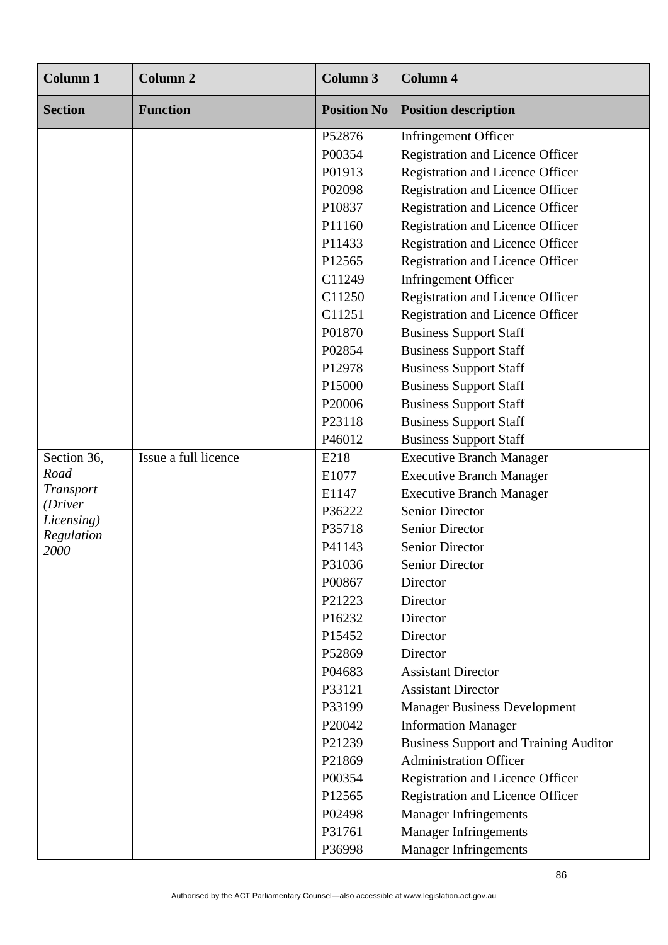| <b>Column 1</b>       | <b>Column 2</b>      | <b>Column 3</b>    | <b>Column 4</b>                              |
|-----------------------|----------------------|--------------------|----------------------------------------------|
| <b>Section</b>        | <b>Function</b>      | <b>Position No</b> | <b>Position description</b>                  |
|                       |                      | P52876             | <b>Infringement Officer</b>                  |
|                       |                      | P00354             | Registration and Licence Officer             |
|                       |                      | P01913             | Registration and Licence Officer             |
|                       |                      | P02098             | Registration and Licence Officer             |
|                       |                      | P10837             | Registration and Licence Officer             |
|                       |                      | P11160             | Registration and Licence Officer             |
|                       |                      | P11433             | Registration and Licence Officer             |
|                       |                      | P12565             | Registration and Licence Officer             |
|                       |                      | C11249             | Infringement Officer                         |
|                       |                      | C11250             | Registration and Licence Officer             |
|                       |                      | C11251             | Registration and Licence Officer             |
|                       |                      | P01870             | <b>Business Support Staff</b>                |
|                       |                      | P02854             | <b>Business Support Staff</b>                |
|                       |                      | P12978             | <b>Business Support Staff</b>                |
|                       |                      | P15000             | <b>Business Support Staff</b>                |
|                       |                      | P20006             | <b>Business Support Staff</b>                |
|                       |                      | P23118             | <b>Business Support Staff</b>                |
|                       |                      | P46012             | <b>Business Support Staff</b>                |
| Section 36,           | Issue a full licence | E218               | <b>Executive Branch Manager</b>              |
| Road                  |                      | E1077              | <b>Executive Branch Manager</b>              |
| Transport<br>(Driver) |                      | E1147              | <b>Executive Branch Manager</b>              |
| Licensing)            |                      | P36222             | <b>Senior Director</b>                       |
| Regulation            |                      | P35718             | <b>Senior Director</b>                       |
| 2000                  |                      | P41143             | <b>Senior Director</b>                       |
|                       |                      | P31036             | <b>Senior Director</b>                       |
|                       |                      | P00867             | Director                                     |
|                       |                      | P21223             | Director                                     |
|                       |                      | P <sub>16232</sub> | Director                                     |
|                       |                      | P15452             | Director                                     |
|                       |                      | P52869             | Director                                     |
|                       |                      | P04683             | <b>Assistant Director</b>                    |
|                       |                      | P33121             | <b>Assistant Director</b>                    |
|                       |                      | P33199             | <b>Manager Business Development</b>          |
|                       |                      | P20042             | <b>Information Manager</b>                   |
|                       |                      | P21239             | <b>Business Support and Training Auditor</b> |
|                       |                      | P21869             | <b>Administration Officer</b>                |
|                       |                      | P00354             | Registration and Licence Officer             |
|                       |                      | P12565             | Registration and Licence Officer             |
|                       |                      | P02498             | <b>Manager Infringements</b>                 |
|                       |                      | P31761             | <b>Manager Infringements</b>                 |
|                       |                      | P36998             | <b>Manager Infringements</b>                 |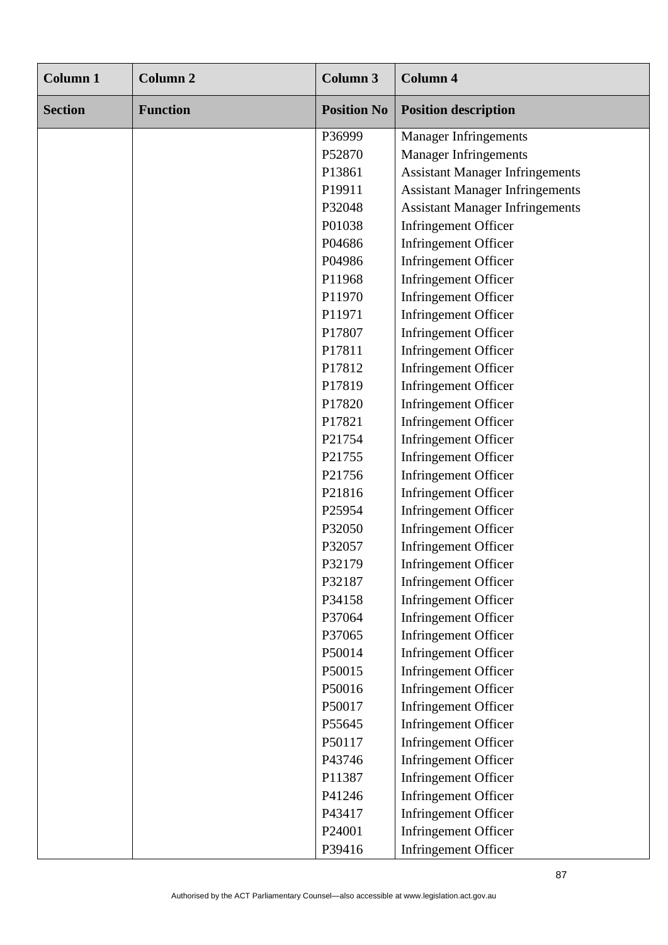| <b>Column 1</b> | <b>Column 2</b> | <b>Column 3</b>    | <b>Column 4</b>                        |
|-----------------|-----------------|--------------------|----------------------------------------|
| <b>Section</b>  | <b>Function</b> | <b>Position No</b> | <b>Position description</b>            |
|                 |                 | P36999             | <b>Manager Infringements</b>           |
|                 |                 | P52870             | <b>Manager Infringements</b>           |
|                 |                 | P13861             | <b>Assistant Manager Infringements</b> |
|                 |                 | P19911             | <b>Assistant Manager Infringements</b> |
|                 |                 | P32048             | <b>Assistant Manager Infringements</b> |
|                 |                 | P01038             | Infringement Officer                   |
|                 |                 | P04686             | Infringement Officer                   |
|                 |                 | P04986             | Infringement Officer                   |
|                 |                 | P11968             | Infringement Officer                   |
|                 |                 | P11970             | Infringement Officer                   |
|                 |                 | P11971             | Infringement Officer                   |
|                 |                 | P17807             | Infringement Officer                   |
|                 |                 | P17811             | <b>Infringement Officer</b>            |
|                 |                 | P17812             | Infringement Officer                   |
|                 |                 | P17819             | Infringement Officer                   |
|                 |                 | P17820             | Infringement Officer                   |
|                 |                 | P17821             | Infringement Officer                   |
|                 |                 | P21754             | Infringement Officer                   |
|                 |                 | P21755             | Infringement Officer                   |
|                 |                 | P21756             | Infringement Officer                   |
|                 |                 | P21816             | Infringement Officer                   |
|                 |                 | P <sub>25954</sub> | <b>Infringement Officer</b>            |
|                 |                 | P32050             | Infringement Officer                   |
|                 |                 | P32057             | Infringement Officer                   |
|                 |                 | P32179             | Infringement Officer                   |
|                 |                 | P32187             | Infringement Officer                   |
|                 |                 | P34158             | Infringement Officer                   |
|                 |                 | P37064             | Infringement Officer                   |
|                 |                 | P37065             | Infringement Officer                   |
|                 |                 | P50014             | Infringement Officer                   |
|                 |                 | P50015             | Infringement Officer                   |
|                 |                 | P50016             | Infringement Officer                   |
|                 |                 | P50017             | Infringement Officer                   |
|                 |                 | P55645             | Infringement Officer                   |
|                 |                 | P50117             | Infringement Officer                   |
|                 |                 | P43746             | Infringement Officer                   |
|                 |                 | P11387             | Infringement Officer                   |
|                 |                 | P41246             | Infringement Officer                   |
|                 |                 | P43417             | Infringement Officer                   |
|                 |                 | P24001             | Infringement Officer                   |
|                 |                 | P39416             | Infringement Officer                   |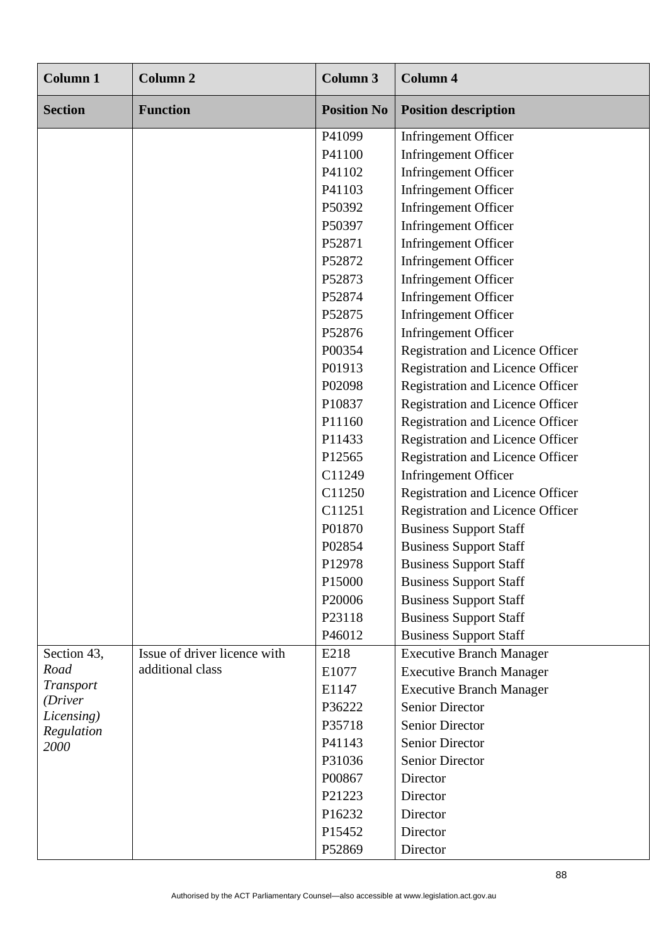| <b>Column 1</b>       | <b>Column 2</b>              | <b>Column 3</b>    | <b>Column 4</b>                  |
|-----------------------|------------------------------|--------------------|----------------------------------|
| <b>Section</b>        | <b>Function</b>              | <b>Position No</b> | <b>Position description</b>      |
|                       |                              | P41099             | <b>Infringement Officer</b>      |
|                       |                              | P41100             | Infringement Officer             |
|                       |                              | P41102             | Infringement Officer             |
|                       |                              | P41103             | Infringement Officer             |
|                       |                              | P50392             | Infringement Officer             |
|                       |                              | P50397             | Infringement Officer             |
|                       |                              | P52871             | Infringement Officer             |
|                       |                              | P52872             | Infringement Officer             |
|                       |                              | P52873             | <b>Infringement Officer</b>      |
|                       |                              | P52874             | <b>Infringement Officer</b>      |
|                       |                              | P52875             | <b>Infringement Officer</b>      |
|                       |                              | P52876             | Infringement Officer             |
|                       |                              | P00354             | Registration and Licence Officer |
|                       |                              | P01913             | Registration and Licence Officer |
|                       |                              | P02098             | Registration and Licence Officer |
|                       |                              | P10837             | Registration and Licence Officer |
|                       |                              | P11160             | Registration and Licence Officer |
|                       |                              | P11433             | Registration and Licence Officer |
|                       |                              | P12565             | Registration and Licence Officer |
|                       |                              | C11249             | Infringement Officer             |
|                       |                              | C11250             | Registration and Licence Officer |
|                       |                              | C11251             | Registration and Licence Officer |
|                       |                              | P01870             | <b>Business Support Staff</b>    |
|                       |                              | P02854             | <b>Business Support Staff</b>    |
|                       |                              | P12978             | <b>Business Support Staff</b>    |
|                       |                              | P <sub>15000</sub> | <b>Business Support Staff</b>    |
|                       |                              | P20006             | <b>Business Support Staff</b>    |
|                       |                              | P23118             | <b>Business Support Staff</b>    |
|                       |                              | P46012             | <b>Business Support Staff</b>    |
| Section 43,           | Issue of driver licence with | E218               | <b>Executive Branch Manager</b>  |
| Road                  | additional class             | E1077              | <b>Executive Branch Manager</b>  |
| Transport             |                              | E1147              | <b>Executive Branch Manager</b>  |
| (Driver<br>Licensing) |                              | P36222             | <b>Senior Director</b>           |
| Regulation            |                              | P35718             | <b>Senior Director</b>           |
| 2000                  |                              | P41143             | <b>Senior Director</b>           |
|                       |                              | P31036             | <b>Senior Director</b>           |
|                       |                              | P00867             | Director                         |
|                       |                              | P21223             | Director                         |
|                       |                              | P16232             | Director                         |
|                       |                              | P15452             | Director                         |
|                       |                              | P52869             | Director                         |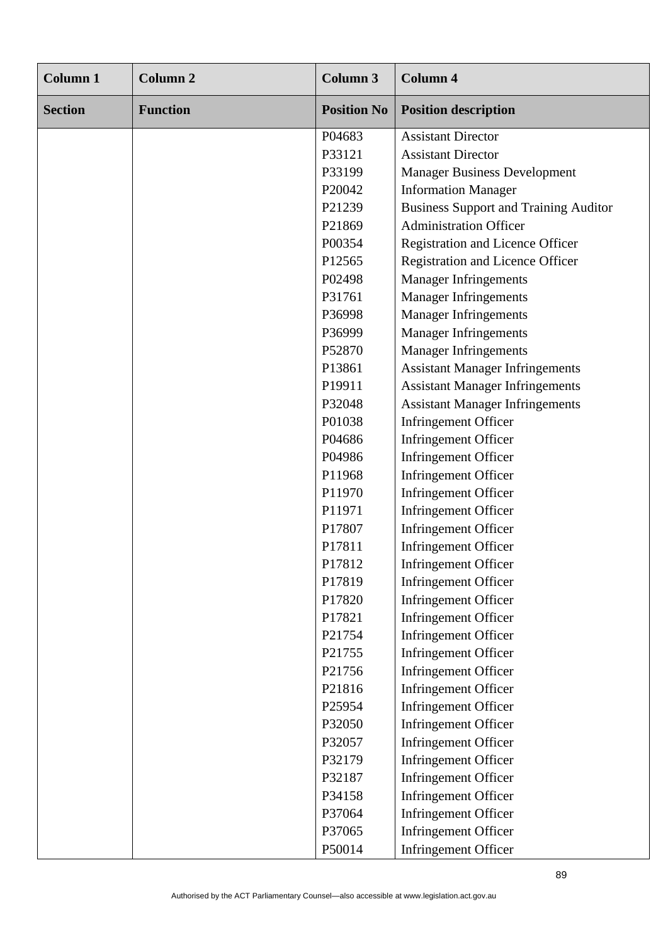| <b>Column 1</b> | <b>Column 2</b> | <b>Column 3</b>    | <b>Column 4</b>                              |
|-----------------|-----------------|--------------------|----------------------------------------------|
| <b>Section</b>  | <b>Function</b> | <b>Position No</b> | <b>Position description</b>                  |
|                 |                 | P04683             | <b>Assistant Director</b>                    |
|                 |                 | P33121             | <b>Assistant Director</b>                    |
|                 |                 | P33199             | <b>Manager Business Development</b>          |
|                 |                 | P20042             | <b>Information Manager</b>                   |
|                 |                 | P21239             | <b>Business Support and Training Auditor</b> |
|                 |                 | P21869             | <b>Administration Officer</b>                |
|                 |                 | P00354             | Registration and Licence Officer             |
|                 |                 | P12565             | Registration and Licence Officer             |
|                 |                 | P02498             | <b>Manager Infringements</b>                 |
|                 |                 | P31761             | <b>Manager Infringements</b>                 |
|                 |                 | P36998             | <b>Manager Infringements</b>                 |
|                 |                 | P36999             | <b>Manager Infringements</b>                 |
|                 |                 | P52870             | <b>Manager Infringements</b>                 |
|                 |                 | P13861             | <b>Assistant Manager Infringements</b>       |
|                 |                 | P19911             | <b>Assistant Manager Infringements</b>       |
|                 |                 | P32048             | <b>Assistant Manager Infringements</b>       |
|                 |                 | P01038             | <b>Infringement Officer</b>                  |
|                 |                 | P04686             | Infringement Officer                         |
|                 |                 | P04986             | <b>Infringement Officer</b>                  |
|                 |                 | P11968             | <b>Infringement Officer</b>                  |
|                 |                 | P11970             | <b>Infringement Officer</b>                  |
|                 |                 | P11971             | Infringement Officer                         |
|                 |                 | P17807             | <b>Infringement Officer</b>                  |
|                 |                 | P17811             | <b>Infringement Officer</b>                  |
|                 |                 | P17812             | Infringement Officer                         |
|                 |                 | P17819             | Infringement Officer                         |
|                 |                 | P17820             | Infringement Officer                         |
|                 |                 | P17821             | Infringement Officer                         |
|                 |                 | P21754             | Infringement Officer                         |
|                 |                 | P21755             | <b>Infringement Officer</b>                  |
|                 |                 | P21756             | Infringement Officer                         |
|                 |                 | P21816             | Infringement Officer                         |
|                 |                 | P25954             | Infringement Officer                         |
|                 |                 | P32050             | Infringement Officer                         |
|                 |                 | P32057             | Infringement Officer                         |
|                 |                 | P32179             | <b>Infringement Officer</b>                  |
|                 |                 | P32187             | Infringement Officer                         |
|                 |                 | P34158             | Infringement Officer                         |
|                 |                 | P37064             | <b>Infringement Officer</b>                  |
|                 |                 | P37065             | <b>Infringement Officer</b>                  |
|                 |                 | P50014             | Infringement Officer                         |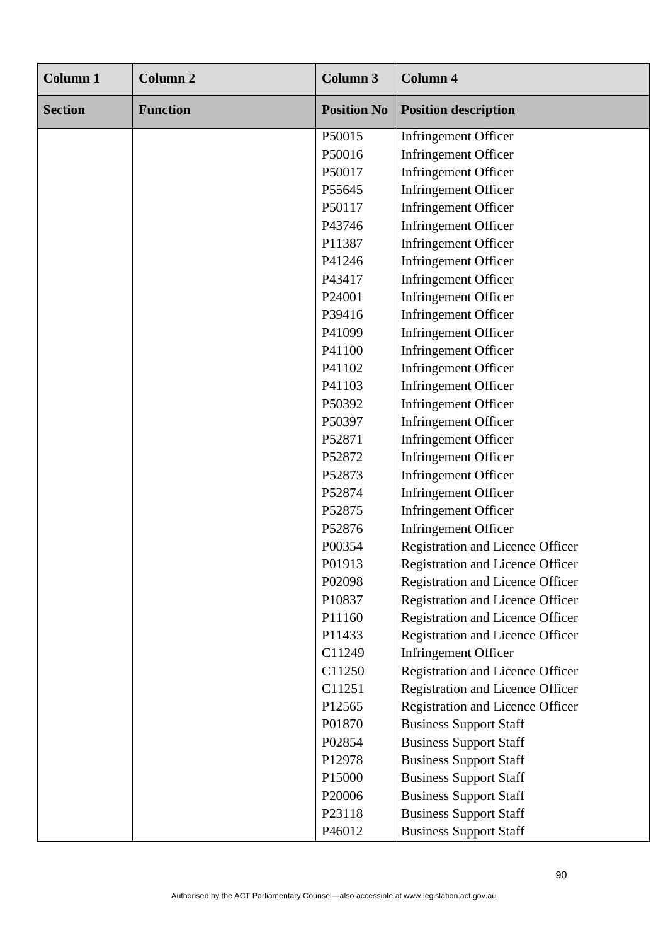| <b>Column 1</b> | <b>Column 2</b> | <b>Column 3</b>    | <b>Column 4</b>                         |
|-----------------|-----------------|--------------------|-----------------------------------------|
| <b>Section</b>  | <b>Function</b> | <b>Position No</b> | <b>Position description</b>             |
|                 |                 | P50015             | Infringement Officer                    |
|                 |                 | P50016             | Infringement Officer                    |
|                 |                 | P50017             | Infringement Officer                    |
|                 |                 | P55645             | Infringement Officer                    |
|                 |                 | P50117             | Infringement Officer                    |
|                 |                 | P43746             | Infringement Officer                    |
|                 |                 | P11387             | Infringement Officer                    |
|                 |                 | P41246             | Infringement Officer                    |
|                 |                 | P43417             | <b>Infringement Officer</b>             |
|                 |                 | P24001             | Infringement Officer                    |
|                 |                 | P39416             | Infringement Officer                    |
|                 |                 | P41099             | Infringement Officer                    |
|                 |                 | P41100             | Infringement Officer                    |
|                 |                 | P41102             | <b>Infringement Officer</b>             |
|                 |                 | P41103             | Infringement Officer                    |
|                 |                 | P50392             | Infringement Officer                    |
|                 |                 | P50397             | Infringement Officer                    |
|                 |                 | P52871             | Infringement Officer                    |
|                 |                 | P52872             | Infringement Officer                    |
|                 |                 | P52873             | Infringement Officer                    |
|                 |                 | P52874             | Infringement Officer                    |
|                 |                 | P52875             | Infringement Officer                    |
|                 |                 | P52876             | <b>Infringement Officer</b>             |
|                 |                 | P00354             | Registration and Licence Officer        |
|                 |                 | P01913             | <b>Registration and Licence Officer</b> |
|                 |                 | P02098             | Registration and Licence Officer        |
|                 |                 | P10837             | Registration and Licence Officer        |
|                 |                 | P11160             | Registration and Licence Officer        |
|                 |                 | P11433             | Registration and Licence Officer        |
|                 |                 | C11249             | Infringement Officer                    |
|                 |                 | C <sub>11250</sub> | Registration and Licence Officer        |
|                 |                 | C11251             | Registration and Licence Officer        |
|                 |                 | P12565             | Registration and Licence Officer        |
|                 |                 | P01870             | <b>Business Support Staff</b>           |
|                 |                 | P02854             | <b>Business Support Staff</b>           |
|                 |                 | P <sub>12978</sub> | <b>Business Support Staff</b>           |
|                 |                 | P15000             | <b>Business Support Staff</b>           |
|                 |                 | P20006             | <b>Business Support Staff</b>           |
|                 |                 | P23118             | <b>Business Support Staff</b>           |
|                 |                 | P46012             | <b>Business Support Staff</b>           |